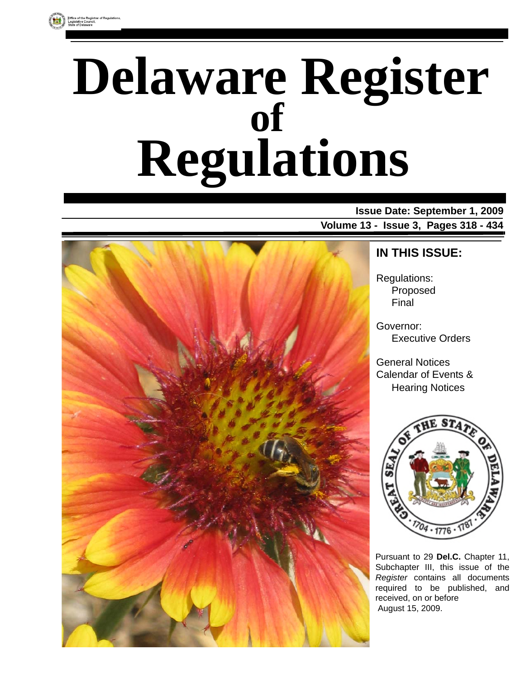# **Delaware Register Regulations of**

**Issue Date: September 1, 2009 Volume 13 - Issue 3, Pages 318 - 434**



### **IN THIS ISSUE:**

Regulations: Proposed Final

Governor: Executive Orders

General Notices Calendar of Events & Hearing Notices



Pursuant to 29 **Del.C.** Chapter 11, Subchapter III, this issue of the *Register* contains all documents required to be published, and received, on or before August 15, 2009.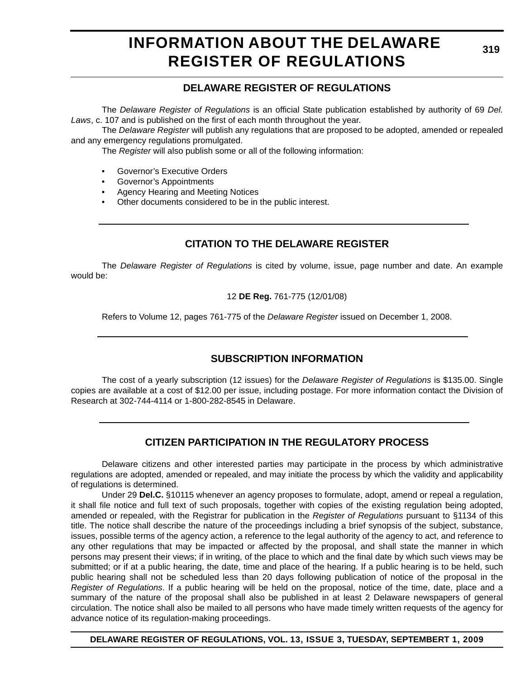# **INFORMATION ABOUT THE DELAWARE REGISTER OF REGULATIONS**

### **DELAWARE REGISTER OF REGULATIONS**

The *Delaware Register of Regulations* is an official State publication established by authority of 69 *Del. Laws*, c. 107 and is published on the first of each month throughout the year.

The *Delaware Register* will publish any regulations that are proposed to be adopted, amended or repealed and any emergency regulations promulgated.

The *Register* will also publish some or all of the following information:

- Governor's Executive Orders
- Governor's Appointments
- Agency Hearing and Meeting Notices
- Other documents considered to be in the public interest.

### **CITATION TO THE DELAWARE REGISTER**

The *Delaware Register of Regulations* is cited by volume, issue, page number and date. An example would be:

#### 12 **DE Reg.** 761-775 (12/01/08)

Refers to Volume 12, pages 761-775 of the *Delaware Register* issued on December 1, 2008.

### **SUBSCRIPTION INFORMATION**

The cost of a yearly subscription (12 issues) for the *Delaware Register of Regulations* is \$135.00. Single copies are available at a cost of \$12.00 per issue, including postage. For more information contact the Division of Research at 302-744-4114 or 1-800-282-8545 in Delaware.

### **CITIZEN PARTICIPATION IN THE REGULATORY PROCESS**

Delaware citizens and other interested parties may participate in the process by which administrative regulations are adopted, amended or repealed, and may initiate the process by which the validity and applicability of regulations is determined.

Under 29 **Del.C.** §10115 whenever an agency proposes to formulate, adopt, amend or repeal a regulation, it shall file notice and full text of such proposals, together with copies of the existing regulation being adopted, amended or repealed, with the Registrar for publication in the *Register of Regulations* pursuant to §1134 of this title. The notice shall describe the nature of the proceedings including a brief synopsis of the subject, substance, issues, possible terms of the agency action, a reference to the legal authority of the agency to act, and reference to any other regulations that may be impacted or affected by the proposal, and shall state the manner in which persons may present their views; if in writing, of the place to which and the final date by which such views may be submitted; or if at a public hearing, the date, time and place of the hearing. If a public hearing is to be held, such public hearing shall not be scheduled less than 20 days following publication of notice of the proposal in the *Register of Regulations*. If a public hearing will be held on the proposal, notice of the time, date, place and a summary of the nature of the proposal shall also be published in at least 2 Delaware newspapers of general circulation. The notice shall also be mailed to all persons who have made timely written requests of the agency for advance notice of its regulation-making proceedings.

**DELAWARE REGISTER OF REGULATIONS, VOL. 13, ISSUE 3, TUESDAY, SEPTEMBERT 1, 2009**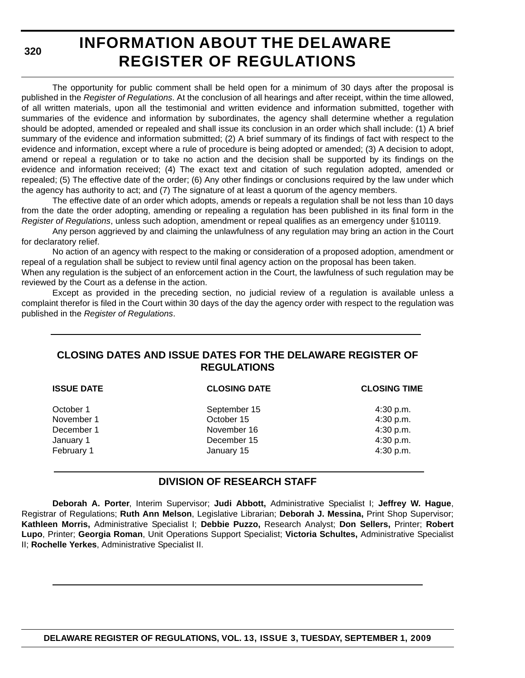**320**

# **INFORMATION ABOUT THE DELAWARE REGISTER OF REGULATIONS**

The opportunity for public comment shall be held open for a minimum of 30 days after the proposal is published in the *Register of Regulations*. At the conclusion of all hearings and after receipt, within the time allowed, of all written materials, upon all the testimonial and written evidence and information submitted, together with summaries of the evidence and information by subordinates, the agency shall determine whether a regulation should be adopted, amended or repealed and shall issue its conclusion in an order which shall include: (1) A brief summary of the evidence and information submitted; (2) A brief summary of its findings of fact with respect to the evidence and information, except where a rule of procedure is being adopted or amended; (3) A decision to adopt, amend or repeal a regulation or to take no action and the decision shall be supported by its findings on the evidence and information received; (4) The exact text and citation of such regulation adopted, amended or repealed; (5) The effective date of the order; (6) Any other findings or conclusions required by the law under which the agency has authority to act; and (7) The signature of at least a quorum of the agency members.

The effective date of an order which adopts, amends or repeals a regulation shall be not less than 10 days from the date the order adopting, amending or repealing a regulation has been published in its final form in the *Register of Regulations*, unless such adoption, amendment or repeal qualifies as an emergency under §10119.

Any person aggrieved by and claiming the unlawfulness of any regulation may bring an action in the Court for declaratory relief.

No action of an agency with respect to the making or consideration of a proposed adoption, amendment or repeal of a regulation shall be subject to review until final agency action on the proposal has been taken.

When any regulation is the subject of an enforcement action in the Court, the lawfulness of such regulation may be reviewed by the Court as a defense in the action.

Except as provided in the preceding section, no judicial review of a regulation is available unless a complaint therefor is filed in the Court within 30 days of the day the agency order with respect to the regulation was published in the *Register of Regulations*.

### **CLOSING DATES AND ISSUE DATES FOR THE DELAWARE REGISTER OF REGULATIONS**

| <b>ISSUE DATE</b> | <b>CLOSING DATE</b> | <b>CLOSING TIME</b> |  |
|-------------------|---------------------|---------------------|--|
| October 1         | September 15        | 4:30 p.m.           |  |
| November 1        | October 15          | 4:30 p.m.           |  |
| December 1        | November 16         | 4:30 p.m.           |  |
| January 1         | December 15         | 4:30 p.m.           |  |
| February 1        | January 15          | 4:30 p.m.           |  |

### **DIVISION OF RESEARCH STAFF**

**Deborah A. Porter**, Interim Supervisor; **Judi Abbott,** Administrative Specialist I; **Jeffrey W. Hague**, Registrar of Regulations; **Ruth Ann Melson**, Legislative Librarian; **Deborah J. Messina,** Print Shop Supervisor; **Kathleen Morris,** Administrative Specialist I; **Debbie Puzzo,** Research Analyst; **Don Sellers,** Printer; **Robert Lupo**, Printer; **Georgia Roman**, Unit Operations Support Specialist; **Victoria Schultes,** Administrative Specialist II; **Rochelle Yerkes**, Administrative Specialist II.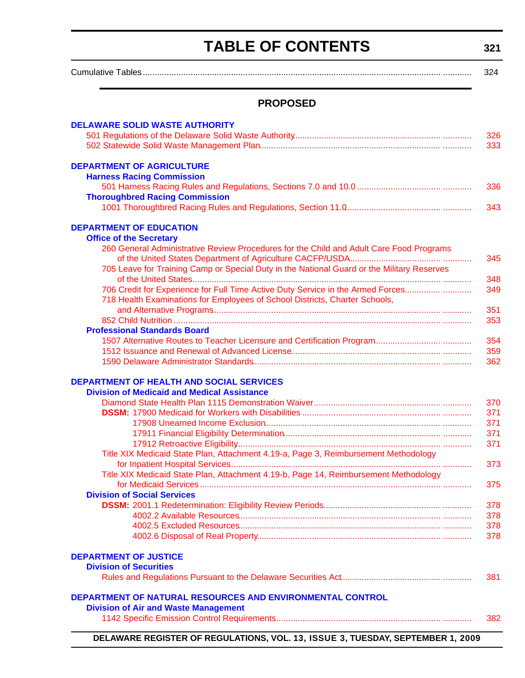# **TABLE OF CONTENTS**

**321**

<span id="page-3-0"></span>

|                                                                                                                           | 324        |
|---------------------------------------------------------------------------------------------------------------------------|------------|
| <b>PROPOSED</b>                                                                                                           |            |
| <b>DELAWARE SOLID WASTE AUTHORITY</b>                                                                                     |            |
|                                                                                                                           | 326<br>333 |
| <b>DEPARTMENT OF AGRICULTURE</b><br><b>Harness Racing Commission</b>                                                      |            |
| <b>Thoroughbred Racing Commission</b>                                                                                     | 336        |
|                                                                                                                           | 343        |
| <b>DEPARTMENT OF EDUCATION</b>                                                                                            |            |
| <b>Office of the Secretary</b><br>260 General Administrative Review Procedures for the Child and Adult Care Food Programs |            |
|                                                                                                                           | 345        |
| 705 Leave for Training Camp or Special Duty in the National Guard or the Military Reserves                                | 348        |
| 706 Credit for Experience for Full Time Active Duty Service in the Armed Forces                                           | 349        |
| 718 Health Examinations for Employees of School Districts, Charter Schools,                                               | 351        |
|                                                                                                                           | 353        |
| <b>Professional Standards Board</b>                                                                                       |            |
|                                                                                                                           | 354<br>359 |
|                                                                                                                           | 362        |
| DEPARTMENT OF HEALTH AND SOCIAL SERVICES                                                                                  |            |
| <b>Division of Medicaid and Medical Assistance</b>                                                                        |            |
|                                                                                                                           | 370        |
|                                                                                                                           | 371        |
|                                                                                                                           | 371        |
|                                                                                                                           | 371<br>371 |
| Title XIX Medicaid State Plan, Attachment 4.19-a, Page 3, Reimbursement Methodology                                       |            |
|                                                                                                                           | 373        |
| Title XIX Medicaid State Plan, Attachment 4.19-b, Page 14, Reimbursement Methodology                                      | 375        |
| <b>Division of Social Services</b>                                                                                        |            |
|                                                                                                                           | 378        |
|                                                                                                                           | 378        |
|                                                                                                                           | 378        |
|                                                                                                                           | 378        |
| <b>DEPARTMENT OF JUSTICE</b>                                                                                              |            |
| <b>Division of Securities</b>                                                                                             |            |
|                                                                                                                           | 381        |
| DEPARTMENT OF NATURAL RESOURCES AND ENVIRONMENTAL CONTROL                                                                 |            |
| <b>Division of Air and Waste Management</b>                                                                               |            |
|                                                                                                                           | 382        |

**DELAWARE REGISTER OF REGULATIONS, VOL. 13, ISSUE 3, TUESDAY, SEPTEMBER 1, 2009**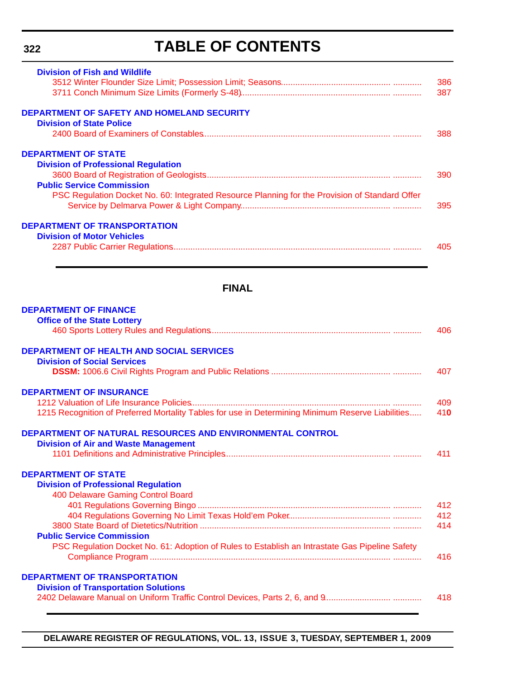# **TABLE OF CONTENTS**

| <b>Division of Fish and Wildlife</b>                                                           |     |
|------------------------------------------------------------------------------------------------|-----|
|                                                                                                | 386 |
|                                                                                                | 387 |
| <b>DEPARTMENT OF SAFETY AND HOMELAND SECURITY</b>                                              |     |
| <b>Division of State Police</b>                                                                |     |
|                                                                                                | 388 |
| <b>DEPARTMENT OF STATE</b>                                                                     |     |
| <b>Division of Professional Regulation</b>                                                     |     |
|                                                                                                | 390 |
| <b>Public Service Commission</b>                                                               |     |
| PSC Regulation Docket No. 60: Integrated Resource Planning for the Provision of Standard Offer |     |
|                                                                                                | 395 |
| <b>DEPARTMENT OF TRANSPORTATION</b>                                                            |     |
| <b>Division of Motor Vehicles</b>                                                              |     |
|                                                                                                | 405 |
|                                                                                                |     |
| <b>FINAL</b>                                                                                   |     |
| <b>DEPARTMENT OF FINANCE</b>                                                                   |     |
| <b>Office of the State Lottery</b>                                                             |     |
|                                                                                                | 406 |
| <b>DEPARTMENT OF HEALTH AND SOCIAL SERVICES</b>                                                |     |

| <b>Division of Social Services</b>                                                                |     |
|---------------------------------------------------------------------------------------------------|-----|
|                                                                                                   | 407 |
| <b>DEPARTMENT OF INSURANCE</b>                                                                    |     |
|                                                                                                   | 409 |
| 1215 Recognition of Preferred Mortality Tables for use in Determining Minimum Reserve Liabilities | 410 |
| DEPARTMENT OF NATURAL RESOURCES AND ENVIRONMENTAL CONTROL                                         |     |

| <u>JEPARTIMENT OF NATURAL RESOURCES AND ENVIRONMENTAL CONTROL.</u> |     |
|--------------------------------------------------------------------|-----|
| <b>Division of Air and Waste Management</b>                        |     |
|                                                                    | 411 |

#### **DEPARTMENT OF STATE [Division of Professional Regulation](http://dpr.delaware.gov/default.shtml)** 400 Delaware Gaming Control Board [401 Regulations Governing Bingo ................................................................................. ............ 412](#page-94-0) 404 Regulations Governing No Limit Texas Hold'em Poker........................................... ............ 412 [3800 State Board of Dietetics/Nutrition ................................................................................ ............ 414](#page-96-0) **[Public Service Commission](http://depsc.delaware.gov/default.shtml)** PSC Regulation Docket No. 61: Adoption of Rules to Establish an Intrastate Gas Pipeline Safety [Compliance Program ..................................................................................................... ............ 416](#page-98-0) **[DEPARTMENT OF TRANSPORTATION](http://www.deldot.gov/home/divisions/)**

**Division of Transportation Solutions**

|  | 418 |
|--|-----|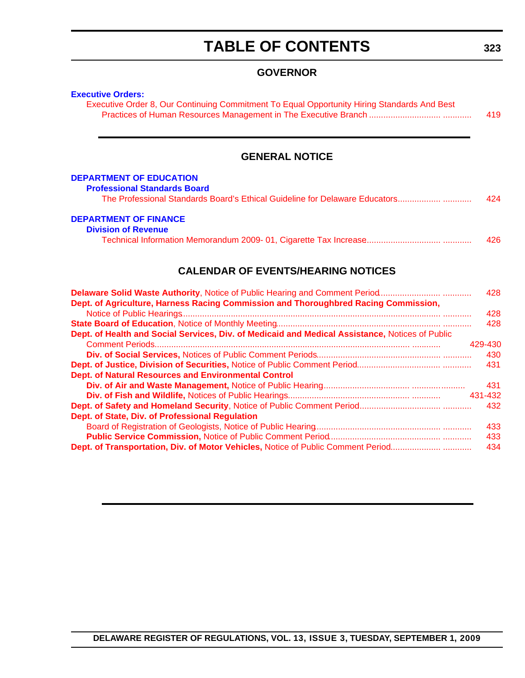# **TABLE OF CONTENTS**

### **GOVERNOR**

### **[Executive Orders:](http://governor.delaware.gov/orders/index.shtml)**

| Executive Order 8, Our Continuing Commitment To Equal Opportunity Hiring Standards And Best |     |
|---------------------------------------------------------------------------------------------|-----|
|                                                                                             | 419 |

### **GENERAL NOTICE**

#### **[DEPARTMENT OF EDUCATION](http://www.doe.k12.de.us/)**

| <b>Professional Standards Board</b> |  |  |  |  |
|-------------------------------------|--|--|--|--|
|-------------------------------------|--|--|--|--|

| The Professional Standards Board's Ethical Guideline for Delaware Educators | 424 |  |  |
|-----------------------------------------------------------------------------|-----|--|--|
|-----------------------------------------------------------------------------|-----|--|--|

#### **[DEPARTMENT OF FINANCE](http://revenue.delaware.gov/)**

| <b>Division of Revenue</b> |     |
|----------------------------|-----|
|                            | 426 |

### **CALENDAR OF EVENTS/HEARING NOTICES**

| Delaware Solid Waste Authority, Notice of Public Hearing and Comment Period                     | 428     |
|-------------------------------------------------------------------------------------------------|---------|
| Dept. of Agriculture, Harness Racing Commission and Thoroughbred Racing Commission,             |         |
|                                                                                                 | 428     |
|                                                                                                 | 428     |
| Dept. of Health and Social Services, Div. of Medicaid and Medical Assistance, Notices of Public |         |
|                                                                                                 | 429-430 |
|                                                                                                 | 430     |
|                                                                                                 | 431     |
| <b>Dept. of Natural Resources and Environmental Control</b>                                     |         |
|                                                                                                 | 431     |
|                                                                                                 | 431-432 |
|                                                                                                 | 432     |
| Dept. of State, Div. of Professional Regulation                                                 |         |
|                                                                                                 | 433     |
|                                                                                                 | 433     |
| Dept. of Transportation, Div. of Motor Vehicles, Notice of Public Comment Period                | 434     |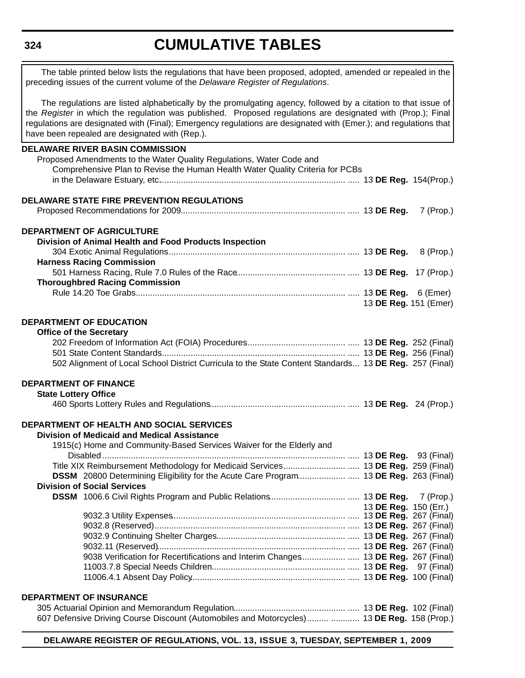#### **324**

# **CUMULATIVE TABLES**

The table printed below lists the regulations that have been proposed, adopted, amended or repealed in the preceding issues of the current volume of the *Delaware Register of Regulations*.

The regulations are listed alphabetically by the promulgating agency, followed by a citation to that issue of the *Register* in which the regulation was published. Proposed regulations are designated with (Prop.); Final regulations are designated with (Final); Emergency regulations are designated with (Emer.); and regulations that have been repealed are designated with (Rep.).

|                              | <b>DELAWARE RIVER BASIN COMMISSION</b>                                                                 |                       |  |
|------------------------------|--------------------------------------------------------------------------------------------------------|-----------------------|--|
|                              | Proposed Amendments to the Water Quality Regulations, Water Code and                                   |                       |  |
|                              | Comprehensive Plan to Revise the Human Health Water Quality Criteria for PCBs                          |                       |  |
|                              |                                                                                                        |                       |  |
|                              | <b>DELAWARE STATE FIRE PREVENTION REGULATIONS</b>                                                      |                       |  |
|                              |                                                                                                        |                       |  |
|                              | <b>DEPARTMENT OF AGRICULTURE</b>                                                                       |                       |  |
|                              | Division of Animal Health and Food Products Inspection                                                 |                       |  |
|                              |                                                                                                        |                       |  |
|                              | <b>Harness Racing Commission</b>                                                                       |                       |  |
|                              |                                                                                                        |                       |  |
|                              | <b>Thoroughbred Racing Commission</b>                                                                  |                       |  |
|                              |                                                                                                        |                       |  |
|                              |                                                                                                        | 13 DE Reg. 151 (Emer) |  |
|                              | DEPARTMENT OF EDUCATION                                                                                |                       |  |
|                              | <b>Office of the Secretary</b>                                                                         |                       |  |
|                              |                                                                                                        |                       |  |
|                              |                                                                                                        |                       |  |
|                              | 502 Alignment of Local School District Curricula to the State Content Standards 13 DE Reg. 257 (Final) |                       |  |
| <b>DEPARTMENT OF FINANCE</b> |                                                                                                        |                       |  |
| <b>State Lottery Office</b>  |                                                                                                        |                       |  |
|                              |                                                                                                        |                       |  |
|                              | DEPARTMENT OF HEALTH AND SOCIAL SERVICES                                                               |                       |  |
|                              | <b>Division of Medicaid and Medical Assistance</b>                                                     |                       |  |
|                              | 1915(c) Home and Community-Based Services Waiver for the Elderly and                                   |                       |  |
|                              |                                                                                                        |                       |  |
|                              | Title XIX Reimbursement Methodology for Medicaid Services 13 DE Reg. 259 (Final)                       |                       |  |
|                              | DSSM 20800 Determining Eligibility for the Acute Care Program 13 DE Reg. 263 (Final)                   |                       |  |
|                              | <b>Division of Social Services</b>                                                                     |                       |  |
|                              |                                                                                                        |                       |  |
|                              |                                                                                                        | 13 DE Reg. 150 (Err.) |  |
|                              |                                                                                                        |                       |  |
|                              |                                                                                                        |                       |  |
|                              |                                                                                                        |                       |  |
|                              |                                                                                                        |                       |  |
|                              | 9038 Verification for Recertifications and Interim Changes 13 DE Reg. 267 (Final)                      |                       |  |
|                              |                                                                                                        |                       |  |
|                              |                                                                                                        |                       |  |
|                              | <b>DEPARTMENT OF INSURANCE</b>                                                                         |                       |  |
|                              |                                                                                                        |                       |  |
|                              | 607 Defensive Driving Course Discount (Automobiles and Motorcycles)  13 DE Reg. 158 (Prop.)            |                       |  |
|                              |                                                                                                        |                       |  |

**DELAWARE REGISTER OF REGULATIONS, VOL. 13, ISSUE 3, TUESDAY, SEPTEMBER 1, 2009**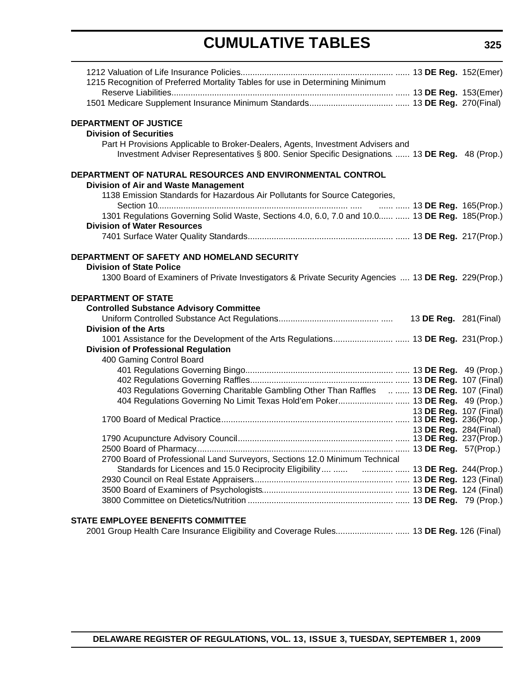# **CUMULATIVE TABLES**

| 1215 Recognition of Preferred Mortality Tables for use in Determining Minimum                                                                                                     |                        |
|-----------------------------------------------------------------------------------------------------------------------------------------------------------------------------------|------------------------|
|                                                                                                                                                                                   |                        |
|                                                                                                                                                                                   |                        |
| <b>DEPARTMENT OF JUSTICE</b>                                                                                                                                                      |                        |
| <b>Division of Securities</b>                                                                                                                                                     |                        |
| Part H Provisions Applicable to Broker-Dealers, Agents, Investment Advisers and<br>Investment Adviser Representatives § 800. Senior Specific Designations.  13 DE Reg. 48 (Prop.) |                        |
| DEPARTMENT OF NATURAL RESOURCES AND ENVIRONMENTAL CONTROL                                                                                                                         |                        |
| <b>Division of Air and Waste Management</b>                                                                                                                                       |                        |
| 1138 Emission Standards for Hazardous Air Pollutants for Source Categories,                                                                                                       |                        |
| 1301 Regulations Governing Solid Waste, Sections 4.0, 6.0, 7.0 and 10.0  13 DE Reg. 185(Prop.)                                                                                    |                        |
| <b>Division of Water Resources</b>                                                                                                                                                |                        |
|                                                                                                                                                                                   |                        |
|                                                                                                                                                                                   |                        |
| DEPARTMENT OF SAFETY AND HOMELAND SECURITY                                                                                                                                        |                        |
| <b>Division of State Police</b>                                                                                                                                                   |                        |
| 1300 Board of Examiners of Private Investigators & Private Security Agencies  13 DE Reg. 229(Prop.)                                                                               |                        |
| <b>DEPARTMENT OF STATE</b>                                                                                                                                                        |                        |
| <b>Controlled Substance Advisory Committee</b>                                                                                                                                    |                        |
|                                                                                                                                                                                   |                        |
| <b>Division of the Arts</b>                                                                                                                                                       |                        |
|                                                                                                                                                                                   |                        |
| <b>Division of Professional Regulation</b>                                                                                                                                        |                        |
| 400 Gaming Control Board                                                                                                                                                          |                        |
|                                                                                                                                                                                   |                        |
|                                                                                                                                                                                   |                        |
| 403 Regulations Governing Charitable Gambling Other Than Raffles   13 DE Reg. 107 (Final)                                                                                         |                        |
| 404 Regulations Governing No Limit Texas Hold'em Poker 13 DE Reg. 49 (Prop.)                                                                                                      |                        |
|                                                                                                                                                                                   | 13 DE Reg. 107 (Final) |
|                                                                                                                                                                                   |                        |
|                                                                                                                                                                                   | 13 DE Reg. 284(Final)  |
|                                                                                                                                                                                   |                        |
|                                                                                                                                                                                   |                        |
| 2700 Board of Professional Land Surveyors, Sections 12.0 Minimum Technical                                                                                                        |                        |
|                                                                                                                                                                                   |                        |
|                                                                                                                                                                                   |                        |
|                                                                                                                                                                                   |                        |
|                                                                                                                                                                                   |                        |
| <b>STATE EMPLOYEE BENEFITS COMMITTEE</b>                                                                                                                                          |                        |
| 2001 Group Health Care Insurance Eligibility and Coverage Rules 13 DE Reg. 126 (Final)                                                                                            |                        |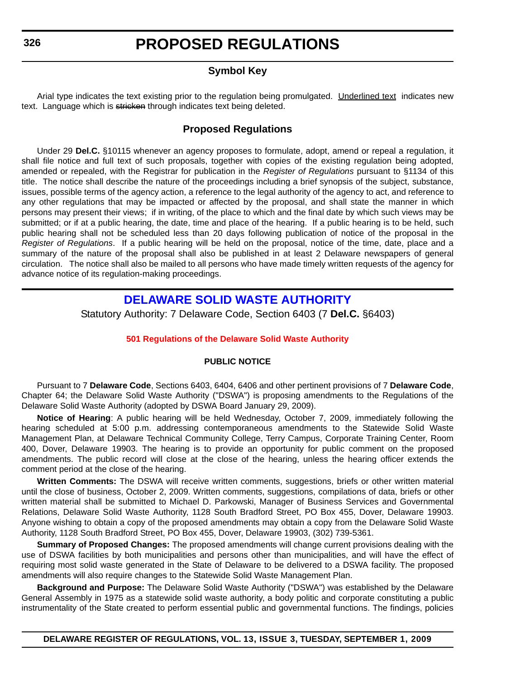### **Symbol Key**

<span id="page-8-0"></span>Arial type indicates the text existing prior to the regulation being promulgated. Underlined text indicates new text. Language which is stricken through indicates text being deleted.

### **Proposed Regulations**

Under 29 **Del.C.** §10115 whenever an agency proposes to formulate, adopt, amend or repeal a regulation, it shall file notice and full text of such proposals, together with copies of the existing regulation being adopted, amended or repealed, with the Registrar for publication in the *Register of Regulations* pursuant to §1134 of this title. The notice shall describe the nature of the proceedings including a brief synopsis of the subject, substance, issues, possible terms of the agency action, a reference to the legal authority of the agency to act, and reference to any other regulations that may be impacted or affected by the proposal, and shall state the manner in which persons may present their views; if in writing, of the place to which and the final date by which such views may be submitted; or if at a public hearing, the date, time and place of the hearing. If a public hearing is to be held, such public hearing shall not be scheduled less than 20 days following publication of notice of the proposal in the *Register of Regulations*. If a public hearing will be held on the proposal, notice of the time, date, place and a summary of the nature of the proposal shall also be published in at least 2 Delaware newspapers of general circulation. The notice shall also be mailed to all persons who have made timely written requests of the agency for advance notice of its regulation-making proceedings.

### **[DELAWARE SOLID WASTE AUTHORITY](http://www.dswa.com/)**

Statutory Authority: 7 Delaware Code, Section 6403 (7 **Del.C.** §6403)

#### **[501 Regulations of the Delaware Solid Waste Authority](#page-3-0)**

#### **PUBLIC NOTICE**

Pursuant to 7 **Delaware Code**, Sections 6403, 6404, 6406 and other pertinent provisions of 7 **Delaware Code**, Chapter 64; the Delaware Solid Waste Authority ("DSWA") is proposing amendments to the Regulations of the Delaware Solid Waste Authority (adopted by DSWA Board January 29, 2009).

**Notice of Hearing**: A public hearing will be held Wednesday, October 7, 2009, immediately following the hearing scheduled at 5:00 p.m. addressing contemporaneous amendments to the Statewide Solid Waste Management Plan, at Delaware Technical Community College, Terry Campus, Corporate Training Center, Room 400, Dover, Delaware 19903. The hearing is to provide an opportunity for public comment on the proposed amendments. The public record will close at the close of the hearing, unless the hearing officer extends the comment period at the close of the hearing.

**Written Comments:** The DSWA will receive written comments, suggestions, briefs or other written material until the close of business, October 2, 2009. Written comments, suggestions, compilations of data, briefs or other written material shall be submitted to Michael D. Parkowski, Manager of Business Services and Governmental Relations, Delaware Solid Waste Authority, 1128 South Bradford Street, PO Box 455, Dover, Delaware 19903. Anyone wishing to obtain a copy of the proposed amendments may obtain a copy from the Delaware Solid Waste Authority, 1128 South Bradford Street, PO Box 455, Dover, Delaware 19903, (302) 739-5361.

**Summary of Proposed Changes:** The proposed amendments will change current provisions dealing with the use of DSWA facilities by both municipalities and persons other than municipalities, and will have the effect of requiring most solid waste generated in the State of Delaware to be delivered to a DSWA facility. The proposed amendments will also require changes to the Statewide Solid Waste Management Plan.

**Background and Purpose:** The Delaware Solid Waste Authority ("DSWA") was established by the Delaware General Assembly in 1975 as a statewide solid waste authority, a body politic and corporate constituting a public instrumentality of the State created to perform essential public and governmental functions. The findings, policies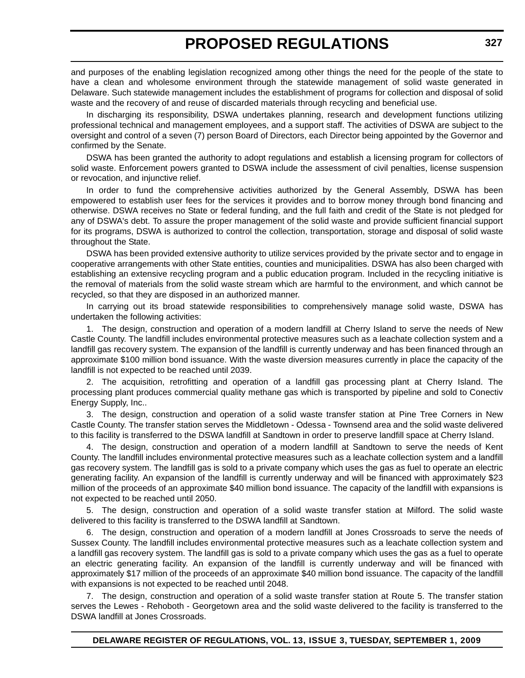and purposes of the enabling legislation recognized among other things the need for the people of the state to have a clean and wholesome environment through the statewide management of solid waste generated in Delaware. Such statewide management includes the establishment of programs for collection and disposal of solid waste and the recovery of and reuse of discarded materials through recycling and beneficial use.

In discharging its responsibility, DSWA undertakes planning, research and development functions utilizing professional technical and management employees, and a support staff. The activities of DSWA are subject to the oversight and control of a seven (7) person Board of Directors, each Director being appointed by the Governor and confirmed by the Senate.

DSWA has been granted the authority to adopt regulations and establish a licensing program for collectors of solid waste. Enforcement powers granted to DSWA include the assessment of civil penalties, license suspension or revocation, and injunctive relief.

In order to fund the comprehensive activities authorized by the General Assembly, DSWA has been empowered to establish user fees for the services it provides and to borrow money through bond financing and otherwise. DSWA receives no State or federal funding, and the full faith and credit of the State is not pledged for any of DSWA's debt. To assure the proper management of the solid waste and provide sufficient financial support for its programs, DSWA is authorized to control the collection, transportation, storage and disposal of solid waste throughout the State.

DSWA has been provided extensive authority to utilize services provided by the private sector and to engage in cooperative arrangements with other State entities, counties and municipalities. DSWA has also been charged with establishing an extensive recycling program and a public education program. Included in the recycling initiative is the removal of materials from the solid waste stream which are harmful to the environment, and which cannot be recycled, so that they are disposed in an authorized manner.

In carrying out its broad statewide responsibilities to comprehensively manage solid waste, DSWA has undertaken the following activities:

1. The design, construction and operation of a modern landfill at Cherry Island to serve the needs of New Castle County. The landfill includes environmental protective measures such as a leachate collection system and a landfill gas recovery system. The expansion of the landfill is currently underway and has been financed through an approximate \$100 million bond issuance. With the waste diversion measures currently in place the capacity of the landfill is not expected to be reached until 2039.

2. The acquisition, retrofitting and operation of a landfill gas processing plant at Cherry Island. The processing plant produces commercial quality methane gas which is transported by pipeline and sold to Conectiv Energy Supply, Inc..

3. The design, construction and operation of a solid waste transfer station at Pine Tree Corners in New Castle County. The transfer station serves the Middletown - Odessa - Townsend area and the solid waste delivered to this facility is transferred to the DSWA landfill at Sandtown in order to preserve landfill space at Cherry Island.

4. The design, construction and operation of a modern landfill at Sandtown to serve the needs of Kent County. The landfill includes environmental protective measures such as a leachate collection system and a landfill gas recovery system. The landfill gas is sold to a private company which uses the gas as fuel to operate an electric generating facility. An expansion of the landfill is currently underway and will be financed with approximately \$23 million of the proceeds of an approximate \$40 million bond issuance. The capacity of the landfill with expansions is not expected to be reached until 2050.

5. The design, construction and operation of a solid waste transfer station at Milford. The solid waste delivered to this facility is transferred to the DSWA landfill at Sandtown.

6. The design, construction and operation of a modern landfill at Jones Crossroads to serve the needs of Sussex County. The landfill includes environmental protective measures such as a leachate collection system and a landfill gas recovery system. The landfill gas is sold to a private company which uses the gas as a fuel to operate an electric generating facility. An expansion of the landfill is currently underway and will be financed with approximately \$17 million of the proceeds of an approximate \$40 million bond issuance. The capacity of the landfill with expansions is not expected to be reached until 2048.

The design, construction and operation of a solid waste transfer station at Route 5. The transfer station serves the Lewes - Rehoboth - Georgetown area and the solid waste delivered to the facility is transferred to the DSWA landfill at Jones Crossroads.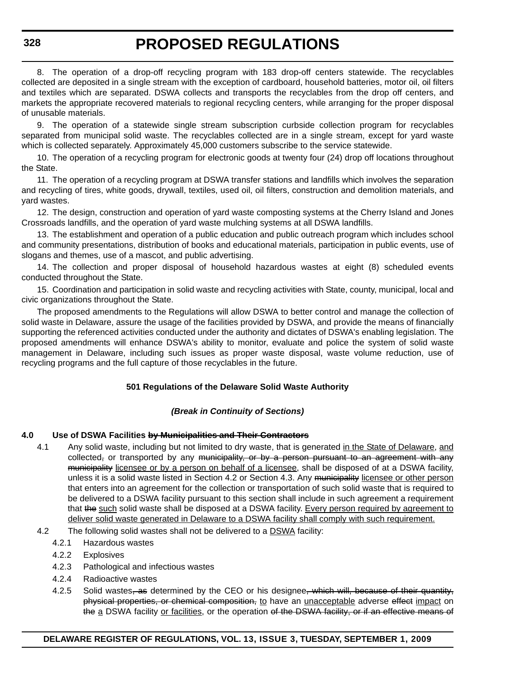8. The operation of a drop-off recycling program with 183 drop-off centers statewide. The recyclables collected are deposited in a single stream with the exception of cardboard, household batteries, motor oil, oil filters and textiles which are separated. DSWA collects and transports the recyclables from the drop off centers, and markets the appropriate recovered materials to regional recycling centers, while arranging for the proper disposal of unusable materials.

9. The operation of a statewide single stream subscription curbside collection program for recyclables separated from municipal solid waste. The recyclables collected are in a single stream, except for yard waste which is collected separately. Approximately 45,000 customers subscribe to the service statewide.

10. The operation of a recycling program for electronic goods at twenty four (24) drop off locations throughout the State.

11. The operation of a recycling program at DSWA transfer stations and landfills which involves the separation and recycling of tires, white goods, drywall, textiles, used oil, oil filters, construction and demolition materials, and yard wastes.

12. The design, construction and operation of yard waste composting systems at the Cherry Island and Jones Crossroads landfills, and the operation of yard waste mulching systems at all DSWA landfills.

13. The establishment and operation of a public education and public outreach program which includes school and community presentations, distribution of books and educational materials, participation in public events, use of slogans and themes, use of a mascot, and public advertising.

14. The collection and proper disposal of household hazardous wastes at eight (8) scheduled events conducted throughout the State.

15. Coordination and participation in solid waste and recycling activities with State, county, municipal, local and civic organizations throughout the State.

The proposed amendments to the Regulations will allow DSWA to better control and manage the collection of solid waste in Delaware, assure the usage of the facilities provided by DSWA, and provide the means of financially supporting the referenced activities conducted under the authority and dictates of DSWA's enabling legislation. The proposed amendments will enhance DSWA's ability to monitor, evaluate and police the system of solid waste management in Delaware, including such issues as proper waste disposal, waste volume reduction, use of recycling programs and the full capture of those recyclables in the future.

#### **501 Regulations of the Delaware Solid Waste Authority**

#### *(Break in Continuity of Sections)*

#### **4.0 Use of DSWA Facilities by Municipalities and Their Contractors**

- 4.1 Any solid waste, including but not limited to dry waste, that is generated in the State of Delaware, and  $collected<sub>r</sub>$  or transported by any municipality, or by a person pursuant to an agreement with any municipality licensee or by a person on behalf of a licensee, shall be disposed of at a DSWA facility, unless it is a solid waste listed in Section 4.2 or Section 4.3. Any municipality licensee or other person that enters into an agreement for the collection or transportation of such solid waste that is required to be delivered to a DSWA facility pursuant to this section shall include in such agreement a requirement that the such solid waste shall be disposed at a DSWA facility. Every person required by agreement to deliver solid waste generated in Delaware to a DSWA facility shall comply with such requirement.
- 4.2 The following solid wastes shall not be delivered to a DSWA facility:
	- 4.2.1 Hazardous wastes
	- 4.2.2 Explosives
	- 4.2.3 Pathological and infectious wastes
	- 4.2.4 Radioactive wastes
	- 4.2.5 Solid wastes, as determined by the CEO or his designee, which will, because of their quantity, physical properties, or chemical composition, to have an unacceptable adverse effect impact on the a DSWA facility or facilities, or the operation of the DSWA facility, or if an effective means of

**328**

#### **DELAWARE REGISTER OF REGULATIONS, VOL. 13, ISSUE 3, TUESDAY, SEPTEMBER 1, 2009**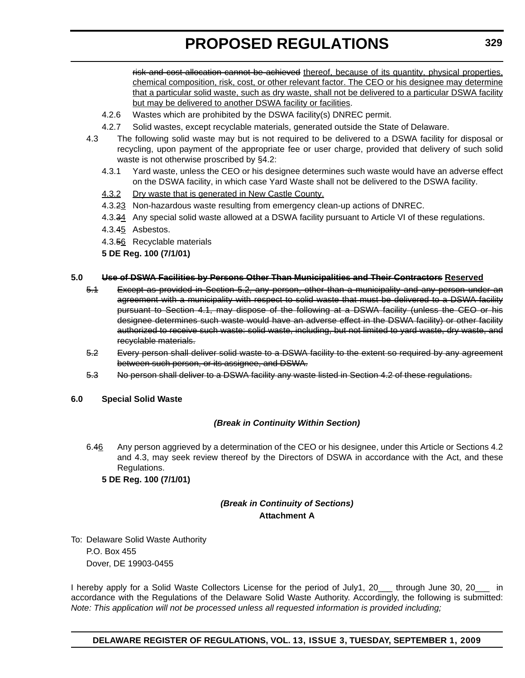risk and cost allocation cannot be achieved thereof, because of its quantity, physical properties, chemical composition, risk, cost, or other relevant factor. The CEO or his designee may determine that a particular solid waste, such as dry waste, shall not be delivered to a particular DSWA facility but may be delivered to another DSWA facility or facilities.

- 4.2.6 Wastes which are prohibited by the DSWA facility(s) DNREC permit.
- 4.2.7 Solid wastes, except recyclable materials, generated outside the State of Delaware.
- 4.3 The following solid waste may but is not required to be delivered to a DSWA facility for disposal or recycling, upon payment of the appropriate fee or user charge, provided that delivery of such solid waste is not otherwise proscribed by §4.2:
	- 4.3.1 Yard waste, unless the CEO or his designee determines such waste would have an adverse effect on the DSWA facility, in which case Yard Waste shall not be delivered to the DSWA facility.
	- 4.3.2 Dry waste that is generated in New Castle County.
	- 4.3.23 Non-hazardous waste resulting from emergency clean-up actions of DNREC.
	- 4.3.34 Any special solid waste allowed at a DSWA facility pursuant to Article VI of these regulations.
	- 4.3.45 Asbestos.
	- 4.3.56 Recyclable materials

**5 DE Reg. 100 (7/1/01)**

#### **5.0 Use of DSWA Facilities by Persons Other Than Municipalities and Their Contractors Reserved**

- 5.1 Except as provided in Section 5.2, any person, other than a municipality and any person under an agreement with a municipality with respect to solid waste that must be delivered to a DSWA facility pursuant to Section 4.1, may dispose of the following at a DSWA facility (unless the CEO or his designee determines such waste would have an adverse effect in the DSWA facility) or other facility authorized to receive such waste: solid waste, including, but not limited to yard waste, dry waste, and recyclable materials.
- 5.2 Every person shall deliver solid waste to a DSWA facility to the extent so required by any agreement between such person, or its assignee, and DSWA.
- 5.3 No person shall deliver to a DSWA facility any waste listed in Section 4.2 of these regulations.

#### **6.0 Special Solid Waste**

#### *(Break in Continuity Within Section)*

6.46 Any person aggrieved by a determination of the CEO or his designee, under this Article or Sections 4.2 and 4.3, may seek review thereof by the Directors of DSWA in accordance with the Act, and these Regulations.

**5 DE Reg. 100 (7/1/01)**

### *(Break in Continuity of Sections)* **Attachment A**

To: Delaware Solid Waste Authority P.O. Box 455

Dover, DE 19903-0455

I hereby apply for a Solid Waste Collectors License for the period of July1, 20\_\_\_ through June 30, 20\_\_\_ in accordance with the Regulations of the Delaware Solid Waste Authority. Accordingly, the following is submitted: *Note: This application will not be processed unless all requested information is provided including;*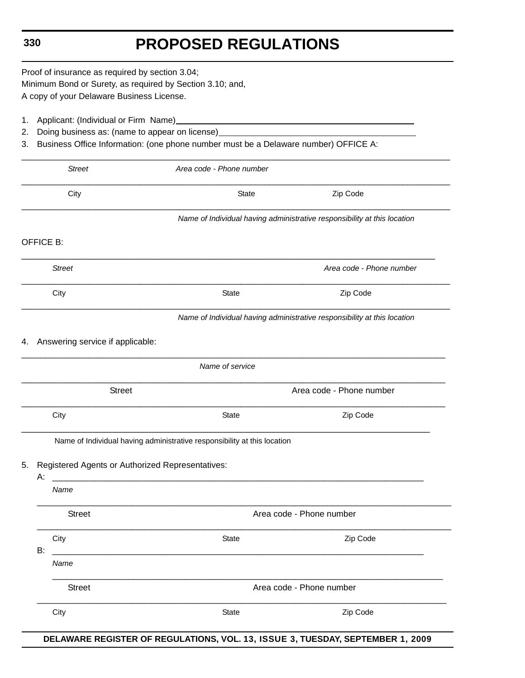Proof of insurance as required by section 3.04; Minimum Bond or Surety, as required by Section 3.10; and, A copy of your Delaware Business License.

- 1. Applicant: (Individual or Firm Name)
- 2. Doing business as: (name to appear on license)
- 3. Business Office Information: (one phone number must be a Delaware number) OFFICE A:

| <b>Street</b>                             | Area code - Phone number                                                 |                                                                          |  |  |
|-------------------------------------------|--------------------------------------------------------------------------|--------------------------------------------------------------------------|--|--|
| City                                      | <b>State</b>                                                             | Zip Code                                                                 |  |  |
|                                           |                                                                          | Name of Individual having administrative responsibility at this location |  |  |
| <b>OFFICE B:</b>                          |                                                                          |                                                                          |  |  |
| <b>Street</b>                             |                                                                          | Area code - Phone number                                                 |  |  |
| City                                      | State                                                                    | Zip Code                                                                 |  |  |
|                                           |                                                                          | Name of Individual having administrative responsibility at this location |  |  |
| Answering service if applicable:<br>4.    |                                                                          |                                                                          |  |  |
|                                           | Name of service                                                          |                                                                          |  |  |
| Area code - Phone number<br><b>Street</b> |                                                                          |                                                                          |  |  |
| City                                      | State                                                                    | Zip Code                                                                 |  |  |
|                                           | Name of Individual having administrative responsibility at this location |                                                                          |  |  |
| 5.                                        | Registered Agents or Authorized Representatives:                         |                                                                          |  |  |
| А:<br>Name                                |                                                                          |                                                                          |  |  |
| <b>Street</b>                             |                                                                          | Area code - Phone number                                                 |  |  |
| City                                      | State                                                                    | Zip Code                                                                 |  |  |
| <b>B:</b><br>Name                         |                                                                          |                                                                          |  |  |
| <b>Street</b>                             |                                                                          | Area code - Phone number                                                 |  |  |
|                                           |                                                                          |                                                                          |  |  |

**DELAWARE REGISTER OF REGULATIONS, VOL. 13, ISSUE 3, TUESDAY, SEPTEMBER 1, 2009**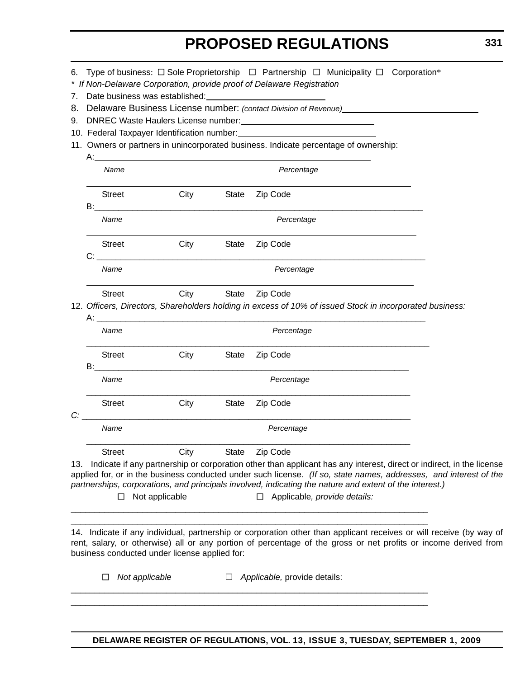| 6.             |                    |                                                                                                                                                                        | Type of business: $\Box$ Sole Proprietorship $\Box$ Partnership $\Box$ Municipality $\Box$ Corporation*<br>* If Non-Delaware Corporation, provide proof of Delaware Registration                                                                                                                                                                                                                                                                  |  |  |  |  |
|----------------|--------------------|------------------------------------------------------------------------------------------------------------------------------------------------------------------------|---------------------------------------------------------------------------------------------------------------------------------------------------------------------------------------------------------------------------------------------------------------------------------------------------------------------------------------------------------------------------------------------------------------------------------------------------|--|--|--|--|
| 7.<br>8.<br>9. |                    |                                                                                                                                                                        | Date business was established:<br><u> 1980 - Jan Samuel Barbara, martin di</u><br>Delaware Business License number: (contact Division of Revenue)<br>11. Owners or partners in unincorporated business. Indicate percentage of ownership:                                                                                                                                                                                                         |  |  |  |  |
|                |                    | Name                                                                                                                                                                   | $A$ :<br>Percentage                                                                                                                                                                                                                                                                                                                                                                                                                               |  |  |  |  |
|                | B:                 | <b>Street</b>                                                                                                                                                          | City<br>Zip Code<br>State                                                                                                                                                                                                                                                                                                                                                                                                                         |  |  |  |  |
|                |                    | Name                                                                                                                                                                   | Percentage                                                                                                                                                                                                                                                                                                                                                                                                                                        |  |  |  |  |
|                | C:                 | <b>Street</b>                                                                                                                                                          | Zip Code<br>City<br>State                                                                                                                                                                                                                                                                                                                                                                                                                         |  |  |  |  |
|                |                    | Name                                                                                                                                                                   | Percentage                                                                                                                                                                                                                                                                                                                                                                                                                                        |  |  |  |  |
|                |                    | City<br>Zip Code<br><b>Street</b><br><b>State</b><br>12. Officers, Directors, Shareholders holding in excess of 10% of issued Stock in incorporated business:<br>$A$ : |                                                                                                                                                                                                                                                                                                                                                                                                                                                   |  |  |  |  |
|                | Name<br>Percentage |                                                                                                                                                                        |                                                                                                                                                                                                                                                                                                                                                                                                                                                   |  |  |  |  |
|                | B:                 | <b>Street</b>                                                                                                                                                          | City<br>Zip Code<br>State                                                                                                                                                                                                                                                                                                                                                                                                                         |  |  |  |  |
|                |                    | Name                                                                                                                                                                   | Percentage                                                                                                                                                                                                                                                                                                                                                                                                                                        |  |  |  |  |
| C:             |                    | <b>Street</b>                                                                                                                                                          | City<br>State<br>Zip Code                                                                                                                                                                                                                                                                                                                                                                                                                         |  |  |  |  |
|                |                    | Name                                                                                                                                                                   | Percentage                                                                                                                                                                                                                                                                                                                                                                                                                                        |  |  |  |  |
| 13.            |                    | <b>Street</b><br>ப                                                                                                                                                     | City<br>Zip Code<br><b>State</b><br>Indicate if any partnership or corporation other than applicant has any interest, direct or indirect, in the license<br>applied for, or in the business conducted under such license. (If so, state names, addresses, and interest of the<br>partnerships, corporations, and principals involved, indicating the nature and extent of the interest.)<br>$\Box$ Applicable, provide details:<br>Not applicable |  |  |  |  |
|                |                    | ப                                                                                                                                                                      | 14. Indicate if any individual, partnership or corporation other than applicant receives or will receive (by way of<br>rent, salary, or otherwise) all or any portion of percentage of the gross or net profits or income derived from<br>business conducted under license applied for:<br>Not applicable<br>Applicable, provide details:                                                                                                         |  |  |  |  |

\_\_\_\_\_\_\_\_\_\_\_\_\_\_\_\_\_\_\_\_\_\_\_\_\_\_\_\_\_\_\_\_\_\_\_\_\_\_\_\_\_\_\_\_\_\_\_\_\_\_\_\_\_\_\_\_\_\_\_\_\_\_\_\_\_\_\_\_\_\_\_\_\_\_\_ \_\_\_\_\_\_\_\_\_\_\_\_\_\_\_\_\_\_\_\_\_\_\_\_\_\_\_\_\_\_\_\_\_\_\_\_\_\_\_\_\_\_\_\_\_\_\_\_\_\_\_\_\_\_\_\_\_\_\_\_\_\_\_\_\_\_\_\_\_\_\_\_\_\_\_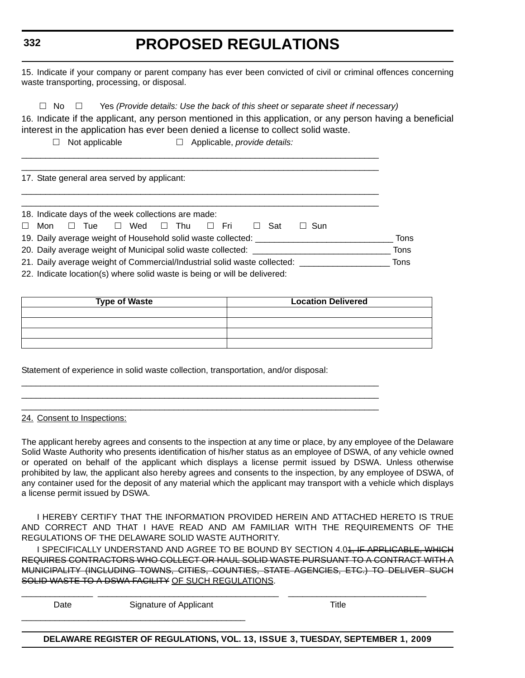### **332**

### **PROPOSED REGULATIONS**

15. Indicate if your company or parent company has ever been convicted of civil or criminal offences concerning waste transporting, processing, or disposal.

 $\Box$  No  $\Box$  Yes *(Provide details: Use the back of this sheet or separate sheet if necessary)* 

\_\_\_\_\_\_\_\_\_\_\_\_\_\_\_\_\_\_\_\_\_\_\_\_\_\_\_\_\_\_\_\_\_\_\_\_\_\_\_\_\_\_\_\_\_\_\_\_\_\_\_\_\_\_\_\_\_\_\_\_\_\_\_\_\_\_\_\_\_\_\_\_\_\_\_ \_\_\_\_\_\_\_\_\_\_\_\_\_\_\_\_\_\_\_\_\_\_\_\_\_\_\_\_\_\_\_\_\_\_\_\_\_\_\_\_\_\_\_\_\_\_\_\_\_\_\_\_\_\_\_\_\_\_\_\_\_\_\_\_\_\_\_\_\_\_\_\_\_\_\_

\_\_\_\_\_\_\_\_\_\_\_\_\_\_\_\_\_\_\_\_\_\_\_\_\_\_\_\_\_\_\_\_\_\_\_\_\_\_\_\_\_\_\_\_\_\_\_\_\_\_\_\_\_\_\_\_\_\_\_\_\_\_\_\_\_\_\_\_\_\_\_\_\_\_\_

16. Indicate if the applicant, any person mentioned in this application, or any person having a beneficial interest in the application has ever been denied a license to collect solid waste.

Not applicable Applicable, *provide details:*

17. State general area served by applicant:

| 18. Indicate days of the week collections are made:                                                  |  |  |  |  |
|------------------------------------------------------------------------------------------------------|--|--|--|--|
|                                                                                                      |  |  |  |  |
| Wed $\Box$ Thu $\Box$ Fri<br>$\square$ Tue<br>Sat<br>Mon<br>$\Box$ Sun<br>$\Box$<br>$\Box$<br>$\Box$ |  |  |  |  |
| 19. Daily average weight of Household solid waste collected:<br>Tons                                 |  |  |  |  |
| 20. Daily average weight of Municipal solid waste collected: ________<br>Tons                        |  |  |  |  |
| 21. Daily average weight of Commercial/Industrial solid waste collected: ______                      |  |  |  |  |
| 22. Indicate location(s) where solid waste is being or will be delivered:                            |  |  |  |  |

| <b>Type of Waste</b> | <b>Location Delivered</b> |
|----------------------|---------------------------|
|                      |                           |
|                      |                           |
|                      |                           |
|                      |                           |

Statement of experience in solid waste collection, transportation, and/or disposal:

\_\_\_\_\_\_\_\_\_\_\_\_\_\_\_\_\_\_\_\_\_\_\_\_\_\_\_\_\_\_\_\_\_\_\_\_\_\_\_\_\_\_\_\_\_\_\_\_\_\_\_\_\_\_\_\_\_\_\_\_\_\_\_\_\_\_\_\_\_\_\_\_\_\_\_ \_\_\_\_\_\_\_\_\_\_\_\_\_\_\_\_\_\_\_\_\_\_\_\_\_\_\_\_\_\_\_\_\_\_\_\_\_\_\_\_\_\_\_\_\_\_\_\_\_\_\_\_\_\_\_\_\_\_\_\_\_\_\_\_\_\_\_\_\_\_\_\_\_\_\_ \_\_\_\_\_\_\_\_\_\_\_\_\_\_\_\_\_\_\_\_\_\_\_\_\_\_\_\_\_\_\_\_\_\_\_\_\_\_\_\_\_\_\_\_\_\_\_\_\_\_\_\_\_\_\_\_\_\_\_\_\_\_\_\_\_\_\_\_\_\_\_\_\_\_\_

24. Consent to Inspections:

The applicant hereby agrees and consents to the inspection at any time or place, by any employee of the Delaware Solid Waste Authority who presents identification of his/her status as an employee of DSWA, of any vehicle owned or operated on behalf of the applicant which displays a license permit issued by DSWA. Unless otherwise prohibited by law, the applicant also hereby agrees and consents to the inspection, by any employee of DSWA, of any container used for the deposit of any material which the applicant may transport with a vehicle which displays a license permit issued by DSWA.

I HEREBY CERTIFY THAT THE INFORMATION PROVIDED HEREIN AND ATTACHED HERETO IS TRUE AND CORRECT AND THAT I HAVE READ AND AM FAMILIAR WITH THE REQUIREMENTS OF THE REGULATIONS OF THE DELAWARE SOLID WASTE AUTHORITY.

I SPECIFICALLY UNDERSTAND AND AGREE TO BE BOUND BY SECTION 4.0<del>1, IF APPLICABLE, WHICH</del> REQUIRES CONTRACTORS WHO COLLECT OR HAUL SOLID WASTE PURSUANT TO A CONTRACT WITH A MUNICIPALITY (INCLUDING TOWNS, CITIES, COUNTIES, STATE AGENCIES, ETC.) TO DELIVER SUCH SOLID WASTE TO A DSWA FACILITY OF SUCH REGULATIONS.

\_\_\_\_\_\_\_\_\_\_\_\_\_\_\_ \_\_\_\_\_\_\_\_\_\_\_\_\_\_\_\_\_\_\_\_\_\_\_\_\_\_\_\_\_\_\_\_\_\_\_\_\_\_ \_\_\_\_\_\_\_\_\_\_\_\_\_\_\_\_\_\_\_\_\_\_\_\_\_\_\_\_\_ Date Signature of Applicant Signature of Applicant Title \_\_\_\_\_\_\_\_\_\_\_\_\_\_\_\_\_\_\_\_\_\_\_\_\_\_\_\_\_\_\_\_\_\_\_\_\_\_\_\_\_\_\_\_\_\_\_

**DELAWARE REGISTER OF REGULATIONS, VOL. 13, ISSUE 3, TUESDAY, SEPTEMBER 1, 2009**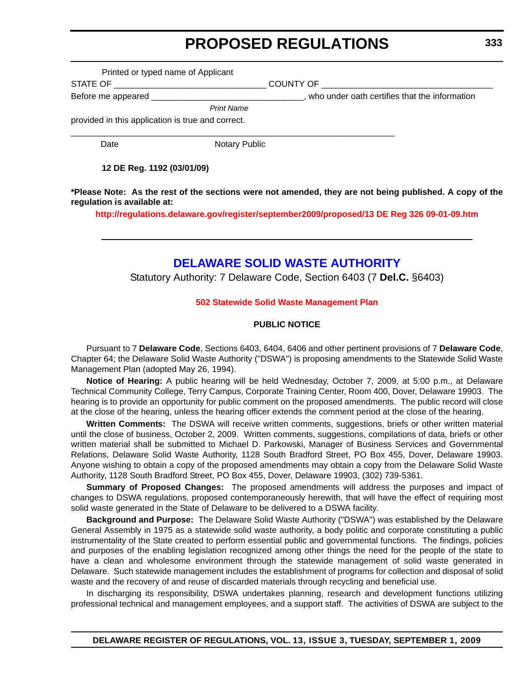Printed or typed name of Applicant

<span id="page-15-0"></span>STATE OF \_\_\_\_\_\_\_\_\_\_\_\_\_\_\_\_\_\_\_\_\_\_\_\_\_\_\_\_\_\_\_\_ COUNTY OF \_\_\_\_\_\_\_\_\_\_\_\_\_\_\_\_\_\_\_\_\_\_\_\_\_\_\_\_\_\_\_\_\_\_\_\_

Before me appeared \_\_\_\_\_\_\_\_\_\_\_\_\_\_\_\_\_\_\_\_\_\_\_\_\_\_\_\_\_\_\_\_\_\_, who under oath certifies that the information

*Print Name*

provided in this application is true and correct.

Date **Notary Public** 

 $\_$  , and the set of the set of the set of the set of the set of the set of the set of the set of the set of the set of the set of the set of the set of the set of the set of the set of the set of the set of the set of th

**12 DE Reg. 1192 (03/01/09)**

**\*Please Note: As the rest of the sections were not amended, they are not being published. A copy of the regulation is available at:**

**http://regulations.delaware.gov/register/september2009/proposed/13 DE Reg 326 09-01-09.htm**

### **[DELAWARE SOLID WASTE AUTHORITY](http://www.dswa.com/)**

Statutory Authority: 7 Delaware Code, Section 6403 (7 **Del.C.** §6403)

#### **[502 Statewide Solid Waste Management Plan](#page-3-0)**

#### **PUBLIC NOTICE**

Pursuant to 7 **Delaware Code**, Sections 6403, 6404, 6406 and other pertinent provisions of 7 **Delaware Code**, Chapter 64; the Delaware Solid Waste Authority ("DSWA") is proposing amendments to the Statewide Solid Waste Management Plan (adopted May 26, 1994).

**Notice of Hearing:** A public hearing will be held Wednesday, October 7, 2009, at 5:00 p.m., at Delaware Technical Community College, Terry Campus, Corporate Training Center, Room 400, Dover, Delaware 19903. The hearing is to provide an opportunity for public comment on the proposed amendments. The public record will close at the close of the hearing, unless the hearing officer extends the comment period at the close of the hearing.

**Written Comments:** The DSWA will receive written comments, suggestions, briefs or other written material until the close of business, October 2, 2009. Written comments, suggestions, compilations of data, briefs or other written material shall be submitted to Michael D. Parkowski, Manager of Business Services and Governmental Relations, Delaware Solid Waste Authority, 1128 South Bradford Street, PO Box 455, Dover, Delaware 19903. Anyone wishing to obtain a copy of the proposed amendments may obtain a copy from the Delaware Solid Waste Authority, 1128 South Bradford Street, PO Box 455, Dover, Delaware 19903, (302) 739-5361.

**Summary of Proposed Changes:** The proposed amendments will address the purposes and impact of changes to DSWA regulations, proposed contemporaneously herewith, that will have the effect of requiring most solid waste generated in the State of Delaware to be delivered to a DSWA facility.

**Background and Purpose:** The Delaware Solid Waste Authority ("DSWA") was established by the Delaware General Assembly in 1975 as a statewide solid waste authority, a body politic and corporate constituting a public instrumentality of the State created to perform essential public and governmental functions. The findings, policies and purposes of the enabling legislation recognized among other things the need for the people of the state to have a clean and wholesome environment through the statewide management of solid waste generated in Delaware. Such statewide management includes the establishment of programs for collection and disposal of solid waste and the recovery of and reuse of discarded materials through recycling and beneficial use.

In discharging its responsibility, DSWA undertakes planning, research and development functions utilizing professional technical and management employees, and a support staff. The activities of DSWA are subject to the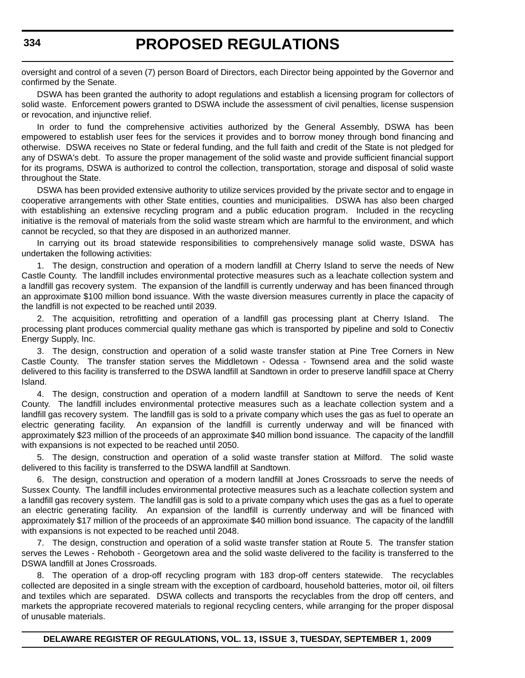oversight and control of a seven (7) person Board of Directors, each Director being appointed by the Governor and confirmed by the Senate.

DSWA has been granted the authority to adopt regulations and establish a licensing program for collectors of solid waste. Enforcement powers granted to DSWA include the assessment of civil penalties, license suspension or revocation, and injunctive relief.

In order to fund the comprehensive activities authorized by the General Assembly, DSWA has been empowered to establish user fees for the services it provides and to borrow money through bond financing and otherwise. DSWA receives no State or federal funding, and the full faith and credit of the State is not pledged for any of DSWA's debt. To assure the proper management of the solid waste and provide sufficient financial support for its programs, DSWA is authorized to control the collection, transportation, storage and disposal of solid waste throughout the State.

DSWA has been provided extensive authority to utilize services provided by the private sector and to engage in cooperative arrangements with other State entities, counties and municipalities. DSWA has also been charged with establishing an extensive recycling program and a public education program. Included in the recycling initiative is the removal of materials from the solid waste stream which are harmful to the environment, and which cannot be recycled, so that they are disposed in an authorized manner.

In carrying out its broad statewide responsibilities to comprehensively manage solid waste, DSWA has undertaken the following activities:

1. The design, construction and operation of a modern landfill at Cherry Island to serve the needs of New Castle County. The landfill includes environmental protective measures such as a leachate collection system and a landfill gas recovery system. The expansion of the landfill is currently underway and has been financed through an approximate \$100 million bond issuance. With the waste diversion measures currently in place the capacity of the landfill is not expected to be reached until 2039.

2. The acquisition, retrofitting and operation of a landfill gas processing plant at Cherry Island. The processing plant produces commercial quality methane gas which is transported by pipeline and sold to Conectiv Energy Supply, Inc.

3. The design, construction and operation of a solid waste transfer station at Pine Tree Corners in New Castle County. The transfer station serves the Middletown - Odessa - Townsend area and the solid waste delivered to this facility is transferred to the DSWA landfill at Sandtown in order to preserve landfill space at Cherry Island.

4. The design, construction and operation of a modern landfill at Sandtown to serve the needs of Kent County. The landfill includes environmental protective measures such as a leachate collection system and a landfill gas recovery system. The landfill gas is sold to a private company which uses the gas as fuel to operate an electric generating facility. An expansion of the landfill is currently underway and will be financed with approximately \$23 million of the proceeds of an approximate \$40 million bond issuance. The capacity of the landfill with expansions is not expected to be reached until 2050.

5. The design, construction and operation of a solid waste transfer station at Milford. The solid waste delivered to this facility is transferred to the DSWA landfill at Sandtown.

6. The design, construction and operation of a modern landfill at Jones Crossroads to serve the needs of Sussex County. The landfill includes environmental protective measures such as a leachate collection system and a landfill gas recovery system. The landfill gas is sold to a private company which uses the gas as a fuel to operate an electric generating facility. An expansion of the landfill is currently underway and will be financed with approximately \$17 million of the proceeds of an approximate \$40 million bond issuance. The capacity of the landfill with expansions is not expected to be reached until 2048.

7. The design, construction and operation of a solid waste transfer station at Route 5. The transfer station serves the Lewes - Rehoboth - Georgetown area and the solid waste delivered to the facility is transferred to the DSWA landfill at Jones Crossroads.

8. The operation of a drop-off recycling program with 183 drop-off centers statewide. The recyclables collected are deposited in a single stream with the exception of cardboard, household batteries, motor oil, oil filters and textiles which are separated. DSWA collects and transports the recyclables from the drop off centers, and markets the appropriate recovered materials to regional recycling centers, while arranging for the proper disposal of unusable materials.

**DELAWARE REGISTER OF REGULATIONS, VOL. 13, ISSUE 3, TUESDAY, SEPTEMBER 1, 2009**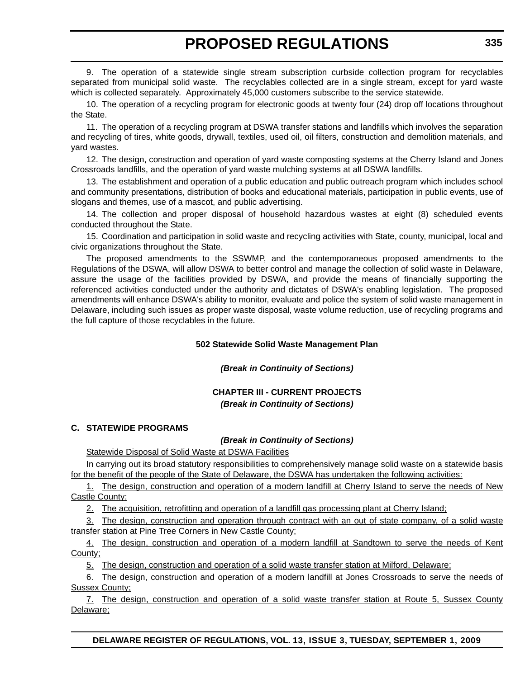9. The operation of a statewide single stream subscription curbside collection program for recyclables separated from municipal solid waste. The recyclables collected are in a single stream, except for yard waste which is collected separately. Approximately 45,000 customers subscribe to the service statewide.

10. The operation of a recycling program for electronic goods at twenty four (24) drop off locations throughout the State.

11. The operation of a recycling program at DSWA transfer stations and landfills which involves the separation and recycling of tires, white goods, drywall, textiles, used oil, oil filters, construction and demolition materials, and yard wastes.

12. The design, construction and operation of yard waste composting systems at the Cherry Island and Jones Crossroads landfills, and the operation of yard waste mulching systems at all DSWA landfills.

13. The establishment and operation of a public education and public outreach program which includes school and community presentations, distribution of books and educational materials, participation in public events, use of slogans and themes, use of a mascot, and public advertising.

14. The collection and proper disposal of household hazardous wastes at eight (8) scheduled events conducted throughout the State.

15. Coordination and participation in solid waste and recycling activities with State, county, municipal, local and civic organizations throughout the State.

The proposed amendments to the SSWMP, and the contemporaneous proposed amendments to the Regulations of the DSWA, will allow DSWA to better control and manage the collection of solid waste in Delaware, assure the usage of the facilities provided by DSWA, and provide the means of financially supporting the referenced activities conducted under the authority and dictates of DSWA's enabling legislation. The proposed amendments will enhance DSWA's ability to monitor, evaluate and police the system of solid waste management in Delaware, including such issues as proper waste disposal, waste volume reduction, use of recycling programs and the full capture of those recyclables in the future.

#### **502 Statewide Solid Waste Management Plan**

#### *(Break in Continuity of Sections)*

#### **CHAPTER III - CURRENT PROJECTS** *(Break in Continuity of Sections)*

#### **C. STATEWIDE PROGRAMS**

#### *(Break in Continuity of Sections)*

**Statewide Disposal of Solid Waste at DSWA Facilities** 

In carrying out its broad statutory responsibilities to comprehensively manage solid waste on a statewide basis for the benefit of the people of the State of Delaware, the DSWA has undertaken the following activities:

1. The design, construction and operation of a modern landfill at Cherry Island to serve the needs of New Castle County;

2. The acquisition, retrofitting and operation of a landfill gas processing plant at Cherry Island;

3. The design, construction and operation through contract with an out of state company, of a solid waste transfer station at Pine Tree Corners in New Castle County;

4. The design, construction and operation of a modern landfill at Sandtown to serve the needs of Kent County;

5. The design, construction and operation of a solid waste transfer station at Milford, Delaware;

6. The design, construction and operation of a modern landfill at Jones Crossroads to serve the needs of Sussex County;

7. The design, construction and operation of a solid waste transfer station at Route 5, Sussex County Delaware;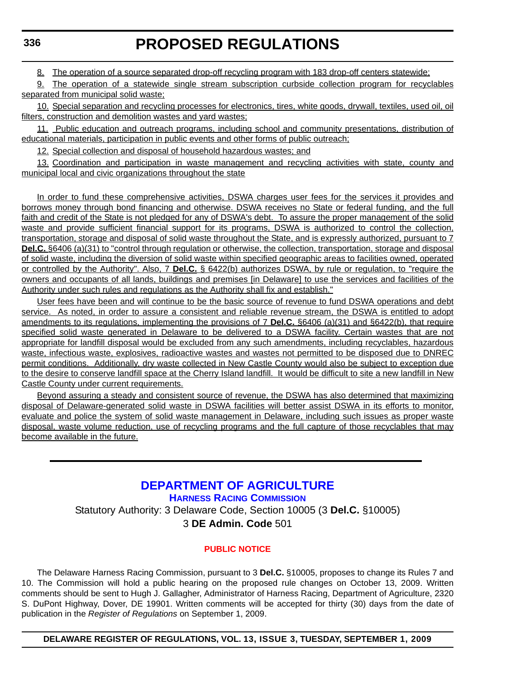<span id="page-18-0"></span>8. The operation of a source separated drop-off recycling program with 183 drop-off centers statewide;

9. The operation of a statewide single stream subscription curbside collection program for recyclables separated from municipal solid waste;

10. Special separation and recycling processes for electronics, tires, white goods, drywall, textiles, used oil, oil filters, construction and demolition wastes and yard wastes;

11. Public education and outreach programs, including school and community presentations, distribution of educational materials, participation in public events and other forms of public outreach;

12. Special collection and disposal of household hazardous wastes; and

13. Coordination and participation in waste management and recycling activities with state, county and municipal local and civic organizations throughout the state

In order to fund these comprehensive activities, DSWA charges user fees for the services it provides and borrows money through bond financing and otherwise. DSWA receives no State or federal funding, and the full faith and credit of the State is not pledged for any of DSWA's debt. To assure the proper management of the solid waste and provide sufficient financial support for its programs, DSWA is authorized to control the collection, transportation, storage and disposal of solid waste throughout the State, and is expressly authorized, pursuant to 7 **Del.C.** §6406 (a)(31) to "control through regulation or otherwise, the collection, transportation, storage and disposal of solid waste, including the diversion of solid waste within specified geographic areas to facilities owned, operated or controlled by the Authority". Also, 7 **Del.C.** § 6422(b) authorizes DSWA, by rule or regulation, to "require the owners and occupants of all lands, buildings and premises [in Delaware] to use the services and facilities of the Authority under such rules and regulations as the Authority shall fix and establish."

User fees have been and will continue to be the basic source of revenue to fund DSWA operations and debt service. As noted, in order to assure a consistent and reliable revenue stream, the DSWA is entitled to adopt amendments to its regulations, implementing the provisions of 7 **Del.C.** §6406 (a)(31) and §6422(b), that require specified solid waste generated in Delaware to be delivered to a DSWA facility. Certain wastes that are not appropriate for landfill disposal would be excluded from any such amendments, including recyclables, hazardous waste, infectious waste, explosives, radioactive wastes and wastes not permitted to be disposed due to DNREC permit conditions. Additionally, dry waste collected in New Castle County would also be subject to exception due to the desire to conserve landfill space at the Cherry Island landfill. It would be difficult to site a new landfill in New Castle County under current requirements.

Beyond assuring a steady and consistent source of revenue, the DSWA has also determined that maximizing disposal of Delaware-generated solid waste in DSWA facilities will better assist DSWA in its efforts to monitor, evaluate and police the system of solid waste management in Delaware, including such issues as proper waste disposal, waste volume reduction, use of recycling programs and the full capture of those recyclables that may become available in the future.

> **[DEPARTMENT OF AGRICULTURE](http://dda.delaware.gov/harness.index.shtml) HARNESS RACING COMMISSION** Statutory Authority: 3 Delaware Code, Section 10005 (3 **Del.C.** §10005) 3 **DE Admin. Code** 501

#### **[PUBLIC NOTICE](#page-3-0)**

The Delaware Harness Racing Commission, pursuant to 3 **Del.C.** §10005, proposes to change its Rules 7 and 10. The Commission will hold a public hearing on the proposed rule changes on October 13, 2009. Written comments should be sent to Hugh J. Gallagher, Administrator of Harness Racing, Department of Agriculture, 2320 S. DuPont Highway, Dover, DE 19901. Written comments will be accepted for thirty (30) days from the date of publication in the *Register of Regulations* on September 1, 2009.

**DELAWARE REGISTER OF REGULATIONS, VOL. 13, ISSUE 3, TUESDAY, SEPTEMBER 1, 2009**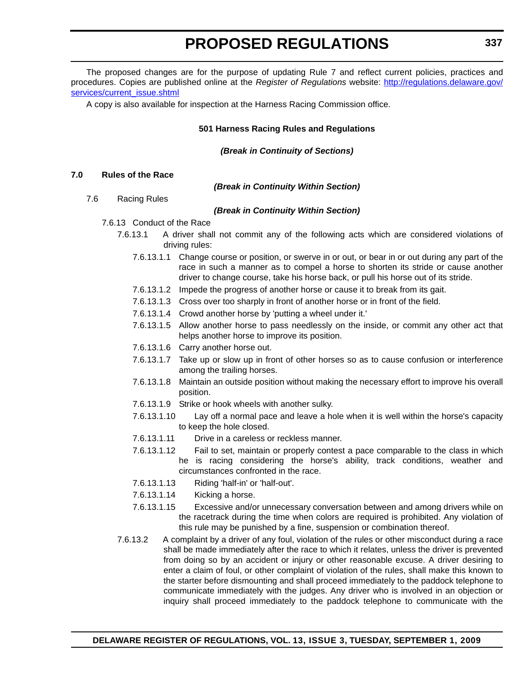The proposed changes are for the purpose of updating Rule 7 and reflect current policies, practices and procedures. Copies are published online at the *Register of Regulations* website: [http://regulations.delaware.gov/](http://regulations.delaware.gov/services/current_issue.shtml) [services/current\\_issue.shtml](http://regulations.delaware.gov/services/current_issue.shtml)

A copy is also available for inspection at the Harness Racing Commission office.

#### **501 Harness Racing Rules and Regulations**

*(Break in Continuity of Sections)*

#### **7.0 Rules of the Race**

#### *(Break in Continuity Within Section)*

7.6 Racing Rules

#### *(Break in Continuity Within Section)*

- 7.6.13 Conduct of the Race
	- 7.6.13.1 A driver shall not commit any of the following acts which are considered violations of driving rules:
		- 7.6.13.1.1 Change course or position, or swerve in or out, or bear in or out during any part of the race in such a manner as to compel a horse to shorten its stride or cause another driver to change course, take his horse back, or pull his horse out of its stride.
		- 7.6.13.1.2 Impede the progress of another horse or cause it to break from its gait.
		- 7.6.13.1.3 Cross over too sharply in front of another horse or in front of the field.
		- 7.6.13.1.4 Crowd another horse by 'putting a wheel under it.'
		- 7.6.13.1.5 Allow another horse to pass needlessly on the inside, or commit any other act that helps another horse to improve its position.
		- 7.6.13.1.6 Carry another horse out.
		- 7.6.13.1.7 Take up or slow up in front of other horses so as to cause confusion or interference among the trailing horses.
		- 7.6.13.1.8 Maintain an outside position without making the necessary effort to improve his overall position.
		- 7.6.13.1.9 Strike or hook wheels with another sulky.
		- 7.6.13.1.10 Lay off a normal pace and leave a hole when it is well within the horse's capacity to keep the hole closed.
		- 7.6.13.1.11 Drive in a careless or reckless manner.
		- 7.6.13.1.12 Fail to set, maintain or properly contest a pace comparable to the class in which he is racing considering the horse's ability, track conditions, weather and circumstances confronted in the race.
		- 7.6.13.1.13 Riding 'half-in' or 'half-out'.
		- 7.6.13.1.14 Kicking a horse.
		- 7.6.13.1.15 Excessive and/or unnecessary conversation between and among drivers while on the racetrack during the time when colors are required is prohibited. Any violation of this rule may be punished by a fine, suspension or combination thereof.
	- 7.6.13.2 A complaint by a driver of any foul, violation of the rules or other misconduct during a race shall be made immediately after the race to which it relates, unless the driver is prevented from doing so by an accident or injury or other reasonable excuse. A driver desiring to enter a claim of foul, or other complaint of violation of the rules, shall make this known to the starter before dismounting and shall proceed immediately to the paddock telephone to communicate immediately with the judges. Any driver who is involved in an objection or inquiry shall proceed immediately to the paddock telephone to communicate with the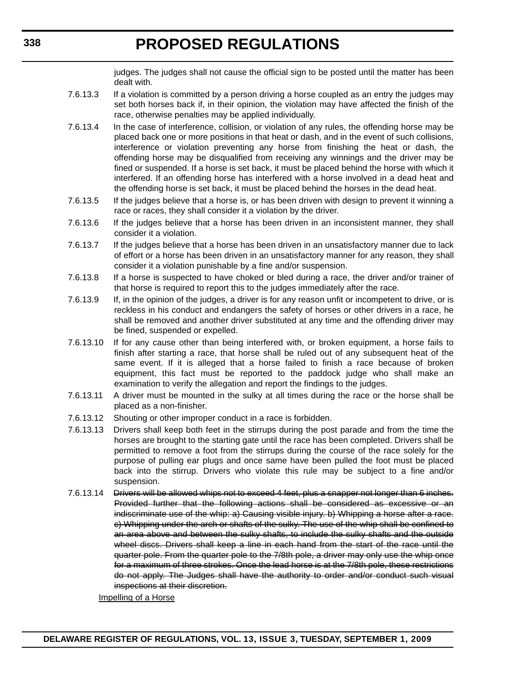judges. The judges shall not cause the official sign to be posted until the matter has been dealt with.

- 7.6.13.3 If a violation is committed by a person driving a horse coupled as an entry the judges may set both horses back if, in their opinion, the violation may have affected the finish of the race, otherwise penalties may be applied individually.
- 7.6.13.4 In the case of interference, collision, or violation of any rules, the offending horse may be placed back one or more positions in that heat or dash, and in the event of such collisions, interference or violation preventing any horse from finishing the heat or dash, the offending horse may be disqualified from receiving any winnings and the driver may be fined or suspended. If a horse is set back, it must be placed behind the horse with which it interfered. If an offending horse has interfered with a horse involved in a dead heat and the offending horse is set back, it must be placed behind the horses in the dead heat.
- 7.6.13.5 If the judges believe that a horse is, or has been driven with design to prevent it winning a race or races, they shall consider it a violation by the driver.
- 7.6.13.6 If the judges believe that a horse has been driven in an inconsistent manner, they shall consider it a violation.
- 7.6.13.7 If the judges believe that a horse has been driven in an unsatisfactory manner due to lack of effort or a horse has been driven in an unsatisfactory manner for any reason, they shall consider it a violation punishable by a fine and/or suspension.
- 7.6.13.8 If a horse is suspected to have choked or bled during a race, the driver and/or trainer of that horse is required to report this to the judges immediately after the race.
- 7.6.13.9 If, in the opinion of the judges, a driver is for any reason unfit or incompetent to drive, or is reckless in his conduct and endangers the safety of horses or other drivers in a race, he shall be removed and another driver substituted at any time and the offending driver may be fined, suspended or expelled.
- 7.6.13.10 If for any cause other than being interfered with, or broken equipment, a horse fails to finish after starting a race, that horse shall be ruled out of any subsequent heat of the same event. If it is alleged that a horse failed to finish a race because of broken equipment, this fact must be reported to the paddock judge who shall make an examination to verify the allegation and report the findings to the judges.
- 7.6.13.11 A driver must be mounted in the sulky at all times during the race or the horse shall be placed as a non-finisher.
- 7.6.13.12 Shouting or other improper conduct in a race is forbidden.
- 7.6.13.13 Drivers shall keep both feet in the stirrups during the post parade and from the time the horses are brought to the starting gate until the race has been completed. Drivers shall be permitted to remove a foot from the stirrups during the course of the race solely for the purpose of pulling ear plugs and once same have been pulled the foot must be placed back into the stirrup. Drivers who violate this rule may be subject to a fine and/or suspension.
- 7.6.13.14 Drivers will be allowed whips not to exceed 4 feet, plus a snapper not longer than 6 inches. Provided further that the following actions shall be considered as excessive or an indiscriminate use of the whip: a) Causing visible injury. b) Whipping a horse after a race. c) Whipping under the arch or shafts of the sulky. The use of the whip shall be confined to an area above and between the sulky shafts, to include the sulky shafts and the outside wheel discs. Drivers shall keep a line in each hand from the start of the race until the quarter pole. From the quarter pole to the 7/8th pole, a driver may only use the whip once for a maximum of three strokes. Once the lead horse is at the 7/8th pole, these restrictions do not apply. The Judges shall have the authority to order and/or conduct such visual inspections at their discretion.

Impelling of a Horse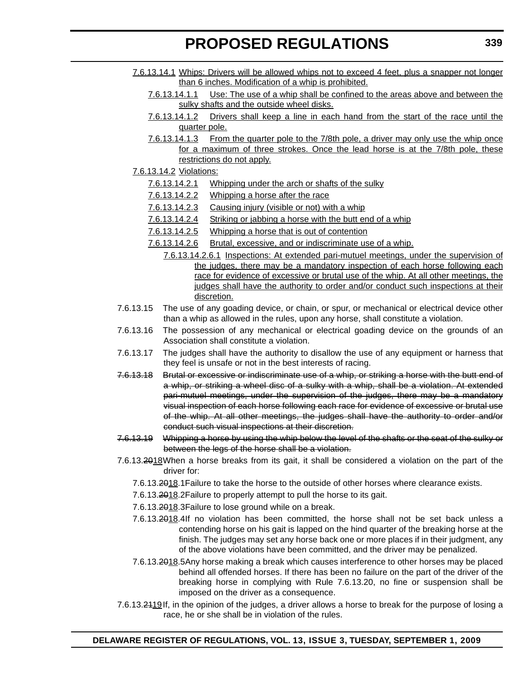- 7.6.13.14.1 Whips: Drivers will be allowed whips not to exceed 4 feet, plus a snapper not longer than 6 inches. Modification of a whip is prohibited.
	- 7.6.13.14.1.1 Use: The use of a whip shall be confined to the areas above and between the sulky shafts and the outside wheel disks.
	- 7.6.13.14.1.2 Drivers shall keep a line in each hand from the start of the race until the quarter pole.
	- 7.6.13.14.1.3 From the quarter pole to the 7/8th pole, a driver may only use the whip once for a maximum of three strokes. Once the lead horse is at the 7/8th pole, these restrictions do not apply.
- 7.6.13.14.2 Violations:
	- 7.6.13.14.2.1 Whipping under the arch or shafts of the sulky
	- 7.6.13.14.2.2 Whipping a horse after the race
	- 7.6.13.14.2.3 Causing injury (visible or not) with a whip
	- 7.6.13.14.2.4 Striking or jabbing a horse with the butt end of a whip
	- 7.6.13.14.2.5 Whipping a horse that is out of contention
	- 7.6.13.14.2.6 Brutal, excessive, and or indiscriminate use of a whip.
		- 7.6.13.14.2.6.1 Inspections: At extended pari-mutuel meetings, under the supervision of the judges, there may be a mandatory inspection of each horse following each race for evidence of excessive or brutal use of the whip. At all other meetings, the judges shall have the authority to order and/or conduct such inspections at their discretion.
- 7.6.13.15 The use of any goading device, or chain, or spur, or mechanical or electrical device other than a whip as allowed in the rules, upon any horse, shall constitute a violation.
- 7.6.13.16 The possession of any mechanical or electrical goading device on the grounds of an Association shall constitute a violation.
- 7.6.13.17 The judges shall have the authority to disallow the use of any equipment or harness that they feel is unsafe or not in the best interests of racing.
- 7.6.13.18 Brutal or excessive or indiscriminate use of a whip, or striking a horse with the butt end of a whip, or striking a wheel disc of a sulky with a whip, shall be a violation. At extended pari-mutuel meetings, under the supervision of the judges, there may be a mandatory visual inspection of each horse following each race for evidence of excessive or brutal use of the whip. At all other meetings, the judges shall have the authority to order and/or conduct such visual inspections at their discretion.
- 7.6.13.19 Whipping a horse by using the whip below the level of the shafts or the seat of the sulky or between the legs of the horse shall be a violation.
- 7.6.13.2018When a horse breaks from its gait, it shall be considered a violation on the part of the driver for:
	- 7.6.13.2018.1Failure to take the horse to the outside of other horses where clearance exists.
	- 7.6.13.2018.2Failure to properly attempt to pull the horse to its gait.
	- 7.6.13.2018.3Failure to lose ground while on a break.
	- 7.6.13.2018.4If no violation has been committed, the horse shall not be set back unless a contending horse on his gait is lapped on the hind quarter of the breaking horse at the finish. The judges may set any horse back one or more places if in their judgment, any of the above violations have been committed, and the driver may be penalized.
	- 7.6.13.2018.5Any horse making a break which causes interference to other horses may be placed behind all offended horses. If there has been no failure on the part of the driver of the breaking horse in complying with Rule 7.6.13.20, no fine or suspension shall be imposed on the driver as a consequence.
- 7.6.13.2119If, in the opinion of the judges, a driver allows a horse to break for the purpose of losing a race, he or she shall be in violation of the rules.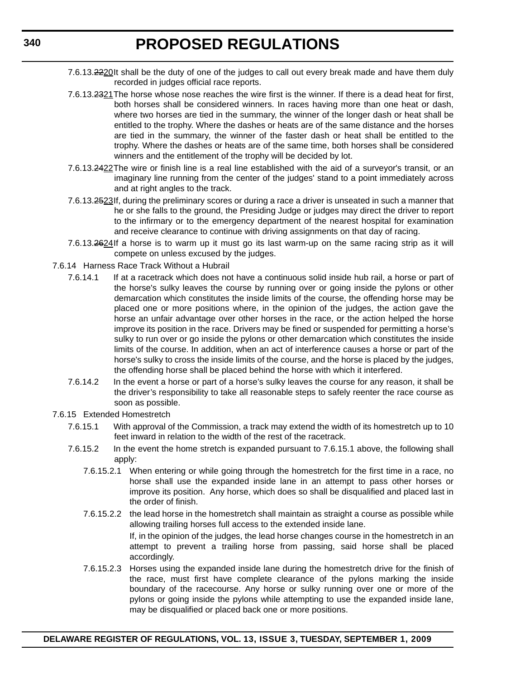- 7.6.13.2220It shall be the duty of one of the judges to call out every break made and have them duly recorded in judges official race reports.
- 7.6.13.2321The horse whose nose reaches the wire first is the winner. If there is a dead heat for first, both horses shall be considered winners. In races having more than one heat or dash, where two horses are tied in the summary, the winner of the longer dash or heat shall be entitled to the trophy. Where the dashes or heats are of the same distance and the horses are tied in the summary, the winner of the faster dash or heat shall be entitled to the trophy. Where the dashes or heats are of the same time, both horses shall be considered winners and the entitlement of the trophy will be decided by lot.
- 7.6.13.2422The wire or finish line is a real line established with the aid of a surveyor's transit, or an imaginary line running from the center of the judges' stand to a point immediately across and at right angles to the track.
- 7.6.13.2523If, during the preliminary scores or during a race a driver is unseated in such a manner that he or she falls to the ground, the Presiding Judge or judges may direct the driver to report to the infirmary or to the emergency department of the nearest hospital for examination and receive clearance to continue with driving assignments on that day of racing.
- 7.6.13.2624If a horse is to warm up it must go its last warm-up on the same racing strip as it will compete on unless excused by the judges.
- 7.6.14 Harness Race Track Without a Hubrail
	- 7.6.14.1 If at a racetrack which does not have a continuous solid inside hub rail, a horse or part of the horse's sulky leaves the course by running over or going inside the pylons or other demarcation which constitutes the inside limits of the course, the offending horse may be placed one or more positions where, in the opinion of the judges, the action gave the horse an unfair advantage over other horses in the race, or the action helped the horse improve its position in the race. Drivers may be fined or suspended for permitting a horse's sulky to run over or go inside the pylons or other demarcation which constitutes the inside limits of the course. In addition, when an act of interference causes a horse or part of the horse's sulky to cross the inside limits of the course, and the horse is placed by the judges, the offending horse shall be placed behind the horse with which it interfered.
	- 7.6.14.2 In the event a horse or part of a horse's sulky leaves the course for any reason, it shall be the driver's responsibility to take all reasonable steps to safely reenter the race course as soon as possible.
- 7.6.15 Extended Homestretch
	- 7.6.15.1 With approval of the Commission, a track may extend the width of its homestretch up to 10 feet inward in relation to the width of the rest of the racetrack.
	- 7.6.15.2 In the event the home stretch is expanded pursuant to 7.6.15.1 above, the following shall apply:
		- 7.6.15.2.1 When entering or while going through the homestretch for the first time in a race, no horse shall use the expanded inside lane in an attempt to pass other horses or improve its position. Any horse, which does so shall be disqualified and placed last in the order of finish.
		- 7.6.15.2.2 the lead horse in the homestretch shall maintain as straight a course as possible while allowing trailing horses full access to the extended inside lane. If, in the opinion of the judges, the lead horse changes course in the homestretch in an attempt to prevent a trailing horse from passing, said horse shall be placed accordingly.
		- 7.6.15.2.3 Horses using the expanded inside lane during the homestretch drive for the finish of the race, must first have complete clearance of the pylons marking the inside boundary of the racecourse. Any horse or sulky running over one or more of the pylons or going inside the pylons while attempting to use the expanded inside lane, may be disqualified or placed back one or more positions.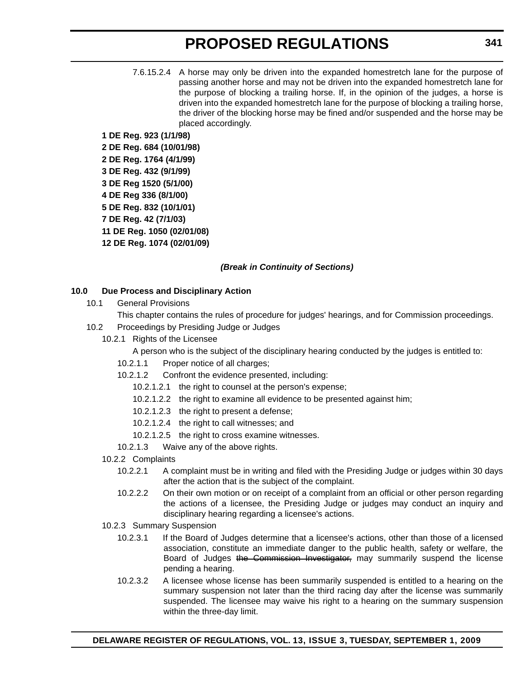7.6.15.2.4 A horse may only be driven into the expanded homestretch lane for the purpose of passing another horse and may not be driven into the expanded homestretch lane for the purpose of blocking a trailing horse. If, in the opinion of the judges, a horse is driven into the expanded homestretch lane for the purpose of blocking a trailing horse, the driver of the blocking horse may be fined and/or suspended and the horse may be placed accordingly.

**1 DE Reg. 923 (1/1/98) 2 DE Reg. 684 (10/01/98) 2 DE Reg. 1764 (4/1/99) 3 DE Reg. 432 (9/1/99) 3 DE Reg 1520 (5/1/00) 4 DE Reg 336 (8/1/00) 5 DE Reg. 832 (10/1/01) 7 DE Reg. 42 (7/1/03) 11 DE Reg. 1050 (02/01/08) 12 DE Reg. 1074 (02/01/09)**

#### *(Break in Continuity of Sections)*

#### **10.0 Due Process and Disciplinary Action**

10.1 General Provisions

This chapter contains the rules of procedure for judges' hearings, and for Commission proceedings.

- 10.2 Proceedings by Presiding Judge or Judges
	- 10.2.1 Rights of the Licensee
		- A person who is the subject of the disciplinary hearing conducted by the judges is entitled to:
		- 10.2.1.1 Proper notice of all charges;
		- 10.2.1.2 Confront the evidence presented, including:
			- 10.2.1.2.1 the right to counsel at the person's expense;
			- 10.2.1.2.2 the right to examine all evidence to be presented against him;
			- 10.2.1.2.3 the right to present a defense;
			- 10.2.1.2.4 the right to call witnesses; and
			- 10.2.1.2.5 the right to cross examine witnesses.
		- 10.2.1.3 Waive any of the above rights.
	- 10.2.2 Complaints
		- 10.2.2.1 A complaint must be in writing and filed with the Presiding Judge or judges within 30 days after the action that is the subject of the complaint.
		- 10.2.2.2 On their own motion or on receipt of a complaint from an official or other person regarding the actions of a licensee, the Presiding Judge or judges may conduct an inquiry and disciplinary hearing regarding a licensee's actions.
	- 10.2.3 Summary Suspension
		- 10.2.3.1 If the Board of Judges determine that a licensee's actions, other than those of a licensed association, constitute an immediate danger to the public health, safety or welfare, the Board of Judges the Commission Investigator, may summarily suspend the license pending a hearing.
		- 10.2.3.2 A licensee whose license has been summarily suspended is entitled to a hearing on the summary suspension not later than the third racing day after the license was summarily suspended. The licensee may waive his right to a hearing on the summary suspension within the three-day limit.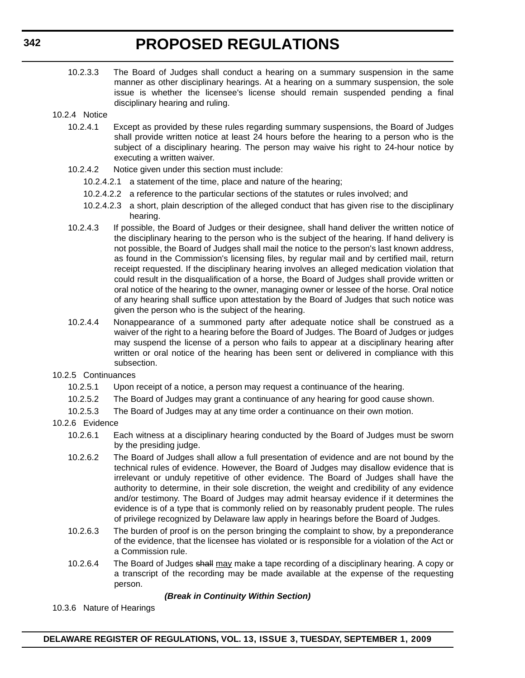- 10.2.3.3 The Board of Judges shall conduct a hearing on a summary suspension in the same manner as other disciplinary hearings. At a hearing on a summary suspension, the sole issue is whether the licensee's license should remain suspended pending a final disciplinary hearing and ruling.
- 10.2.4 Notice
	- 10.2.4.1 Except as provided by these rules regarding summary suspensions, the Board of Judges shall provide written notice at least 24 hours before the hearing to a person who is the subject of a disciplinary hearing. The person may waive his right to 24-hour notice by executing a written waiver.
	- 10.2.4.2 Notice given under this section must include:
		- 10.2.4.2.1 a statement of the time, place and nature of the hearing;
		- 10.2.4.2.2 a reference to the particular sections of the statutes or rules involved; and
		- 10.2.4.2.3 a short, plain description of the alleged conduct that has given rise to the disciplinary hearing.
	- 10.2.4.3 If possible, the Board of Judges or their designee, shall hand deliver the written notice of the disciplinary hearing to the person who is the subject of the hearing. If hand delivery is not possible, the Board of Judges shall mail the notice to the person's last known address, as found in the Commission's licensing files, by regular mail and by certified mail, return receipt requested. If the disciplinary hearing involves an alleged medication violation that could result in the disqualification of a horse, the Board of Judges shall provide written or oral notice of the hearing to the owner, managing owner or lessee of the horse. Oral notice of any hearing shall suffice upon attestation by the Board of Judges that such notice was given the person who is the subject of the hearing.
	- 10.2.4.4 Nonappearance of a summoned party after adequate notice shall be construed as a waiver of the right to a hearing before the Board of Judges. The Board of Judges or judges may suspend the license of a person who fails to appear at a disciplinary hearing after written or oral notice of the hearing has been sent or delivered in compliance with this subsection.
- 10.2.5 Continuances
	- 10.2.5.1 Upon receipt of a notice, a person may request a continuance of the hearing.
	- 10.2.5.2 The Board of Judges may grant a continuance of any hearing for good cause shown.
	- 10.2.5.3 The Board of Judges may at any time order a continuance on their own motion.
- 10.2.6 Evidence
	- 10.2.6.1 Each witness at a disciplinary hearing conducted by the Board of Judges must be sworn by the presiding judge.
	- 10.2.6.2 The Board of Judges shall allow a full presentation of evidence and are not bound by the technical rules of evidence. However, the Board of Judges may disallow evidence that is irrelevant or unduly repetitive of other evidence. The Board of Judges shall have the authority to determine, in their sole discretion, the weight and credibility of any evidence and/or testimony. The Board of Judges may admit hearsay evidence if it determines the evidence is of a type that is commonly relied on by reasonably prudent people. The rules of privilege recognized by Delaware law apply in hearings before the Board of Judges.
	- 10.2.6.3 The burden of proof is on the person bringing the complaint to show, by a preponderance of the evidence, that the licensee has violated or is responsible for a violation of the Act or a Commission rule.
	- 10.2.6.4 The Board of Judges shall may make a tape recording of a disciplinary hearing. A copy or a transcript of the recording may be made available at the expense of the requesting person.

#### *(Break in Continuity Within Section)*

10.3.6 Nature of Hearings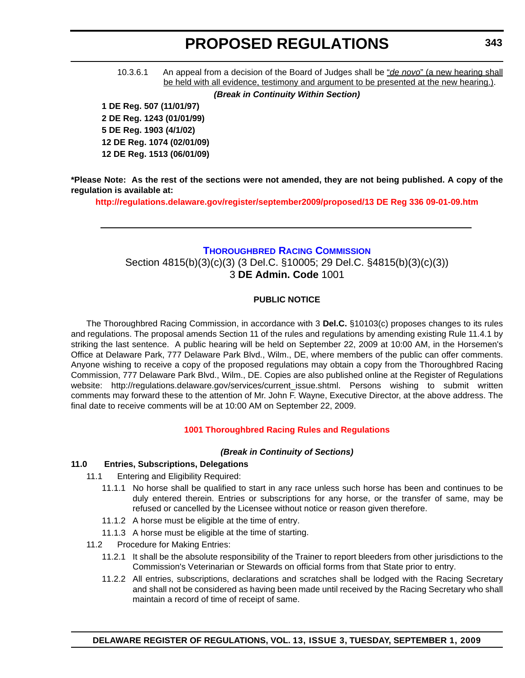<span id="page-25-0"></span>10.3.6.1 An appeal from a decision of the Board of Judges shall be "*de novo*" (a new hearing shall be held with all evidence, testimony and argument to be presented at the new hearing.).

*(Break in Continuity Within Section)*

**1 DE Reg. 507 (11/01/97) 2 DE Reg. 1243 (01/01/99) 5 DE Reg. 1903 (4/1/02) 12 DE Reg. 1074 (02/01/09) 12 DE Reg. 1513 (06/01/09)**

**\*Please Note: As the rest of the sections were not amended, they are not being published. A copy of the regulation is available at:**

**http://regulations.delaware.gov/register/september2009/proposed/13 DE Reg 336 09-01-09.htm**

#### **[THOROUGHBRED RACING COMMISSION](http://dda.delaware.gov/thoroughbred/index.shtml)**

Section 4815(b)(3)(c)(3) (3 Del.C. §10005; 29 Del.C. §4815(b)(3)(c)(3)) 3 **DE Admin. Code** 1001

#### **PUBLIC NOTICE**

The Thoroughbred Racing Commission, in accordance with 3 **Del.C.** §10103(c) proposes changes to its rules and regulations. The proposal amends Section 11 of the rules and regulations by amending existing Rule 11.4.1 by striking the last sentence. A public hearing will be held on September 22, 2009 at 10:00 AM, in the Horsemen's Office at Delaware Park, 777 Delaware Park Blvd., Wilm., DE, where members of the public can offer comments. Anyone wishing to receive a copy of the proposed regulations may obtain a copy from the Thoroughbred Racing Commission, 777 Delaware Park Blvd., Wilm., DE. Copies are also published online at the Register of Regulations website: http://regulations.delaware.gov/services/current\_issue.shtml. Persons wishing to submit written comments may forward these to the attention of Mr. John F. Wayne, Executive Director, at the above address. The final date to receive comments will be at 10:00 AM on September 22, 2009.

#### **[1001 Thoroughbred Racing Rules and Regulations](#page-3-0)**

#### *(Break in Continuity of Sections)*

### **11.0 Entries, Subscriptions, Delegations**

- 11.1 Entering and Eligibility Required:
	- 11.1.1 No horse shall be qualified to start in any race unless such horse has been and continues to be duly entered therein. Entries or subscriptions for any horse, or the transfer of same, may be refused or cancelled by the Licensee without notice or reason given therefore.
	- 11.1.2 A horse must be eligible at the time of entry.
	- 11.1.3 A horse must be eligible at the time of starting.
- 11.2 Procedure for Making Entries:
	- 11.2.1 It shall be the absolute responsibility of the Trainer to report bleeders from other jurisdictions to the Commission's Veterinarian or Stewards on official forms from that State prior to entry.
	- 11.2.2 All entries, subscriptions, declarations and scratches shall be lodged with the Racing Secretary and shall not be considered as having been made until received by the Racing Secretary who shall maintain a record of time of receipt of same.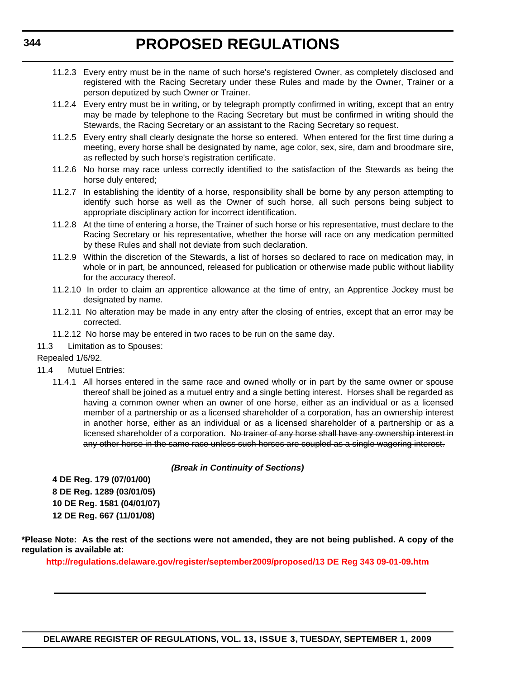- 11.2.3 Every entry must be in the name of such horse's registered Owner, as completely disclosed and registered with the Racing Secretary under these Rules and made by the Owner, Trainer or a person deputized by such Owner or Trainer.
- 11.2.4 Every entry must be in writing, or by telegraph promptly confirmed in writing, except that an entry may be made by telephone to the Racing Secretary but must be confirmed in writing should the Stewards, the Racing Secretary or an assistant to the Racing Secretary so request.
- 11.2.5 Every entry shall clearly designate the horse so entered. When entered for the first time during a meeting, every horse shall be designated by name, age color, sex, sire, dam and broodmare sire, as reflected by such horse's registration certificate.
- 11.2.6 No horse may race unless correctly identified to the satisfaction of the Stewards as being the horse duly entered;
- 11.2.7 In establishing the identity of a horse, responsibility shall be borne by any person attempting to identify such horse as well as the Owner of such horse, all such persons being subject to appropriate disciplinary action for incorrect identification.
- 11.2.8 At the time of entering a horse, the Trainer of such horse or his representative, must declare to the Racing Secretary or his representative, whether the horse will race on any medication permitted by these Rules and shall not deviate from such declaration.
- 11.2.9 Within the discretion of the Stewards, a list of horses so declared to race on medication may, in whole or in part, be announced, released for publication or otherwise made public without liability for the accuracy thereof.
- 11.2.10 In order to claim an apprentice allowance at the time of entry, an Apprentice Jockey must be designated by name.
- 11.2.11 No alteration may be made in any entry after the closing of entries, except that an error may be corrected.
- 11.2.12 No horse may be entered in two races to be run on the same day.
- 11.3 Limitation as to Spouses:

#### Repealed 1/6/92.

- 11.4 Mutuel Entries:
	- 11.4.1 All horses entered in the same race and owned wholly or in part by the same owner or spouse thereof shall be joined as a mutuel entry and a single betting interest. Horses shall be regarded as having a common owner when an owner of one horse, either as an individual or as a licensed member of a partnership or as a licensed shareholder of a corporation, has an ownership interest in another horse, either as an individual or as a licensed shareholder of a partnership or as a licensed shareholder of a corporation. No trainer of any horse shall have any ownership interest in any other horse in the same race unless such horses are coupled as a single wagering interest.

#### *(Break in Continuity of Sections)*

**4 DE Reg. 179 (07/01/00) 8 DE Reg. 1289 (03/01/05) 10 DE Reg. 1581 (04/01/07) 12 DE Reg. 667 (11/01/08)**

**\*Please Note: As the rest of the sections were not amended, they are not being published. A copy of the regulation is available at:**

**http://regulations.delaware.gov/register/september2009/proposed/13 DE Reg 343 09-01-09.htm**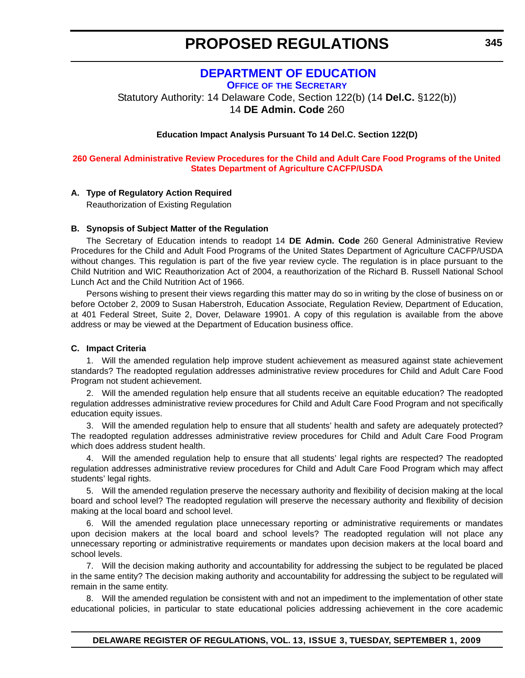### **[DEPARTMENT OF EDUCATION](http://www.doe.k12.de.us/)**

<span id="page-27-0"></span>**OFFICE OF THE SECRETARY** Statutory Authority: 14 Delaware Code, Section 122(b) (14 **Del.C.** §122(b))

14 **DE Admin. Code** 260

#### **Education Impact Analysis Pursuant To 14 Del.C. Section 122(D)**

#### **[260 General Administrative Review Procedures for the Child and Adult Care Food Programs of the United](#page-3-0)  States Department of Agriculture CACFP/USDA**

#### **A. Type of Regulatory Action Required**

Reauthorization of Existing Regulation

#### **B. Synopsis of Subject Matter of the Regulation**

The Secretary of Education intends to readopt 14 **DE Admin. Code** 260 General Administrative Review Procedures for the Child and Adult Food Programs of the United States Department of Agriculture CACFP/USDA without changes. This regulation is part of the five year review cycle. The regulation is in place pursuant to the Child Nutrition and WIC Reauthorization Act of 2004, a reauthorization of the Richard B. Russell National School Lunch Act and the Child Nutrition Act of 1966.

Persons wishing to present their views regarding this matter may do so in writing by the close of business on or before October 2, 2009 to Susan Haberstroh, Education Associate, Regulation Review, Department of Education, at 401 Federal Street, Suite 2, Dover, Delaware 19901. A copy of this regulation is available from the above address or may be viewed at the Department of Education business office.

#### **C. Impact Criteria**

1. Will the amended regulation help improve student achievement as measured against state achievement standards? The readopted regulation addresses administrative review procedures for Child and Adult Care Food Program not student achievement.

2. Will the amended regulation help ensure that all students receive an equitable education? The readopted regulation addresses administrative review procedures for Child and Adult Care Food Program and not specifically education equity issues.

3. Will the amended regulation help to ensure that all students' health and safety are adequately protected? The readopted regulation addresses administrative review procedures for Child and Adult Care Food Program which does address student health.

4. Will the amended regulation help to ensure that all students' legal rights are respected? The readopted regulation addresses administrative review procedures for Child and Adult Care Food Program which may affect students' legal rights.

5. Will the amended regulation preserve the necessary authority and flexibility of decision making at the local board and school level? The readopted regulation will preserve the necessary authority and flexibility of decision making at the local board and school level.

6. Will the amended regulation place unnecessary reporting or administrative requirements or mandates upon decision makers at the local board and school levels? The readopted regulation will not place any unnecessary reporting or administrative requirements or mandates upon decision makers at the local board and school levels.

7. Will the decision making authority and accountability for addressing the subject to be regulated be placed in the same entity? The decision making authority and accountability for addressing the subject to be regulated will remain in the same entity.

8. Will the amended regulation be consistent with and not an impediment to the implementation of other state educational policies, in particular to state educational policies addressing achievement in the core academic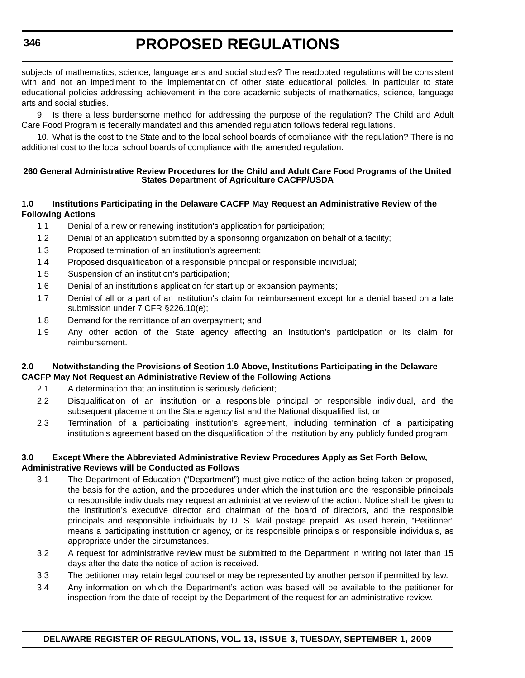subjects of mathematics, science, language arts and social studies? The readopted regulations will be consistent with and not an impediment to the implementation of other state educational policies, in particular to state educational policies addressing achievement in the core academic subjects of mathematics, science, language arts and social studies.

9. Is there a less burdensome method for addressing the purpose of the regulation? The Child and Adult Care Food Program is federally mandated and this amended regulation follows federal regulations.

10. What is the cost to the State and to the local school boards of compliance with the regulation? There is no additional cost to the local school boards of compliance with the amended regulation.

#### **260 General Administrative Review Procedures for the Child and Adult Care Food Programs of the United States Department of Agriculture CACFP/USDA**

#### **1.0 Institutions Participating in the Delaware CACFP May Request an Administrative Review of the Following Actions**

- 1.1 Denial of a new or renewing institution's application for participation;
- 1.2 Denial of an application submitted by a sponsoring organization on behalf of a facility;
- 1.3 Proposed termination of an institution's agreement;
- 1.4 Proposed disqualification of a responsible principal or responsible individual;
- 1.5 Suspension of an institution's participation;
- 1.6 Denial of an institution's application for start up or expansion payments;
- 1.7 Denial of all or a part of an institution's claim for reimbursement except for a denial based on a late submission under 7 CFR §226.10(e);
- 1.8 Demand for the remittance of an overpayment; and
- 1.9 Any other action of the State agency affecting an institution's participation or its claim for reimbursement.

#### **2.0 Notwithstanding the Provisions of Section 1.0 Above, Institutions Participating in the Delaware CACFP May Not Request an Administrative Review of the Following Actions**

- 2.1 A determination that an institution is seriously deficient;
- 2.2 Disqualification of an institution or a responsible principal or responsible individual, and the subsequent placement on the State agency list and the National disqualified list; or
- 2.3 Termination of a participating institution's agreement, including termination of a participating institution's agreement based on the disqualification of the institution by any publicly funded program.

#### **3.0 Except Where the Abbreviated Administrative Review Procedures Apply as Set Forth Below, Administrative Reviews will be Conducted as Follows**

- 3.1 The Department of Education ("Department") must give notice of the action being taken or proposed, the basis for the action, and the procedures under which the institution and the responsible principals or responsible individuals may request an administrative review of the action. Notice shall be given to the institution's executive director and chairman of the board of directors, and the responsible principals and responsible individuals by U. S. Mail postage prepaid. As used herein, "Petitioner" means a participating institution or agency, or its responsible principals or responsible individuals, as appropriate under the circumstances.
- 3.2 A request for administrative review must be submitted to the Department in writing not later than 15 days after the date the notice of action is received.
- 3.3 The petitioner may retain legal counsel or may be represented by another person if permitted by law.
- 3.4 Any information on which the Department's action was based will be available to the petitioner for inspection from the date of receipt by the Department of the request for an administrative review.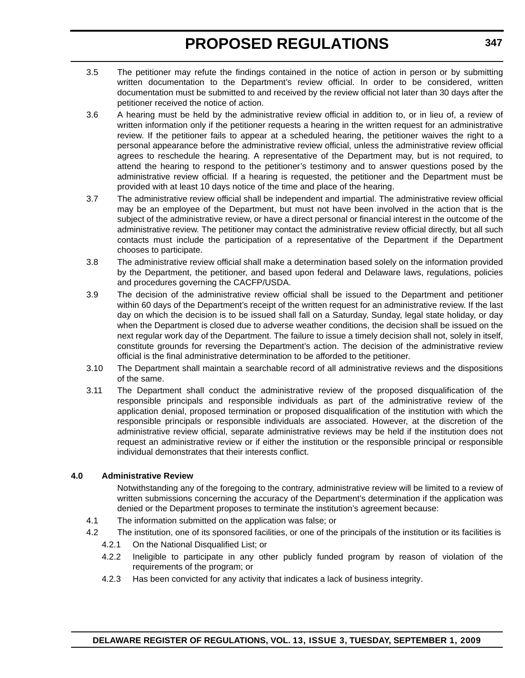- 3.5 The petitioner may refute the findings contained in the notice of action in person or by submitting written documentation to the Department's review official. In order to be considered, written documentation must be submitted to and received by the review official not later than 30 days after the petitioner received the notice of action.
- 3.6 A hearing must be held by the administrative review official in addition to, or in lieu of, a review of written information only if the petitioner requests a hearing in the written request for an administrative review. If the petitioner fails to appear at a scheduled hearing, the petitioner waives the right to a personal appearance before the administrative review official, unless the administrative review official agrees to reschedule the hearing. A representative of the Department may, but is not required, to attend the hearing to respond to the petitioner's testimony and to answer questions posed by the administrative review official. If a hearing is requested, the petitioner and the Department must be provided with at least 10 days notice of the time and place of the hearing.
- 3.7 The administrative review official shall be independent and impartial. The administrative review official may be an employee of the Department, but must not have been involved in the action that is the subject of the administrative review, or have a direct personal or financial interest in the outcome of the administrative review. The petitioner may contact the administrative review official directly, but all such contacts must include the participation of a representative of the Department if the Department chooses to participate.
- 3.8 The administrative review official shall make a determination based solely on the information provided by the Department, the petitioner, and based upon federal and Delaware laws, regulations, policies and procedures governing the CACFP/USDA.
- 3.9 The decision of the administrative review official shall be issued to the Department and petitioner within 60 days of the Department's receipt of the written request for an administrative review. If the last day on which the decision is to be issued shall fall on a Saturday, Sunday, legal state holiday, or day when the Department is closed due to adverse weather conditions, the decision shall be issued on the next regular work day of the Department. The failure to issue a timely decision shall not, solely in itself, constitute grounds for reversing the Department's action. The decision of the administrative review official is the final administrative determination to be afforded to the petitioner.
- 3.10 The Department shall maintain a searchable record of all administrative reviews and the dispositions of the same.
- 3.11 The Department shall conduct the administrative review of the proposed disqualification of the responsible principals and responsible individuals as part of the administrative review of the application denial, proposed termination or proposed disqualification of the institution with which the responsible principals or responsible individuals are associated. However, at the discretion of the administrative review official, separate administrative reviews may be held if the institution does not request an administrative review or if either the institution or the responsible principal or responsible individual demonstrates that their interests conflict.

#### **4.0 Administrative Review**

Notwithstanding any of the foregoing to the contrary, administrative review will be limited to a review of written submissions concerning the accuracy of the Department's determination if the application was denied or the Department proposes to terminate the institution's agreement because:

- 4.1 The information submitted on the application was false; or
- 4.2 The institution, one of its sponsored facilities, or one of the principals of the institution or its facilities is
	- 4.2.1 On the National Disqualified List; or
	- 4.2.2 Ineligible to participate in any other publicly funded program by reason of violation of the requirements of the program; or
	- 4.2.3 Has been convicted for any activity that indicates a lack of business integrity.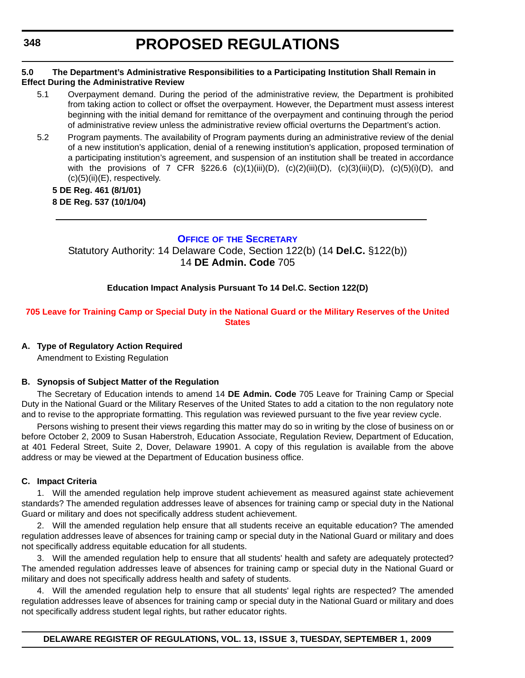#### <span id="page-30-0"></span>**5.0 The Department's Administrative Responsibilities to a Participating Institution Shall Remain in Effect During the Administrative Review**

- 5.1 Overpayment demand. During the period of the administrative review, the Department is prohibited from taking action to collect or offset the overpayment. However, the Department must assess interest beginning with the initial demand for remittance of the overpayment and continuing through the period of administrative review unless the administrative review official overturns the Department's action.
- 5.2 Program payments. The availability of Program payments during an administrative review of the denial of a new institution's application, denial of a renewing institution's application, proposed termination of a participating institution's agreement, and suspension of an institution shall be treated in accordance with the provisions of 7 CFR  $\S 226.6$  (c)(1)(iii)(D), (c)(2)(iii)(D), (c)(3)(iii)(D), (c)(5)(i)(D), and (c)(5)(ii)(E), respectively.

#### **5 DE Reg. 461 (8/1/01) 8 DE Reg. 537 (10/1/04)**

### **OFFICE OF [THE SECRETARY](http://www.doe.k12.de.us/)**

Statutory Authority: 14 Delaware Code, Section 122(b) (14 **Del.C.** §122(b)) 14 **DE Admin. Code** 705

#### **Education Impact Analysis Pursuant To 14 Del.C. Section 122(D)**

#### **[705 Leave for Training Camp or Special Duty in the National Guard or the Military Reserves of the United](#page-3-0)  States**

#### **A. Type of Regulatory Action Required**

Amendment to Existing Regulation

#### **B. Synopsis of Subject Matter of the Regulation**

The Secretary of Education intends to amend 14 **DE Admin. Code** 705 Leave for Training Camp or Special Duty in the National Guard or the Military Reserves of the United States to add a citation to the non regulatory note and to revise to the appropriate formatting. This regulation was reviewed pursuant to the five year review cycle.

Persons wishing to present their views regarding this matter may do so in writing by the close of business on or before October 2, 2009 to Susan Haberstroh, Education Associate, Regulation Review, Department of Education, at 401 Federal Street, Suite 2, Dover, Delaware 19901. A copy of this regulation is available from the above address or may be viewed at the Department of Education business office.

#### **C. Impact Criteria**

1. Will the amended regulation help improve student achievement as measured against state achievement standards? The amended regulation addresses leave of absences for training camp or special duty in the National Guard or military and does not specifically address student achievement.

2. Will the amended regulation help ensure that all students receive an equitable education? The amended regulation addresses leave of absences for training camp or special duty in the National Guard or military and does not specifically address equitable education for all students.

3. Will the amended regulation help to ensure that all students' health and safety are adequately protected? The amended regulation addresses leave of absences for training camp or special duty in the National Guard or military and does not specifically address health and safety of students.

4. Will the amended regulation help to ensure that all students' legal rights are respected? The amended regulation addresses leave of absences for training camp or special duty in the National Guard or military and does not specifically address student legal rights, but rather educator rights.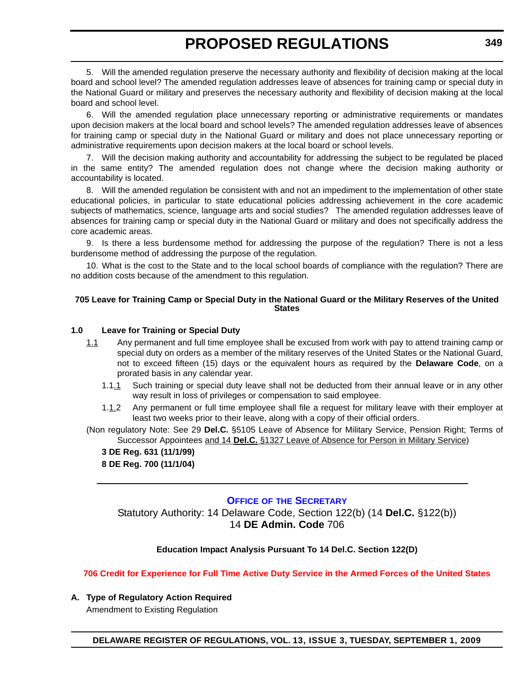<span id="page-31-0"></span>5. Will the amended regulation preserve the necessary authority and flexibility of decision making at the local board and school level? The amended regulation addresses leave of absences for training camp or special duty in the National Guard or military and preserves the necessary authority and flexibility of decision making at the local board and school level.

6. Will the amended regulation place unnecessary reporting or administrative requirements or mandates upon decision makers at the local board and school levels? The amended regulation addresses leave of absences for training camp or special duty in the National Guard or military and does not place unnecessary reporting or administrative requirements upon decision makers at the local board or school levels.

7. Will the decision making authority and accountability for addressing the subject to be regulated be placed in the same entity? The amended regulation does not change where the decision making authority or accountability is located.

8. Will the amended regulation be consistent with and not an impediment to the implementation of other state educational policies, in particular to state educational policies addressing achievement in the core academic subjects of mathematics, science, language arts and social studies? The amended regulation addresses leave of absences for training camp or special duty in the National Guard or military and does not specifically address the core academic areas.

9. Is there a less burdensome method for addressing the purpose of the regulation? There is not a less burdensome method of addressing the purpose of the regulation.

10. What is the cost to the State and to the local school boards of compliance with the regulation? There are no addition costs because of the amendment to this regulation.

#### **705 Leave for Training Camp or Special Duty in the National Guard or the Military Reserves of the United States**

#### **1.0 Leave for Training or Special Duty**

- 1.1 Any permanent and full time employee shall be excused from work with pay to attend training camp or special duty on orders as a member of the military reserves of the United States or the National Guard, not to exceed fifteen (15) days or the equivalent hours as required by the **Delaware Code**, on a prorated basis in any calendar year.
	- 1.1.1 Such training or special duty leave shall not be deducted from their annual leave or in any other way result in loss of privileges or compensation to said employee.
	- 1.1.2 Any permanent or full time employee shall file a request for military leave with their employer at least two weeks prior to their leave, along with a copy of their official orders.
- (Non regulatory Note: See 29 **Del.C.** §5105 Leave of Absence for Military Service, Pension Right; Terms of Successor Appointees and 14 **Del.C.** §1327 Leave of Absence for Person in Military Service)
	- **3 DE Reg. 631 (11/1/99) 8 DE Reg. 700 (11/1/04)**

#### **OFFICE OF [THE SECRETARY](http://www.doe.k12.de.us/)**

Statutory Authority: 14 Delaware Code, Section 122(b) (14 **Del.C.** §122(b)) 14 **DE Admin. Code** 706

#### **Education Impact Analysis Pursuant To 14 Del.C. Section 122(D)**

**[706 Credit for Experience for Full Time Active Duty Service in the Armed Forces of the United States](#page-3-0)**

#### **A. Type of Regulatory Action Required**

Amendment to Existing Regulation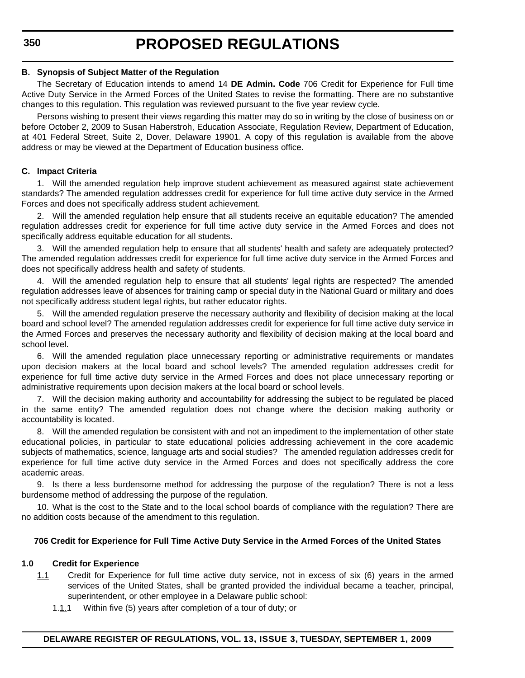#### **B. Synopsis of Subject Matter of the Regulation**

The Secretary of Education intends to amend 14 **DE Admin. Code** 706 Credit for Experience for Full time Active Duty Service in the Armed Forces of the United States to revise the formatting. There are no substantive changes to this regulation. This regulation was reviewed pursuant to the five year review cycle.

Persons wishing to present their views regarding this matter may do so in writing by the close of business on or before October 2, 2009 to Susan Haberstroh, Education Associate, Regulation Review, Department of Education, at 401 Federal Street, Suite 2, Dover, Delaware 19901. A copy of this regulation is available from the above address or may be viewed at the Department of Education business office.

#### **C. Impact Criteria**

1. Will the amended regulation help improve student achievement as measured against state achievement standards? The amended regulation addresses credit for experience for full time active duty service in the Armed Forces and does not specifically address student achievement.

2. Will the amended regulation help ensure that all students receive an equitable education? The amended regulation addresses credit for experience for full time active duty service in the Armed Forces and does not specifically address equitable education for all students.

3. Will the amended regulation help to ensure that all students' health and safety are adequately protected? The amended regulation addresses credit for experience for full time active duty service in the Armed Forces and does not specifically address health and safety of students.

4. Will the amended regulation help to ensure that all students' legal rights are respected? The amended regulation addresses leave of absences for training camp or special duty in the National Guard or military and does not specifically address student legal rights, but rather educator rights.

5. Will the amended regulation preserve the necessary authority and flexibility of decision making at the local board and school level? The amended regulation addresses credit for experience for full time active duty service in the Armed Forces and preserves the necessary authority and flexibility of decision making at the local board and school level.

6. Will the amended regulation place unnecessary reporting or administrative requirements or mandates upon decision makers at the local board and school levels? The amended regulation addresses credit for experience for full time active duty service in the Armed Forces and does not place unnecessary reporting or administrative requirements upon decision makers at the local board or school levels.

7. Will the decision making authority and accountability for addressing the subject to be regulated be placed in the same entity? The amended regulation does not change where the decision making authority or accountability is located.

8. Will the amended regulation be consistent with and not an impediment to the implementation of other state educational policies, in particular to state educational policies addressing achievement in the core academic subjects of mathematics, science, language arts and social studies? The amended regulation addresses credit for experience for full time active duty service in the Armed Forces and does not specifically address the core academic areas.

9. Is there a less burdensome method for addressing the purpose of the regulation? There is not a less burdensome method of addressing the purpose of the regulation.

10. What is the cost to the State and to the local school boards of compliance with the regulation? There are no addition costs because of the amendment to this regulation.

#### **706 Credit for Experience for Full Time Active Duty Service in the Armed Forces of the United States**

#### **1.0 Credit for Experience**

- 1.1 Credit for Experience for full time active duty service, not in excess of six (6) years in the armed services of the United States, shall be granted provided the individual became a teacher, principal, superintendent, or other employee in a Delaware public school:
	- 1.1.1 Within five (5) years after completion of a tour of duty; or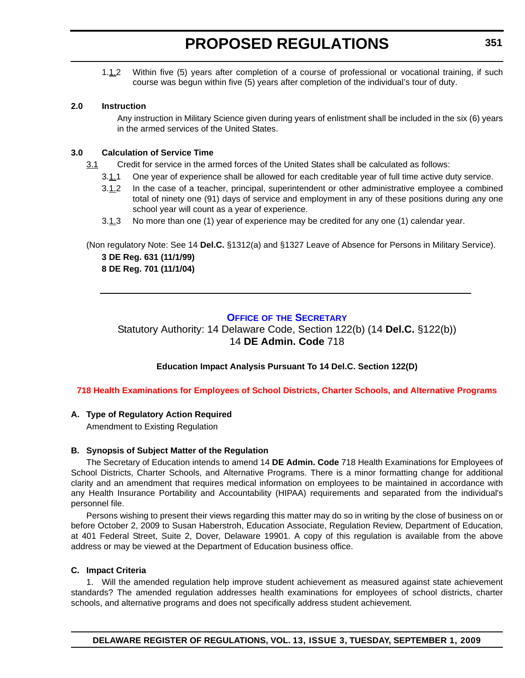<span id="page-33-0"></span>1.1.2 Within five (5) years after completion of a course of professional or vocational training, if such course was begun within five (5) years after completion of the individual's tour of duty.

#### **2.0 Instruction**

Any instruction in Military Science given during years of enlistment shall be included in the six (6) years in the armed services of the United States.

#### **3.0 Calculation of Service Time**

- 3.1 Credit for service in the armed forces of the United States shall be calculated as follows:
	- 3.1.1 One year of experience shall be allowed for each creditable year of full time active duty service.
	- 3.1.2 In the case of a teacher, principal, superintendent or other administrative employee a combined total of ninety one (91) days of service and employment in any of these positions during any one school year will count as a year of experience.
	- 3.1.3 No more than one (1) year of experience may be credited for any one (1) calendar year.

(Non regulatory Note: See 14 **Del.C.** §1312(a) and §1327 Leave of Absence for Persons in Military Service). **3 DE Reg. 631 (11/1/99) 8 DE Reg. 701 (11/1/04)**

### **OFFICE OF [THE SECRETARY](http://www.doe.k12.de.us/)**

Statutory Authority: 14 Delaware Code, Section 122(b) (14 **Del.C.** §122(b)) 14 **DE Admin. Code** 718

#### **Education Impact Analysis Pursuant To 14 Del.C. Section 122(D)**

#### **[718 Health Examinations for Employees of School Districts, Charter Schools, and Alternative Programs](#page-3-0)**

#### **A. Type of Regulatory Action Required**

Amendment to Existing Regulation

#### **B. Synopsis of Subject Matter of the Regulation**

The Secretary of Education intends to amend 14 **DE Admin. Code** 718 Health Examinations for Employees of School Districts, Charter Schools, and Alternative Programs. There is a minor formatting change for additional clarity and an amendment that requires medical information on employees to be maintained in accordance with any Health Insurance Portability and Accountability (HIPAA) requirements and separated from the individual's personnel file.

Persons wishing to present their views regarding this matter may do so in writing by the close of business on or before October 2, 2009 to Susan Haberstroh, Education Associate, Regulation Review, Department of Education, at 401 Federal Street, Suite 2, Dover, Delaware 19901. A copy of this regulation is available from the above address or may be viewed at the Department of Education business office.

#### **C. Impact Criteria**

1. Will the amended regulation help improve student achievement as measured against state achievement standards? The amended regulation addresses health examinations for employees of school districts, charter schools, and alternative programs and does not specifically address student achievement.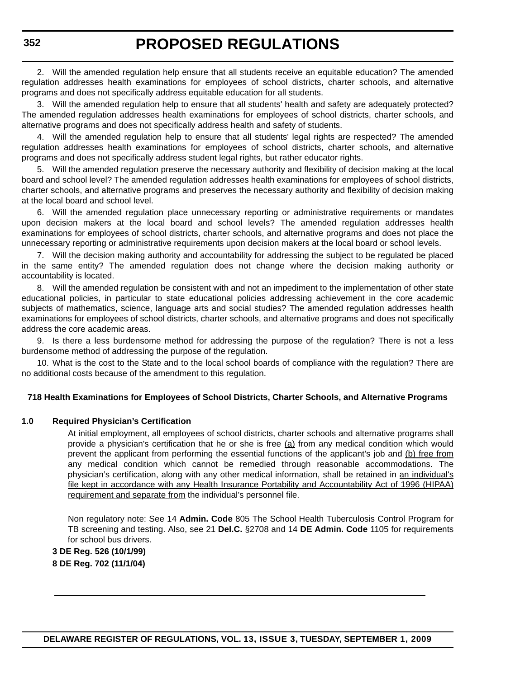2. Will the amended regulation help ensure that all students receive an equitable education? The amended regulation addresses health examinations for employees of school districts, charter schools, and alternative programs and does not specifically address equitable education for all students.

3. Will the amended regulation help to ensure that all students' health and safety are adequately protected? The amended regulation addresses health examinations for employees of school districts, charter schools, and alternative programs and does not specifically address health and safety of students.

4. Will the amended regulation help to ensure that all students' legal rights are respected? The amended regulation addresses health examinations for employees of school districts, charter schools, and alternative programs and does not specifically address student legal rights, but rather educator rights.

5. Will the amended regulation preserve the necessary authority and flexibility of decision making at the local board and school level? The amended regulation addresses health examinations for employees of school districts, charter schools, and alternative programs and preserves the necessary authority and flexibility of decision making at the local board and school level.

6. Will the amended regulation place unnecessary reporting or administrative requirements or mandates upon decision makers at the local board and school levels? The amended regulation addresses health examinations for employees of school districts, charter schools, and alternative programs and does not place the unnecessary reporting or administrative requirements upon decision makers at the local board or school levels.

7. Will the decision making authority and accountability for addressing the subject to be regulated be placed in the same entity? The amended regulation does not change where the decision making authority or accountability is located.

8. Will the amended regulation be consistent with and not an impediment to the implementation of other state educational policies, in particular to state educational policies addressing achievement in the core academic subjects of mathematics, science, language arts and social studies? The amended regulation addresses health examinations for employees of school districts, charter schools, and alternative programs and does not specifically address the core academic areas.

9. Is there a less burdensome method for addressing the purpose of the regulation? There is not a less burdensome method of addressing the purpose of the regulation.

10. What is the cost to the State and to the local school boards of compliance with the regulation? There are no additional costs because of the amendment to this regulation.

#### **718 Health Examinations for Employees of School Districts, Charter Schools, and Alternative Programs**

#### **1.0 Required Physician's Certification**

At initial employment, all employees of school districts, charter schools and alternative programs shall provide a physician's certification that he or she is free  $(a)$  from any medical condition which would prevent the applicant from performing the essential functions of the applicant's job and (b) free from any medical condition which cannot be remedied through reasonable accommodations. The physician's certification, along with any other medical information, shall be retained in an individual's file kept in accordance with any Health Insurance Portability and Accountability Act of 1996 (HIPAA) requirement and separate from the individual's personnel file.

Non regulatory note: See 14 **Admin. Code** 805 The School Health Tuberculosis Control Program for TB screening and testing. Also, see 21 **Del.C.** §2708 and 14 **DE Admin. Code** 1105 for requirements for school bus drivers.

**3 DE Reg. 526 (10/1/99) 8 DE Reg. 702 (11/1/04)**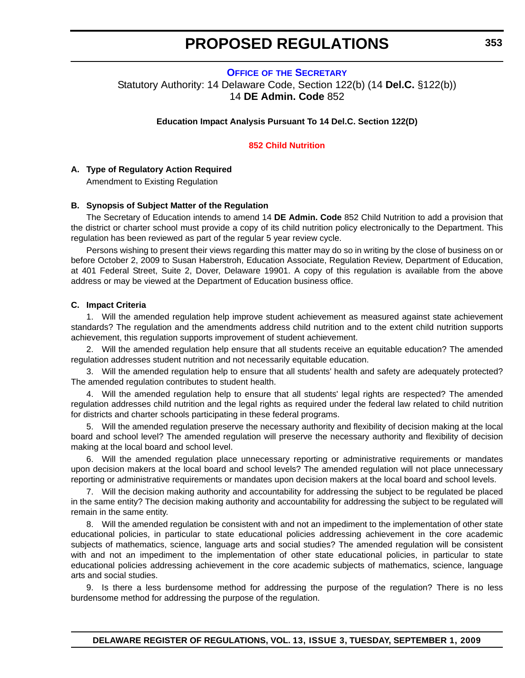#### <span id="page-35-0"></span>**OFFICE OF [THE SECRETARY](http://www.doe.k12.de.us/)** Statutory Authority: 14 Delaware Code, Section 122(b) (14 **Del.C.** §122(b)) 14 **DE Admin. Code** 852

**Education Impact Analysis Pursuant To 14 Del.C. Section 122(D)**

#### **[852 Child Nutrition](#page-3-0)**

#### **A. Type of Regulatory Action Required**

Amendment to Existing Regulation

#### **B. Synopsis of Subject Matter of the Regulation**

The Secretary of Education intends to amend 14 **DE Admin. Code** 852 Child Nutrition to add a provision that the district or charter school must provide a copy of its child nutrition policy electronically to the Department. This regulation has been reviewed as part of the regular 5 year review cycle.

Persons wishing to present their views regarding this matter may do so in writing by the close of business on or before October 2, 2009 to Susan Haberstroh, Education Associate, Regulation Review, Department of Education, at 401 Federal Street, Suite 2, Dover, Delaware 19901. A copy of this regulation is available from the above address or may be viewed at the Department of Education business office.

#### **C. Impact Criteria**

1. Will the amended regulation help improve student achievement as measured against state achievement standards? The regulation and the amendments address child nutrition and to the extent child nutrition supports achievement, this regulation supports improvement of student achievement.

2. Will the amended regulation help ensure that all students receive an equitable education? The amended regulation addresses student nutrition and not necessarily equitable education.

3. Will the amended regulation help to ensure that all students' health and safety are adequately protected? The amended regulation contributes to student health.

4. Will the amended regulation help to ensure that all students' legal rights are respected? The amended regulation addresses child nutrition and the legal rights as required under the federal law related to child nutrition for districts and charter schools participating in these federal programs.

5. Will the amended regulation preserve the necessary authority and flexibility of decision making at the local board and school level? The amended regulation will preserve the necessary authority and flexibility of decision making at the local board and school level.

Will the amended regulation place unnecessary reporting or administrative requirements or mandates upon decision makers at the local board and school levels? The amended regulation will not place unnecessary reporting or administrative requirements or mandates upon decision makers at the local board and school levels.

7. Will the decision making authority and accountability for addressing the subject to be regulated be placed in the same entity? The decision making authority and accountability for addressing the subject to be regulated will remain in the same entity.

Will the amended regulation be consistent with and not an impediment to the implementation of other state educational policies, in particular to state educational policies addressing achievement in the core academic subjects of mathematics, science, language arts and social studies? The amended regulation will be consistent with and not an impediment to the implementation of other state educational policies, in particular to state educational policies addressing achievement in the core academic subjects of mathematics, science, language arts and social studies.

9. Is there a less burdensome method for addressing the purpose of the regulation? There is no less burdensome method for addressing the purpose of the regulation.

**DELAWARE REGISTER OF REGULATIONS, VOL. 13, ISSUE 3, TUESDAY, SEPTEMBER 1, 2009**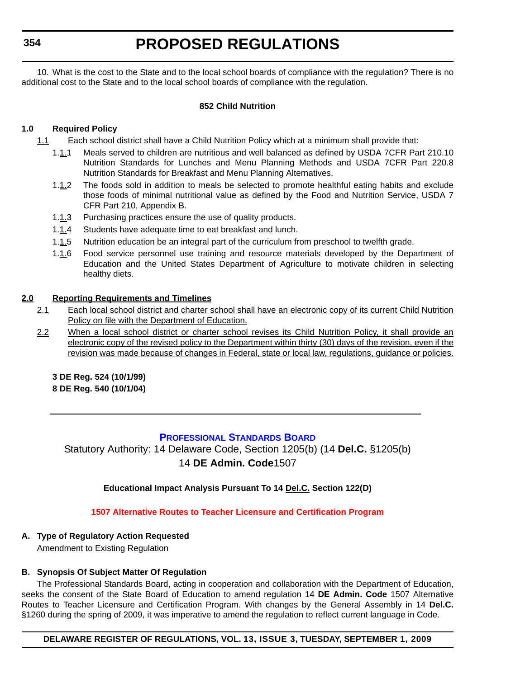**354**

# **PROPOSED REGULATIONS**

10. What is the cost to the State and to the local school boards of compliance with the regulation? There is no additional cost to the State and to the local school boards of compliance with the regulation.

## **852 Child Nutrition**

# **1.0 Required Policy**

- 1.1 Each school district shall have a Child Nutrition Policy which at a minimum shall provide that:
	- 1.1.1 Meals served to children are nutritious and well balanced as defined by USDA 7CFR Part 210.10 Nutrition Standards for Lunches and Menu Planning Methods and USDA 7CFR Part 220.8 Nutrition Standards for Breakfast and Menu Planning Alternatives.
	- 1.1.2 The foods sold in addition to meals be selected to promote healthful eating habits and exclude those foods of minimal nutritional value as defined by the Food and Nutrition Service, USDA 7 CFR Part 210, Appendix B.
	- 1.1.3 Purchasing practices ensure the use of quality products.
	- 1.1.4 Students have adequate time to eat breakfast and lunch.
	- 1.1.5 Nutrition education be an integral part of the curriculum from preschool to twelfth grade.
	- 1.1.6 Food service personnel use training and resource materials developed by the Department of Education and the United States Department of Agriculture to motivate children in selecting healthy diets.

### **2.0 Reporting Requirements and Timelines**

- 2.1 Each local school district and charter school shall have an electronic copy of its current Child Nutrition Policy on file with the Department of Education.
- 2.2 When a local school district or charter school revises its Child Nutrition Policy, it shall provide an electronic copy of the revised policy to the Department within thirty (30) days of the revision, even if the revision was made because of changes in Federal, state or local law, regulations, guidance or policies.

**3 DE Reg. 524 (10/1/99)**

**8 DE Reg. 540 (10/1/04)**

# **[PROFESSIONAL STANDARDS BOARD](http://www.doe.k12.de.us/)**

Statutory Authority: 14 Delaware Code, Section 1205(b) (14 **Del.C.** §1205(b) 14 **DE Admin. Code**1507

**Educational Impact Analysis Pursuant To 14 Del.C. Section 122(D)**

# **[1507 Alternative Routes to Teacher Licensure and Certification Program](#page-3-0)**

# **A. Type of Regulatory Action Requested**

Amendment to Existing Regulation

# **B. Synopsis Of Subject Matter Of Regulation**

The Professional Standards Board, acting in cooperation and collaboration with the Department of Education, seeks the consent of the State Board of Education to amend regulation 14 **DE Admin. Code** 1507 Alternative Routes to Teacher Licensure and Certification Program. With changes by the General Assembly in 14 **Del.C.** §1260 during the spring of 2009, it was imperative to amend the regulation to reflect current language in Code.

**DELAWARE REGISTER OF REGULATIONS, VOL. 13, ISSUE 3, TUESDAY, SEPTEMBER 1, 2009**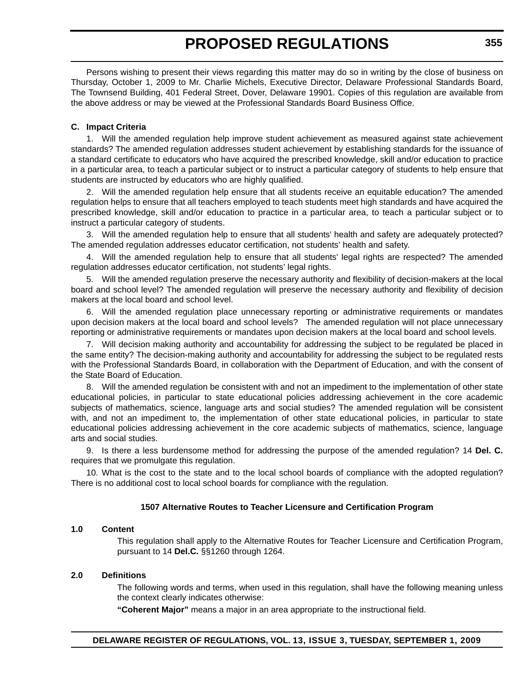Persons wishing to present their views regarding this matter may do so in writing by the close of business on Thursday, October 1, 2009 to Mr. Charlie Michels, Executive Director, Delaware Professional Standards Board, The Townsend Building, 401 Federal Street, Dover, Delaware 19901. Copies of this regulation are available from the above address or may be viewed at the Professional Standards Board Business Office.

# **C. Impact Criteria**

1. Will the amended regulation help improve student achievement as measured against state achievement standards? The amended regulation addresses student achievement by establishing standards for the issuance of a standard certificate to educators who have acquired the prescribed knowledge, skill and/or education to practice in a particular area, to teach a particular subject or to instruct a particular category of students to help ensure that students are instructed by educators who are highly qualified.

2. Will the amended regulation help ensure that all students receive an equitable education? The amended regulation helps to ensure that all teachers employed to teach students meet high standards and have acquired the prescribed knowledge, skill and/or education to practice in a particular area, to teach a particular subject or to instruct a particular category of students.

Will the amended regulation help to ensure that all students' health and safety are adequately protected? The amended regulation addresses educator certification, not students' health and safety.

4. Will the amended regulation help to ensure that all students' legal rights are respected? The amended regulation addresses educator certification, not students' legal rights.

5. Will the amended regulation preserve the necessary authority and flexibility of decision-makers at the local board and school level? The amended regulation will preserve the necessary authority and flexibility of decision makers at the local board and school level.

6. Will the amended regulation place unnecessary reporting or administrative requirements or mandates upon decision makers at the local board and school levels? The amended regulation will not place unnecessary reporting or administrative requirements or mandates upon decision makers at the local board and school levels.

7. Will decision making authority and accountability for addressing the subject to be regulated be placed in the same entity? The decision-making authority and accountability for addressing the subject to be regulated rests with the Professional Standards Board, in collaboration with the Department of Education, and with the consent of the State Board of Education.

8. Will the amended regulation be consistent with and not an impediment to the implementation of other state educational policies, in particular to state educational policies addressing achievement in the core academic subjects of mathematics, science, language arts and social studies? The amended regulation will be consistent with, and not an impediment to, the implementation of other state educational policies, in particular to state educational policies addressing achievement in the core academic subjects of mathematics, science, language arts and social studies.

9. Is there a less burdensome method for addressing the purpose of the amended regulation? 14 **Del. C.** requires that we promulgate this regulation.

10. What is the cost to the state and to the local school boards of compliance with the adopted regulation? There is no additional cost to local school boards for compliance with the regulation.

# **1507 Alternative Routes to Teacher Licensure and Certification Program**

# **1.0 Content**

This regulation shall apply to the Alternative Routes for Teacher Licensure and Certification Program, pursuant to 14 **Del.C.** §§1260 through 1264.

# **2.0 Definitions**

The following words and terms, when used in this regulation, shall have the following meaning unless the context clearly indicates otherwise:

**"Coherent Major"** means a major in an area appropriate to the instructional field.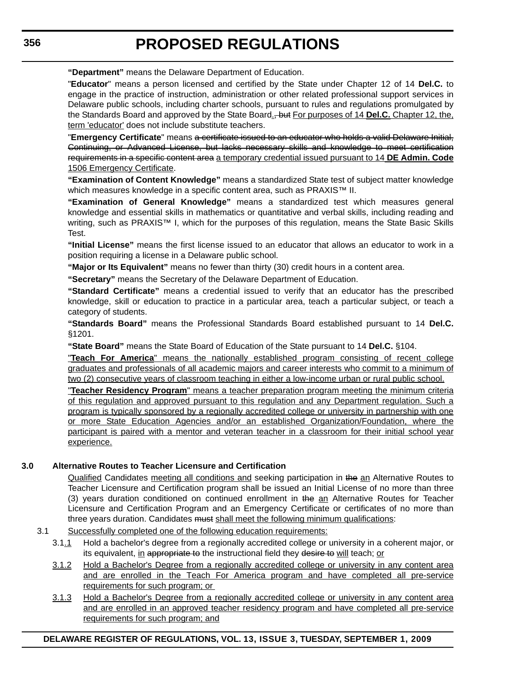**"Department"** means the Delaware Department of Education.

"**Educator**" means a person licensed and certified by the State under Chapter 12 of 14 **Del.C.** to engage in the practice of instruction, administration or other related professional support services in Delaware public schools, including charter schools, pursuant to rules and regulations promulgated by the Standards Board and approved by the State Board., but For purposes of 14 **Del.C.** Chapter 12, the, term 'educator' does not include substitute teachers.

"**Emergency Certificate**" means a certificate issued to an educator who holds a valid Delaware Initial, Continuing, or Advanced License, but lacks necessary skills and knowledge to meet certification requirements in a specific content area a temporary credential issued pursuant to 14 **DE Admin. Code**  1506 Emergency Certificate.

**"Examination of Content Knowledge"** means a standardized State test of subject matter knowledge which measures knowledge in a specific content area, such as PRAXIS™ II.

**"Examination of General Knowledge"** means a standardized test which measures general knowledge and essential skills in mathematics or quantitative and verbal skills, including reading and writing, such as PRAXIS™ I, which for the purposes of this regulation, means the State Basic Skills Test.

**"Initial License"** means the first license issued to an educator that allows an educator to work in a position requiring a license in a Delaware public school.

**"Major or Its Equivalent"** means no fewer than thirty (30) credit hours in a content area.

**"Secretary"** means the Secretary of the Delaware Department of Education.

**"Standard Certificate"** means a credential issued to verify that an educator has the prescribed knowledge, skill or education to practice in a particular area, teach a particular subject, or teach a category of students.

**"Standards Board"** means the Professional Standards Board established pursuant to 14 **Del.C.**  §1201.

**"State Board"** means the State Board of Education of the State pursuant to 14 **Del.C.** §104.

"**Teach For America**" means the nationally established program consisting of recent college graduates and professionals of all academic majors and career interests who commit to a minimum of two (2) consecutive years of classroom teaching in either a low-income urban or rural public school.

"**Teacher Residency Program**" means a teacher preparation program meeting the minimum criteria of this regulation and approved pursuant to this regulation and any Department regulation. Such a program is typically sponsored by a regionally accredited college or university in partnership with one or more State Education Agencies and/or an established Organization/Foundation, where the participant is paired with a mentor and veteran teacher in a classroom for their initial school year experience.

# **3.0 Alternative Routes to Teacher Licensure and Certification**

Qualified Candidates meeting all conditions and seeking participation in the an Alternative Routes to Teacher Licensure and Certification program shall be issued an Initial License of no more than three (3) years duration conditioned on continued enrollment in the an Alternative Routes for Teacher Licensure and Certification Program and an Emergency Certificate or certificates of no more than three years duration. Candidates must shall meet the following minimum qualifications:

# 3.1 Successfully completed one of the following education requirements:

- 3.1.1 Hold a bachelor's degree from a regionally accredited college or university in a coherent major, or its equivalent, in appropriate to the instructional field they desire to will teach; or
- 3.1.2 Hold a Bachelor's Degree from a regionally accredited college or university in any content area and are enrolled in the Teach For America program and have completed all pre-service requirements for such program; or
- 3.1.3 Hold a Bachelor's Degree from a regionally accredited college or university in any content area and are enrolled in an approved teacher residency program and have completed all pre-service requirements for such program; and

# **DELAWARE REGISTER OF REGULATIONS, VOL. 13, ISSUE 3, TUESDAY, SEPTEMBER 1, 2009**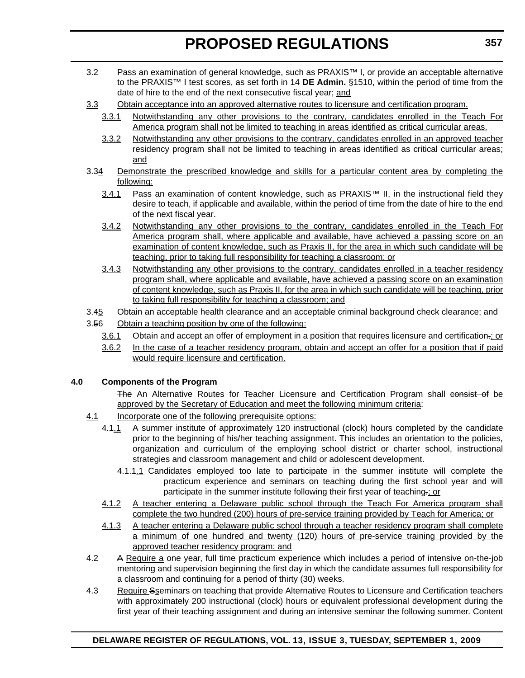- 3.2 Pass an examination of general knowledge, such as PRAXIS™ I, or provide an acceptable alternative to the PRAXIS™ I test scores, as set forth in 14 **DE Admin.** §1510, within the period of time from the date of hire to the end of the next consecutive fiscal year; and
- 3.3 Obtain acceptance into an approved alternative routes to licensure and certification program.
	- 3.3.1 Notwithstanding any other provisions to the contrary, candidates enrolled in the Teach For America program shall not be limited to teaching in areas identified as critical curricular areas.
	- 3.3.2 Notwithstanding any other provisions to the contrary, candidates enrolled in an approved teacher residency program shall not be limited to teaching in areas identified as critical curricular areas; and
- 3.34 Demonstrate the prescribed knowledge and skills for a particular content area by completing the following:
	- 3.4.1 Pass an examination of content knowledge, such as PRAXIS™ II, in the instructional field they desire to teach, if applicable and available, within the period of time from the date of hire to the end of the next fiscal year.
	- 3.4.2 Notwithstanding any other provisions to the contrary, candidates enrolled in the Teach For America program shall, where applicable and available, have achieved a passing score on an examination of content knowledge, such as Praxis II, for the area in which such candidate will be teaching, prior to taking full responsibility for teaching a classroom; or
	- 3.4.3 Notwithstanding any other provisions to the contrary, candidates enrolled in a teacher residency program shall, where applicable and available, have achieved a passing score on an examination of content knowledge, such as Praxis II, for the area in which such candidate will be teaching, prior to taking full responsibility for teaching a classroom; and
- 3.45 Obtain an acceptable health clearance and an acceptable criminal background check clearance; and
- 3.56 Obtain a teaching position by one of the following:
	- 3.6.1 Obtain and accept an offer of employment in a position that requires licensure and certification.; or
	- 3.6.2 In the case of a teacher residency program, obtain and accept an offer for a position that if paid would require licensure and certification.

# **4.0 Components of the Program**

The An Alternative Routes for Teacher Licensure and Certification Program shall consist of be approved by the Secretary of Education and meet the following minimum criteria:

- 4.1 Incorporate one of the following prerequisite options:
	- 4.1.1 A summer institute of approximately 120 instructional (clock) hours completed by the candidate prior to the beginning of his/her teaching assignment. This includes an orientation to the policies, organization and curriculum of the employing school district or charter school, instructional strategies and classroom management and child or adolescent development.
		- 4.1.1.1 Candidates employed too late to participate in the summer institute will complete the practicum experience and seminars on teaching during the first school year and will participate in the summer institute following their first year of teaching.; or
	- 4.1.2 A teacher entering a Delaware public school through the Teach For America program shall complete the two hundred (200) hours of pre-service training provided by Teach for America; or
	- 4.1.3 A teacher entering a Delaware public school through a teacher residency program shall complete a minimum of one hundred and twenty (120) hours of pre-service training provided by the approved teacher residency program; and
- 4.2 A Require a one year, full time practicum experience which includes a period of intensive on-the-job mentoring and supervision beginning the first day in which the candidate assumes full responsibility for a classroom and continuing for a period of thirty (30) weeks.
- 4.3 Require Sseminars on teaching that provide Alternative Routes to Licensure and Certification teachers with approximately 200 instructional (clock) hours or equivalent professional development during the first year of their teaching assignment and during an intensive seminar the following summer. Content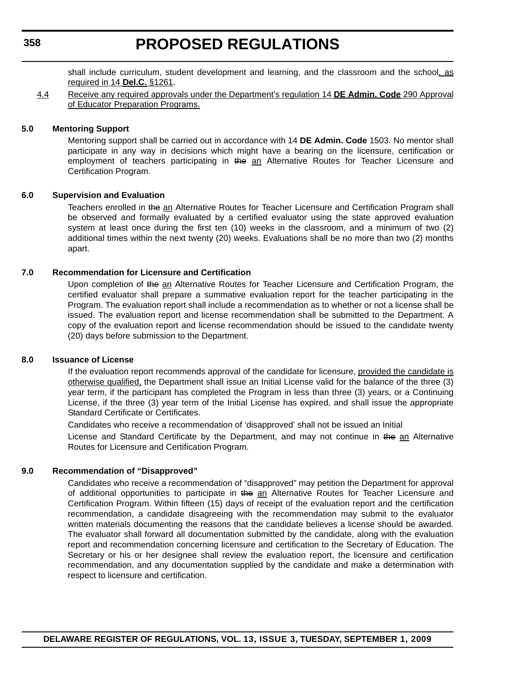# **358**

# **PROPOSED REGULATIONS**

shall include curriculum, student development and learning, and the classroom and the school, as required in 14 **Del.C.** §1261.

4.4 Receive any required approvals under the Department's regulation 14 **DE Admin. Code** 290 Approval of Educator Preparation Programs.

### **5.0 Mentoring Support**

Mentoring support shall be carried out in accordance with 14 **DE Admin. Code** 1503. No mentor shall participate in any way in decisions which might have a bearing on the licensure, certification or employment of teachers participating in the an Alternative Routes for Teacher Licensure and Certification Program.

### **6.0 Supervision and Evaluation**

Teachers enrolled in the an Alternative Routes for Teacher Licensure and Certification Program shall be observed and formally evaluated by a certified evaluator using the state approved evaluation system at least once during the first ten (10) weeks in the classroom, and a minimum of two (2) additional times within the next twenty (20) weeks. Evaluations shall be no more than two (2) months apart.

# **7.0 Recommendation for Licensure and Certification**

Upon completion of the an Alternative Routes for Teacher Licensure and Certification Program, the certified evaluator shall prepare a summative evaluation report for the teacher participating in the Program. The evaluation report shall include a recommendation as to whether or not a license shall be issued. The evaluation report and license recommendation shall be submitted to the Department. A copy of the evaluation report and license recommendation should be issued to the candidate twenty (20) days before submission to the Department.

#### **8.0 Issuance of License**

If the evaluation report recommends approval of the candidate for licensure, provided the candidate is otherwise qualified, the Department shall issue an Initial License valid for the balance of the three (3) year term, if the participant has completed the Program in less than three (3) years, or a Continuing License, if the three (3) year term of the Initial License has expired, and shall issue the appropriate Standard Certificate or Certificates.

Candidates who receive a recommendation of 'disapproved' shall not be issued an Initial

License and Standard Certificate by the Department, and may not continue in the an Alternative Routes for Licensure and Certification Program.

# **9.0 Recommendation of "Disapproved"**

Candidates who receive a recommendation of "disapproved" may petition the Department for approval of additional opportunities to participate in the an Alternative Routes for Teacher Licensure and Certification Program. Within fifteen (15) days of receipt of the evaluation report and the certification recommendation, a candidate disagreeing with the recommendation may submit to the evaluator written materials documenting the reasons that the candidate believes a license should be awarded. The evaluator shall forward all documentation submitted by the candidate, along with the evaluation report and recommendation concerning licensure and certification to the Secretary of Education. The Secretary or his or her designee shall review the evaluation report, the licensure and certification recommendation, and any documentation supplied by the candidate and make a determination with respect to licensure and certification.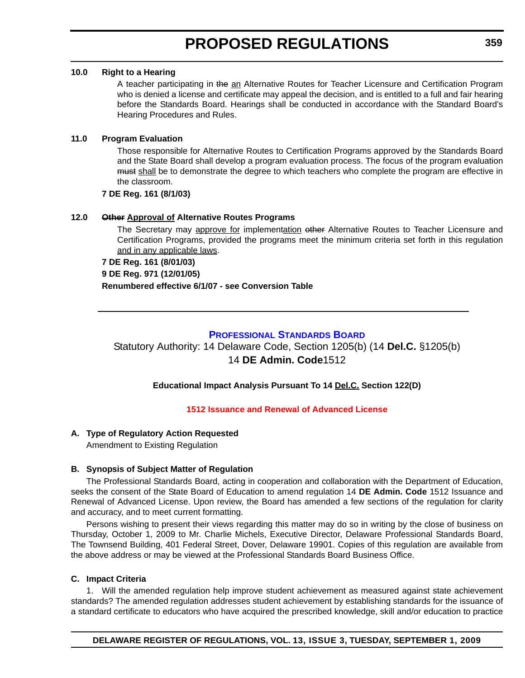### **10.0 Right to a Hearing**

A teacher participating in the an Alternative Routes for Teacher Licensure and Certification Program who is denied a license and certificate may appeal the decision, and is entitled to a full and fair hearing before the Standards Board. Hearings shall be conducted in accordance with the Standard Board's Hearing Procedures and Rules.

# **11.0 Program Evaluation**

Those responsible for Alternative Routes to Certification Programs approved by the Standards Board and the State Board shall develop a program evaluation process. The focus of the program evaluation must shall be to demonstrate the degree to which teachers who complete the program are effective in the classroom.

**7 DE Reg. 161 (8/1/03)**

# **12.0 Other Approval of Alternative Routes Programs**

The Secretary may approve for implementation other Alternative Routes to Teacher Licensure and Certification Programs, provided the programs meet the minimum criteria set forth in this regulation and in any applicable laws.

#### **7 DE Reg. 161 (8/01/03)**

**9 DE Reg. 971 (12/01/05)**

**Renumbered effective 6/1/07 - see Conversion Table**

# **[PROFESSIONAL STANDARDS BOARD](http://www.doe.k12.de.us/)**

Statutory Authority: 14 Delaware Code, Section 1205(b) (14 **Del.C.** §1205(b) 14 **DE Admin. Code**1512

# **Educational Impact Analysis Pursuant To 14 Del.C. Section 122(D)**

# **[1512 Issuance and Renewal of Advanced License](#page-3-0)**

# **A. Type of Regulatory Action Requested**

Amendment to Existing Regulation

# **B. Synopsis of Subject Matter of Regulation**

The Professional Standards Board, acting in cooperation and collaboration with the Department of Education, seeks the consent of the State Board of Education to amend regulation 14 **DE Admin. Code** 1512 Issuance and Renewal of Advanced License. Upon review, the Board has amended a few sections of the regulation for clarity and accuracy, and to meet current formatting.

Persons wishing to present their views regarding this matter may do so in writing by the close of business on Thursday, October 1, 2009 to Mr. Charlie Michels, Executive Director, Delaware Professional Standards Board, The Townsend Building, 401 Federal Street, Dover, Delaware 19901. Copies of this regulation are available from the above address or may be viewed at the Professional Standards Board Business Office.

# **C. Impact Criteria**

1. Will the amended regulation help improve student achievement as measured against state achievement standards? The amended regulation addresses student achievement by establishing standards for the issuance of a standard certificate to educators who have acquired the prescribed knowledge, skill and/or education to practice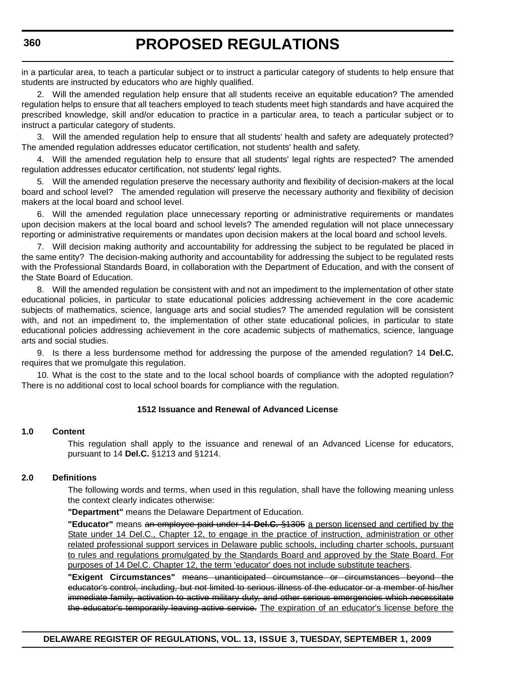in a particular area, to teach a particular subject or to instruct a particular category of students to help ensure that students are instructed by educators who are highly qualified.

2. Will the amended regulation help ensure that all students receive an equitable education? The amended regulation helps to ensure that all teachers employed to teach students meet high standards and have acquired the prescribed knowledge, skill and/or education to practice in a particular area, to teach a particular subject or to instruct a particular category of students.

3. Will the amended regulation help to ensure that all students' health and safety are adequately protected? The amended regulation addresses educator certification, not students' health and safety.

4. Will the amended regulation help to ensure that all students' legal rights are respected? The amended regulation addresses educator certification, not students' legal rights.

5. Will the amended regulation preserve the necessary authority and flexibility of decision-makers at the local board and school level? The amended regulation will preserve the necessary authority and flexibility of decision makers at the local board and school level.

6. Will the amended regulation place unnecessary reporting or administrative requirements or mandates upon decision makers at the local board and school levels? The amended regulation will not place unnecessary reporting or administrative requirements or mandates upon decision makers at the local board and school levels.

7. Will decision making authority and accountability for addressing the subject to be regulated be placed in the same entity? The decision-making authority and accountability for addressing the subject to be regulated rests with the Professional Standards Board, in collaboration with the Department of Education, and with the consent of the State Board of Education.

8. Will the amended regulation be consistent with and not an impediment to the implementation of other state educational policies, in particular to state educational policies addressing achievement in the core academic subjects of mathematics, science, language arts and social studies? The amended regulation will be consistent with, and not an impediment to, the implementation of other state educational policies, in particular to state educational policies addressing achievement in the core academic subjects of mathematics, science, language arts and social studies.

9. Is there a less burdensome method for addressing the purpose of the amended regulation? 14 **Del.C.**  requires that we promulgate this regulation.

10. What is the cost to the state and to the local school boards of compliance with the adopted regulation? There is no additional cost to local school boards for compliance with the regulation.

# **1512 Issuance and Renewal of Advanced License**

#### **1.0 Content**

This regulation shall apply to the issuance and renewal of an Advanced License for educators, pursuant to 14 **Del.C.** §1213 and §1214.

# **2.0 Definitions**

The following words and terms, when used in this regulation, shall have the following meaning unless the context clearly indicates otherwise:

**"Department"** means the Delaware Department of Education.

**"Educator"** means an employee paid under 14 **Del.C.** §1305 a person licensed and certified by the State under 14 Del.C., Chapter 12, to engage in the practice of instruction, administration or other related professional support services in Delaware public schools, including charter schools, pursuant to rules and regulations promulgated by the Standards Board and approved by the State Board. For purposes of 14 Del.C. Chapter 12, the term 'educator' does not include substitute teachers.

**"Exigent Circumstances"** means unanticipated circumstance or circumstances beyond the educator's control, including, but not limited to serious illness of the educator or a member of his/her immediate family, activation to active military duty, and other serious emergencies which necessitate the educator's temporarily leaving active service. The expiration of an educator's license before the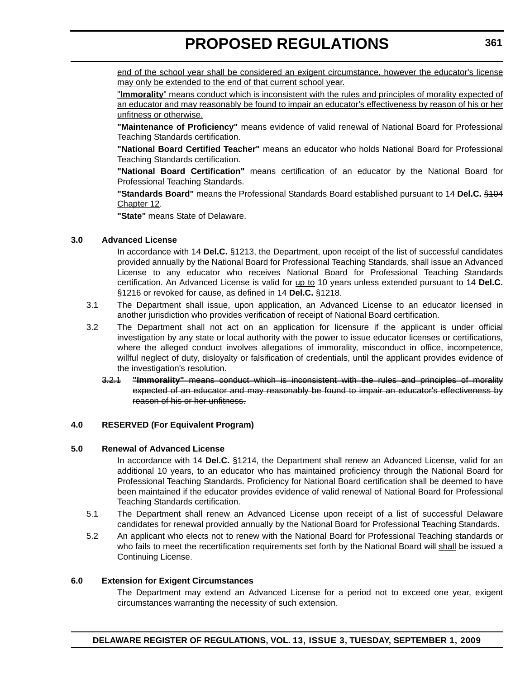end of the school year shall be considered an exigent circumstance, however the educator's license may only be extended to the end of that current school year.

"**Immorality**" means conduct which is inconsistent with the rules and principles of morality expected of an educator and may reasonably be found to impair an educator's effectiveness by reason of his or her unfitness or otherwise.

**"Maintenance of Proficiency"** means evidence of valid renewal of National Board for Professional Teaching Standards certification.

**"National Board Certified Teacher"** means an educator who holds National Board for Professional Teaching Standards certification.

**"National Board Certification"** means certification of an educator by the National Board for Professional Teaching Standards.

**"Standards Board"** means the Professional Standards Board established pursuant to 14 **Del.C.** §104 Chapter 12.

**"State"** means State of Delaware.

### **3.0 Advanced License**

In accordance with 14 **Del.C.** §1213, the Department, upon receipt of the list of successful candidates provided annually by the National Board for Professional Teaching Standards, shall issue an Advanced License to any educator who receives National Board for Professional Teaching Standards certification. An Advanced License is valid for up to 10 years unless extended pursuant to 14 Del.C. §1216 or revoked for cause, as defined in 14 **Del.C.** §1218.

- 3.1 The Department shall issue, upon application, an Advanced License to an educator licensed in another jurisdiction who provides verification of receipt of National Board certification.
- 3.2 The Department shall not act on an application for licensure if the applicant is under official investigation by any state or local authority with the power to issue educator licenses or certifications, where the alleged conduct involves allegations of immorality, misconduct in office, incompetence, willful neglect of duty, disloyalty or falsification of credentials, until the applicant provides evidence of the investigation's resolution.
	- 3.2.1 **"Immorality"** means conduct which is inconsistent with the rules and principles of morality expected of an educator and may reasonably be found to impair an educator's effectiveness by reason of his or her unfitness.

# **4.0 RESERVED (For Equivalent Program)**

#### **5.0 Renewal of Advanced License**

In accordance with 14 **Del.C.** §1214, the Department shall renew an Advanced License, valid for an additional 10 years, to an educator who has maintained proficiency through the National Board for Professional Teaching Standards. Proficiency for National Board certification shall be deemed to have been maintained if the educator provides evidence of valid renewal of National Board for Professional Teaching Standards certification.

- 5.1 The Department shall renew an Advanced License upon receipt of a list of successful Delaware candidates for renewal provided annually by the National Board for Professional Teaching Standards.
- 5.2 An applicant who elects not to renew with the National Board for Professional Teaching standards or who fails to meet the recertification requirements set forth by the National Board will shall be issued a Continuing License.

#### **6.0 Extension for Exigent Circumstances**

The Department may extend an Advanced License for a period not to exceed one year, exigent circumstances warranting the necessity of such extension.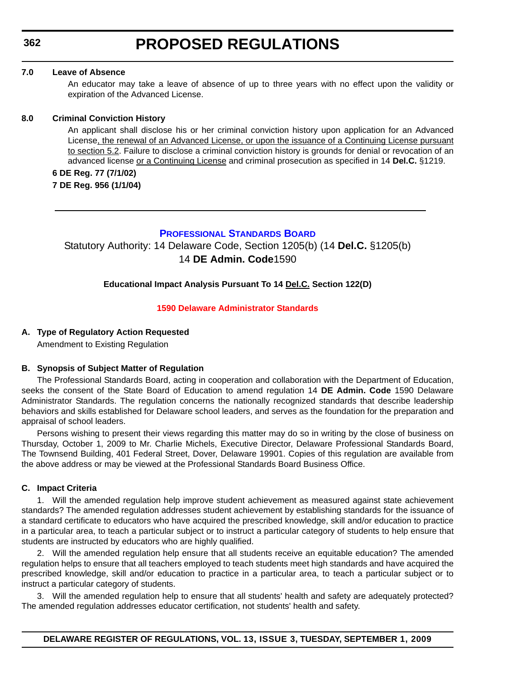#### **7.0 Leave of Absence**

An educator may take a leave of absence of up to three years with no effect upon the validity or expiration of the Advanced License.

#### **8.0 Criminal Conviction History**

An applicant shall disclose his or her criminal conviction history upon application for an Advanced License, the renewal of an Advanced License, or upon the issuance of a Continuing License pursuant to section 5.2. Failure to disclose a criminal conviction history is grounds for denial or revocation of an advanced license or a Continuing License and criminal prosecution as specified in 14 **Del.C.** §1219.

### **6 DE Reg. 77 (7/1/02)**

**7 DE Reg. 956 (1/1/04)**

# **[PROFESSIONAL STANDARDS BOARD](http://www.doe.k12.de.us/)**

Statutory Authority: 14 Delaware Code, Section 1205(b) (14 **Del.C.** §1205(b) 14 **DE Admin. Code**1590

### **Educational Impact Analysis Pursuant To 14 Del.C. Section 122(D)**

#### **[1590 Delaware Administrator Standards](#page-3-0)**

### **A. Type of Regulatory Action Requested**

Amendment to Existing Regulation

#### **B. Synopsis of Subject Matter of Regulation**

The Professional Standards Board, acting in cooperation and collaboration with the Department of Education, seeks the consent of the State Board of Education to amend regulation 14 **DE Admin. Code** 1590 Delaware Administrator Standards. The regulation concerns the nationally recognized standards that describe leadership behaviors and skills established for Delaware school leaders, and serves as the foundation for the preparation and appraisal of school leaders.

Persons wishing to present their views regarding this matter may do so in writing by the close of business on Thursday, October 1, 2009 to Mr. Charlie Michels, Executive Director, Delaware Professional Standards Board, The Townsend Building, 401 Federal Street, Dover, Delaware 19901. Copies of this regulation are available from the above address or may be viewed at the Professional Standards Board Business Office.

#### **C. Impact Criteria**

1. Will the amended regulation help improve student achievement as measured against state achievement standards? The amended regulation addresses student achievement by establishing standards for the issuance of a standard certificate to educators who have acquired the prescribed knowledge, skill and/or education to practice in a particular area, to teach a particular subject or to instruct a particular category of students to help ensure that students are instructed by educators who are highly qualified.

2. Will the amended regulation help ensure that all students receive an equitable education? The amended regulation helps to ensure that all teachers employed to teach students meet high standards and have acquired the prescribed knowledge, skill and/or education to practice in a particular area, to teach a particular subject or to instruct a particular category of students.

3. Will the amended regulation help to ensure that all students' health and safety are adequately protected? The amended regulation addresses educator certification, not students' health and safety.

**DELAWARE REGISTER OF REGULATIONS, VOL. 13, ISSUE 3, TUESDAY, SEPTEMBER 1, 2009**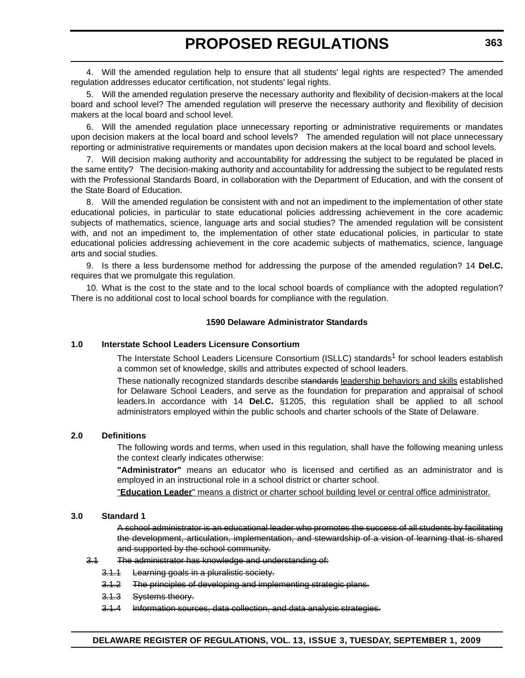4. Will the amended regulation help to ensure that all students' legal rights are respected? The amended regulation addresses educator certification, not students' legal rights.

5. Will the amended regulation preserve the necessary authority and flexibility of decision-makers at the local board and school level? The amended regulation will preserve the necessary authority and flexibility of decision makers at the local board and school level.

6. Will the amended regulation place unnecessary reporting or administrative requirements or mandates upon decision makers at the local board and school levels? The amended regulation will not place unnecessary reporting or administrative requirements or mandates upon decision makers at the local board and school levels.

7. Will decision making authority and accountability for addressing the subject to be regulated be placed in the same entity? The decision-making authority and accountability for addressing the subject to be regulated rests with the Professional Standards Board, in collaboration with the Department of Education, and with the consent of the State Board of Education.

8. Will the amended regulation be consistent with and not an impediment to the implementation of other state educational policies, in particular to state educational policies addressing achievement in the core academic subjects of mathematics, science, language arts and social studies? The amended regulation will be consistent with, and not an impediment to, the implementation of other state educational policies, in particular to state educational policies addressing achievement in the core academic subjects of mathematics, science, language arts and social studies.

9. Is there a less burdensome method for addressing the purpose of the amended regulation? 14 **Del.C.**  requires that we promulgate this regulation.

10. What is the cost to the state and to the local school boards of compliance with the adopted regulation? There is no additional cost to local school boards for compliance with the regulation.

### **1590 Delaware Administrator Standards**

# **1.0 Interstate School Leaders Licensure Consortium**

The Interstate School Leaders Licensure Consortium (ISLLC) standards<sup>1</sup> for school leaders establish a common set of knowledge, skills and attributes expected of school leaders.

These nationally recognized standards describe standards leadership behaviors and skills established for Delaware School Leaders, and serve as the foundation for preparation and appraisal of school leaders.In accordance with 14 **Del.C.** §1205, this regulation shall be applied to all school administrators employed within the public schools and charter schools of the State of Delaware.

#### **2.0 Definitions**

The following words and terms, when used in this regulation, shall have the following meaning unless the context clearly indicates otherwise:

**"Administrator"** means an educator who is licensed and certified as an administrator and is employed in an instructional role in a school district or charter school.

"**Education Leader**" means a district or charter school building level or central office administrator.

### **3.0 Standard 1**

A school administrator is an educational leader who promotes the success of all students by facilitating the development, articulation, implementation, and stewardship of a vision of learning that is shared and supported by the school community.

### 3.1 The administrator has knowledge and understanding of:

- 3.1.1 Learning goals in a pluralistic society.
- 3.1.2 The principles of developing and implementing strategic plans.
- 3.1.3 Systems theory.
- 3.1.4 Information sources, data collection, and data analysis strategies.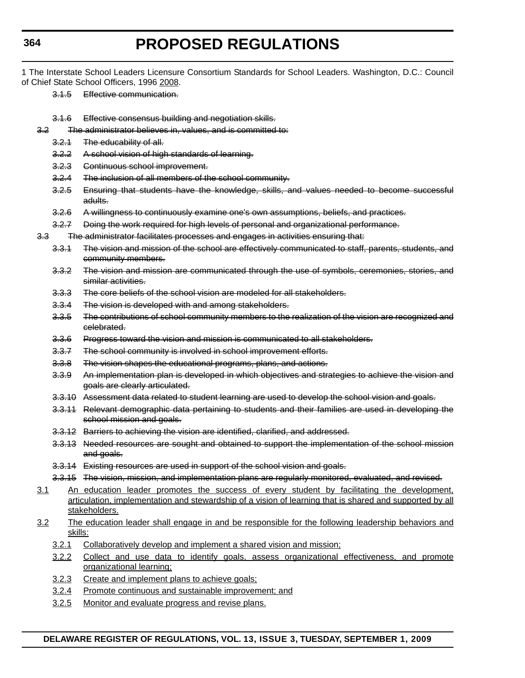- 1 The Interstate School Leaders Licensure Consortium Standards for School Leaders. Washington, D.C.: Council of Chief State School Officers, 1996 2008.
	- 3.1.5 Effective communication.
	- 3.1.6 Effective consensus building and negotiation skills.
	- 3.2 The administrator believes in, values, and is committed to:
		- 3.2.1 The educability of all.
		- 3.2.2 A school vision of high standards of learning.
		- 3.2.3 Continuous school improvement.
		- 3.2.4 The inclusion of all members of the school community.
		- 3.2.5 Ensuring that students have the knowledge, skills, and values needed to become successful adults.
		- 3.2.6 A willingness to continuously examine one's own assumptions, beliefs, and practices.
		- 3.2.7 Doing the work required for high levels of personal and organizational performance.
	- 3.3 The administrator facilitates processes and engages in activities ensuring that:
		- 3.3.1 The vision and mission of the school are effectively communicated to staff, parents, students, and community members.
		- 3.3.2 The vision and mission are communicated through the use of symbols, ceremonies, stories, and similar activities.
		- 3.3.3 The core beliefs of the school vision are modeled for all stakeholders.
		- 3.3.4 The vision is developed with and among stakeholders.
		- 3.3.5 The contributions of school community members to the realization of the vision are recognized and celebrated.
		- 3.3.6 Progress toward the vision and mission is communicated to all stakeholders.
		- 3.3.7 The school community is involved in school improvement efforts.
		- 3.3.8 The vision shapes the educational programs, plans, and actions.
		- 3.3.9 An implementation plan is developed in which objectives and strategies to achieve the vision and goals are clearly articulated.
		- 3.3.10 Assessment data related to student learning are used to develop the school vision and goals.
		- 3.3.11 Relevant demographic data pertaining to students and their families are used in developing the school mission and goals.
		- 3.3.12 Barriers to achieving the vision are identified, clarified, and addressed.
		- 3.3.13 Needed resources are sought and obtained to support the implementation of the school mission and goals.
		- 3.3.14 Existing resources are used in support of the school vision and goals.
		- 3.3.15 The vision, mission, and implementation plans are regularly monitored, evaluated, and revised.
	- 3.1 An education leader promotes the success of every student by facilitating the development, articulation, implementation and stewardship of a vision of learning that is shared and supported by all stakeholders.
	- 3.2 The education leader shall engage in and be responsible for the following leadership behaviors and skills:
		- 3.2.1 Collaboratively develop and implement a shared vision and mission;
		- 3.2.2 Collect and use data to identify goals, assess organizational effectiveness, and promote organizational learning;
		- 3.2.3 Create and implement plans to achieve goals;
		- 3.2.4 Promote continuous and sustainable improvement; and
		- 3.2.5 Monitor and evaluate progress and revise plans.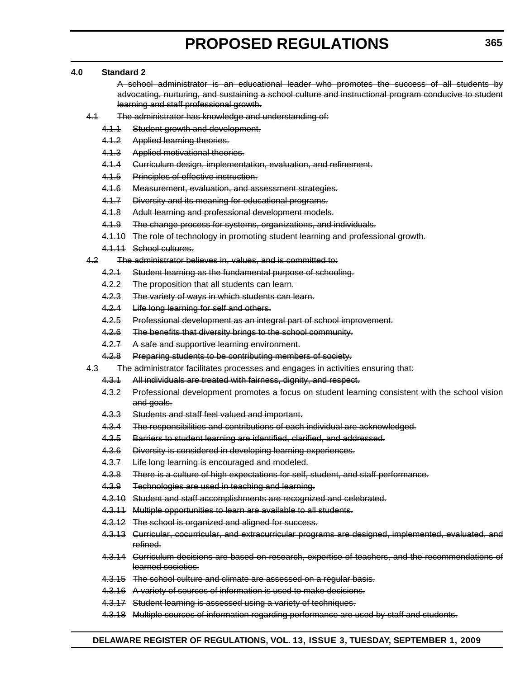## **4.0 Standard 2**

A school administrator is an educational leader who promotes the success of all students by advocating, nurturing, and sustaining a school culture and instructional program conducive to student learning and staff professional growth.

- 4.1 The administrator has knowledge and understanding of:
	- 4.1.1 Student growth and development.
	- 4.1.2 Applied learning theories.
	- 4.1.3 Applied motivational theories.
	- 4.1.4 Curriculum design, implementation, evaluation, and refinement.
	- 4.1.5 Principles of effective instruction.
	- 4.1.6 Measurement, evaluation, and assessment strategies.
	- 4.1.7 Diversity and its meaning for educational programs.
	- 4.1.8 Adult learning and professional development models.
	- 4.1.9 The change process for systems, organizations, and individuals.
	- 4.1.10 The role of technology in promoting student learning and professional growth.
	- 4.1.11 School cultures.
- 4.2 The administrator believes in, values, and is committed to:
	- 4.2.1 Student learning as the fundamental purpose of schooling.
	- 4.2.2 The proposition that all students can learn.
	- 4.2.3 The variety of ways in which students can learn.
	- 4.2.4 Life long learning for self and others.
	- 4.2.5 Professional development as an integral part of school improvement.
	- 4.2.6 The benefits that diversity brings to the school community.
	- 4.2.7 A safe and supportive learning environment.
	- 4.2.8 Preparing students to be contributing members of society.
- 4.3 The administrator facilitates processes and engages in activities ensuring that:
	- 4.3.1 All individuals are treated with fairness, dignity, and respect.
	- 4.3.2 Professional development promotes a focus on student learning consistent with the school vision and goals.
	- 4.3.3 Students and staff feel valued and important.
	- 4.3.4 The responsibilities and contributions of each individual are acknowledged.
	- 4.3.5 Barriers to student learning are identified, clarified, and addressed.
	- 4.3.6 Diversity is considered in developing learning experiences.
	- 4.3.7 Life long learning is encouraged and modeled.
	- 4.3.8 There is a culture of high expectations for self, student, and staff performance.
	- 4.3.9 Technologies are used in teaching and learning.
	- 4.3.10 Student and staff accomplishments are recognized and celebrated.
	- 4.3.11 Multiple opportunities to learn are available to all students.
	- 4.3.12 The school is organized and aligned for success.
	- 4.3.13 Curricular, cocurricular, and extracurricular programs are designed, implemented, evaluated, and refined.
	- 4.3.14 Curriculum decisions are based on research, expertise of teachers, and the recommendations of learned societies.
	- 4.3.15 The school culture and climate are assessed on a regular basis.
	- 4.3.16 A variety of sources of information is used to make decisions.
	- 4.3.17 Student learning is assessed using a variety of techniques.
	- 4.3.18 Multiple sources of information regarding performance are used by staff and students.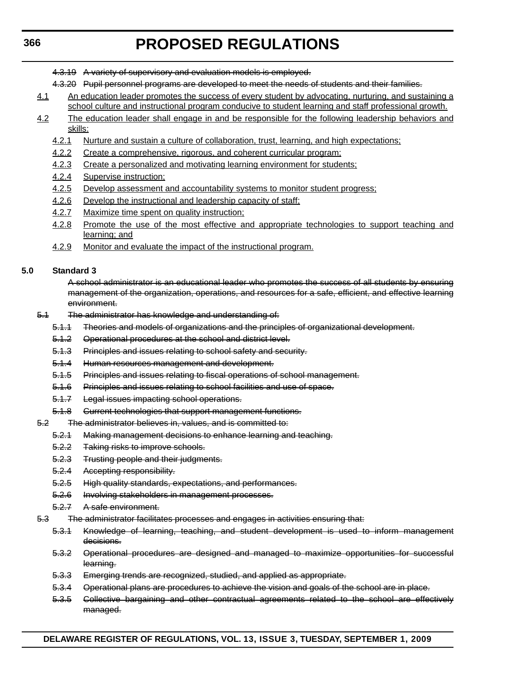- 4.3.19 A variety of supervisory and evaluation models is employed.
- 4.3.20 Pupil personnel programs are developed to meet the needs of students and their families.
- 4.1 An education leader promotes the success of every student by advocating, nurturing, and sustaining a school culture and instructional program conducive to student learning and staff professional growth.
- 4.2 The education leader shall engage in and be responsible for the following leadership behaviors and skills:
	- 4.2.1 Nurture and sustain a culture of collaboration, trust, learning, and high expectations;
	- 4.2.2 Create a comprehensive, rigorous, and coherent curricular program;
	- 4.2.3 Create a personalized and motivating learning environment for students;
	- 4.2.4 Supervise instruction;
	- 4.2.5 Develop assessment and accountability systems to monitor student progress;
	- 4.2.6 Develop the instructional and leadership capacity of staff;
	- 4.2.7 Maximize time spent on quality instruction;
	- 4.2.8 Promote the use of the most effective and appropriate technologies to support teaching and learning; and
	- 4.2.9 Monitor and evaluate the impact of the instructional program.

### **5.0 Standard 3**

A school administrator is an educational leader who promotes the success of all students by ensuring management of the organization, operations, and resources for a safe, efficient, and effective learning environment.

- 5.1 The administrator has knowledge and understanding of:
	- 5.1.1 Theories and models of organizations and the principles of organizational development.
	- 5.1.2 Operational procedures at the school and district level.
	- 5.1.3 Principles and issues relating to school safety and security.
	- 5.1.4 Human resources management and development.
	- 5.1.5 Principles and issues relating to fiscal operations of school management.
	- 5.1.6 Principles and issues relating to school facilities and use of space.
	- 5.1.7 Legal issues impacting school operations.
	- 5.1.8 Current technologies that support management functions.
- 5.2 The administrator believes in, values, and is committed to:
	- 5.2.1 Making management decisions to enhance learning and teaching.
	- 5.2.2 Taking risks to improve schools.
	- 5.2.3 Trusting people and their judgments.
	- 5.2.4 Accepting responsibility.
	- 5.2.5 High quality standards, expectations, and performances.
	- 5.2.6 Involving stakeholders in management processes.
	- 5.2.7 A safe environment.
- 5.3 The administrator facilitates processes and engages in activities ensuring that:
	- 5.3.1 Knowledge of learning, teaching, and student development is used to inform management decisions.
	- 5.3.2 Operational procedures are designed and managed to maximize opportunities for successful learning.
	- 5.3.3 Emerging trends are recognized, studied, and applied as appropriate.
	- 5.3.4 Operational plans are procedures to achieve the vision and goals of the school are in place.
	- 5.3.5 Collective bargaining and other contractual agreements related to the school are effectively managed.

# **DELAWARE REGISTER OF REGULATIONS, VOL. 13, ISSUE 3, TUESDAY, SEPTEMBER 1, 2009**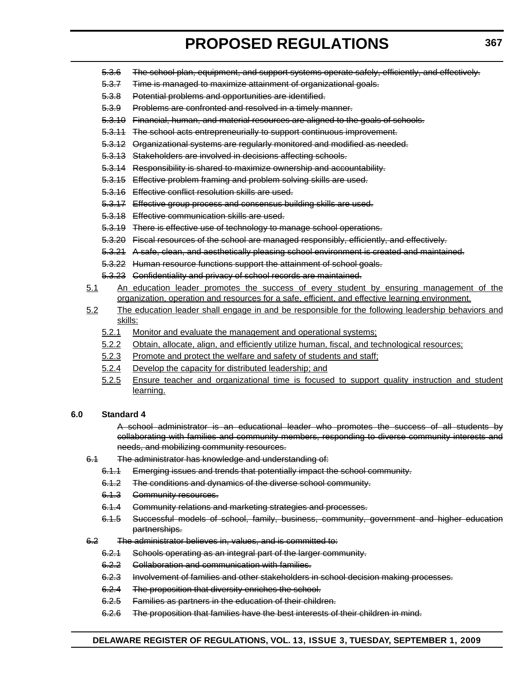- 5.3.6 The school plan, equipment, and support systems operate safely, efficiently, and effectively.
- 5.3.7 Time is managed to maximize attainment of organizational goals.
- 5.3.8 Potential problems and opportunities are identified.
- 5.3.9 Problems are confronted and resolved in a timely manner.
- 5.3.10 Financial, human, and material resources are aligned to the goals of schools.
- 5.3.11 The school acts entrepreneurially to support continuous improvement.
- 5.3.12 Organizational systems are regularly monitored and modified as needed.
- 5.3.13 Stakeholders are involved in decisions affecting schools.
- 5.3.14 Responsibility is shared to maximize ownership and accountability.
- 5.3.15 Effective problem framing and problem solving skills are used.
- 5.3.16 Effective conflict resolution skills are used.
- 5.3.17 Effective group process and consensus building skills are used.
- 5.3.18 Effective communication skills are used.
- 5.3.19 There is effective use of technology to manage school operations.
- 5.3.20 Fiscal resources of the school are managed responsibly, efficiently, and effectively.
- 5.3.21 A safe, clean, and aesthetically pleasing school environment is created and maintained.
- 5.3.22 Human resource functions support the attainment of school goals.
- 5.3.23 Confidentiality and privacy of school records are maintained.
- 5.1 An education leader promotes the success of every student by ensuring management of the organization, operation and resources for a safe, efficient, and effective learning environment.
- 5.2 The education leader shall engage in and be responsible for the following leadership behaviors and skills:
	- 5.2.1 Monitor and evaluate the management and operational systems;
	- 5.2.2 Obtain, allocate, align, and efficiently utilize human, fiscal, and technological resources;
	- 5.2.3 Promote and protect the welfare and safety of students and staff;
	- 5.2.4 Develop the capacity for distributed leadership; and
	- 5.2.5 Ensure teacher and organizational time is focused to support quality instruction and student learning.

# **6.0 Standard 4**

A school administrator is an educational leader who promotes the success of all students by collaborating with families and community members, responding to diverse community interests and needs, and mobilizing community resources.

- 6.1 The administrator has knowledge and understanding of:
	- 6.1.1 Emerging issues and trends that potentially impact the school community.
	- 6.1.2 The conditions and dynamics of the diverse school community.
	- 6.1.3 Community resources.
	- 6.1.4 Community relations and marketing strategies and processes.
	- 6.1.5 Successful models of school, family, business, community, government and higher education partnerships.
- 6.2 The administrator believes in, values, and is committed to:
	- 6.2.1 Schools operating as an integral part of the larger community.
	- 6.2.2 Collaboration and communication with families.
	- 6.2.3 Involvement of families and other stakeholders in school decision making processes.
	- 6.2.4 The proposition that diversity enriches the school.
	- 6.2.5 Families as partners in the education of their children.
	- 6.2.6 The proposition that families have the best interests of their children in mind.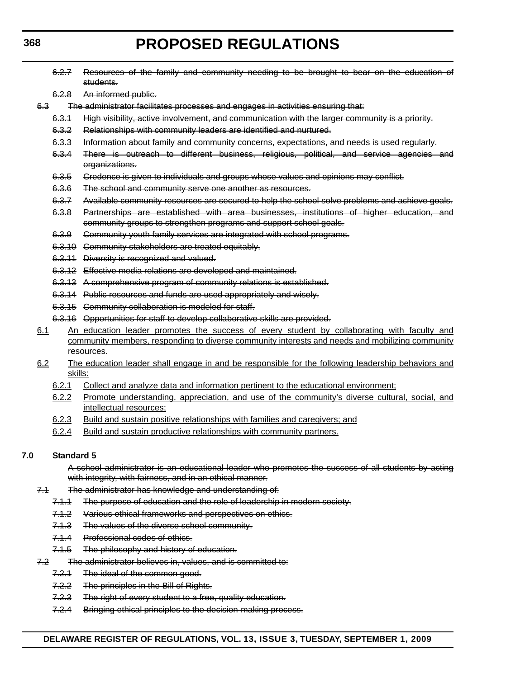6.2.7 Resources of the family and community needing to be brought to bear on the education of

- students. 6.2.8 An informed public. 6.3 The administrator facilitates processes and engages in activities ensuring that: 6.3.1 High visibility, active involvement, and communication with the larger community is a priority. 6.3.2 Relationships with community leaders are identified and nurtured. 6.3.3 Information about family and community concerns, expectations, and needs is used regularly. 6.3.4 There is outreach to different business, religious, political, and service agencies and organizations. 6.3.5 Credence is given to individuals and groups whose values and opinions may conflict. 6.3.6 The school and community serve one another as resources. 6.3.7 Available community resources are secured to help the school solve problems and achieve goals. 6.3.8 Partnerships are established with area businesses, institutions of higher education, and community groups to strengthen programs and support school goals. 6.3.9 Community youth family services are integrated with school programs. 6.3.10 Community stakeholders are treated equitably. 6.3.11 Diversity is recognized and valued.
	- 6.3.12 Effective media relations are developed and maintained.
	- 6.3.13 A comprehensive program of community relations is established.
	- 6.3.14 Public resources and funds are used appropriately and wisely.
	- 6.3.15 Community collaboration is modeled for staff.
	- 6.3.16 Opportunities for staff to develop collaborative skills are provided.
- 6.1 An education leader promotes the success of every student by collaborating with faculty and community members, responding to diverse community interests and needs and mobilizing community resources.
- 6.2 The education leader shall engage in and be responsible for the following leadership behaviors and skills:
	- 6.2.1 Collect and analyze data and information pertinent to the educational environment;
	- 6.2.2 Promote understanding, appreciation, and use of the community's diverse cultural, social, and intellectual resources;
	- 6.2.3 Build and sustain positive relationships with families and caregivers; and
	- 6.2.4 Build and sustain productive relationships with community partners.

#### **7.0 Standard 5**

A school administrator is an educational leader who promotes the success of all students by acting with integrity, with fairness, and in an ethical manner.

- 7.1 The administrator has knowledge and understanding of:
	- 7.1.1 The purpose of education and the role of leadership in modern society.
	- 7.1.2 Various ethical frameworks and perspectives on ethics.
	- 7.1.3 The values of the diverse school community.
	- 7.1.4 Professional codes of ethics.
	- 7.1.5 The philosophy and history of education.
- 7.2 The administrator believes in, values, and is committed to:
	- 7.2.1 The ideal of the common good.
	- 7.2.2 The principles in the Bill of Rights.
	- 7.2.3 The right of every student to a free, quality education.
	- 7.2.4 Bringing ethical principles to the decision-making process.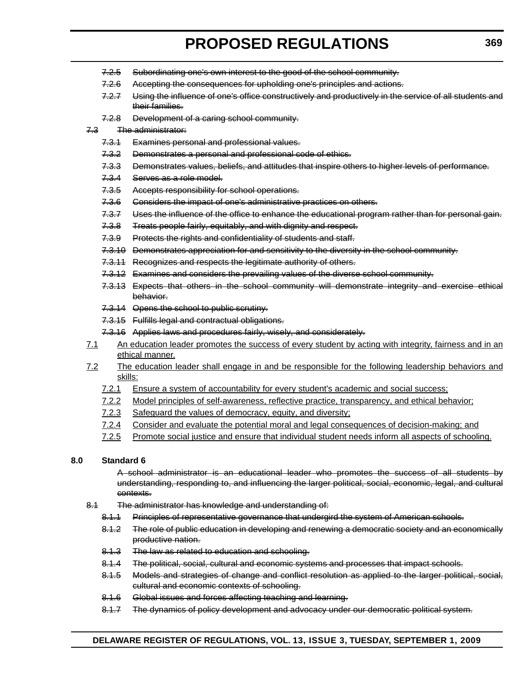- 7.2.5 Subordinating one's own interest to the good of the school community.
- 7.2.6 Accepting the consequences for upholding one's principles and actions.
- 7.2.7 Using the influence of one's office constructively and productively in the service of all students and their families.
- 7.2.8 Development of a caring school community.

## 7.3 The administrator:

- 7.3.1 Examines personal and professional values.
- 7.3.2 Demonstrates a personal and professional code of ethics.
- 7.3.3 Demonstrates values, beliefs, and attitudes that inspire others to higher levels of performance.
- 7.3.4 Serves as a role model.
- 7.3.5 Accepts responsibility for school operations.
- 7.3.6 Considers the impact of one's administrative practices on others.
- 7.3.7 Uses the influence of the office to enhance the educational program rather than for personal gain.
- 7.3.8 Treats people fairly, equitably, and with dignity and respect.
- 7.3.9 Protects the rights and confidentiality of students and staff.
- 7.3.10 Demonstrates appreciation for and sensitivity to the diversity in the school community.
- 7.3.11 Recognizes and respects the legitimate authority of others.
- 7.3.12 Examines and considers the prevailing values of the diverse school community.
- 7.3.13 Expects that others in the school community will demonstrate integrity and exercise ethical behavior.
- 7.3.14 Opens the school to public scrutiny.
- 7.3.15 Fulfills legal and contractual obligations.
- 7.3.16 Applies laws and procedures fairly, wisely, and considerately.
- 7.1 An education leader promotes the success of every student by acting with integrity, fairness and in an ethical manner.
- 7.2 The education leader shall engage in and be responsible for the following leadership behaviors and skills:
	- 7.2.1 Ensure a system of accountability for every student's academic and social success;
	- 7.2.2 Model principles of self-awareness, reflective practice, transparency, and ethical behavior;
	- 7.2.3 Safeguard the values of democracy, equity, and diversity;
	- 7.2.4 Consider and evaluate the potential moral and legal consequences of decision-making; and
	- 7.2.5 Promote social justice and ensure that individual student needs inform all aspects of schooling.

# **8.0 Standard 6**

A school administrator is an educational leader who promotes the success of all students by understanding, responding to, and influencing the larger political, social, economic, legal, and cultural contexts.

- 8.1 The administrator has knowledge and understanding of:
	- 8.1.1 Principles of representative governance that undergird the system of American schools.
	- 8.1.2 The role of public education in developing and renewing a democratic society and an economically productive nation.
	- 8.1.3 The law as related to education and schooling.
	- 8.1.4 The political, social, cultural and economic systems and processes that impact schools.
	- 8.1.5 Models and strategies of change and conflict resolution as applied to the larger political, social, cultural and economic contexts of schooling.
	- 8.1.6 Global issues and forces affecting teaching and learning.
	- 8.1.7 The dynamics of policy development and advocacy under our democratic political system.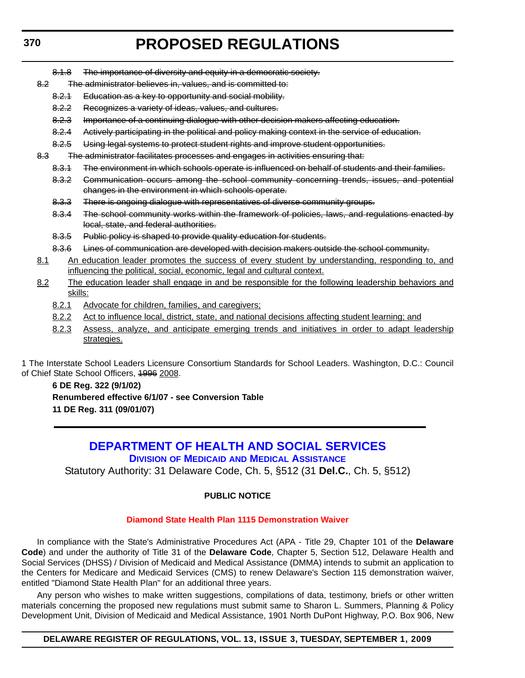8.1.8 The importance of diversity and equity in a democratic society.

- 8.2 The administrator believes in, values, and is committed to:
	- 8.2.1 Education as a key to opportunity and social mobility.
	- 8.2.2 Recognizes a variety of ideas, values, and cultures.
	- 8.2.3 Importance of a continuing dialogue with other decision makers affecting education.
	- 8.2.4 Actively participating in the political and policy making context in the service of education.
	- 8.2.5 Using legal systems to protect student rights and improve student opportunities.
- 8.3 The administrator facilitates processes and engages in activities ensuring that:
	- 8.3.1 The environment in which schools operate is influenced on behalf of students and their families.
	- 8.3.2 Communication occurs among the school community concerning trends, issues, and potential changes in the environment in which schools operate.
	- 8.3.3 There is ongoing dialogue with representatives of diverse community groups.
	- 8.3.4 The school community works within the framework of policies, laws, and regulations enacted by local, state, and federal authorities.
	- 8.3.5 Public policy is shaped to provide quality education for students.
	- 8.3.6 Lines of communication are developed with decision makers outside the school community.
- 8.1 An education leader promotes the success of every student by understanding, responding to, and influencing the political, social, economic, legal and cultural context.
- 8.2 The education leader shall engage in and be responsible for the following leadership behaviors and skills:
	- 8.2.1 Advocate for children, families, and caregivers;
	- 8.2.2 Act to influence local, district, state, and national decisions affecting student learning; and
	- 8.2.3 Assess, analyze, and anticipate emerging trends and initiatives in order to adapt leadership strategies.

1 The Interstate School Leaders Licensure Consortium Standards for School Leaders. Washington, D.C.: Council of Chief State School Officers, 1996 2008.

# **6 DE Reg. 322 (9/1/02) Renumbered effective 6/1/07 - see Conversion Table 11 DE Reg. 311 (09/01/07)**

# **[DEPARTMENT OF HEALTH AND SOCIAL SERVICES](http://www.dhss.delaware.gov/dhss/dmma/index.html) DIVISION OF MEDICAID AND MEDICAL ASSISTANCE**

Statutory Authority: 31 Delaware Code, Ch. 5, §512 (31 **Del.C.**, Ch. 5, §512)

# **PUBLIC NOTICE**

# **[Diamond State Health Plan 1115 Demonstration Waiver](#page-3-0)**

In compliance with the State's Administrative Procedures Act (APA - Title 29, Chapter 101 of the **Delaware Code**) and under the authority of Title 31 of the **Delaware Code**, Chapter 5, Section 512, Delaware Health and Social Services (DHSS) / Division of Medicaid and Medical Assistance (DMMA) intends to submit an application to the Centers for Medicare and Medicaid Services (CMS) to renew Delaware's Section 115 demonstration waiver, entitled "Diamond State Health Plan" for an additional three years.

Any person who wishes to make written suggestions, compilations of data, testimony, briefs or other written materials concerning the proposed new regulations must submit same to Sharon L. Summers, Planning & Policy Development Unit, Division of Medicaid and Medical Assistance, 1901 North DuPont Highway, P.O. Box 906, New

# **DELAWARE REGISTER OF REGULATIONS, VOL. 13, ISSUE 3, TUESDAY, SEPTEMBER 1, 2009**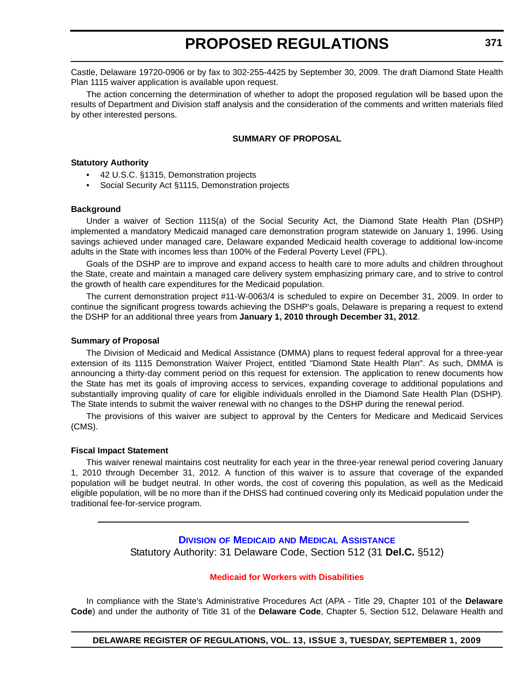Castle, Delaware 19720-0906 or by fax to 302-255-4425 by September 30, 2009. The draft Diamond State Health Plan 1115 waiver application is available upon request.

The action concerning the determination of whether to adopt the proposed regulation will be based upon the results of Department and Division staff analysis and the consideration of the comments and written materials filed by other interested persons.

# **SUMMARY OF PROPOSAL**

# **Statutory Authority**

- 42 U.S.C. §1315, Demonstration projects
- Social Security Act §1115, Demonstration projects

#### **Background**

Under a waiver of Section 1115(a) of the Social Security Act, the Diamond State Health Plan (DSHP) implemented a mandatory Medicaid managed care demonstration program statewide on January 1, 1996. Using savings achieved under managed care, Delaware expanded Medicaid health coverage to additional low-income adults in the State with incomes less than 100% of the Federal Poverty Level (FPL).

Goals of the DSHP are to improve and expand access to health care to more adults and children throughout the State, create and maintain a managed care delivery system emphasizing primary care, and to strive to control the growth of health care expenditures for the Medicaid population.

The current demonstration project #11-W-0063/4 is scheduled to expire on December 31, 2009. In order to continue the significant progress towards achieving the DSHP's goals, Delaware is preparing a request to extend the DSHP for an additional three years from **January 1, 2010 through December 31, 2012**.

#### **Summary of Proposal**

The Division of Medicaid and Medical Assistance (DMMA) plans to request federal approval for a three-year extension of its 1115 Demonstration Waiver Project, entitled "Diamond State Health Plan". As such, DMMA is announcing a thirty-day comment period on this request for extension. The application to renew documents how the State has met its goals of improving access to services, expanding coverage to additional populations and substantially improving quality of care for eligible individuals enrolled in the Diamond Sate Health Plan (DSHP). The State intends to submit the waiver renewal with no changes to the DSHP during the renewal period.

The provisions of this waiver are subject to approval by the Centers for Medicare and Medicaid Services (CMS).

#### **Fiscal Impact Statement**

This waiver renewal maintains cost neutrality for each year in the three-year renewal period covering January 1, 2010 through December 31, 2012. A function of this waiver is to assure that coverage of the expanded population will be budget neutral. In other words, the cost of covering this population, as well as the Medicaid eligible population, will be no more than if the DHSS had continued covering only its Medicaid population under the traditional fee-for-service program.

> **DIVISION OF MEDICAID [AND MEDICAL ASSISTANCE](http://www.dhss.delaware.gov/dhss/dmma/)** Statutory Authority: 31 Delaware Code, Section 512 (31 **Del.C.** §512)

#### **[Medicaid for Workers with Disabilities](#page-3-0)**

In compliance with the State's Administrative Procedures Act (APA - Title 29, Chapter 101 of the **Delaware Code**) and under the authority of Title 31 of the **Delaware Code**, Chapter 5, Section 512, Delaware Health and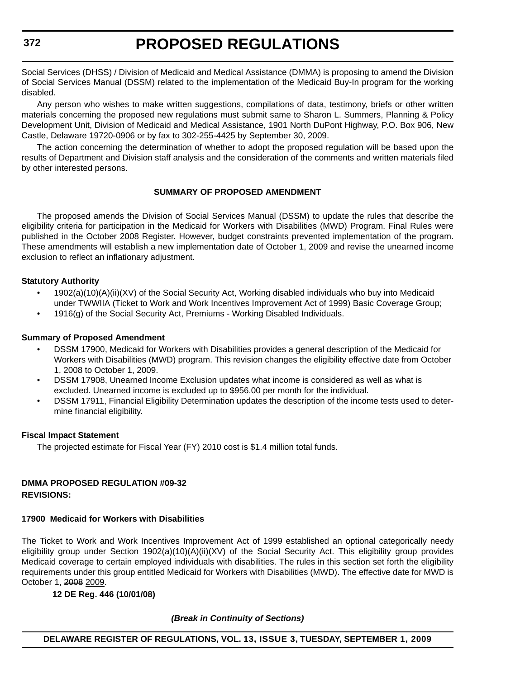Social Services (DHSS) / Division of Medicaid and Medical Assistance (DMMA) is proposing to amend the Division of Social Services Manual (DSSM) related to the implementation of the Medicaid Buy-In program for the working disabled.

Any person who wishes to make written suggestions, compilations of data, testimony, briefs or other written materials concerning the proposed new regulations must submit same to Sharon L. Summers, Planning & Policy Development Unit, Division of Medicaid and Medical Assistance, 1901 North DuPont Highway, P.O. Box 906, New Castle, Delaware 19720-0906 or by fax to 302-255-4425 by September 30, 2009.

The action concerning the determination of whether to adopt the proposed regulation will be based upon the results of Department and Division staff analysis and the consideration of the comments and written materials filed by other interested persons.

# **SUMMARY OF PROPOSED AMENDMENT**

The proposed amends the Division of Social Services Manual (DSSM) to update the rules that describe the eligibility criteria for participation in the Medicaid for Workers with Disabilities (MWD) Program. Final Rules were published in the October 2008 Register. However, budget constraints prevented implementation of the program. These amendments will establish a new implementation date of October 1, 2009 and revise the unearned income exclusion to reflect an inflationary adjustment.

# **Statutory Authority**

- 1902(a)(10)(A)(ii)(XV) of the Social Security Act, Working disabled individuals who buy into Medicaid under TWWIIA (Ticket to Work and Work Incentives Improvement Act of 1999) Basic Coverage Group;
- 1916(g) of the Social Security Act, Premiums Working Disabled Individuals.

# **Summary of Proposed Amendment**

- DSSM 17900, Medicaid for Workers with Disabilities provides a general description of the Medicaid for Workers with Disabilities (MWD) program. This revision changes the eligibility effective date from October 1, 2008 to October 1, 2009.
- DSSM 17908, Unearned Income Exclusion updates what income is considered as well as what is excluded. Unearned income is excluded up to \$956.00 per month for the individual.
- DSSM 17911, Financial Eligibility Determination updates the description of the income tests used to determine financial eligibility.

# **Fiscal Impact Statement**

The projected estimate for Fiscal Year (FY) 2010 cost is \$1.4 million total funds.

# **DMMA PROPOSED REGULATION #09-32 REVISIONS:**

# **17900 Medicaid for Workers with Disabilities**

The Ticket to Work and Work Incentives Improvement Act of 1999 established an optional categorically needy eligibility group under Section 1902(a)(10)(A)(ii)(XV) of the Social Security Act. This eligibility group provides Medicaid coverage to certain employed individuals with disabilities. The rules in this section set forth the eligibility requirements under this group entitled Medicaid for Workers with Disabilities (MWD). The effective date for MWD is October 1, 2008 2009.

# **12 DE Reg. 446 (10/01/08)**

*(Break in Continuity of Sections)*

**DELAWARE REGISTER OF REGULATIONS, VOL. 13, ISSUE 3, TUESDAY, SEPTEMBER 1, 2009**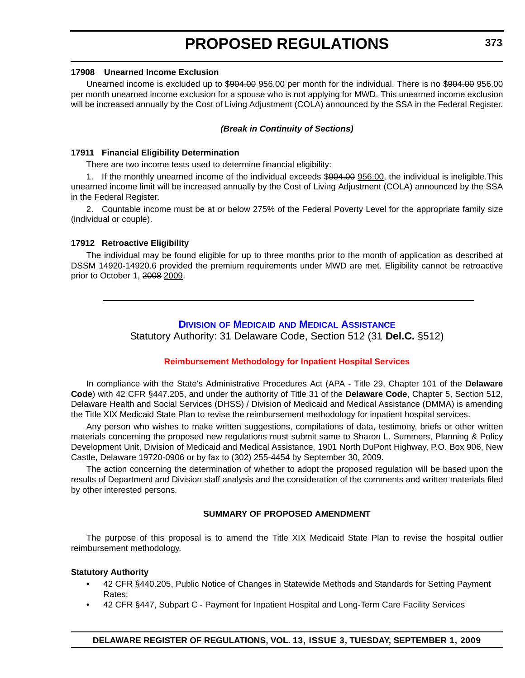#### **17908 Unearned Income Exclusion**

Unearned income is excluded up to \$904.00 956.00 per month for the individual. There is no \$904.00 956.00 per month unearned income exclusion for a spouse who is not applying for MWD. This unearned income exclusion will be increased annually by the Cost of Living Adjustment (COLA) announced by the SSA in the Federal Register.

#### *(Break in Continuity of Sections)*

### **17911 Financial Eligibility Determination**

There are two income tests used to determine financial eligibility:

1. If the monthly unearned income of the individual exceeds \$904.00 956.00, the individual is ineligible.This unearned income limit will be increased annually by the Cost of Living Adjustment (COLA) announced by the SSA in the Federal Register.

2. Countable income must be at or below 275% of the Federal Poverty Level for the appropriate family size (individual or couple).

### **17912 Retroactive Eligibility**

The individual may be found eligible for up to three months prior to the month of application as described at DSSM 14920-14920.6 provided the premium requirements under MWD are met. Eligibility cannot be retroactive prior to October 1, 2008 2009.

# **DIVISION OF MEDICAID [AND MEDICAL ASSISTANCE](http://www.dhss.delaware.gov/dhss/dmma/)**

Statutory Authority: 31 Delaware Code, Section 512 (31 **Del.C.** §512)

# **[Reimbursement Methodology for Inpatient Hospital Services](#page-3-0)**

In compliance with the State's Administrative Procedures Act (APA - Title 29, Chapter 101 of the **Delaware Code**) with 42 CFR §447.205, and under the authority of Title 31 of the **Delaware Code**, Chapter 5, Section 512, Delaware Health and Social Services (DHSS) / Division of Medicaid and Medical Assistance (DMMA) is amending the Title XIX Medicaid State Plan to revise the reimbursement methodology for inpatient hospital services.

Any person who wishes to make written suggestions, compilations of data, testimony, briefs or other written materials concerning the proposed new regulations must submit same to Sharon L. Summers, Planning & Policy Development Unit, Division of Medicaid and Medical Assistance, 1901 North DuPont Highway, P.O. Box 906, New Castle, Delaware 19720-0906 or by fax to (302) 255-4454 by September 30, 2009.

The action concerning the determination of whether to adopt the proposed regulation will be based upon the results of Department and Division staff analysis and the consideration of the comments and written materials filed by other interested persons.

# **SUMMARY OF PROPOSED AMENDMENT**

The purpose of this proposal is to amend the Title XIX Medicaid State Plan to revise the hospital outlier reimbursement methodology.

# **Statutory Authority**

- 42 CFR §440.205, Public Notice of Changes in Statewide Methods and Standards for Setting Payment Rates;
- 42 CFR §447, Subpart C Payment for Inpatient Hospital and Long-Term Care Facility Services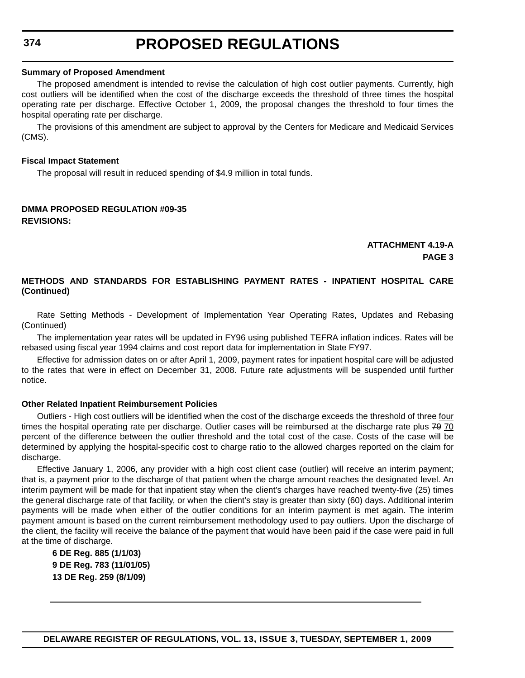# **Summary of Proposed Amendment**

The proposed amendment is intended to revise the calculation of high cost outlier payments. Currently, high cost outliers will be identified when the cost of the discharge exceeds the threshold of three times the hospital operating rate per discharge. Effective October 1, 2009, the proposal changes the threshold to four times the hospital operating rate per discharge.

The provisions of this amendment are subject to approval by the Centers for Medicare and Medicaid Services (CMS).

# **Fiscal Impact Statement**

The proposal will result in reduced spending of \$4.9 million in total funds.

# **DMMA PROPOSED REGULATION #09-35 REVISIONS:**

# **ATTACHMENT 4.19-A PAGE 3**

# **METHODS AND STANDARDS FOR ESTABLISHING PAYMENT RATES - INPATIENT HOSPITAL CARE (Continued)**

Rate Setting Methods - Development of Implementation Year Operating Rates, Updates and Rebasing (Continued)

The implementation year rates will be updated in FY96 using published TEFRA inflation indices. Rates will be rebased using fiscal year 1994 claims and cost report data for implementation in State FY97.

Effective for admission dates on or after April 1, 2009, payment rates for inpatient hospital care will be adjusted to the rates that were in effect on December 31, 2008. Future rate adjustments will be suspended until further notice.

# **Other Related Inpatient Reimbursement Policies**

Outliers - High cost outliers will be identified when the cost of the discharge exceeds the threshold of three four times the hospital operating rate per discharge. Outlier cases will be reimbursed at the discharge rate plus 79 70 percent of the difference between the outlier threshold and the total cost of the case. Costs of the case will be determined by applying the hospital-specific cost to charge ratio to the allowed charges reported on the claim for discharge.

Effective January 1, 2006, any provider with a high cost client case (outlier) will receive an interim payment; that is, a payment prior to the discharge of that patient when the charge amount reaches the designated level. An interim payment will be made for that inpatient stay when the client's charges have reached twenty-five (25) times the general discharge rate of that facility, or when the client's stay is greater than sixty (60) days. Additional interim payments will be made when either of the outlier conditions for an interim payment is met again. The interim payment amount is based on the current reimbursement methodology used to pay outliers. Upon the discharge of the client, the facility will receive the balance of the payment that would have been paid if the case were paid in full at the time of discharge.

**6 DE Reg. 885 (1/1/03) 9 DE Reg. 783 (11/01/05) 13 DE Reg. 259 (8/1/09)**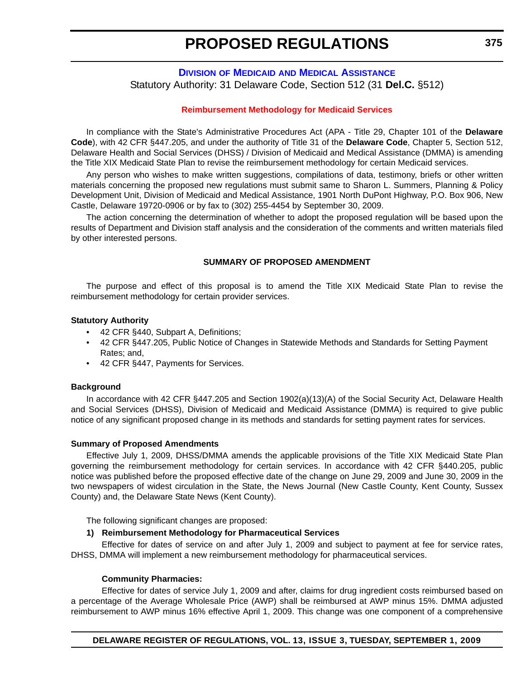# **DIVISION OF MEDICAID [AND MEDICAL ASSISTANCE](http://www.dhss.delaware.gov/dhss/dmma/)** Statutory Authority: 31 Delaware Code, Section 512 (31 **Del.C.** §512)

## **[Reimbursement Methodology for Medicaid Services](#page-3-0)**

In compliance with the State's Administrative Procedures Act (APA - Title 29, Chapter 101 of the **Delaware Code**), with 42 CFR §447.205, and under the authority of Title 31 of the **Delaware Code**, Chapter 5, Section 512, Delaware Health and Social Services (DHSS) / Division of Medicaid and Medical Assistance (DMMA) is amending the Title XIX Medicaid State Plan to revise the reimbursement methodology for certain Medicaid services.

Any person who wishes to make written suggestions, compilations of data, testimony, briefs or other written materials concerning the proposed new regulations must submit same to Sharon L. Summers, Planning & Policy Development Unit, Division of Medicaid and Medical Assistance, 1901 North DuPont Highway, P.O. Box 906, New Castle, Delaware 19720-0906 or by fax to (302) 255-4454 by September 30, 2009.

The action concerning the determination of whether to adopt the proposed regulation will be based upon the results of Department and Division staff analysis and the consideration of the comments and written materials filed by other interested persons.

#### **SUMMARY OF PROPOSED AMENDMENT**

The purpose and effect of this proposal is to amend the Title XIX Medicaid State Plan to revise the reimbursement methodology for certain provider services.

#### **Statutory Authority**

- 42 CFR §440, Subpart A, Definitions;
- 42 CFR §447.205, Public Notice of Changes in Statewide Methods and Standards for Setting Payment Rates; and,
- 42 CFR §447, Payments for Services.

#### **Background**

In accordance with 42 CFR §447.205 and Section 1902(a)(13)(A) of the Social Security Act, Delaware Health and Social Services (DHSS), Division of Medicaid and Medicaid Assistance (DMMA) is required to give public notice of any significant proposed change in its methods and standards for setting payment rates for services.

#### **Summary of Proposed Amendments**

Effective July 1, 2009, DHSS/DMMA amends the applicable provisions of the Title XIX Medicaid State Plan governing the reimbursement methodology for certain services. In accordance with 42 CFR §440.205, public notice was published before the proposed effective date of the change on June 29, 2009 and June 30, 2009 in the two newspapers of widest circulation in the State, the News Journal (New Castle County, Kent County, Sussex County) and, the Delaware State News (Kent County).

The following significant changes are proposed:

## **1) Reimbursement Methodology for Pharmaceutical Services**

Effective for dates of service on and after July 1, 2009 and subject to payment at fee for service rates, DHSS, DMMA will implement a new reimbursement methodology for pharmaceutical services.

#### **Community Pharmacies:**

Effective for dates of service July 1, 2009 and after, claims for drug ingredient costs reimbursed based on a percentage of the Average Wholesale Price (AWP) shall be reimbursed at AWP minus 15%. DMMA adjusted reimbursement to AWP minus 16% effective April 1, 2009. This change was one component of a comprehensive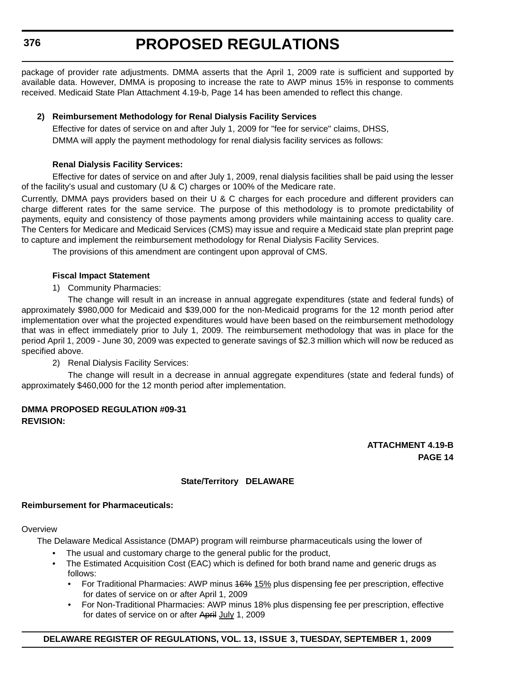**376**

# **PROPOSED REGULATIONS**

package of provider rate adjustments. DMMA asserts that the April 1, 2009 rate is sufficient and supported by available data. However, DMMA is proposing to increase the rate to AWP minus 15% in response to comments received. Medicaid State Plan Attachment 4.19-b, Page 14 has been amended to reflect this change.

# **2) Reimbursement Methodology for Renal Dialysis Facility Services**

Effective for dates of service on and after July 1, 2009 for "fee for service" claims, DHSS, DMMA will apply the payment methodology for renal dialysis facility services as follows:

# **Renal Dialysis Facility Services:**

Effective for dates of service on and after July 1, 2009, renal dialysis facilities shall be paid using the lesser of the facility's usual and customary (U & C) charges or 100% of the Medicare rate.

Currently, DMMA pays providers based on their U & C charges for each procedure and different providers can charge different rates for the same service. The purpose of this methodology is to promote predictability of payments, equity and consistency of those payments among providers while maintaining access to quality care. The Centers for Medicare and Medicaid Services (CMS) may issue and require a Medicaid state plan preprint page to capture and implement the reimbursement methodology for Renal Dialysis Facility Services.

The provisions of this amendment are contingent upon approval of CMS.

# **Fiscal Impact Statement**

1) Community Pharmacies:

The change will result in an increase in annual aggregate expenditures (state and federal funds) of approximately \$980,000 for Medicaid and \$39,000 for the non-Medicaid programs for the 12 month period after implementation over what the projected expenditures would have been based on the reimbursement methodology that was in effect immediately prior to July 1, 2009. The reimbursement methodology that was in place for the period April 1, 2009 - June 30, 2009 was expected to generate savings of \$2.3 million which will now be reduced as specified above.

2) Renal Dialysis Facility Services:

The change will result in a decrease in annual aggregate expenditures (state and federal funds) of approximately \$460,000 for the 12 month period after implementation.

# **DMMA PROPOSED REGULATION #09-31 REVISION:**

**ATTACHMENT 4.19-B PAGE 14**

# **State/Territory DELAWARE**

# **Reimbursement for Pharmaceuticals:**

# **Overview**

The Delaware Medical Assistance (DMAP) program will reimburse pharmaceuticals using the lower of

- The usual and customary charge to the general public for the product,
- The Estimated Acquisition Cost (EAC) which is defined for both brand name and generic drugs as follows:
	- For Traditional Pharmacies: AWP minus 46% 15% plus dispensing fee per prescription, effective for dates of service on or after April 1, 2009
	- For Non-Traditional Pharmacies: AWP minus 18% plus dispensing fee per prescription, effective for dates of service on or after April July 1, 2009

# **DELAWARE REGISTER OF REGULATIONS, VOL. 13, ISSUE 3, TUESDAY, SEPTEMBER 1, 2009**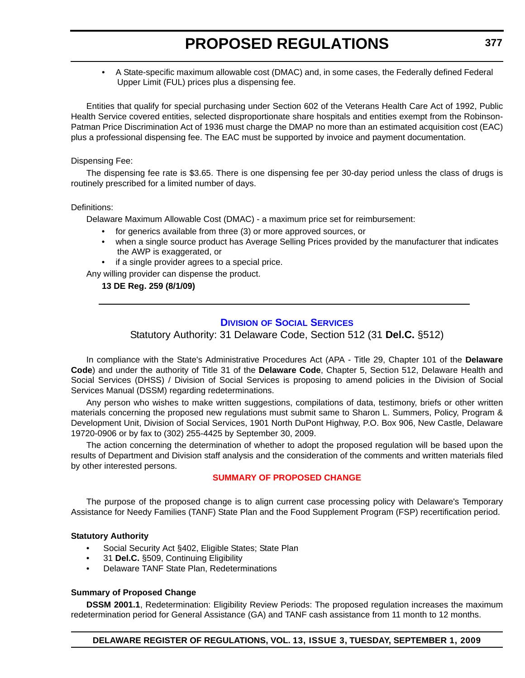• A State-specific maximum allowable cost (DMAC) and, in some cases, the Federally defined Federal Upper Limit (FUL) prices plus a dispensing fee.

Entities that qualify for special purchasing under Section 602 of the Veterans Health Care Act of 1992, Public Health Service covered entities, selected disproportionate share hospitals and entities exempt from the Robinson-Patman Price Discrimination Act of 1936 must charge the DMAP no more than an estimated acquisition cost (EAC) plus a professional dispensing fee. The EAC must be supported by invoice and payment documentation.

Dispensing Fee:

The dispensing fee rate is \$3.65. There is one dispensing fee per 30-day period unless the class of drugs is routinely prescribed for a limited number of days.

Definitions:

Delaware Maximum Allowable Cost (DMAC) - a maximum price set for reimbursement:

- for generics available from three (3) or more approved sources, or
- when a single source product has Average Selling Prices provided by the manufacturer that indicates the AWP is exaggerated, or
- if a single provider agrees to a special price.

Any willing provider can dispense the product.

**13 DE Reg. 259 (8/1/09)**

# **DIVISION [OF SOCIAL SERVICES](http://www.dhss.delaware.gov/dhss/dmma/)**

Statutory Authority: 31 Delaware Code, Section 512 (31 **Del.C.** §512)

In compliance with the State's Administrative Procedures Act (APA - Title 29, Chapter 101 of the **Delaware Code**) and under the authority of Title 31 of the **Delaware Code**, Chapter 5, Section 512, Delaware Health and Social Services (DHSS) / Division of Social Services is proposing to amend policies in the Division of Social Services Manual (DSSM) regarding redeterminations.

Any person who wishes to make written suggestions, compilations of data, testimony, briefs or other written materials concerning the proposed new regulations must submit same to Sharon L. Summers, Policy, Program & Development Unit, Division of Social Services, 1901 North DuPont Highway, P.O. Box 906, New Castle, Delaware 19720-0906 or by fax to (302) 255-4425 by September 30, 2009.

The action concerning the determination of whether to adopt the proposed regulation will be based upon the results of Department and Division staff analysis and the consideration of the comments and written materials filed by other interested persons.

# **[SUMMARY OF PROPOSED CHANGE](#page-3-0)**

The purpose of the proposed change is to align current case processing policy with Delaware's Temporary Assistance for Needy Families (TANF) State Plan and the Food Supplement Program (FSP) recertification period.

# **Statutory Authority**

- Social Security Act §402, Eligible States; State Plan
- 31 **Del.C.** §509, Continuing Eligibility
- Delaware TANF State Plan, Redeterminations

# **Summary of Proposed Change**

**DSSM 2001.1**, Redetermination: Eligibility Review Periods: The proposed regulation increases the maximum redetermination period for General Assistance (GA) and TANF cash assistance from 11 month to 12 months.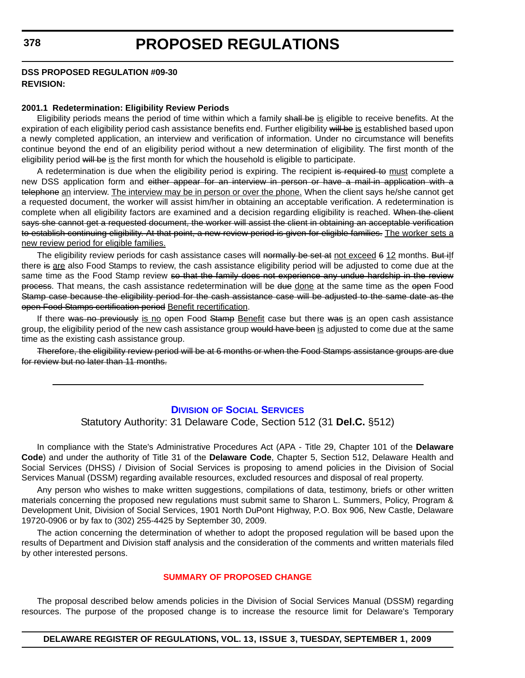#### **DSS PROPOSED REGULATION #09-30 REVISION:**

#### **2001.1 Redetermination: Eligibility Review Periods**

Eligibility periods means the period of time within which a family shall be is eligible to receive benefits. At the expiration of each eligibility period cash assistance benefits end. Further eligibility will be is established based upon a newly completed application, an interview and verification of information. Under no circumstance will benefits continue beyond the end of an eligibility period without a new determination of eligibility. The first month of the eligibility period will be is the first month for which the household is eligible to participate.

A redetermination is due when the eligibility period is expiring. The recipient is required to must complete a new DSS application form and either appear for an interview in person or have a mail-in application with a telephone an interview. The interview may be in person or over the phone. When the client says he/she cannot get a requested document, the worker will assist him/her in obtaining an acceptable verification. A redetermination is complete when all eligibility factors are examined and a decision regarding eligibility is reached. When the client says she cannot get a requested document, the worker will assist the client in obtaining an acceptable verification to establish continuing eligibility. At that point, a new review period is given for eligible families. The worker sets a new review period for eligible families.

The eligibility review periods for cash assistance cases will normally be set at not exceed 6 12 months. But ilf there is are also Food Stamps to review, the cash assistance eligibility period will be adjusted to come due at the same time as the Food Stamp review so that the family does not experience any undue hardship in the review process. That means, the cash assistance redetermination will be due done at the same time as the open Food Stamp case because the eligibility period for the cash assistance case will be adjusted to the same date as the open Food Stamps certification period Benefit recertification.

If there was no previously is no open Food Stamp Benefit case but there was is an open cash assistance group, the eligibility period of the new cash assistance group would have been is adjusted to come due at the same time as the existing cash assistance group.

Therefore, the eligibility review period will be at 6 months or when the Food Stamps assistance groups are due for review but no later than 11 months.

### **DIVISION [OF SOCIAL SERVICES](http://www.dhss.delaware.gov/dhss/dss/index.html)**

### Statutory Authority: 31 Delaware Code, Section 512 (31 **Del.C.** §512)

In compliance with the State's Administrative Procedures Act (APA - Title 29, Chapter 101 of the **Delaware Code**) and under the authority of Title 31 of the **Delaware Code**, Chapter 5, Section 512, Delaware Health and Social Services (DHSS) / Division of Social Services is proposing to amend policies in the Division of Social Services Manual (DSSM) regarding available resources, excluded resources and disposal of real property.

Any person who wishes to make written suggestions, compilations of data, testimony, briefs or other written materials concerning the proposed new regulations must submit same to Sharon L. Summers, Policy, Program & Development Unit, Division of Social Services, 1901 North DuPont Highway, P.O. Box 906, New Castle, Delaware 19720-0906 or by fax to (302) 255-4425 by September 30, 2009.

The action concerning the determination of whether to adopt the proposed regulation will be based upon the results of Department and Division staff analysis and the consideration of the comments and written materials filed by other interested persons.

#### **[SUMMARY OF PROPOSED CHANGE](#page-3-0)**

The proposal described below amends policies in the Division of Social Services Manual (DSSM) regarding resources. The purpose of the proposed change is to increase the resource limit for Delaware's Temporary

#### **DELAWARE REGISTER OF REGULATIONS, VOL. 13, ISSUE 3, TUESDAY, SEPTEMBER 1, 2009**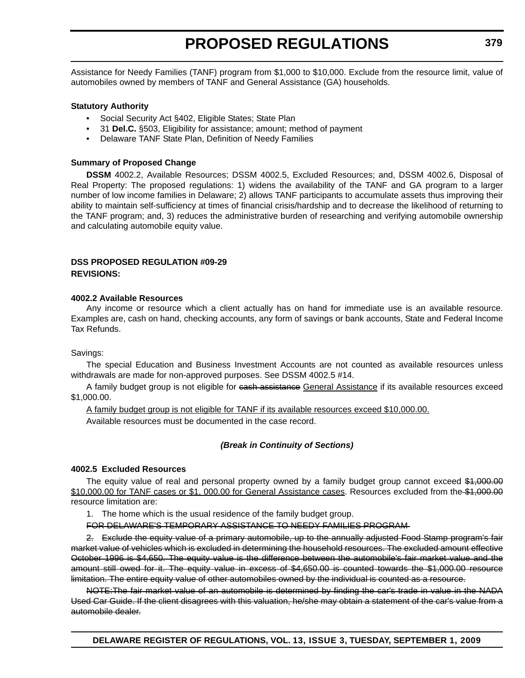Assistance for Needy Families (TANF) program from \$1,000 to \$10,000. Exclude from the resource limit, value of automobiles owned by members of TANF and General Assistance (GA) households.

## **Statutory Authority**

- Social Security Act §402, Eligible States; State Plan
- 31 **Del.C.** §503, Eligibility for assistance; amount; method of payment
- Delaware TANF State Plan, Definition of Needy Families

### **Summary of Proposed Change**

**DSSM** 4002.2, Available Resources; DSSM 4002.5, Excluded Resources; and, DSSM 4002.6, Disposal of Real Property: The proposed regulations: 1) widens the availability of the TANF and GA program to a larger number of low income families in Delaware; 2) allows TANF participants to accumulate assets thus improving their ability to maintain self-sufficiency at times of financial crisis/hardship and to decrease the likelihood of returning to the TANF program; and, 3) reduces the administrative burden of researching and verifying automobile ownership and calculating automobile equity value.

#### **DSS PROPOSED REGULATION #09-29 REVISIONS:**

#### **4002.2 Available Resources**

Any income or resource which a client actually has on hand for immediate use is an available resource. Examples are, cash on hand, checking accounts, any form of savings or bank accounts, State and Federal Income Tax Refunds.

Savings:

The special Education and Business Investment Accounts are not counted as available resources unless withdrawals are made for non-approved purposes. See DSSM 4002.5 #14.

A family budget group is not eligible for eash assistance General Assistance if its available resources exceed \$1,000.00.

A family budget group is not eligible for TANF if its available resources exceed \$10,000.00.

Available resources must be documented in the case record.

# *(Break in Continuity of Sections)*

#### **4002.5 Excluded Resources**

The equity value of real and personal property owned by a family budget group cannot exceed \$1,000.00 \$10,000.00 for TANF cases or \$1, 000.00 for General Assistance cases. Resources excluded from the \$1,000.00 resource limitation are:

1. The home which is the usual residence of the family budget group.

FOR DELAWARE'S TEMPORARY ASSISTANCE TO NEEDY FAMILIES PROGRAM

2. Exclude the equity value of a primary automobile, up to the annually adjusted Food Stamp program's fair market value of vehicles which is excluded in determining the household resources. The excluded amount effective October 1996 is \$4,650. The equity value is the difference between the automobile's fair market value and the amount still owed for it. The equity value in excess of \$4,650.00 is counted towards the \$1,000.00 resource limitation. The entire equity value of other automobiles owned by the individual is counted as a resource.

NOTE:The fair market value of an automobile is determined by finding the car's trade in value in the NADA Used Car Guide. If the client disagrees with this valuation, he/she may obtain a statement of the car's value from a automobile dealer.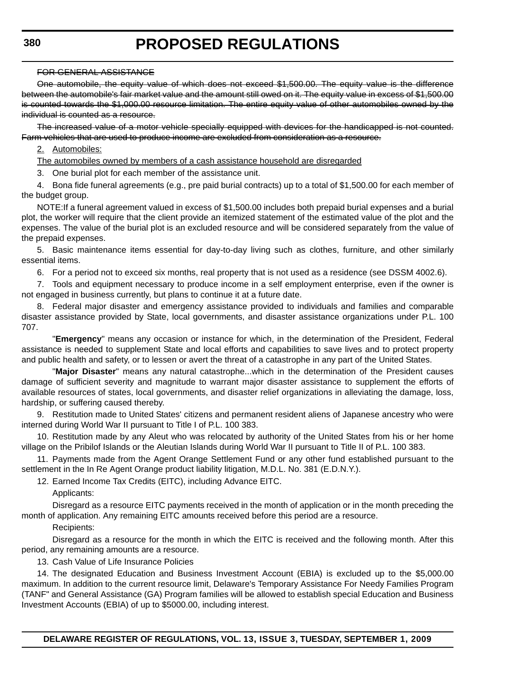### FOR GENERAL ASSISTANCE

One automobile, the equity value of which does not exceed \$1,500.00. The equity value is the difference between the automobile's fair market value and the amount still owed on it. The equity value in excess of \$1,500.00 is counted towards the \$1,000.00 resource limitation. The entire equity value of other automobiles owned by the individual is counted as a resource.

The increased value of a motor vehicle specially equipped with devices for the handicapped is not counted. Farm vehicles that are used to produce income are excluded from consideration as a resource.

## 2. Automobiles:

The automobiles owned by members of a cash assistance household are disregarded

3. One burial plot for each member of the assistance unit.

4. Bona fide funeral agreements (e.g., pre paid burial contracts) up to a total of \$1,500.00 for each member of the budget group.

NOTE:If a funeral agreement valued in excess of \$1,500.00 includes both prepaid burial expenses and a burial plot, the worker will require that the client provide an itemized statement of the estimated value of the plot and the expenses. The value of the burial plot is an excluded resource and will be considered separately from the value of the prepaid expenses.

5. Basic maintenance items essential for day-to-day living such as clothes, furniture, and other similarly essential items.

6. For a period not to exceed six months, real property that is not used as a residence (see DSSM 4002.6).

7. Tools and equipment necessary to produce income in a self employment enterprise, even if the owner is not engaged in business currently, but plans to continue it at a future date.

8. Federal major disaster and emergency assistance provided to individuals and families and comparable disaster assistance provided by State, local governments, and disaster assistance organizations under P.L. 100 707.

"**Emergency**" means any occasion or instance for which, in the determination of the President, Federal assistance is needed to supplement State and local efforts and capabilities to save lives and to protect property and public health and safety, or to lessen or avert the threat of a catastrophe in any part of the United States.

"**Major Disaster**" means any natural catastrophe...which in the determination of the President causes damage of sufficient severity and magnitude to warrant major disaster assistance to supplement the efforts of available resources of states, local governments, and disaster relief organizations in alleviating the damage, loss, hardship, or suffering caused thereby.

9. Restitution made to United States' citizens and permanent resident aliens of Japanese ancestry who were interned during World War II pursuant to Title I of P.L. 100 383.

10. Restitution made by any Aleut who was relocated by authority of the United States from his or her home village on the Pribilof Islands or the Aleutian Islands during World War II pursuant to Title II of P.L. 100 383.

11. Payments made from the Agent Orange Settlement Fund or any other fund established pursuant to the settlement in the In Re Agent Orange product liability litigation, M.D.L. No. 381 (E.D.N.Y.).

12. Earned Income Tax Credits (EITC), including Advance EITC.

Applicants:

Disregard as a resource EITC payments received in the month of application or in the month preceding the month of application. Any remaining EITC amounts received before this period are a resource.

Recipients:

Disregard as a resource for the month in which the EITC is received and the following month. After this period, any remaining amounts are a resource.

13. Cash Value of Life Insurance Policies

14. The designated Education and Business Investment Account (EBIA) is excluded up to the \$5,000.00 maximum. In addition to the current resource limit, Delaware's Temporary Assistance For Needy Families Program (TANF" and General Assistance (GA) Program families will be allowed to establish special Education and Business Investment Accounts (EBIA) of up to \$5000.00, including interest.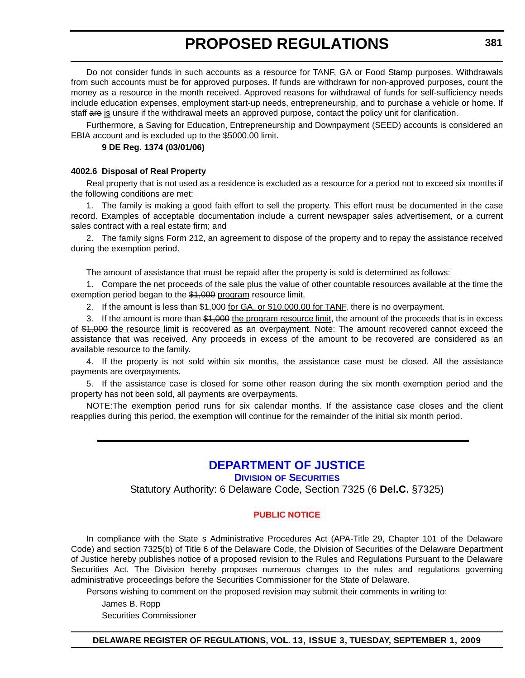Do not consider funds in such accounts as a resource for TANF, GA or Food Stamp purposes. Withdrawals from such accounts must be for approved purposes. If funds are withdrawn for non-approved purposes, count the money as a resource in the month received. Approved reasons for withdrawal of funds for self-sufficiency needs include education expenses, employment start-up needs, entrepreneurship, and to purchase a vehicle or home. If staff are is unsure if the withdrawal meets an approved purpose, contact the policy unit for clarification.

Furthermore, a Saving for Education, Entrepreneurship and Downpayment (SEED) accounts is considered an EBIA account and is excluded up to the \$5000.00 limit.

# **9 DE Reg. 1374 (03/01/06)**

### **4002.6 Disposal of Real Property**

Real property that is not used as a residence is excluded as a resource for a period not to exceed six months if the following conditions are met:

1. The family is making a good faith effort to sell the property. This effort must be documented in the case record. Examples of acceptable documentation include a current newspaper sales advertisement, or a current sales contract with a real estate firm; and

2. The family signs Form 212, an agreement to dispose of the property and to repay the assistance received during the exemption period.

The amount of assistance that must be repaid after the property is sold is determined as follows:

1. Compare the net proceeds of the sale plus the value of other countable resources available at the time the exemption period began to the \$1,000 program resource limit.

2. If the amount is less than \$1,000 for GA, or \$10,000.00 for TANF, there is no overpayment.

3. If the amount is more than \$1,000 the program resource limit, the amount of the proceeds that is in excess of \$1,000 the resource limit is recovered as an overpayment. Note: The amount recovered cannot exceed the assistance that was received. Any proceeds in excess of the amount to be recovered are considered as an available resource to the family.

4. If the property is not sold within six months, the assistance case must be closed. All the assistance payments are overpayments.

5. If the assistance case is closed for some other reason during the six month exemption period and the property has not been sold, all payments are overpayments.

NOTE:The exemption period runs for six calendar months. If the assistance case closes and the client reapplies during this period, the exemption will continue for the remainder of the initial six month period.

# **[DEPARTMENT OF JUSTICE](http://attorneygeneral.delaware.gov/)**

**DIVISION OF SECURITIES**

Statutory Authority: 6 Delaware Code, Section 7325 (6 **Del.C.** §7325)

# **[PUBLIC NOTICE](#page-3-0)**

In compliance with the State s Administrative Procedures Act (APA-Title 29, Chapter 101 of the Delaware Code) and section 7325(b) of Title 6 of the Delaware Code, the Division of Securities of the Delaware Department of Justice hereby publishes notice of a proposed revision to the Rules and Regulations Pursuant to the Delaware Securities Act. The Division hereby proposes numerous changes to the rules and regulations governing administrative proceedings before the Securities Commissioner for the State of Delaware.

Persons wishing to comment on the proposed revision may submit their comments in writing to:

James B. Ropp

Securities Commissioner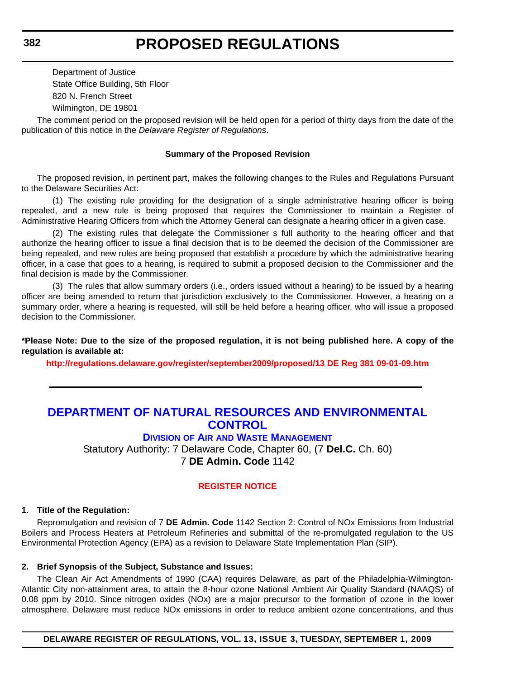Department of Justice State Office Building, 5th Floor 820 N. French Street Wilmington, DE 19801

The comment period on the proposed revision will be held open for a period of thirty days from the date of the publication of this notice in the *Delaware Register of Regulations*.

### **Summary of the Proposed Revision**

The proposed revision, in pertinent part, makes the following changes to the Rules and Regulations Pursuant to the Delaware Securities Act:

(1) The existing rule providing for the designation of a single administrative hearing officer is being repealed, and a new rule is being proposed that requires the Commissioner to maintain a Register of Administrative Hearing Officers from which the Attorney General can designate a hearing officer in a given case.

(2) The existing rules that delegate the Commissioners full authority to the hearing officer and that authorize the hearing officer to issue a final decision that is to be deemed the decision of the Commissioner are being repealed, and new rules are being proposed that establish a procedure by which the administrative hearing officer, in a case that goes to a hearing, is required to submit a proposed decision to the Commissioner and the final decision is made by the Commissioner.

(3) The rules that allow summary orders (i.e., orders issued without a hearing) to be issued by a hearing officer are being amended to return that jurisdiction exclusively to the Commissioner. However, a hearing on a summary order, where a hearing is requested, will still be held before a hearing officer, who will issue a proposed decision to the Commissioner.

**\*Please Note: Due to the size of the proposed regulation, it is not being published here. A copy of the regulation is available at:**

**http://regulations.delaware.gov/register/september2009/proposed/13 DE Reg 381 09-01-09.htm** 

# **[DEPARTMENT OF NATURAL RESOURCES AND ENVIRONMENTAL](http://www.awm.delaware.gov/Pages/default.aspx)  CONTROL**

**DIVISION OF AIR AND WASTE MANAGEMENT**

Statutory Authority: 7 Delaware Code, Chapter 60, (7 **Del.C.** Ch. 60) 7 **DE Admin. Code** 1142

# **[REGISTER NOTICE](#page-3-0)**

#### **1. Title of the Regulation:**

Repromulgation and revision of 7 **DE Admin. Code** 1142 Section 2: Control of NOx Emissions from Industrial Boilers and Process Heaters at Petroleum Refineries and submittal of the re-promulgated regulation to the US Environmental Protection Agency (EPA) as a revision to Delaware State Implementation Plan (SIP).

#### **2. Brief Synopsis of the Subject, Substance and Issues:**

The Clean Air Act Amendments of 1990 (CAA) requires Delaware, as part of the Philadelphia-Wilmington-Atlantic City non-attainment area, to attain the 8-hour ozone National Ambient Air Quality Standard (NAAQS) of 0.08 ppm by 2010. Since nitrogen oxides (NOx) are a major precursor to the formation of ozone in the lower atmosphere, Delaware must reduce NOx emissions in order to reduce ambient ozone concentrations, and thus

**DELAWARE REGISTER OF REGULATIONS, VOL. 13, ISSUE 3, TUESDAY, SEPTEMBER 1, 2009**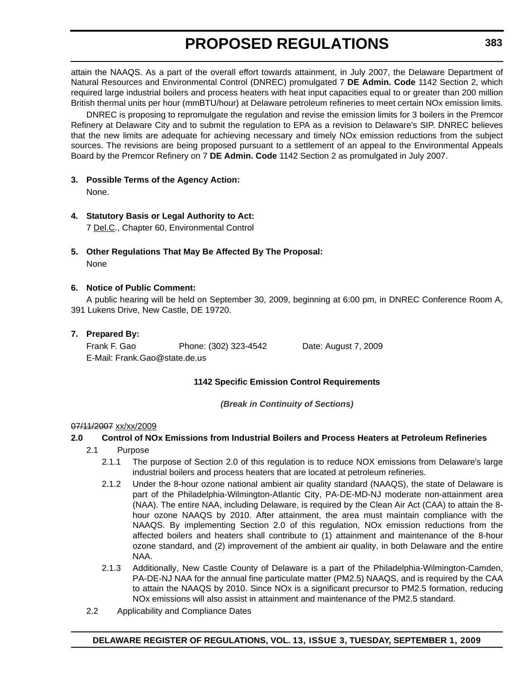attain the NAAQS. As a part of the overall effort towards attainment, in July 2007, the Delaware Department of Natural Resources and Environmental Control (DNREC) promulgated 7 **DE Admin. Code** 1142 Section 2, which required large industrial boilers and process heaters with heat input capacities equal to or greater than 200 million British thermal units per hour (mmBTU/hour) at Delaware petroleum refineries to meet certain NOx emission limits.

DNREC is proposing to repromulgate the regulation and revise the emission limits for 3 boilers in the Premcor Refinery at Delaware City and to submit the regulation to EPA as a revision to Delaware's SIP. DNREC believes that the new limits are adequate for achieving necessary and timely NOx emission reductions from the subject sources. The revisions are being proposed pursuant to a settlement of an appeal to the Environmental Appeals Board by the Premcor Refinery on 7 **DE Admin. Code** 1142 Section 2 as promulgated in July 2007.

**3. Possible Terms of the Agency Action:**

None.

**4. Statutory Basis or Legal Authority to Act:**

7 Del.C., Chapter 60, Environmental Control

**5. Other Regulations That May Be Affected By The Proposal:** None

# **6. Notice of Public Comment:**

A public hearing will be held on September 30, 2009, beginning at 6:00 pm, in DNREC Conference Room A, 391 Lukens Drive, New Castle, DE 19720.

# **7. Prepared By:**

Frank F. Gao Phone: (302) 323-4542 Date: August 7, 2009 E-Mail: Frank.Gao@state.de.us

# **1142 Specific Emission Control Requirements**

*(Break in Continuity of Sections)*

# 07/11/2007 xx/xx/2009

# **2.0 Control of NOx Emissions from Industrial Boilers and Process Heaters at Petroleum Refineries**

- 2.1 Purpose
	- 2.1.1 The purpose of Section 2.0 of this regulation is to reduce NOX emissions from Delaware's large industrial boilers and process heaters that are located at petroleum refineries.
	- 2.1.2 Under the 8-hour ozone national ambient air quality standard (NAAQS), the state of Delaware is part of the Philadelphia-Wilmington-Atlantic City, PA-DE-MD-NJ moderate non-attainment area (NAA). The entire NAA, including Delaware, is required by the Clean Air Act (CAA) to attain the 8 hour ozone NAAQS by 2010. After attainment, the area must maintain compliance with the NAAQS. By implementing Section 2.0 of this regulation, NOx emission reductions from the affected boilers and heaters shall contribute to (1) attainment and maintenance of the 8-hour ozone standard, and (2) improvement of the ambient air quality, in both Delaware and the entire NAA.
	- 2.1.3 Additionally, New Castle County of Delaware is a part of the Philadelphia-Wilmington-Camden, PA-DE-NJ NAA for the annual fine particulate matter (PM2.5) NAAQS, and is required by the CAA to attain the NAAQS by 2010. Since NOx is a significant precursor to PM2.5 formation, reducing NOx emissions will also assist in attainment and maintenance of the PM2.5 standard.
- 2.2 Applicability and Compliance Dates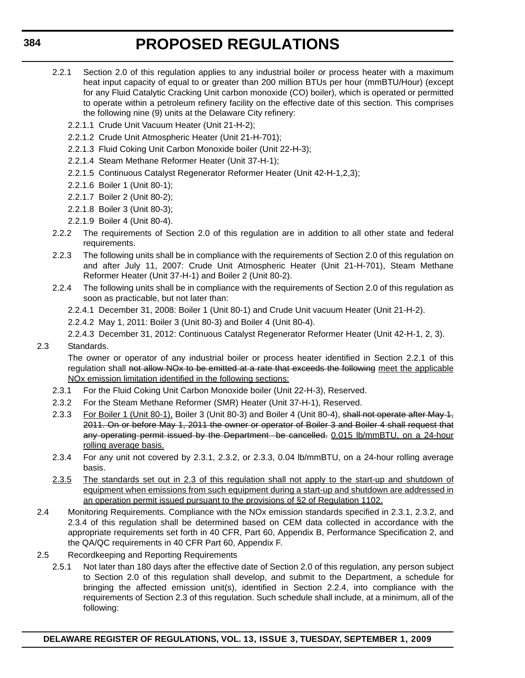- 2.2.1 Section 2.0 of this regulation applies to any industrial boiler or process heater with a maximum heat input capacity of equal to or greater than 200 million BTUs per hour (mmBTU/Hour) (except for any Fluid Catalytic Cracking Unit carbon monoxide (CO) boiler), which is operated or permitted to operate within a petroleum refinery facility on the effective date of this section. This comprises the following nine (9) units at the Delaware City refinery:
	- 2.2.1.1 Crude Unit Vacuum Heater (Unit 21-H-2);
	- 2.2.1.2 Crude Unit Atmospheric Heater (Unit 21-H-701);
	- 2.2.1.3 Fluid Coking Unit Carbon Monoxide boiler (Unit 22-H-3);
	- 2.2.1.4 Steam Methane Reformer Heater (Unit 37-H-1);
	- 2.2.1.5 Continuous Catalyst Regenerator Reformer Heater (Unit 42-H-1,2,3);
	- 2.2.1.6 Boiler 1 (Unit 80-1);
	- 2.2.1.7 Boiler 2 (Unit 80-2);
	- 2.2.1.8 Boiler 3 (Unit 80-3);
	- 2.2.1.9 Boiler 4 (Unit 80-4).
- 2.2.2 The requirements of Section 2.0 of this regulation are in addition to all other state and federal requirements.
- 2.2.3 The following units shall be in compliance with the requirements of Section 2.0 of this regulation on and after July 11, 2007: Crude Unit Atmospheric Heater (Unit 21-H-701), Steam Methane Reformer Heater (Unit 37-H-1) and Boiler 2 (Unit 80-2).
- 2.2.4 The following units shall be in compliance with the requirements of Section 2.0 of this regulation as soon as practicable, but not later than:
	- 2.2.4.1 December 31, 2008: Boiler 1 (Unit 80-1) and Crude Unit vacuum Heater (Unit 21-H-2).
	- 2.2.4.2 May 1, 2011: Boiler 3 (Unit 80-3) and Boiler 4 (Unit 80-4).
	- 2.2.4.3 December 31, 2012: Continuous Catalyst Regenerator Reformer Heater (Unit 42-H-1, 2, 3).
- 2.3 Standards.

The owner or operator of any industrial boiler or process heater identified in Section 2.2.1 of this regulation shall not allow NO<sub>x</sub> to be emitted at a rate that exceeds the following meet the applicable NOx emission limitation identified in the following sections:

- 2.3.1 For the Fluid Coking Unit Carbon Monoxide boiler (Unit 22-H-3), Reserved.
- 2.3.2 For the Steam Methane Reformer (SMR) Heater (Unit 37-H-1), Reserved.
- 2.3.3 For Boiler 1 (Unit 80-1), Boiler 3 (Unit 80-3) and Boiler 4 (Unit 80-4), shall not operate after May 1, 2011. On or before May 1, 2011 the owner or operator of Boiler 3 and Boiler 4 shall request that any operating permit issued by the Department be cancelled. 0.015 lb/mmBTU, on a 24-hour rolling average basis.
- 2.3.4 For any unit not covered by 2.3.1, 2.3.2, or 2.3.3, 0.04 lb/mmBTU, on a 24-hour rolling average basis.
- 2.3.5 The standards set out in 2.3 of this regulation shall not apply to the start-up and shutdown of equipment when emissions from such equipment during a start-up and shutdown are addressed in an operation permit issued pursuant to the provisions of §2 of Regulation 1102.
- 2.4 Monitoring Requirements. Compliance with the NOx emission standards specified in 2.3.1, 2.3.2, and 2.3.4 of this regulation shall be determined based on CEM data collected in accordance with the appropriate requirements set forth in 40 CFR, Part 60, Appendix B, Performance Specification 2, and the QA/QC requirements in 40 CFR Part 60, Appendix F.
- 2.5 Recordkeeping and Reporting Requirements
	- 2.5.1 Not later than 180 days after the effective date of Section 2.0 of this regulation, any person subject to Section 2.0 of this regulation shall develop, and submit to the Department, a schedule for bringing the affected emission unit(s), identified in Section 2.2.4, into compliance with the requirements of Section 2.3 of this regulation. Such schedule shall include, at a minimum, all of the following: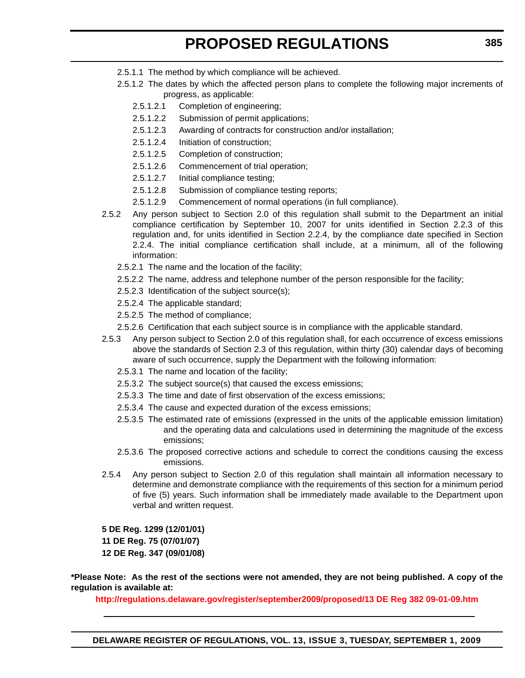- 2.5.1.1 The method by which compliance will be achieved.
- 2.5.1.2 The dates by which the affected person plans to complete the following major increments of progress, as applicable:
	- 2.5.1.2.1 Completion of engineering;
	- 2.5.1.2.2 Submission of permit applications;
	- 2.5.1.2.3 Awarding of contracts for construction and/or installation;
	- 2.5.1.2.4 Initiation of construction;
	- 2.5.1.2.5 Completion of construction;
	- 2.5.1.2.6 Commencement of trial operation;
	- 2.5.1.2.7 Initial compliance testing;
	- 2.5.1.2.8 Submission of compliance testing reports;
	- 2.5.1.2.9 Commencement of normal operations (in full compliance).
- 2.5.2 Any person subject to Section 2.0 of this regulation shall submit to the Department an initial compliance certification by September 10, 2007 for units identified in Section 2.2.3 of this regulation and, for units identified in Section 2.2.4, by the compliance date specified in Section 2.2.4. The initial compliance certification shall include, at a minimum, all of the following information:
	- 2.5.2.1 The name and the location of the facility;
	- 2.5.2.2 The name, address and telephone number of the person responsible for the facility;
	- 2.5.2.3 Identification of the subject source(s);
	- 2.5.2.4 The applicable standard;
	- 2.5.2.5 The method of compliance;
	- 2.5.2.6 Certification that each subject source is in compliance with the applicable standard.
- 2.5.3 Any person subject to Section 2.0 of this regulation shall, for each occurrence of excess emissions above the standards of Section 2.3 of this regulation, within thirty (30) calendar days of becoming aware of such occurrence, supply the Department with the following information:
	- 2.5.3.1 The name and location of the facility;
	- 2.5.3.2 The subject source(s) that caused the excess emissions;
	- 2.5.3.3 The time and date of first observation of the excess emissions;
	- 2.5.3.4 The cause and expected duration of the excess emissions;
	- 2.5.3.5 The estimated rate of emissions (expressed in the units of the applicable emission limitation) and the operating data and calculations used in determining the magnitude of the excess emissions;
	- 2.5.3.6 The proposed corrective actions and schedule to correct the conditions causing the excess emissions.
- 2.5.4 Any person subject to Section 2.0 of this regulation shall maintain all information necessary to determine and demonstrate compliance with the requirements of this section for a minimum period of five (5) years. Such information shall be immediately made available to the Department upon verbal and written request.

**5 DE Reg. 1299 (12/01/01)**

**11 DE Reg. 75 (07/01/07)**

**12 DE Reg. 347 (09/01/08)**

**\*Please Note: As the rest of the sections were not amended, they are not being published. A copy of the regulation is available at:**

**http://regulations.delaware.gov/register/september2009/proposed/13 DE Reg 382 09-01-09.htm**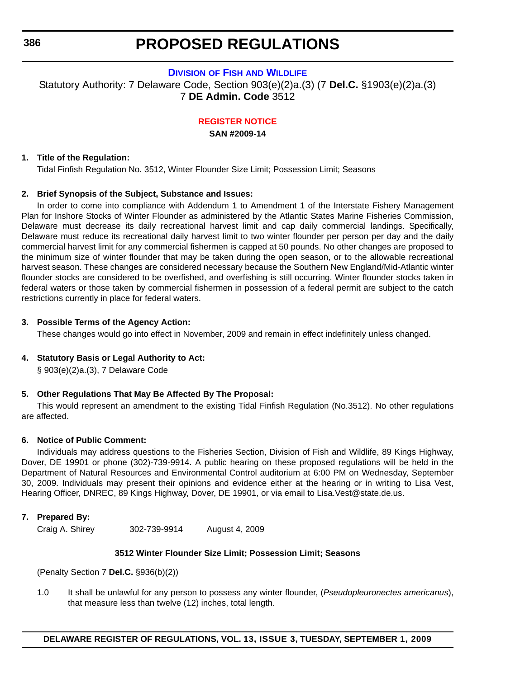# **DIVISION OF FISH [AND WILDLIFE](http://www.fw.delaware.gov/Pages/FWPortal.aspx)**

Statutory Authority: 7 Delaware Code, Section 903(e)(2)a.(3) (7 **Del.C.** §1903(e)(2)a.(3) 7 **DE Admin. Code** 3512

**[REGISTER NOTICE](#page-4-0)**

**SAN #2009-14**

# **1. Title of the Regulation:**

Tidal Finfish Regulation No. 3512, Winter Flounder Size Limit; Possession Limit; Seasons

# **2. Brief Synopsis of the Subject, Substance and Issues:**

In order to come into compliance with Addendum 1 to Amendment 1 of the Interstate Fishery Management Plan for Inshore Stocks of Winter Flounder as administered by the Atlantic States Marine Fisheries Commission, Delaware must decrease its daily recreational harvest limit and cap daily commercial landings. Specifically, Delaware must reduce its recreational daily harvest limit to two winter flounder per person per day and the daily commercial harvest limit for any commercial fishermen is capped at 50 pounds. No other changes are proposed to the minimum size of winter flounder that may be taken during the open season, or to the allowable recreational harvest season. These changes are considered necessary because the Southern New England/Mid-Atlantic winter flounder stocks are considered to be overfished, and overfishing is still occurring. Winter flounder stocks taken in federal waters or those taken by commercial fishermen in possession of a federal permit are subject to the catch restrictions currently in place for federal waters.

### **3. Possible Terms of the Agency Action:**

These changes would go into effect in November, 2009 and remain in effect indefinitely unless changed.

# **4. Statutory Basis or Legal Authority to Act:**

§ 903(e)(2)a.(3), 7 Delaware Code

# **5. Other Regulations That May Be Affected By The Proposal:**

This would represent an amendment to the existing Tidal Finfish Regulation (No.3512). No other regulations are affected.

# **6. Notice of Public Comment:**

Individuals may address questions to the Fisheries Section, Division of Fish and Wildlife, 89 Kings Highway, Dover, DE 19901 or phone (302)-739-9914. A public hearing on these proposed regulations will be held in the Department of Natural Resources and Environmental Control auditorium at 6:00 PM on Wednesday, September 30, 2009. Individuals may present their opinions and evidence either at the hearing or in writing to Lisa Vest, Hearing Officer, DNREC, 89 Kings Highway, Dover, DE 19901, or via email to Lisa.Vest@state.de.us.

# **7. Prepared By:**

Craig A. Shirey 302-739-9914 August 4, 2009

# **3512 Winter Flounder Size Limit; Possession Limit; Seasons**

(Penalty Section 7 **Del.C.** §936(b)(2))

1.0 It shall be unlawful for any person to possess any winter flounder, (*Pseudopleuronectes americanus*), that measure less than twelve (12) inches, total length.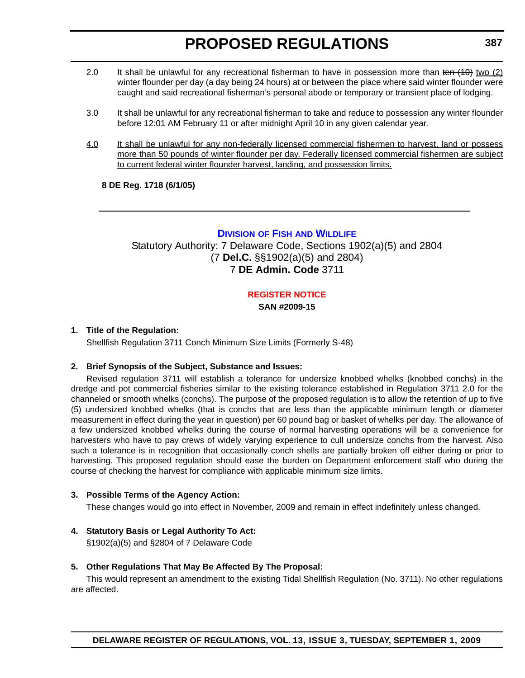- 2.0 It shall be unlawful for any recreational fisherman to have in possession more than ten (10) two (2) winter flounder per day (a day being 24 hours) at or between the place where said winter flounder were caught and said recreational fisherman's personal abode or temporary or transient place of lodging.
- 3.0 It shall be unlawful for any recreational fisherman to take and reduce to possession any winter flounder before 12:01 AM February 11 or after midnight April 10 in any given calendar year.
- 4.0 It shall be unlawful for any non-federally licensed commercial fishermen to harvest, land or possess more than 50 pounds of winter flounder per day. Federally licensed commercial fishermen are subject to current federal winter flounder harvest, landing, and possession limits.

**8 DE Reg. 1718 (6/1/05)**

# **DIVISION OF FISH [AND WILDLIFE](http://www.fw.delaware.gov/Pages/FWPortal.aspx)**

Statutory Authority: 7 Delaware Code, Sections 1902(a)(5) and 2804 (7 **Del.C.** §§1902(a)(5) and 2804) 7 **DE Admin. Code** 3711

# **[REGISTER NOTICE](#page-4-0)**

**SAN #2009-15**

# **1. Title of the Regulation:**

Shellfish Regulation 3711 Conch Minimum Size Limits (Formerly S-48)

# **2. Brief Synopsis of the Subject, Substance and Issues:**

Revised regulation 3711 will establish a tolerance for undersize knobbed whelks (knobbed conchs) in the dredge and pot commercial fisheries similar to the existing tolerance established in Regulation 3711 2.0 for the channeled or smooth whelks (conchs). The purpose of the proposed regulation is to allow the retention of up to five (5) undersized knobbed whelks (that is conchs that are less than the applicable minimum length or diameter measurement in effect during the year in question) per 60 pound bag or basket of whelks per day. The allowance of a few undersized knobbed whelks during the course of normal harvesting operations will be a convenience for harvesters who have to pay crews of widely varying experience to cull undersize conchs from the harvest. Also such a tolerance is in recognition that occasionally conch shells are partially broken off either during or prior to harvesting. This proposed regulation should ease the burden on Department enforcement staff who during the course of checking the harvest for compliance with applicable minimum size limits.

# **3. Possible Terms of the Agency Action:**

These changes would go into effect in November, 2009 and remain in effect indefinitely unless changed.

**4. Statutory Basis or Legal Authority To Act:**

§1902(a)(5) and §2804 of 7 Delaware Code

# **5. Other Regulations That May Be Affected By The Proposal:**

This would represent an amendment to the existing Tidal Shellfish Regulation (No. 3711). No other regulations are affected.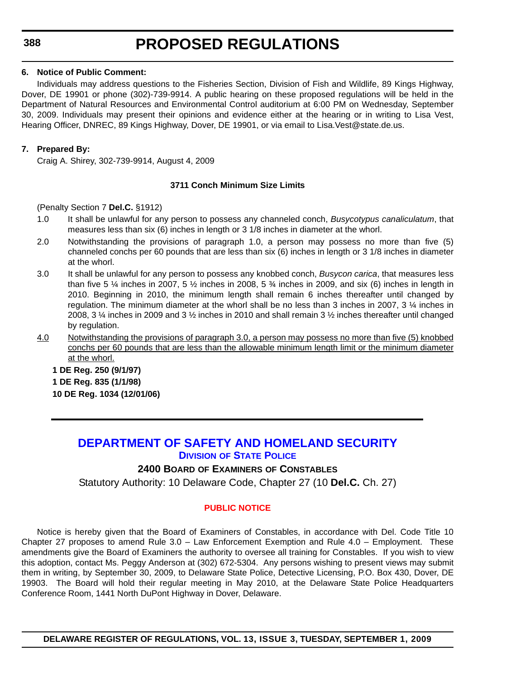## **6. Notice of Public Comment:**

Individuals may address questions to the Fisheries Section, Division of Fish and Wildlife, 89 Kings Highway, Dover, DE 19901 or phone (302)-739-9914. A public hearing on these proposed regulations will be held in the Department of Natural Resources and Environmental Control auditorium at 6:00 PM on Wednesday, September 30, 2009. Individuals may present their opinions and evidence either at the hearing or in writing to Lisa Vest, Hearing Officer, DNREC, 89 Kings Highway, Dover, DE 19901, or via email to Lisa.Vest@state.de.us.

# **7. Prepared By:**

Craig A. Shirey, 302-739-9914, August 4, 2009

# **3711 Conch Minimum Size Limits**

(Penalty Section 7 **Del.C.** §1912)

- 1.0 It shall be unlawful for any person to possess any channeled conch, *Busycotypus canaliculatum*, that measures less than six (6) inches in length or 3 1/8 inches in diameter at the whorl.
- 2.0 Notwithstanding the provisions of paragraph 1.0, a person may possess no more than five (5) channeled conchs per 60 pounds that are less than six (6) inches in length or 3 1/8 inches in diameter at the whorl.
- 3.0 It shall be unlawful for any person to possess any knobbed conch, *Busycon carica*, that measures less than five 5  $\frac{1}{4}$  inches in 2007, 5  $\frac{1}{2}$  inches in 2008, 5  $\frac{3}{4}$  inches in 2009, and six (6) inches in length in 2010. Beginning in 2010, the minimum length shall remain 6 inches thereafter until changed by regulation. The minimum diameter at the whorl shall be no less than 3 inches in 2007, 3 ¼ inches in 2008, 3 ¼ inches in 2009 and 3 ½ inches in 2010 and shall remain 3 ½ inches thereafter until changed by regulation.
- 4.0 Notwithstanding the provisions of paragraph 3.0, a person may possess no more than five (5) knobbed conchs per 60 pounds that are less than the allowable minimum length limit or the minimum diameter at the whorl.

**1 DE Reg. 250 (9/1/97) 1 DE Reg. 835 (1/1/98) 10 DE Reg. 1034 (12/01/06)**

# **[DEPARTMENT OF SAFETY AND HOMELAND SECURITY](http://dsp.delaware.gov/default.shtml) DIVISION OF STATE POLICE**

# **2400 BOARD OF EXAMINERS OF CONSTABLES**

Statutory Authority: 10 Delaware Code, Chapter 27 (10 **Del.C.** Ch. 27)

# **[PUBLIC NOTICE](#page-4-0)**

Notice is hereby given that the Board of Examiners of Constables, in accordance with Del. Code Title 10 Chapter 27 proposes to amend Rule 3.0 – Law Enforcement Exemption and Rule 4.0 – Employment. These amendments give the Board of Examiners the authority to oversee all training for Constables. If you wish to view this adoption, contact Ms. Peggy Anderson at (302) 672-5304. Any persons wishing to present views may submit them in writing, by September 30, 2009, to Delaware State Police, Detective Licensing, P.O. Box 430, Dover, DE 19903. The Board will hold their regular meeting in May 2010, at the Delaware State Police Headquarters Conference Room, 1441 North DuPont Highway in Dover, Delaware.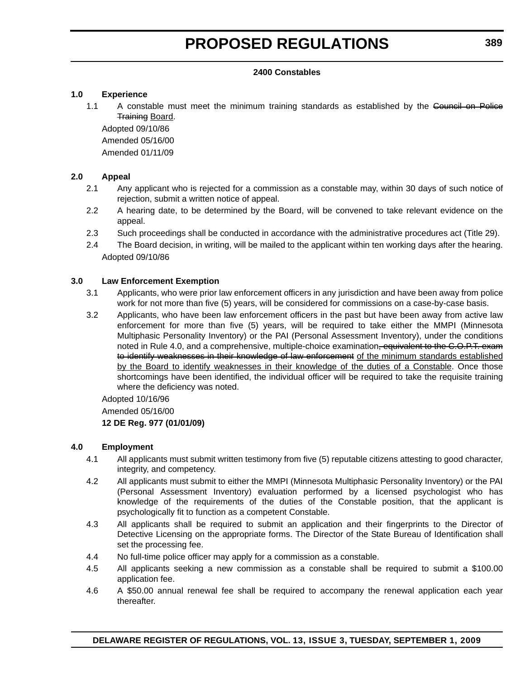### **2400 Constables**

## **1.0 Experience**

1.1 A constable must meet the minimum training standards as established by the Council on Police Training Board.

Adopted 09/10/86 Amended 05/16/00 Amended 01/11/09

# **2.0 Appeal**

- 2.1 Any applicant who is rejected for a commission as a constable may, within 30 days of such notice of rejection, submit a written notice of appeal.
- 2.2 A hearing date, to be determined by the Board, will be convened to take relevant evidence on the appeal.
- 2.3 Such proceedings shall be conducted in accordance with the administrative procedures act (Title 29).
- 2.4 The Board decision, in writing, will be mailed to the applicant within ten working days after the hearing. Adopted 09/10/86

### **3.0 Law Enforcement Exemption**

- 3.1 Applicants, who were prior law enforcement officers in any jurisdiction and have been away from police work for not more than five (5) years, will be considered for commissions on a case-by-case basis.
- 3.2 Applicants, who have been law enforcement officers in the past but have been away from active law enforcement for more than five (5) years, will be required to take either the MMPI (Minnesota Multiphasic Personality Inventory) or the PAI (Personal Assessment Inventory), under the conditions noted in Rule 4.0, and a comprehensive, multiple-choice examination<del>, equivalent to the C.O.P.T. exam</del> to identify weaknesses in their knowledge of law enforcement of the minimum standards established by the Board to identify weaknesses in their knowledge of the duties of a Constable. Once those shortcomings have been identified, the individual officer will be required to take the requisite training where the deficiency was noted.

Adopted 10/16/96

Amended 05/16/00

# **12 DE Reg. 977 (01/01/09)**

# **4.0 Employment**

- 4.1 All applicants must submit written testimony from five (5) reputable citizens attesting to good character, integrity, and competency.
- 4.2 All applicants must submit to either the MMPI (Minnesota Multiphasic Personality Inventory) or the PAI (Personal Assessment Inventory) evaluation performed by a licensed psychologist who has knowledge of the requirements of the duties of the Constable position, that the applicant is psychologically fit to function as a competent Constable.
- 4.3 All applicants shall be required to submit an application and their fingerprints to the Director of Detective Licensing on the appropriate forms. The Director of the State Bureau of Identification shall set the processing fee.
- 4.4 No full-time police officer may apply for a commission as a constable.
- 4.5 All applicants seeking a new commission as a constable shall be required to submit a \$100.00 application fee.
- 4.6 A \$50.00 annual renewal fee shall be required to accompany the renewal application each year thereafter.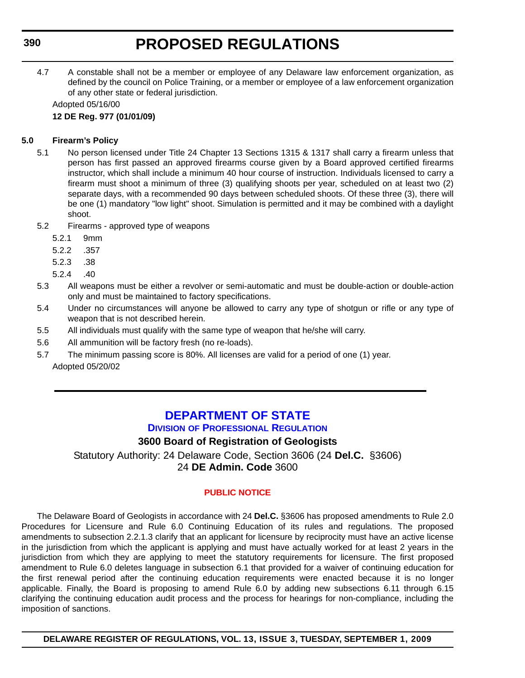4.7 A constable shall not be a member or employee of any Delaware law enforcement organization, as defined by the council on Police Training, or a member or employee of a law enforcement organization of any other state or federal jurisdiction.

Adopted 05/16/00 **12 DE Reg. 977 (01/01/09)**

## **5.0 Firearm's Policy**

- 5.1 No person licensed under Title 24 Chapter 13 Sections 1315 & 1317 shall carry a firearm unless that person has first passed an approved firearms course given by a Board approved certified firearms instructor, which shall include a minimum 40 hour course of instruction. Individuals licensed to carry a firearm must shoot a minimum of three (3) qualifying shoots per year, scheduled on at least two (2) separate days, with a recommended 90 days between scheduled shoots. Of these three (3), there will be one (1) mandatory "low light" shoot. Simulation is permitted and it may be combined with a daylight shoot.
- 5.2 Firearms approved type of weapons
	- 5.2.1 9mm
	- 5.2.2 .357
	- 5.2.3 .38
	- 5.2.4 .40
- 5.3 All weapons must be either a revolver or semi-automatic and must be double-action or double-action only and must be maintained to factory specifications.
- 5.4 Under no circumstances will anyone be allowed to carry any type of shotgun or rifle or any type of weapon that is not described herein.
- 5.5 All individuals must qualify with the same type of weapon that he/she will carry.
- 5.6 All ammunition will be factory fresh (no re-loads).
- 5.7 The minimum passing score is 80%. All licenses are valid for a period of one (1) year. Adopted 05/20/02

## **[DEPARTMENT OF STATE](http://dpr.delaware.gov/default.shtml) DIVISION OF PROFESSIONAL REGULATION**

## **3600 Board of Registration of Geologists**

Statutory Authority: 24 Delaware Code, Section 3606 (24 **Del.C.** §3606) 24 **DE Admin. Code** 3600

## **[PUBLIC NOTICE](#page-4-0)**

The Delaware Board of Geologists in accordance with 24 **Del.C.** §3606 has proposed amendments to Rule 2.0 Procedures for Licensure and Rule 6.0 Continuing Education of its rules and regulations. The proposed amendments to subsection 2.2.1.3 clarify that an applicant for licensure by reciprocity must have an active license in the jurisdiction from which the applicant is applying and must have actually worked for at least 2 years in the jurisdiction from which they are applying to meet the statutory requirements for licensure. The first proposed amendment to Rule 6.0 deletes language in subsection 6.1 that provided for a waiver of continuing education for the first renewal period after the continuing education requirements were enacted because it is no longer applicable. Finally, the Board is proposing to amend Rule 6.0 by adding new subsections 6.11 through 6.15 clarifying the continuing education audit process and the process for hearings for non-compliance, including the imposition of sanctions.

**DELAWARE REGISTER OF REGULATIONS, VOL. 13, ISSUE 3, TUESDAY, SEPTEMBER 1, 2009**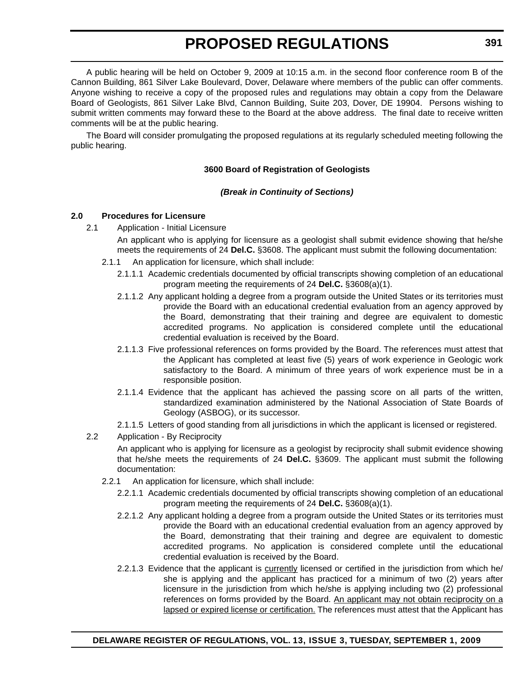A public hearing will be held on October 9, 2009 at 10:15 a.m. in the second floor conference room B of the Cannon Building, 861 Silver Lake Boulevard, Dover, Delaware where members of the public can offer comments. Anyone wishing to receive a copy of the proposed rules and regulations may obtain a copy from the Delaware Board of Geologists, 861 Silver Lake Blvd, Cannon Building, Suite 203, Dover, DE 19904. Persons wishing to submit written comments may forward these to the Board at the above address. The final date to receive written comments will be at the public hearing.

The Board will consider promulgating the proposed regulations at its regularly scheduled meeting following the public hearing.

## **3600 Board of Registration of Geologists**

### *(Break in Continuity of Sections)*

### **2.0 Procedures for Licensure**

2.1 Application - Initial Licensure

An applicant who is applying for licensure as a geologist shall submit evidence showing that he/she meets the requirements of 24 **Del.C.** §3608. The applicant must submit the following documentation:

- 2.1.1 An application for licensure, which shall include:
	- 2.1.1.1 Academic credentials documented by official transcripts showing completion of an educational program meeting the requirements of 24 **Del.C.** §3608(a)(1).
	- 2.1.1.2 Any applicant holding a degree from a program outside the United States or its territories must provide the Board with an educational credential evaluation from an agency approved by the Board, demonstrating that their training and degree are equivalent to domestic accredited programs. No application is considered complete until the educational credential evaluation is received by the Board.
	- 2.1.1.3 Five professional references on forms provided by the Board. The references must attest that the Applicant has completed at least five (5) years of work experience in Geologic work satisfactory to the Board. A minimum of three years of work experience must be in a responsible position.
	- 2.1.1.4 Evidence that the applicant has achieved the passing score on all parts of the written, standardized examination administered by the National Association of State Boards of Geology (ASBOG), or its successor.
	- 2.1.1.5 Letters of good standing from all jurisdictions in which the applicant is licensed or registered.

### 2.2 Application - By Reciprocity

An applicant who is applying for licensure as a geologist by reciprocity shall submit evidence showing that he/she meets the requirements of 24 **Del.C.** §3609. The applicant must submit the following documentation:

- 2.2.1 An application for licensure, which shall include:
	- 2.2.1.1 Academic credentials documented by official transcripts showing completion of an educational program meeting the requirements of 24 **Del.C.** §3608(a)(1).
	- 2.2.1.2 Any applicant holding a degree from a program outside the United States or its territories must provide the Board with an educational credential evaluation from an agency approved by the Board, demonstrating that their training and degree are equivalent to domestic accredited programs. No application is considered complete until the educational credential evaluation is received by the Board.
	- 2.2.1.3 Evidence that the applicant is currently licensed or certified in the jurisdiction from which he/ she is applying and the applicant has practiced for a minimum of two (2) years after licensure in the jurisdiction from which he/she is applying including two (2) professional references on forms provided by the Board. An applicant may not obtain reciprocity on a lapsed or expired license or certification. The references must attest that the Applicant has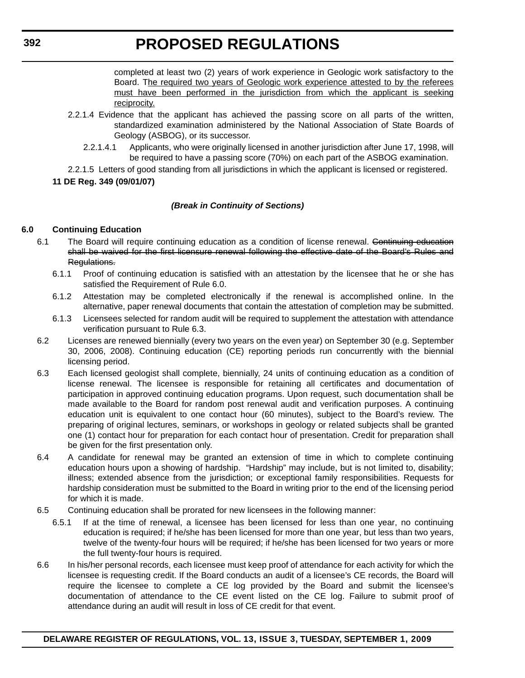completed at least two (2) years of work experience in Geologic work satisfactory to the Board. The required two years of Geologic work experience attested to by the referees must have been performed in the jurisdiction from which the applicant is seeking reciprocity.

- 2.2.1.4 Evidence that the applicant has achieved the passing score on all parts of the written, standardized examination administered by the National Association of State Boards of Geology (ASBOG), or its successor.
	- 2.2.1.4.1 Applicants, who were originally licensed in another jurisdiction after June 17, 1998, will be required to have a passing score (70%) on each part of the ASBOG examination.
- 2.2.1.5 Letters of good standing from all jurisdictions in which the applicant is licensed or registered.

## **11 DE Reg. 349 (09/01/07)**

## *(Break in Continuity of Sections)*

## **6.0 Continuing Education**

- 6.1 The Board will require continuing education as a condition of license renewal. Continuing education shall be waived for the first licensure renewal following the effective date of the Board's Rules and Regulations.
	- 6.1.1 Proof of continuing education is satisfied with an attestation by the licensee that he or she has satisfied the Requirement of Rule 6.0.
	- 6.1.2 Attestation may be completed electronically if the renewal is accomplished online. In the alternative, paper renewal documents that contain the attestation of completion may be submitted.
	- 6.1.3 Licensees selected for random audit will be required to supplement the attestation with attendance verification pursuant to Rule 6.3.
- 6.2 Licenses are renewed biennially (every two years on the even year) on September 30 (e.g. September 30, 2006, 2008). Continuing education (CE) reporting periods run concurrently with the biennial licensing period.
- 6.3 Each licensed geologist shall complete, biennially, 24 units of continuing education as a condition of license renewal. The licensee is responsible for retaining all certificates and documentation of participation in approved continuing education programs. Upon request, such documentation shall be made available to the Board for random post renewal audit and verification purposes. A continuing education unit is equivalent to one contact hour (60 minutes), subject to the Board's review. The preparing of original lectures, seminars, or workshops in geology or related subjects shall be granted one (1) contact hour for preparation for each contact hour of presentation. Credit for preparation shall be given for the first presentation only.
- 6.4 A candidate for renewal may be granted an extension of time in which to complete continuing education hours upon a showing of hardship. "Hardship" may include, but is not limited to, disability; illness; extended absence from the jurisdiction; or exceptional family responsibilities. Requests for hardship consideration must be submitted to the Board in writing prior to the end of the licensing period for which it is made.
- 6.5 Continuing education shall be prorated for new licensees in the following manner:
	- 6.5.1 If at the time of renewal, a licensee has been licensed for less than one year, no continuing education is required; if he/she has been licensed for more than one year, but less than two years, twelve of the twenty-four hours will be required; if he/she has been licensed for two years or more the full twenty-four hours is required.
- 6.6 In his/her personal records, each licensee must keep proof of attendance for each activity for which the licensee is requesting credit. If the Board conducts an audit of a licensee's CE records, the Board will require the licensee to complete a CE log provided by the Board and submit the licensee's documentation of attendance to the CE event listed on the CE log. Failure to submit proof of attendance during an audit will result in loss of CE credit for that event.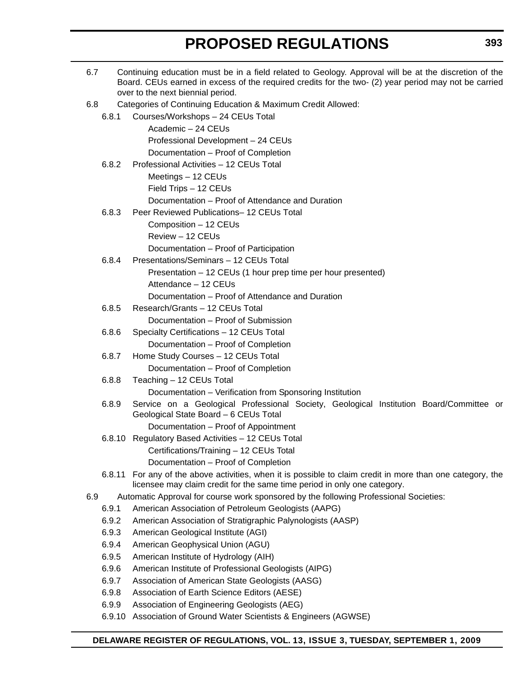| 6.7 |                | Continuing education must be in a field related to Geology. Approval will be at the discretion of the<br>Board. CEUs earned in excess of the required credits for the two- (2) year period may not be carried<br>over to the next biennial period. |
|-----|----------------|----------------------------------------------------------------------------------------------------------------------------------------------------------------------------------------------------------------------------------------------------|
| 6.8 |                | Categories of Continuing Education & Maximum Credit Allowed:                                                                                                                                                                                       |
|     | 6.8.1          | Courses/Workshops - 24 CEUs Total                                                                                                                                                                                                                  |
|     |                | Academic - 24 CEUs                                                                                                                                                                                                                                 |
|     |                | Professional Development - 24 CEUs                                                                                                                                                                                                                 |
|     |                | Documentation - Proof of Completion                                                                                                                                                                                                                |
|     | 6.8.2          | Professional Activities - 12 CEUs Total                                                                                                                                                                                                            |
|     |                | Meetings - 12 CEUs                                                                                                                                                                                                                                 |
|     |                | Field Trips - 12 CEUs                                                                                                                                                                                                                              |
|     |                | Documentation – Proof of Attendance and Duration                                                                                                                                                                                                   |
|     | 6.8.3          | Peer Reviewed Publications-12 CEUs Total                                                                                                                                                                                                           |
|     |                | Composition - 12 CEUs                                                                                                                                                                                                                              |
|     |                | Review - 12 CEUs                                                                                                                                                                                                                                   |
|     |                | Documentation - Proof of Participation                                                                                                                                                                                                             |
|     | 6.8.4          | Presentations/Seminars - 12 CEUs Total                                                                                                                                                                                                             |
|     |                | Presentation - 12 CEUs (1 hour prep time per hour presented)                                                                                                                                                                                       |
|     |                | Attendance - 12 CEUs                                                                                                                                                                                                                               |
|     |                | Documentation – Proof of Attendance and Duration                                                                                                                                                                                                   |
|     | 6.8.5          | Research/Grants - 12 CEUs Total                                                                                                                                                                                                                    |
|     |                | Documentation - Proof of Submission                                                                                                                                                                                                                |
|     | 6.8.6          | Specialty Certifications - 12 CEUs Total                                                                                                                                                                                                           |
|     |                | Documentation - Proof of Completion                                                                                                                                                                                                                |
|     | 6.8.7          | Home Study Courses - 12 CEUs Total                                                                                                                                                                                                                 |
|     |                | Documentation - Proof of Completion                                                                                                                                                                                                                |
|     | 6.8.8          | Teaching - 12 CEUs Total                                                                                                                                                                                                                           |
|     |                | Documentation - Verification from Sponsoring Institution                                                                                                                                                                                           |
|     | 6.8.9          | Service on a Geological Professional Society, Geological Institution Board/Committee or<br>Geological State Board - 6 CEUs Total                                                                                                                   |
|     |                | Documentation - Proof of Appointment                                                                                                                                                                                                               |
|     |                | 6.8.10 Regulatory Based Activities - 12 CEUs Total                                                                                                                                                                                                 |
|     |                | Certifications/Training - 12 CEUs Total                                                                                                                                                                                                            |
|     | 6.8.11         | Documentation - Proof of Completion<br>For any of the above activities, when it is possible to claim credit in more than one category, the                                                                                                         |
|     |                | licensee may claim credit for the same time period in only one category.                                                                                                                                                                           |
| 6.9 |                | Automatic Approval for course work sponsored by the following Professional Societies:                                                                                                                                                              |
|     | 6.9.1          | American Association of Petroleum Geologists (AAPG)                                                                                                                                                                                                |
|     | 6.9.2          | American Association of Stratigraphic Palynologists (AASP)                                                                                                                                                                                         |
|     | 6.9.3          | American Geological Institute (AGI)                                                                                                                                                                                                                |
|     | 6.9.4<br>6.9.5 | American Geophysical Union (AGU)                                                                                                                                                                                                                   |
|     | 6.9.6          | American Institute of Hydrology (AIH)                                                                                                                                                                                                              |
|     | 6.9.7          | American Institute of Professional Geologists (AIPG)<br>Association of American State Geologists (AASG)                                                                                                                                            |
|     | 6.9.8          | Association of Earth Science Editors (AESE)                                                                                                                                                                                                        |
|     | 6.9.9          | Association of Engineering Geologists (AEG)                                                                                                                                                                                                        |
|     | 6.9.10         | Association of Ground Water Scientists & Engineers (AGWSE)                                                                                                                                                                                         |
|     |                |                                                                                                                                                                                                                                                    |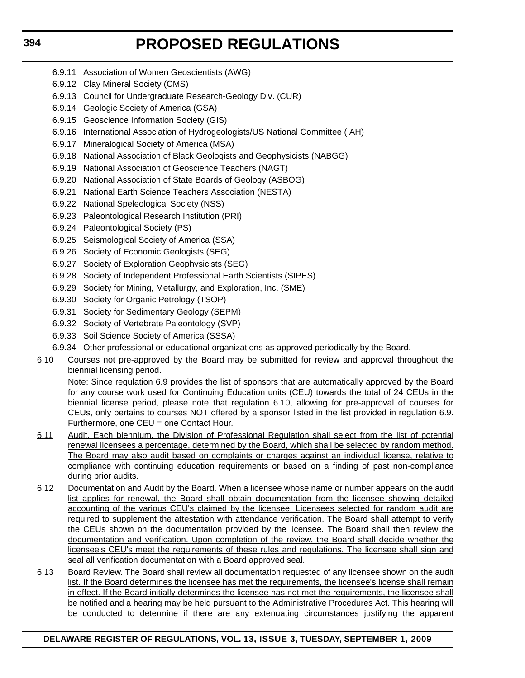- 6.9.11 Association of Women Geoscientists (AWG)
- 6.9.12 Clay Mineral Society (CMS)
- 6.9.13 Council for Undergraduate Research-Geology Div. (CUR)
- 6.9.14 Geologic Society of America (GSA)
- 6.9.15 Geoscience Information Society (GIS)
- 6.9.16 International Association of Hydrogeologists/US National Committee (IAH)
- 6.9.17 Mineralogical Society of America (MSA)
- 6.9.18 National Association of Black Geologists and Geophysicists (NABGG)
- 6.9.19 National Association of Geoscience Teachers (NAGT)
- 6.9.20 National Association of State Boards of Geology (ASBOG)
- 6.9.21 National Earth Science Teachers Association (NESTA)
- 6.9.22 National Speleological Society (NSS)
- 6.9.23 Paleontological Research Institution (PRI)
- 6.9.24 Paleontological Society (PS)
- 6.9.25 Seismological Society of America (SSA)
- 6.9.26 Society of Economic Geologists (SEG)
- 6.9.27 Society of Exploration Geophysicists (SEG)
- 6.9.28 Society of Independent Professional Earth Scientists (SIPES)
- 6.9.29 Society for Mining, Metallurgy, and Exploration, Inc. (SME)
- 6.9.30 Society for Organic Petrology (TSOP)
- 6.9.31 Society for Sedimentary Geology (SEPM)
- 6.9.32 Society of Vertebrate Paleontology (SVP)
- 6.9.33 Soil Science Society of America (SSSA)
- 6.9.34 Other professional or educational organizations as approved periodically by the Board.
- 6.10 Courses not pre-approved by the Board may be submitted for review and approval throughout the biennial licensing period.

Note: Since regulation 6.9 provides the list of sponsors that are automatically approved by the Board for any course work used for Continuing Education units (CEU) towards the total of 24 CEUs in the biennial license period, please note that regulation 6.10, allowing for pre-approval of courses for CEUs, only pertains to courses NOT offered by a sponsor listed in the list provided in regulation 6.9. Furthermore, one CEU = one Contact Hour.

- 6.11 Audit. Each biennium, the Division of Professional Regulation shall select from the list of potential renewal licensees a percentage, determined by the Board, which shall be selected by random method. The Board may also audit based on complaints or charges against an individual license, relative to compliance with continuing education requirements or based on a finding of past non-compliance during prior audits.
- 6.12 Documentation and Audit by the Board. When a licensee whose name or number appears on the audit list applies for renewal, the Board shall obtain documentation from the licensee showing detailed accounting of the various CEU's claimed by the licensee. Licensees selected for random audit are required to supplement the attestation with attendance verification. The Board shall attempt to verify the CEUs shown on the documentation provided by the licensee. The Board shall then review the documentation and verification. Upon completion of the review, the Board shall decide whether the licensee's CEU's meet the requirements of these rules and requlations. The licensee shall sign and seal all verification documentation with a Board approved seal.
- 6.13 Board Review. The Board shall review all documentation requested of any licensee shown on the audit list. If the Board determines the licensee has met the requirements, the licensee's license shall remain in effect. If the Board initially determines the licensee has not met the requirements, the licensee shall be notified and a hearing may be held pursuant to the Administrative Procedures Act. This hearing will be conducted to determine if there are any extenuating circumstances justifying the apparent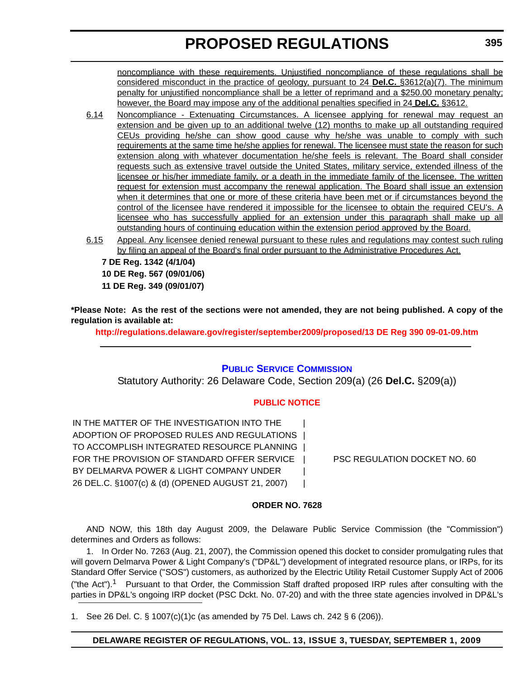noncompliance with these requirements. Unjustified noncompliance of these regulations shall be considered misconduct in the practice of geology, pursuant to 24 **Del.C.** §3612(a)(7). The minimum penalty for unjustified noncompliance shall be a letter of reprimand and a \$250.00 monetary penalty; however, the Board may impose any of the additional penalties specified in 24 **Del.C.** §3612.

- 6.14 Noncompliance Extenuating Circumstances. A licensee applying for renewal may request an extension and be given up to an additional twelve (12) months to make up all outstanding required CEUs providing he/she can show good cause why he/she was unable to comply with such requirements at the same time he/she applies for renewal. The licensee must state the reason for such extension along with whatever documentation he/she feels is relevant. The Board shall consider requests such as extensive travel outside the United States, military service, extended illness of the licensee or his/her immediate family, or a death in the immediate family of the licensee. The written request for extension must accompany the renewal application. The Board shall issue an extension when it determines that one or more of these criteria have been met or if circumstances beyond the control of the licensee have rendered it impossible for the licensee to obtain the required CEU's. A licensee who has successfully applied for an extension under this paragraph shall make up all outstanding hours of continuing education within the extension period approved by the Board.
- 6.15 Appeal. Any licensee denied renewal pursuant to these rules and regulations may contest such ruling by filing an appeal of the Board's final order pursuant to the Administrative Procedures Act.

**7 DE Reg. 1342 (4/1/04) 10 DE Reg. 567 (09/01/06) 11 DE Reg. 349 (09/01/07)**

**\*Please Note: As the rest of the sections were not amended, they are not being published. A copy of the regulation is available at:**

**http://regulations.delaware.gov/register/september2009/proposed/13 DE Reg 390 09-01-09.htm**

## **[PUBLIC SERVICE COMMISSION](http://depsc.delaware.gov/default.shtml)**

Statutory Authority: 26 Delaware Code, Section 209(a) (26 **Del.C.** §209(a))

## **[PUBLIC NOTICE](#page-4-0)**

IN THE MATTER OF THE INVESTIGATION INTO THE ADOPTION OF PROPOSED RULES AND REGULATIONS | TO ACCOMPLISH INTEGRATED RESOURCE PLANNING | FOR THE PROVISION OF STANDARD OFFER SERVICE | PSC REGULATION DOCKET NO. 60 BY DELMARVA POWER & LIGHT COMPANY UNDER 26 DEL.C. §1007(c) & (d) (OPENED AUGUST 21, 2007) |

## **ORDER NO. 7628**

AND NOW, this 18th day August 2009, the Delaware Public Service Commission (the "Commission") determines and Orders as follows:

1. In Order No. 7263 (Aug. 21, 2007), the Commission opened this docket to consider promulgating rules that will govern Delmarva Power & Light Company's ("DP&L") development of integrated resource plans, or IRPs, for its Standard Offer Service ("SOS") customers, as authorized by the Electric Utility Retail Customer Supply Act of 2006 ("the Act").<sup>1</sup> Pursuant to that Order, the Commission Staff drafted proposed IRP rules after consulting with the parties in DP&L's ongoing IRP docket (PSC Dckt. No. 07-20) and with the three state agencies involved in DP&L's

1. See 26 Del. C. § 1007(c)(1)c (as amended by 75 Del. Laws ch. 242 § 6 (206)).

## **DELAWARE REGISTER OF REGULATIONS, VOL. 13, ISSUE 3, TUESDAY, SEPTEMBER 1, 2009**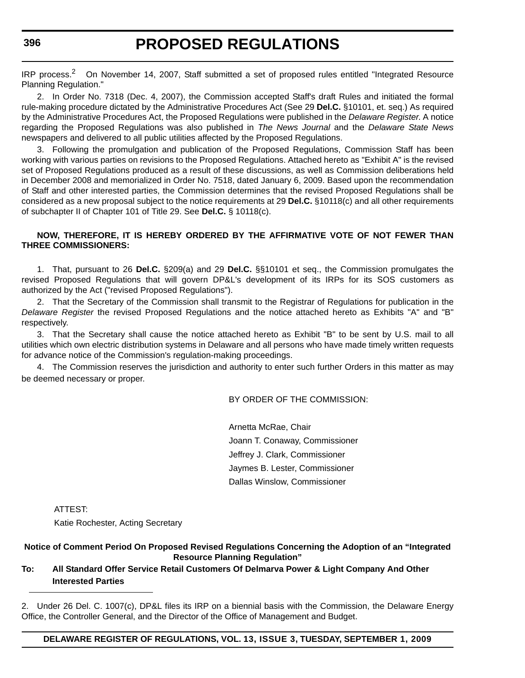IRP process.<sup>2</sup> On November 14, 2007, Staff submitted a set of proposed rules entitled "Integrated Resource" Planning Regulation."

2. In Order No. 7318 (Dec. 4, 2007), the Commission accepted Staff's draft Rules and initiated the formal rule-making procedure dictated by the Administrative Procedures Act (See 29 **Del.C.** §10101, et. seq.) As required by the Administrative Procedures Act, the Proposed Regulations were published in the *Delaware Register*. A notice regarding the Proposed Regulations was also published in *The News Journal* and the *Delaware State News* newspapers and delivered to all public utilities affected by the Proposed Regulations.

3. Following the promulgation and publication of the Proposed Regulations, Commission Staff has been working with various parties on revisions to the Proposed Regulations. Attached hereto as "Exhibit A" is the revised set of Proposed Regulations produced as a result of these discussions, as well as Commission deliberations held in December 2008 and memorialized in Order No. 7518, dated January 6, 2009. Based upon the recommendation of Staff and other interested parties, the Commission determines that the revised Proposed Regulations shall be considered as a new proposal subject to the notice requirements at 29 **Del.C.** §10118(c) and all other requirements of subchapter II of Chapter 101 of Title 29. See **Del.C.** § 10118(c).

## **NOW, THEREFORE, IT IS HEREBY ORDERED BY THE AFFIRMATIVE VOTE OF NOT FEWER THAN THREE COMMISSIONERS:**

1. That, pursuant to 26 **Del.C.** §209(a) and 29 **Del.C.** §§10101 et seq., the Commission promulgates the revised Proposed Regulations that will govern DP&L's development of its IRPs for its SOS customers as authorized by the Act ("revised Proposed Regulations").

2. That the Secretary of the Commission shall transmit to the Registrar of Regulations for publication in the *Delaware Register* the revised Proposed Regulations and the notice attached hereto as Exhibits "A" and "B" respectively.

3. That the Secretary shall cause the notice attached hereto as Exhibit "B" to be sent by U.S. mail to all utilities which own electric distribution systems in Delaware and all persons who have made timely written requests for advance notice of the Commission's regulation-making proceedings.

4. The Commission reserves the jurisdiction and authority to enter such further Orders in this matter as may be deemed necessary or proper.

BY ORDER OF THE COMMISSION:

Arnetta McRae, Chair Joann T. Conaway, Commissioner Jeffrey J. Clark, Commissioner Jaymes B. Lester, Commissioner Dallas Winslow, Commissioner

ATTEST:

Katie Rochester, Acting Secretary

## **Notice of Comment Period On Proposed Revised Regulations Concerning the Adoption of an "Integrated Resource Planning Regulation"**

## **To: All Standard Offer Service Retail Customers Of Delmarva Power & Light Company And Other Interested Parties**

2. Under 26 Del. C. 1007(c), DP&L files its IRP on a biennial basis with the Commission, the Delaware Energy Office, the Controller General, and the Director of the Office of Management and Budget.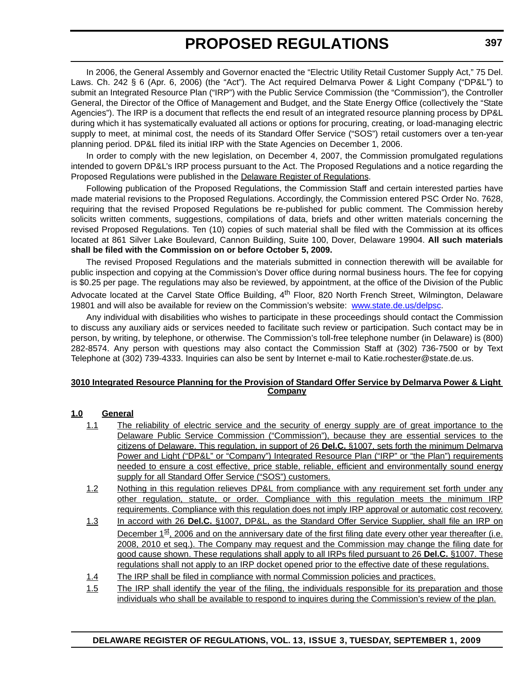In 2006, the General Assembly and Governor enacted the "Electric Utility Retail Customer Supply Act," 75 Del. Laws. Ch. 242 § 6 (Apr. 6, 2006) (the "Act"). The Act required Delmarva Power & Light Company ("DP&L") to submit an Integrated Resource Plan ("IRP") with the Public Service Commission (the "Commission"), the Controller General, the Director of the Office of Management and Budget, and the State Energy Office (collectively the "State Agencies"). The IRP is a document that reflects the end result of an integrated resource planning process by DP&L during which it has systematically evaluated all actions or options for procuring, creating, or load-managing electric supply to meet, at minimal cost, the needs of its Standard Offer Service ("SOS") retail customers over a ten-year planning period. DP&L filed its initial IRP with the State Agencies on December 1, 2006.

In order to comply with the new legislation, on December 4, 2007, the Commission promulgated regulations intended to govern DP&L's IRP process pursuant to the Act. The Proposed Regulations and a notice regarding the Proposed Regulations were published in the Delaware Register of Regulations.

Following publication of the Proposed Regulations, the Commission Staff and certain interested parties have made material revisions to the Proposed Regulations. Accordingly, the Commission entered PSC Order No. 7628, requiring that the revised Proposed Regulations be re-published for public comment. The Commission hereby solicits written comments, suggestions, compilations of data, briefs and other written materials concerning the revised Proposed Regulations. Ten (10) copies of such material shall be filed with the Commission at its offices located at 861 Silver Lake Boulevard, Cannon Building, Suite 100, Dover, Delaware 19904. **All such materials shall be filed with the Commission on or before October 5, 2009.**

The revised Proposed Regulations and the materials submitted in connection therewith will be available for public inspection and copying at the Commission's Dover office during normal business hours. The fee for copying is \$0.25 per page. The regulations may also be reviewed, by appointment, at the office of the Division of the Public Advocate located at the Carvel State Office Building, 4<sup>th</sup> Floor, 820 North French Street, Wilmington, Delaware 19801 and will also be available for review on the Commission's website: www.state.de.us/delpsc.

Any individual with disabilities who wishes to participate in these proceedings should contact the Commission to discuss any auxiliary aids or services needed to facilitate such review or participation. Such contact may be in person, by writing, by telephone, or otherwise. The Commission's toll-free telephone number (in Delaware) is (800) 282-8574. Any person with questions may also contact the Commission Staff at (302) 736-7500 or by Text Telephone at (302) 739-4333. Inquiries can also be sent by Internet e-mail to Katie.rochester@state.de.us.

### **3010 Integrated Resource Planning for the Provision of Standard Offer Service by Delmarva Power & Light Company**

## **1.0 General**

- 1.1 The reliability of electric service and the security of energy supply are of great importance to the Delaware Public Service Commission ("Commission"), because they are essential services to the citizens of Delaware. This regulation, in support of 26 **Del.C.** §1007, sets forth the minimum Delmarva Power and Light ("DP&L" or "Company") Integrated Resource Plan ("IRP" or "the Plan") requirements needed to ensure a cost effective, price stable, reliable, efficient and environmentally sound energy supply for all Standard Offer Service ("SOS") customers.
- 1.2 Nothing in this regulation relieves DP&L from compliance with any requirement set forth under any other regulation, statute, or order. Compliance with this regulation meets the minimum IRP requirements. Compliance with this regulation does not imply IRP approval or automatic cost recovery.
- 1.3 In accord with 26 **Del.C.** §1007, DP&L, as the Standard Offer Service Supplier, shall file an IRP on December  $1^{st}$ , 2006 and on the anniversary date of the first filing date every other year thereafter (i.e. 2008, 2010 et seq.). The Company may request and the Commission may change the filing date for good cause shown. These regulations shall apply to all IRPs filed pursuant to 26 **Del.C.** §1007. These regulations shall not apply to an IRP docket opened prior to the effective date of these regulations.
- 1.4 The IRP shall be filed in compliance with normal Commission policies and practices.
- 1.5 The IRP shall identify the year of the filing, the individuals responsible for its preparation and those individuals who shall be available to respond to inquires during the Commission's review of the plan.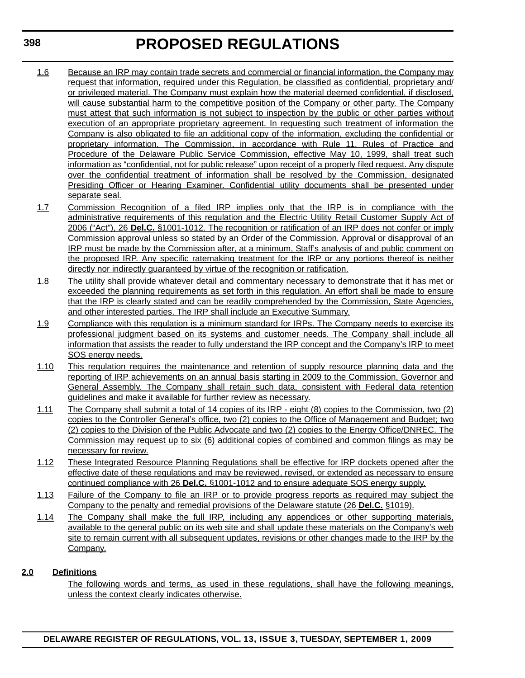- 1.6 Because an IRP may contain trade secrets and commercial or financial information, the Company may request that information, required under this Regulation, be classified as confidential, proprietary and/ or privileged material. The Company must explain how the material deemed confidential, if disclosed, will cause substantial harm to the competitive position of the Company or other party. The Company must attest that such information is not subject to inspection by the public or other parties without execution of an appropriate proprietary agreement. In requesting such treatment of information the Company is also obligated to file an additional copy of the information, excluding the confidential or proprietary information. The Commission, in accordance with Rule 11, Rules of Practice and Procedure of the Delaware Public Service Commission, effective May 10, 1999, shall treat such information as "confidential, not for public release" upon receipt of a properly filed request. Any dispute over the confidential treatment of information shall be resolved by the Commission, designated Presiding Officer or Hearing Examiner. Confidential utility documents shall be presented under separate seal.
- 1.7 Commission Recognition of a filed IRP implies only that the IRP is in compliance with the administrative requirements of this regulation and the Electric Utility Retail Customer Supply Act of 2006 ("Act"), 26 **Del.C.** §1001-1012. The recognition or ratification of an IRP does not confer or imply Commission approval unless so stated by an Order of the Commission*.* Approval or disapproval of an IRP must be made by the Commission after, at a minimum, Staff's analysis of and public comment on the proposed IRP. Any specific ratemaking treatment for the IRP or any portions thereof is neither directly nor indirectly guaranteed by virtue of the recognition or ratification.
- 1.8 The utility shall provide whatever detail and commentary necessary to demonstrate that it has met or exceeded the planning requirements as set forth in this regulation. An effort shall be made to ensure that the IRP is clearly stated and can be readily comprehended by the Commission, State Agencies, and other interested parties. The IRP shall include an Executive Summary.
- 1.9 Compliance with this regulation is a minimum standard for IRPs. The Company needs to exercise its professional judgment based on its systems and customer needs. The Company shall include all information that assists the reader to fully understand the IRP concept and the Company's IRP to meet SOS energy needs.
- 1.10 This regulation requires the maintenance and retention of supply resource planning data and the reporting of IRP achievements on an annual basis starting in 2009 to the Commission, Governor and General Assembly. The Company shall retain such data, consistent with Federal data retention guidelines and make it available for further review as necessary.
- 1.11 The Company shall submit a total of 14 copies of its IRP eight (8) copies to the Commission, two (2) copies to the Controller General's office, two (2) copies to the Office of Management and Budget; two (2) copies to the Division of the Public Advocate and two (2) copies to the Energy Office/DNREC. The Commission may request up to six (6) additional copies of combined and common filings as may be necessary for review.
- 1.12 These Integrated Resource Planning Regulations shall be effective for IRP dockets opened after the effective date of these regulations and may be reviewed, revised, or extended as necessary to ensure continued compliance with 26 **Del.C.** §1001-1012 and to ensure adequate SOS energy supply.
- 1.13 Failure of the Company to file an IRP or to provide progress reports as required may subject the Company to the penalty and remedial provisions of the Delaware statute (26 **Del.C.** §1019).
- 1.14 The Company shall make the full IRP, including any appendices or other supporting materials, available to the general public on its web site and shall update these materials on the Company's web site to remain current with all subsequent updates, revisions or other changes made to the IRP by the Company.

## **2.0 Definitions**

The following words and terms, as used in these regulations, shall have the following meanings, unless the context clearly indicates otherwise.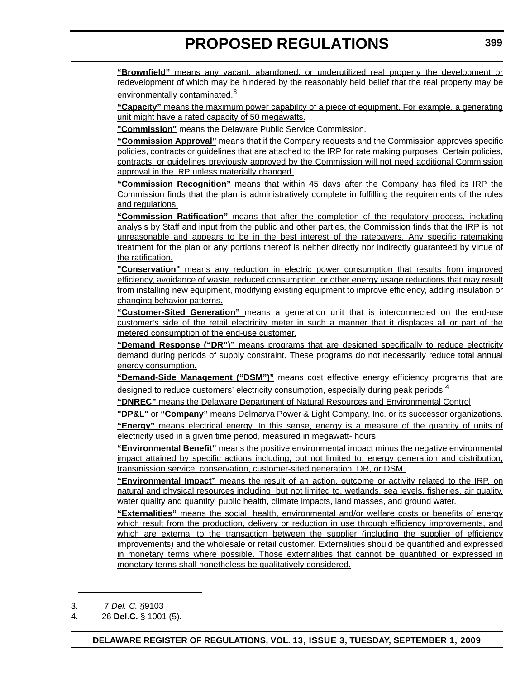**"Brownfield"** means any vacant, abandoned, or underutilized real property the development or redevelopment of which may be hindered by the reasonably held belief that the real property may be environmentally contaminated.<sup>3</sup>

**"Capacity"** means the maximum power capability of a piece of equipment. For example, a generating unit might have a rated capacity of 50 megawatts.

**"Commission"** means the Delaware Public Service Commission.

**"Commission Approval"** means that if the Company requests and the Commission approves specific policies, contracts or guidelines that are attached to the IRP for rate making purposes. Certain policies, contracts, or guidelines previously approved by the Commission will not need additional Commission approval in the IRP unless materially changed.

**"Commission Recognition"** means that within 45 days after the Company has filed its IRP the Commission finds that the plan is administratively complete in fulfilling the requirements of the rules and regulations.

**"Commission Ratification"** means that after the completion of the regulatory process, including analysis by Staff and input from the public and other parties, the Commission finds that the IRP is not unreasonable and appears to be in the best interest of the ratepayers. Any specific ratemaking treatment for the plan or any portions thereof is neither directly nor indirectly guaranteed by virtue of the ratification.

**"Conservation"** means any reduction in electric power consumption that results from improved efficiency, avoidance of waste, reduced consumption, or other energy usage reductions that may result from installing new equipment, modifying existing equipment to improve efficiency, adding insulation or changing behavior patterns.

**"Customer-Sited Generation"** means a generation unit that is interconnected on the end-use customer's side of the retail electricity meter in such a manner that it displaces all or part of the metered consumption of the end-use customer.

**"Demand Response ("DR")"** means programs that are designed specifically to reduce electricity demand during periods of supply constraint. These programs do not necessarily reduce total annual energy consumption.

**"Demand-Side Management ("DSM")"** means cost effective energy efficiency programs that are designed to reduce customers' electricity consumption, especially during peak periods.<sup>4</sup>

**"DNREC"** means the Delaware Department of Natural Resources and Environmental Control

**"DP&L"** or **"Company"** means Delmarva Power & Light Company, Inc. or its successor organizations.

**"Energy"** means electrical energy. In this sense, energy is a measure of the quantity of units of electricity used in a given time period, measured in megawatt- hours.

**"Environmental Benefit"** means the positive environmental impact minus the negative environmental impact attained by specific actions including, but not limited to, energy generation and distribution, transmission service, conservation, customer-sited generation, DR, or DSM.

**"Environmental Impact"** means the result of an action, outcome or activity related to the IRP, on natural and physical resources including, but not limited to, wetlands, sea levels, fisheries, air quality, water quality and quantity, public health, climate impacts, land masses, and ground water.

**"Externalities"** means the social, health, environmental and/or welfare costs or benefits of energy which result from the production, delivery or reduction in use through efficiency improvements, and which are external to the transaction between the supplier (including the supplier of efficiency improvements) and the wholesale or retail customer. Externalities should be quantified and expressed in monetary terms where possible. Those externalities that cannot be quantified or expressed in monetary terms shall nonetheless be qualitatively considered.

<sup>3. 7</sup> *Del. C.* §9103

<sup>4. 26</sup> **Del.C.** § 1001 (5).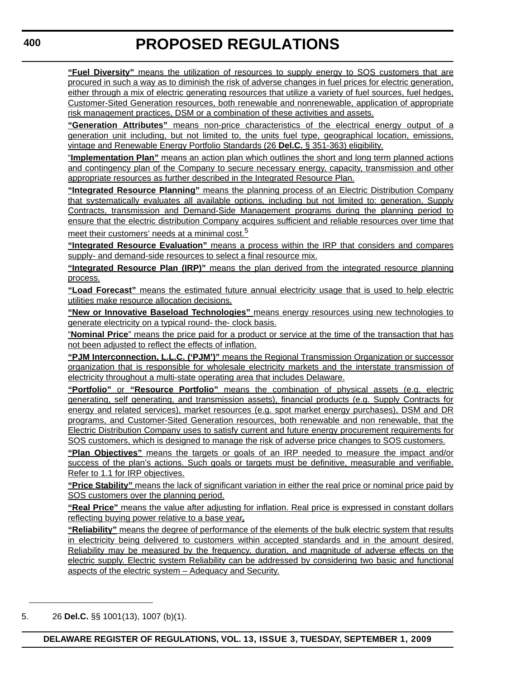**"Fuel Diversity"** means the utilization of resources to supply energy to SOS customers that are procured in such a way as to diminish the risk of adverse changes in fuel prices for electric generation, either through a mix of electric generating resources that utilize a variety of fuel sources, fuel hedges, Customer-Sited Generation resources, both renewable and nonrenewable, application of appropriate risk management practices, DSM or a combination of these activities and assets.

**"Generation Attributes"** means non-price characteristics of the electrical energy output of a generation unit including, but not limited to, the units fuel type, geographical location, emissions, vintage and Renewable Energy Portfolio Standards (26 **Del.C.** § 351-363) eligibility.

"**Implementation Plan"** means an action plan which outlines the short and long term planned actions and contingency plan of the Company to secure necessary energy, capacity, transmission and other appropriate resources as further described in the Integrated Resource Plan.

**"Integrated Resource Planning"** means the planning process of an Electric Distribution Company that systematically evaluates all available options, including but not limited to: generation, Supply Contracts, transmission and Demand-Side Management programs during the planning period to ensure that the electric distribution Company acquires sufficient and reliable resources over time that meet their customers' needs at a minimal cost.<sup>5</sup>

**"Integrated Resource Evaluation"** means a process within the IRP that considers and compares supply- and demand-side resources to select a final resource mix.

**"Integrated Resource Plan (IRP)"** means the plan derived from the integrated resource planning process.

**"Load Forecast"** means the estimated future annual electricity usage that is used to help electric utilities make resource allocation decisions.

**"New or Innovative Baseload Technologies"** means energy resources using new technologies to generate electricity on a typical round- the- clock basis.

"**Nominal Price**" means the price paid for a product or service at the time of the transaction that has not been adjusted to reflect the effects of inflation.

**"PJM Interconnection, L.L.C. ('PJM')"** means the Regional Transmission Organization or successor organization that is responsible for wholesale electricity markets and the interstate transmission of electricity throughout a multi-state operating area that includes Delaware.

**"Portfolio"** or **"Resource Portfolio"** means the combination of physical assets (e.g. electric generating, self generating, and transmission assets), financial products (e.g. Supply Contracts for energy and related services), market resources (e.g. spot market energy purchases), DSM and DR programs, and Customer-Sited Generation resources, both renewable and non renewable, that the Electric Distribution Company uses to satisfy current and future energy procurement requirements for SOS customers, which is designed to manage the risk of adverse price changes to SOS customers.

**"Plan Objectives"** means the targets or goals of an IRP needed to measure the impact and/or success of the plan's actions. Such goals or targets must be definitive, measurable and verifiable. Refer to 1.1 for IRP objectives.

**"Price Stability"** means the lack of significant variation in either the real price or nominal price paid by SOS customers over the planning period.

**"Real Price"** means the value after adjusting for inflation. Real price is expressed in constant dollars reflecting buying power relative to a base year**.**

**"Reliability"** means the degree of performance of the elements of the bulk electric system that results in electricity being delivered to customers within accepted standards and in the amount desired. Reliability may be measured by the frequency, duration, and magnitude of adverse effects on the electric supply. Electric system Reliability can be addressed by considering two basic and functional aspects of the electric system – Adequacy and Security.

<sup>5. 26</sup> **Del.C.** §§ 1001(13), 1007 (b)(1).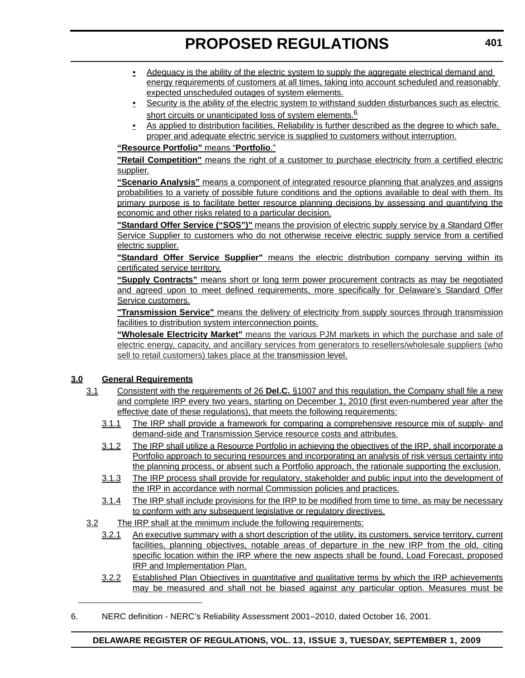- Adequacy is the ability of the electric system to supply the aggregate electrical demand and energy requirements of customers at all times, taking into account scheduled and reasonably expected unscheduled outages of system elements.
- **•** Security is the ability of the electric system to withstand sudden disturbances such as electric short circuits or unanticipated loss of system elements.  $6$
- As applied to distribution facilities, Reliability is further described as the degree to which safe, proper and adequate electric service is supplied to customers without interruption.

## **"Resource Portfolio"** means "**Portfolio**."

**"Retail Competition"** means the right of a customer to purchase electricity from a certified electric supplier.

**"Scenario Analysis"** means a component of integrated resource planning that analyzes and assigns probabilities to a variety of possible future conditions and the options available to deal with them. Its primary purpose is to facilitate better resource planning decisions by assessing and quantifying the economic and other risks related to a particular decision.

**"Standard Offer Service ("SOS")"** means the provision of electric supply service by a Standard Offer Service Supplier to customers who do not otherwise receive electric supply service from a certified electric supplier.

**"Standard Offer Service Supplier"** means the electric distribution company serving within its certificated service territory.

**"Supply Contracts"** means short or long term power procurement contracts as may be negotiated and agreed upon to meet defined requirements, more specifically for Delaware's Standard Offer Service customers.

**"Transmission Service"** means the delivery of electricity from supply sources through transmission facilities to distribution system interconnection points.

**"Wholesale Electricity Market"** means the various PJM markets in which the purchase and sale of electric energy, capacity, and ancillary services from generators to resellers/wholesale suppliers (who sell to retail customers) takes place at the transmission level.

## **3.0 General Requirements**

- 3.1 Consistent with the requirements of 26 **Del.C.** §1007 and this regulation, the Company shall file a new and complete IRP every two years, starting on December 1, 2010 (first even-numbered year after the effective date of these regulations), that meets the following requirements:
	- 3.1.1 The IRP shall provide a framework for comparing a comprehensive resource mix of supply- and demand-side and Transmission Service resource costs and attributes.
	- 3.1.2 The IRP shall utilize a Resource Portfolio in achieving the objectives of the IRP, shall incorporate a Portfolio approach to securing resources and incorporating an analysis of risk versus certainty into the planning process, or absent such a Portfolio approach, the rationale supporting the exclusion.
	- 3.1.3 The IRP process shall provide for regulatory, stakeholder and public input into the development of the IRP in accordance with normal Commission policies and practices.
	- 3.1.4 The IRP shall include provisions for the IRP to be modified from time to time, as may be necessary to conform with any subsequent legislative or regulatory directives.
- 3.2 The IRP shall at the minimum include the following requirements:
	- 3.2.1 An executive summary with a short description of the utility, its customers, service territory, current facilities, planning objectives, notable areas of departure in the new IRP from the old, citing specific location within the IRP where the new aspects shall be found, Load Forecast, proposed IRP and Implementation Plan.
	- 3.2.2 Established Plan Objectives in quantitative and qualitative terms by which the IRP achievements may be measured and shall not be biased against any particular option. Measures must be
- 6. NERC definition NERC's Reliability Assessment 2001–2010, dated October 16, 2001.

## **DELAWARE REGISTER OF REGULATIONS, VOL. 13, ISSUE 3, TUESDAY, SEPTEMBER 1, 2009**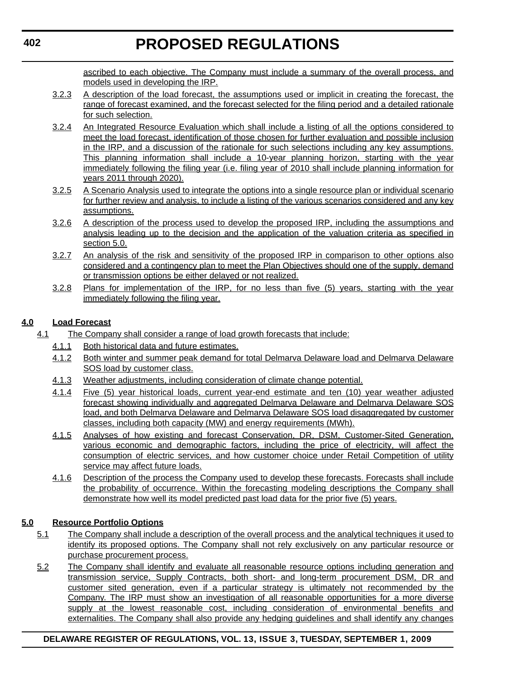ascribed to each objective. The Company must include a summary of the overall process, and models used in developing the IRP.

- 3.2.3 A description of the load forecast, the assumptions used or implicit in creating the forecast, the range of forecast examined, and the forecast selected for the filing period and a detailed rationale for such selection.
- 3.2.4 An Integrated Resource Evaluation which shall include a listing of all the options considered to meet the load forecast, identification of those chosen for further evaluation and possible inclusion in the IRP, and a discussion of the rationale for such selections including any key assumptions. This planning information shall include a 10-year planning horizon, starting with the year immediately following the filing year (i.e. filing year of 2010 shall include planning information for years 2011 through 2020).
- 3.2.5 A Scenario Analysis used to integrate the options into a single resource plan or individual scenario for further review and analysis, to include a listing of the various scenarios considered and any key assumptions.
- 3.2.6 A description of the process used to develop the proposed IRP, including the assumptions and analysis leading up to the decision and the application of the valuation criteria as specified in section 5.0.
- 3.2.7 An analysis of the risk and sensitivity of the proposed IRP in comparison to other options also considered and a contingency plan to meet the Plan Objectives should one of the supply, demand or transmission options be either delayed or not realized.
- 3.2.8 Plans for implementation of the IRP, for no less than five (5) years, starting with the year immediately following the filing year.

## **4.0 Load Forecast**

- 4.1 The Company shall consider a range of load growth forecasts that include:
	- 4.1.1 Both historical data and future estimates.
	- 4.1.2 Both winter and summer peak demand for total Delmarva Delaware load and Delmarva Delaware SOS load by customer class.
	- 4.1.3 Weather adjustments, including consideration of climate change potential.
	- 4.1.4 Five (5) year historical loads, current year-end estimate and ten (10) year weather adjusted forecast showing individually and aggregated Delmarva Delaware and Delmarva Delaware SOS load, and both Delmarva Delaware and Delmarva Delaware SOS load disaggregated by customer classes, including both capacity (MW) and energy requirements (MWh).
	- 4.1.5 Analyses of how existing and forecast Conservation, DR, DSM, Customer-Sited Generation, various economic and demographic factors, including the price of electricity, will affect the consumption of electric services, and how customer choice under Retail Competition of utility service may affect future loads.
	- 4.1.6 Description of the process the Company used to develop these forecasts. Forecasts shall include the probability of occurrence. Within the forecasting modeling descriptions the Company shall demonstrate how well its model predicted past load data for the prior five (5) years.

## **5.0 Resource Portfolio Options**

- 5.1 The Company shall include a description of the overall process and the analytical techniques it used to identify its proposed options. The Company shall not rely exclusively on any particular resource or purchase procurement process.
- 5.2 The Company shall identify and evaluate all reasonable resource options including generation and transmission service, Supply Contracts, both short- and long-term procurement DSM, DR and customer sited generation, even if a particular strategy is ultimately not recommended by the Company. The IRP must show an investigation of all reasonable opportunities for a more diverse supply at the lowest reasonable cost, including consideration of environmental benefits and externalities. The Company shall also provide any hedging guidelines and shall identify any changes

## **DELAWARE REGISTER OF REGULATIONS, VOL. 13, ISSUE 3, TUESDAY, SEPTEMBER 1, 2009**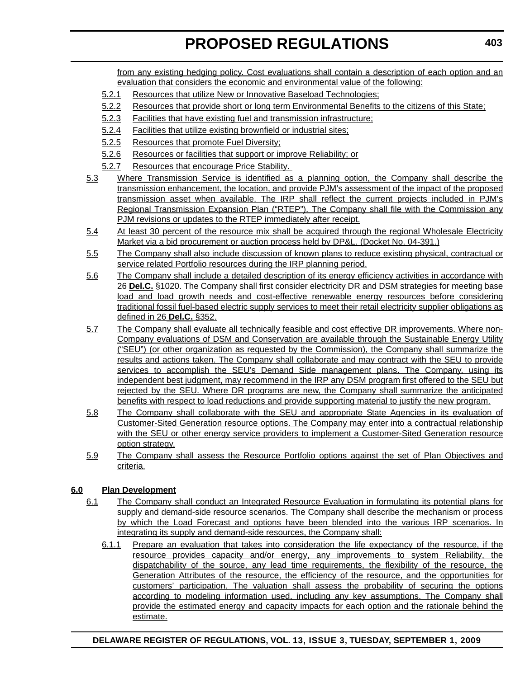from any existing hedging policy. Cost evaluations shall contain a description of each option and an evaluation that considers the economic and environmental value of the following:

- 5.2.1 Resources that utilize New or Innovative Baseload Technologies;
- 5.2.2 Resources that provide short or long term Environmental Benefits to the citizens of this State;
- 5.2.3 Facilities that have existing fuel and transmission infrastructure;
- 5.2.4 Facilities that utilize existing brownfield or industrial sites;
- 5.2.5 Resources that promote Fuel Diversity;
- 5.2.6 Resources or facilities that support or improve Reliability; or
- 5.2.7 Resources that encourage Price Stability.
- 5.3 Where Transmission Service is identified as a planning option, the Company shall describe the transmission enhancement, the location, and provide PJM's assessment of the impact of the proposed transmission asset when available. The IRP shall reflect the current projects included in PJM's Regional Transmission Expansion Plan ("RTEP"). The Company shall file with the Commission any PJM revisions or updates to the RTEP immediately after receipt.
- 5.4 At least 30 percent of the resource mix shall be acquired through the regional Wholesale Electricity Market via a bid procurement or auction process held by DP&L. (Docket No. 04-391.)
- 5.5 The Company shall also include discussion of known plans to reduce existing physical, contractual or service related Portfolio resources during the IRP planning period.
- 5.6 The Company shall include a detailed description of its energy efficiency activities in accordance with 26 **Del.C.** §1020. The Company shall first consider electricity DR and DSM strategies for meeting base load and load growth needs and cost-effective renewable energy resources before considering traditional fossil fuel-based electric supply services to meet their retail electricity supplier obligations as defined in 26 **Del.C.** §352.
- 5.7 The Company shall evaluate all technically feasible and cost effective DR improvements. Where non-Company evaluations of DSM and Conservation are available through the Sustainable Energy Utility ("SEU") (or other organization as requested by the Commission), the Company shall summarize the results and actions taken. The Company shall collaborate and may contract with the SEU to provide services to accomplish the SEU's Demand Side management plans. The Company, using its independent best judgment, may recommend in the IRP any DSM program first offered to the SEU but rejected by the SEU. Where DR programs are new, the Company shall summarize the anticipated benefits with respect to load reductions and provide supporting material to justify the new program.
- 5.8 The Company shall collaborate with the SEU and appropriate State Agencies in its evaluation of Customer-Sited Generation resource options. The Company may enter into a contractual relationship with the SEU or other energy service providers to implement a Customer-Sited Generation resource option strategy.
- 5.9 The Company shall assess the Resource Portfolio options against the set of Plan Objectives and criteria.

## **6.0 Plan Development**

- 6.1 The Company shall conduct an Integrated Resource Evaluation in formulating its potential plans for supply and demand-side resource scenarios. The Company shall describe the mechanism or process by which the Load Forecast and options have been blended into the various IRP scenarios. In integrating its supply and demand-side resources, the Company shall:
	- 6.1.1 Prepare an evaluation that takes into consideration the life expectancy of the resource, if the resource provides capacity and/or energy, any improvements to system Reliability, the dispatchability of the source, any lead time requirements, the flexibility of the resource, the Generation Attributes of the resource, the efficiency of the resource, and the opportunities for customers' participation. The valuation shall assess the probability of securing the options according to modeling information used, including any key assumptions. The Company shall provide the estimated energy and capacity impacts for each option and the rationale behind the estimate.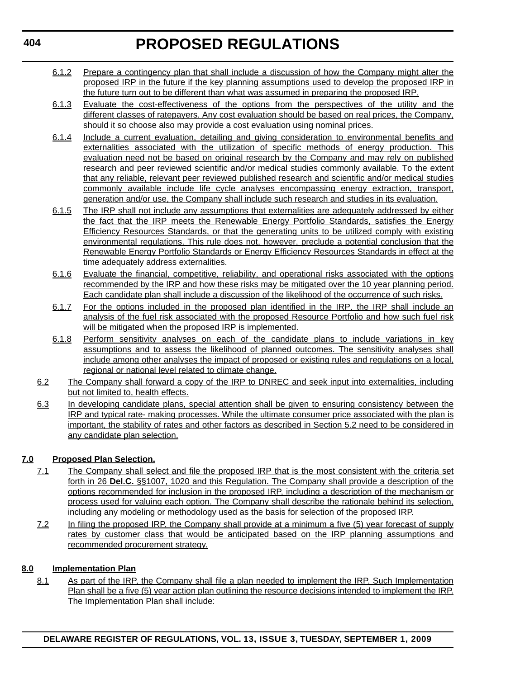- 6.1.2 Prepare a contingency plan that shall include a discussion of how the Company might alter the proposed IRP in the future if the key planning assumptions used to develop the proposed IRP in the future turn out to be different than what was assumed in preparing the proposed IRP.
- 6.1.3 Evaluate the cost-effectiveness of the options from the perspectives of the utility and the different classes of ratepayers. Any cost evaluation should be based on real prices, the Company, should it so choose also may provide a cost evaluation using nominal prices.
- 6.1.4 Include a current evaluation, detailing and giving consideration to environmental benefits and externalities associated with the utilization of specific methods of energy production. This evaluation need not be based on original research by the Company and may rely on published research and peer reviewed scientific and/or medical studies commonly available. To the extent that any reliable, relevant peer reviewed published research and scientific and/or medical studies commonly available include life cycle analyses encompassing energy extraction, transport, generation and/or use, the Company shall include such research and studies in its evaluation.
- 6.1.5 The IRP shall not include any assumptions that externalities are adequately addressed by either the fact that the IRP meets the Renewable Energy Portfolio Standards, satisfies the Energy Efficiency Resources Standards, or that the generating units to be utilized comply with existing environmental regulations. This rule does not, however, preclude a potential conclusion that the Renewable Energy Portfolio Standards or Energy Efficiency Resources Standards in effect at the time adequately address externalities.
- 6.1.6 Evaluate the financial, competitive, reliability, and operational risks associated with the options recommended by the IRP and how these risks may be mitigated over the 10 year planning period. Each candidate plan shall include a discussion of the likelihood of the occurrence of such risks.
- 6.1.7 For the options included in the proposed plan identified in the IRP, the IRP shall include an analysis of the fuel risk associated with the proposed Resource Portfolio and how such fuel risk will be mitigated when the proposed IRP is implemented.
- 6.1.8 Perform sensitivity analyses on each of the candidate plans to include variations in key assumptions and to assess the likelihood of planned outcomes. The sensitivity analyses shall include among other analyses the impact of proposed or existing rules and regulations on a local, regional or national level related to climate change.
- 6.2 The Company shall forward a copy of the IRP to DNREC and seek input into externalities, including but not limited to, health effects.
- 6.3 In developing candidate plans, special attention shall be given to ensuring consistency between the IRP and typical rate- making processes. While the ultimate consumer price associated with the plan is important, the stability of rates and other factors as described in Section 5.2 need to be considered in any candidate plan selection.

## **7.0 Proposed Plan Selection.**

- 7.1 The Company shall select and file the proposed IRP that is the most consistent with the criteria set forth in 26 **Del.C.** §§1007, 1020 and this Regulation. The Company shall provide a description of the options recommended for inclusion in the proposed IRP, including a description of the mechanism or process used for valuing each option. The Company shall describe the rationale behind its selection, including any modeling or methodology used as the basis for selection of the proposed IRP.
- 7.2 In filing the proposed IRP, the Company shall provide at a minimum a five (5) year forecast of supply rates by customer class that would be anticipated based on the IRP planning assumptions and recommended procurement strategy.

## **8.0 Implementation Plan**

8.1 As part of the IRP, the Company shall file a plan needed to implement the IRP. Such Implementation Plan shall be a five (5) year action plan outlining the resource decisions intended to implement the IRP. The Implementation Plan shall include: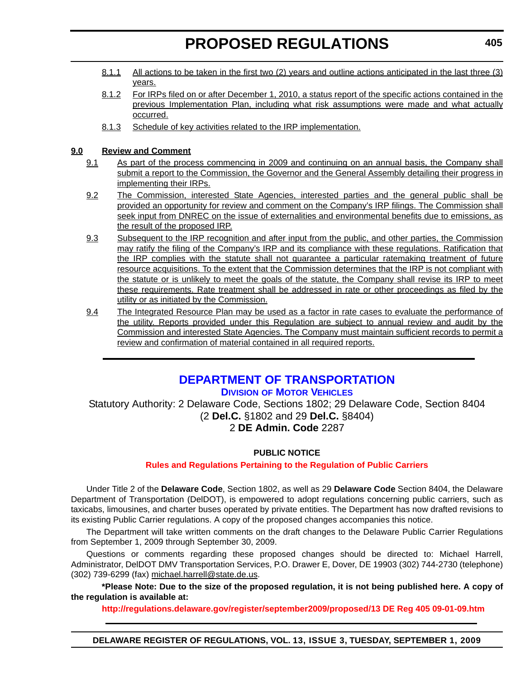- 8.1.1 All actions to be taken in the first two (2) years and outline actions anticipated in the last three (3) years.
- 8.1.2 For IRPs filed on or after December 1, 2010, a status report of the specific actions contained in the previous Implementation Plan, including what risk assumptions were made and what actually occurred.
- 8.1.3 Schedule of key activities related to the IRP implementation.

## **9.0 Review and Comment**

- 9.1 As part of the process commencing in 2009 and continuing on an annual basis, the Company shall submit a report to the Commission, the Governor and the General Assembly detailing their progress in implementing their IRPs.
- 9.2 The Commission, interested State Agencies, interested parties and the general public shall be provided an opportunity for review and comment on the Company's IRP filings. The Commission shall seek input from DNREC on the issue of externalities and environmental benefits due to emissions, as the result of the proposed IRP.
- 9.3 Subsequent to the IRP recognition and after input from the public, and other parties, the Commission may ratify the filing of the Company's IRP and its compliance with these regulations. Ratification that the IRP complies with the statute shall not guarantee a particular ratemaking treatment of future resource acquisitions. To the extent that the Commission determines that the IRP is not compliant with the statute or is unlikely to meet the goals of the statute, the Company shall revise its IRP to meet these requirements. Rate treatment shall be addressed in rate or other proceedings as filed by the utility or as initiated by the Commission.
- 9.4 The Integrated Resource Plan may be used as a factor in rate cases to evaluate the performance of the utility. Reports provided under this Regulation are subject to annual review and audit by the Commission and interested State Agencies. The Company must maintain sufficient records to permit a review and confirmation of material contained in all required reports.

## **[DEPARTMENT OF TRANSPORTATION](http://www.dmv.de.gov/)**

**DIVISION OF MOTOR VEHICLES**

Statutory Authority: 2 Delaware Code, Sections 1802; 29 Delaware Code, Section 8404 (2 **Del.C.** §1802 and 29 **Del.C.** §8404) 2 **DE Admin. Code** 2287

## **PUBLIC NOTICE**

## **[Rules and Regulations Pertaining to the Regulation of Public Carriers](#page-4-0)**

Under Title 2 of the **Delaware Code**, Section 1802, as well as 29 **Delaware Code** Section 8404, the Delaware Department of Transportation (DelDOT), is empowered to adopt regulations concerning public carriers, such as taxicabs, limousines, and charter buses operated by private entities. The Department has now drafted revisions to its existing Public Carrier regulations. A copy of the proposed changes accompanies this notice.

The Department will take written comments on the draft changes to the Delaware Public Carrier Regulations from September 1, 2009 through September 30, 2009.

Questions or comments regarding these proposed changes should be directed to: Michael Harrell, Administrator, DelDOT DMV Transportation Services, P.O. Drawer E, Dover, DE 19903 (302) 744-2730 (telephone) (302) 739-6299 (fax) [michael.harrell@state.de.us.](mailto:michael.harrell@state.de.us)

**\*Please Note: Due to the size of the proposed regulation, it is not being published here. A copy of the regulation is available at:**

**http://regulations.delaware.gov/register/september2009/proposed/13 DE Reg 405 09-01-09.htm**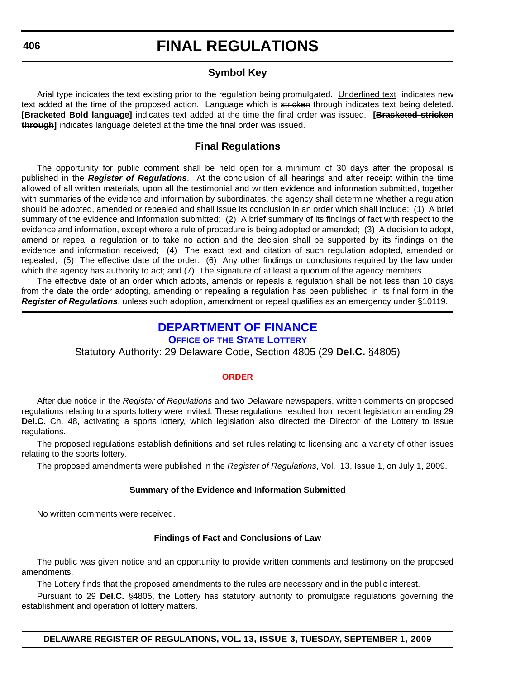## **Symbol Key**

Arial type indicates the text existing prior to the regulation being promulgated. Underlined text indicates new text added at the time of the proposed action. Language which is stricken through indicates text being deleted. **[Bracketed Bold language]** indicates text added at the time the final order was issued. **[Bracketed stricken through]** indicates language deleted at the time the final order was issued.

## **Final Regulations**

The opportunity for public comment shall be held open for a minimum of 30 days after the proposal is published in the *Register of Regulations*. At the conclusion of all hearings and after receipt within the time allowed of all written materials, upon all the testimonial and written evidence and information submitted, together with summaries of the evidence and information by subordinates, the agency shall determine whether a regulation should be adopted, amended or repealed and shall issue its conclusion in an order which shall include: (1) A brief summary of the evidence and information submitted; (2) A brief summary of its findings of fact with respect to the evidence and information, except where a rule of procedure is being adopted or amended; (3) A decision to adopt, amend or repeal a regulation or to take no action and the decision shall be supported by its findings on the evidence and information received; (4) The exact text and citation of such regulation adopted, amended or repealed; (5) The effective date of the order; (6) Any other findings or conclusions required by the law under which the agency has authority to act; and (7) The signature of at least a quorum of the agency members.

The effective date of an order which adopts, amends or repeals a regulation shall be not less than 10 days from the date the order adopting, amending or repealing a regulation has been published in its final form in the *Register of Regulations*, unless such adoption, amendment or repeal qualifies as an emergency under §10119.

## **[DEPARTMENT OF FINANCE](http://delottery.com/)**

**OFFICE OF THE STATE LOTTERY**

Statutory Authority: 29 Delaware Code, Section 4805 (29 **Del.C.** §4805)

## **[ORDER](#page-4-0)**

After due notice in the *Register of Regulations* and two Delaware newspapers, written comments on proposed regulations relating to a sports lottery were invited. These regulations resulted from recent legislation amending 29 **Del.C.** Ch. 48, activating a sports lottery, which legislation also directed the Director of the Lottery to issue regulations.

The proposed regulations establish definitions and set rules relating to licensing and a variety of other issues relating to the sports lottery.

The proposed amendments were published in the *Register of Regulations*, Vol. 13, Issue 1, on July 1, 2009.

### **Summary of the Evidence and Information Submitted**

No written comments were received.

### **Findings of Fact and Conclusions of Law**

The public was given notice and an opportunity to provide written comments and testimony on the proposed amendments.

The Lottery finds that the proposed amendments to the rules are necessary and in the public interest.

Pursuant to 29 **Del.C.** §4805, the Lottery has statutory authority to promulgate regulations governing the establishment and operation of lottery matters.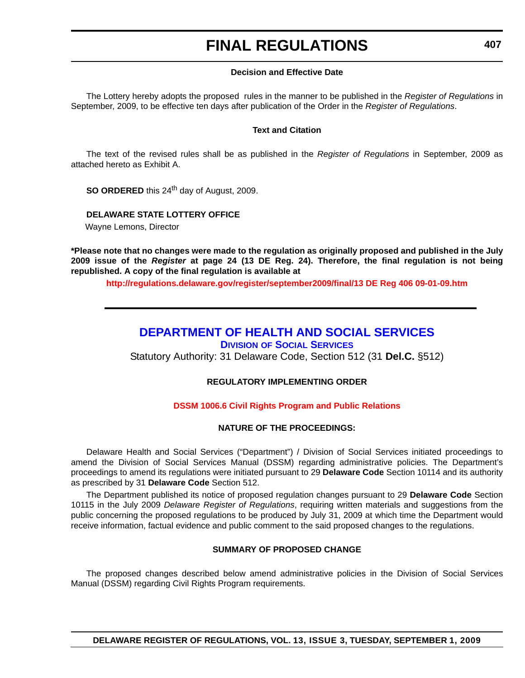### **Decision and Effective Date**

The Lottery hereby adopts the proposed rules in the manner to be published in the *Register of Regulations* in September, 2009, to be effective ten days after publication of the Order in the *Register of Regulations*.

### **Text and Citation**

The text of the revised rules shall be as published in the *Register of Regulations* in September, 2009 as attached hereto as Exhibit A.

**SO ORDERED** this 24<sup>th</sup> day of August, 2009.

**DELAWARE STATE LOTTERY OFFICE**

Wayne Lemons, Director

**\*Please note that no changes were made to the regulation as originally proposed and published in the July 2009 issue of the** *Register* **at page 24 (13 DE Reg. 24). Therefore, the final regulation is not being republished. A copy of the final regulation is available at**

**http://regulations.delaware.gov/register/september2009/final/13 DE Reg 406 09-01-09.htm**

## **[DEPARTMENT OF HEALTH AND SOCIAL SERVICES](http://www.dhss.delaware.gov/dhss/dss/index.html)**

**DIVISION OF SOCIAL SERVICES**

Statutory Authority: 31 Delaware Code, Section 512 (31 **Del.C.** §512)

## **REGULATORY IMPLEMENTING ORDER**

## **[DSSM 1006.6 Civil Rights Program and Public Relations](#page-4-0)**

## **NATURE OF THE PROCEEDINGS:**

Delaware Health and Social Services ("Department") / Division of Social Services initiated proceedings to amend the Division of Social Services Manual (DSSM) regarding administrative policies. The Department's proceedings to amend its regulations were initiated pursuant to 29 **Delaware Code** Section 10114 and its authority as prescribed by 31 **Delaware Code** Section 512.

The Department published its notice of proposed regulation changes pursuant to 29 **Delaware Code** Section 10115 in the July 2009 *Delaware Register of Regulations*, requiring written materials and suggestions from the public concerning the proposed regulations to be produced by July 31, 2009 at which time the Department would receive information, factual evidence and public comment to the said proposed changes to the regulations.

## **SUMMARY OF PROPOSED CHANGE**

The proposed changes described below amend administrative policies in the Division of Social Services Manual (DSSM) regarding Civil Rights Program requirements.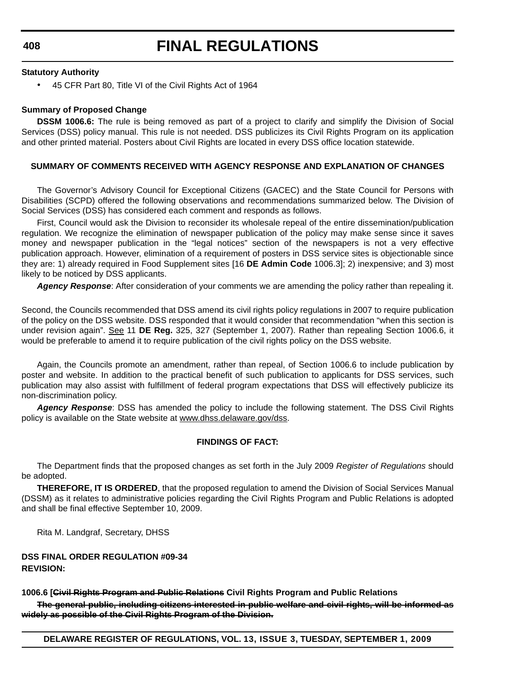**408**

## **FINAL REGULATIONS**

### **Statutory Authority**

• 45 CFR Part 80, Title VI of the Civil Rights Act of 1964

## **Summary of Proposed Change**

**DSSM 1006.6:** The rule is being removed as part of a project to clarify and simplify the Division of Social Services (DSS) policy manual. This rule is not needed. DSS publicizes its Civil Rights Program on its application and other printed material. Posters about Civil Rights are located in every DSS office location statewide.

## **SUMMARY OF COMMENTS RECEIVED WITH AGENCY RESPONSE AND EXPLANATION OF CHANGES**

The Governor's Advisory Council for Exceptional Citizens (GACEC) and the State Council for Persons with Disabilities (SCPD) offered the following observations and recommendations summarized below. The Division of Social Services (DSS) has considered each comment and responds as follows.

First, Council would ask the Division to reconsider its wholesale repeal of the entire dissemination/publication regulation. We recognize the elimination of newspaper publication of the policy may make sense since it saves money and newspaper publication in the "legal notices" section of the newspapers is not a very effective publication approach. However, elimination of a requirement of posters in DSS service sites is objectionable since they are: 1) already required in Food Supplement sites [16 **DE Admin Code** 1006.3]; 2) inexpensive; and 3) most likely to be noticed by DSS applicants.

*Agency Response*: After consideration of your comments we are amending the policy rather than repealing it.

Second, the Councils recommended that DSS amend its civil rights policy regulations in 2007 to require publication of the policy on the DSS website. DSS responded that it would consider that recommendation "when this section is under revision again". See 11 **DE Reg.** 325, 327 (September 1, 2007). Rather than repealing Section 1006.6, it would be preferable to amend it to require publication of the civil rights policy on the DSS website.

Again, the Councils promote an amendment, rather than repeal, of Section 1006.6 to include publication by poster and website. In addition to the practical benefit of such publication to applicants for DSS services, such publication may also assist with fulfillment of federal program expectations that DSS will effectively publicize its non-discrimination policy.

*Agency Response*: DSS has amended the policy to include the following statement. The DSS Civil Rights policy is available on the State website at [www.dhss.delaware.gov/dss](http://www.dhss.delaware.gov/dss).

## **FINDINGS OF FACT:**

The Department finds that the proposed changes as set forth in the July 2009 *Register of Regulations* should be adopted.

**THEREFORE, IT IS ORDERED**, that the proposed regulation to amend the Division of Social Services Manual (DSSM) as it relates to administrative policies regarding the Civil Rights Program and Public Relations is adopted and shall be final effective September 10, 2009.

Rita M. Landgraf, Secretary, DHSS

**DSS FINAL ORDER REGULATION #09-34 REVISION:**

## **1006.6 [Civil Rights Program and Public Relations Civil Rights Program and Public Relations**

**The general public, including citizens interested in public welfare and civil rights, will be informed as widely as possible of the Civil Rights Program of the Division.**

**DELAWARE REGISTER OF REGULATIONS, VOL. 13, ISSUE 3, TUESDAY, SEPTEMBER 1, 2009**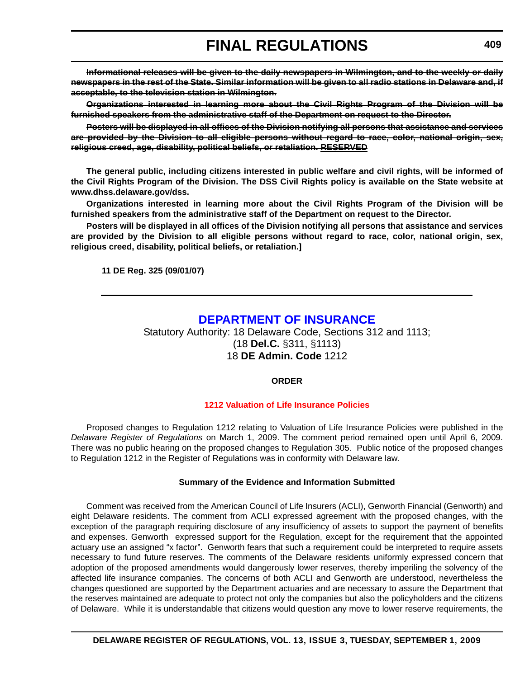**Informational releases will be given to the daily newspapers in Wilmington, and to the weekly or daily newspapers in the rest of the State. Similar information will be given to all radio stations in Delaware and, if acceptable, to the television station in Wilmington.**

**Organizations interested in learning more about the Civil Rights Program of the Division will be furnished speakers from the administrative staff of the Department on request to the Director.**

**Posters will be displayed in all offices of the Division notifying all persons that assistance and services are provided by the Division to all eligible persons without regard to race, color, national origin, sex, religious creed, age, disability, political beliefs, or retaliation. RESERVED**

**The general public, including citizens interested in public welfare and civil rights, will be informed of the Civil Rights Program of the Division. The DSS Civil Rights policy is available on the State website at www.dhss.delaware.gov/dss.**

**Organizations interested in learning more about the Civil Rights Program of the Division will be furnished speakers from the administrative staff of the Department on request to the Director.**

**Posters will be displayed in all offices of the Division notifying all persons that assistance and services are provided by the Division to all eligible persons without regard to race, color, national origin, sex, religious creed, disability, political beliefs, or retaliation.]**

**11 DE Reg. 325 (09/01/07)**

## **[DEPARTMENT OF INSURANCE](http://www.delawareinsurance.gov/)**

Statutory Authority: 18 Delaware Code, Sections 312 and 1113; (18 **Del.C.** §311, §1113) 18 **DE Admin. Code** 1212

## **ORDER**

## **[1212 Valuation of Life Insurance Policies](#page-4-0)**

Proposed changes to Regulation 1212 relating to Valuation of Life Insurance Policies were published in the *Delaware Register of Regulations* on March 1, 2009. The comment period remained open until April 6, 2009. There was no public hearing on the proposed changes to Regulation 305. Public notice of the proposed changes to Regulation 1212 in the Register of Regulations was in conformity with Delaware law.

### **Summary of the Evidence and Information Submitted**

Comment was received from the American Council of Life Insurers (ACLI), Genworth Financial (Genworth) and eight Delaware residents. The comment from ACLI expressed agreement with the proposed changes, with the exception of the paragraph requiring disclosure of any insufficiency of assets to support the payment of benefits and expenses. Genworth expressed support for the Regulation, except for the requirement that the appointed actuary use an assigned "x factor". Genworth fears that such a requirement could be interpreted to require assets necessary to fund future reserves. The comments of the Delaware residents uniformly expressed concern that adoption of the proposed amendments would dangerously lower reserves, thereby imperiling the solvency of the affected life insurance companies. The concerns of both ACLI and Genworth are understood, nevertheless the changes questioned are supported by the Department actuaries and are necessary to assure the Department that the reserves maintained are adequate to protect not only the companies but also the policyholders and the citizens of Delaware. While it is understandable that citizens would question any move to lower reserve requirements, the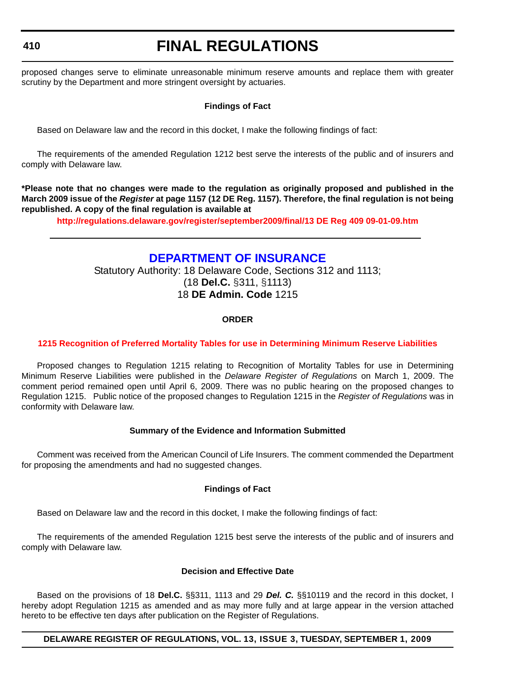proposed changes serve to eliminate unreasonable minimum reserve amounts and replace them with greater scrutiny by the Department and more stringent oversight by actuaries.

## **Findings of Fact**

Based on Delaware law and the record in this docket, I make the following findings of fact:

The requirements of the amended Regulation 1212 best serve the interests of the public and of insurers and comply with Delaware law.

**\*Please note that no changes were made to the regulation as originally proposed and published in the March 2009 issue of the** *Register* **at page 1157 (12 DE Reg. 1157). Therefore, the final regulation is not being republished. A copy of the final regulation is available at**

**http://regulations.delaware.gov/register/september2009/final/13 DE Reg 409 09-01-09.htm**

## **[DEPARTMENT OF INSURANCE](http://www.delawareinsurance.gov/)**

Statutory Authority: 18 Delaware Code, Sections 312 and 1113; (18 **Del.C.** §311, §1113) 18 **DE Admin. Code** 1215

## **ORDER**

## **[1215 Recognition of Preferred Mortality Tables for use in Determining Minimum Reserve Liabilities](#page-4-0)**

Proposed changes to Regulation 1215 relating to Recognition of Mortality Tables for use in Determining Minimum Reserve Liabilities were published in the *Delaware Register of Regulations* on March 1, 2009. The comment period remained open until April 6, 2009. There was no public hearing on the proposed changes to Regulation 1215. Public notice of the proposed changes to Regulation 1215 in the *Register of Regulations* was in conformity with Delaware law.

### **Summary of the Evidence and Information Submitted**

Comment was received from the American Council of Life Insurers. The comment commended the Department for proposing the amendments and had no suggested changes.

### **Findings of Fact**

Based on Delaware law and the record in this docket, I make the following findings of fact:

The requirements of the amended Regulation 1215 best serve the interests of the public and of insurers and comply with Delaware law.

### **Decision and Effective Date**

Based on the provisions of 18 **Del.C.** §§311, 1113 and 29 *Del. C.* §§10119 and the record in this docket, I hereby adopt Regulation 1215 as amended and as may more fully and at large appear in the version attached hereto to be effective ten days after publication on the Register of Regulations.

### **DELAWARE REGISTER OF REGULATIONS, VOL. 13, ISSUE 3, TUESDAY, SEPTEMBER 1, 2009**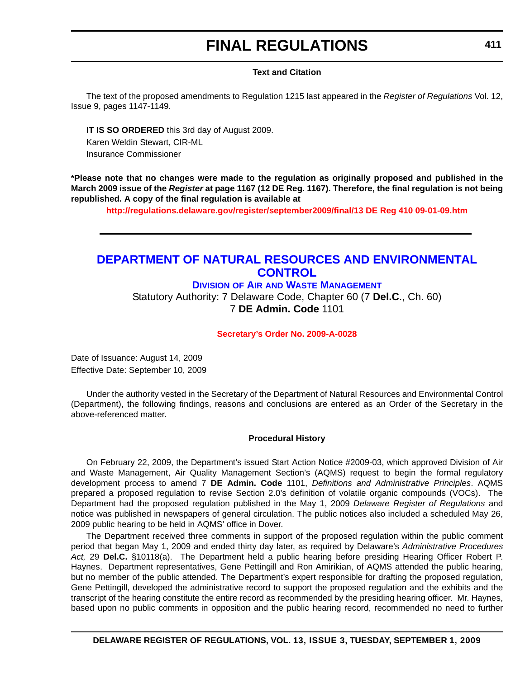### **Text and Citation**

The text of the proposed amendments to Regulation 1215 last appeared in the *Register of Regulations* Vol. 12, Issue 9, pages 1147-1149.

**IT IS SO ORDERED** this 3rd day of August 2009. Karen Weldin Stewart, CIR-ML Insurance Commissioner

**\*Please note that no changes were made to the regulation as originally proposed and published in the March 2009 issue of the** *Register* **at page 1167 (12 DE Reg. 1167). Therefore, the final regulation is not being republished. A copy of the final regulation is available at**

**http://regulations.delaware.gov/register/september2009/final/13 DE Reg 410 09-01-09.htm**

## **[DEPARTMENT OF NATURAL RESOURCES AND ENVIRONMENTAL](http://www.awm.delaware.gov/Pages/default.aspx)  CONTROL**

### **DIVISION OF AIR AND WASTE MANAGEMENT**

Statutory Authority: 7 Delaware Code, Chapter 60 (7 **Del.C**., Ch. 60) 7 **DE Admin. Code** 1101

#### **[Secretary's Order No. 2009-A-0028](#page-4-0)**

Date of Issuance: August 14, 2009 Effective Date: September 10, 2009

Under the authority vested in the Secretary of the Department of Natural Resources and Environmental Control (Department), the following findings, reasons and conclusions are entered as an Order of the Secretary in the above-referenced matter.

#### **Procedural History**

On February 22, 2009, the Department's issued Start Action Notice #2009-03, which approved Division of Air and Waste Management, Air Quality Management Section's (AQMS) request to begin the formal regulatory development process to amend 7 **DE Admin. Code** 1101, *Definitions and Administrative Principles*. AQMS prepared a proposed regulation to revise Section 2.0's definition of volatile organic compounds (VOCs). The Department had the proposed regulation published in the May 1, 2009 *Delaware Register of Regulations* and notice was published in newspapers of general circulation. The public notices also included a scheduled May 26, 2009 public hearing to be held in AQMS' office in Dover.

The Department received three comments in support of the proposed regulation within the public comment period that began May 1, 2009 and ended thirty day later, as required by Delaware's *Administrative Procedures Act,* 29 **Del.C.** §10118(a). The Department held a public hearing before presiding Hearing Officer Robert P. Haynes. Department representatives, Gene Pettingill and Ron Amirikian, of AQMS attended the public hearing, but no member of the public attended. The Department's expert responsible for drafting the proposed regulation, Gene Pettingill, developed the administrative record to support the proposed regulation and the exhibits and the transcript of the hearing constitute the entire record as recommended by the presiding hearing officer. Mr. Haynes, based upon no public comments in opposition and the public hearing record, recommended no need to further

## **DELAWARE REGISTER OF REGULATIONS, VOL. 13, ISSUE 3, TUESDAY, SEPTEMBER 1, 2009**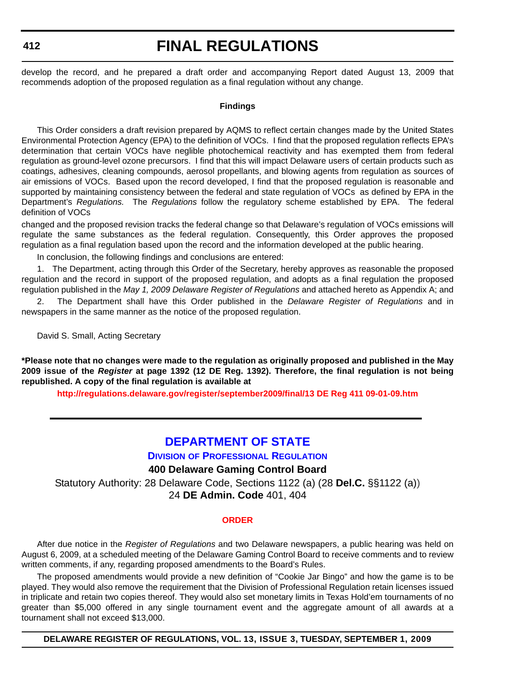develop the record, and he prepared a draft order and accompanying Report dated August 13, 2009 that recommends adoption of the proposed regulation as a final regulation without any change.

### **Findings**

This Order considers a draft revision prepared by AQMS to reflect certain changes made by the United States Environmental Protection Agency (EPA) to the definition of VOCs. I find that the proposed regulation reflects EPA's determination that certain VOCs have neglible photochemical reactivity and has exempted them from federal regulation as ground-level ozone precursors. I find that this will impact Delaware users of certain products such as coatings, adhesives, cleaning compounds, aerosol propellants, and blowing agents from regulation as sources of air emissions of VOCs. Based upon the record developed, I find that the proposed regulation is reasonable and supported by maintaining consistency between the federal and state regulation of VOCs as defined by EPA in the Department's *Regulations.* The *Regulations* follow the regulatory scheme established by EPA. The federal definition of VOCs

changed and the proposed revision tracks the federal change so that Delaware's regulation of VOCs emissions will regulate the same substances as the federal regulation. Consequently, this Order approves the proposed regulation as a final regulation based upon the record and the information developed at the public hearing.

In conclusion, the following findings and conclusions are entered:

1. The Department, acting through this Order of the Secretary, hereby approves as reasonable the proposed regulation and the record in support of the proposed regulation, and adopts as a final regulation the proposed regulation published in the *May 1, 2009 Delaware Register of Regulations* and attached hereto as Appendix A; and

2. The Department shall have this Order published in the *Delaware Register of Regulations* and in newspapers in the same manner as the notice of the proposed regulation.

David S. Small, Acting Secretary

**\*Please note that no changes were made to the regulation as originally proposed and published in the May 2009 issue of the** *Register* **at page 1392 (12 DE Reg. 1392). Therefore, the final regulation is not being republished. A copy of the final regulation is available at**

**http://regulations.delaware.gov/register/september2009/final/13 DE Reg 411 09-01-09.htm**

## **[DEPARTMENT OF STATE](http://dpr.delaware.gov/default.shtml)**

**DIVISION OF PROFESSIONAL REGULATION**

## **400 Delaware Gaming Control Board**

Statutory Authority: 28 Delaware Code, Sections 1122 (a) (28 **Del.C.** §§1122 (a)) 24 **DE Admin. Code** 401, 404

#### **[ORDER](#page-4-0)**

After due notice in the *Register of Regulations* and two Delaware newspapers, a public hearing was held on August 6, 2009, at a scheduled meeting of the Delaware Gaming Control Board to receive comments and to review written comments, if any, regarding proposed amendments to the Board's Rules.

The proposed amendments would provide a new definition of "Cookie Jar Bingo" and how the game is to be played. They would also remove the requirement that the Division of Professional Regulation retain licenses issued in triplicate and retain two copies thereof. They would also set monetary limits in Texas Hold'em tournaments of no greater than \$5,000 offered in any single tournament event and the aggregate amount of all awards at a tournament shall not exceed \$13,000.

**DELAWARE REGISTER OF REGULATIONS, VOL. 13, ISSUE 3, TUESDAY, SEPTEMBER 1, 2009**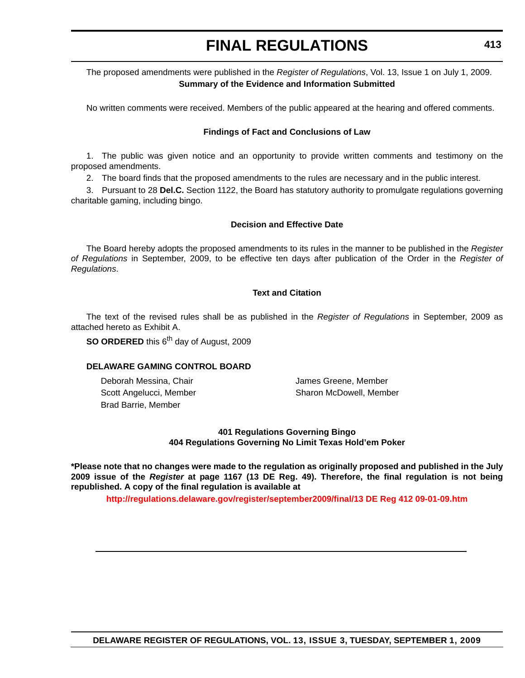## The proposed amendments were published in the *Register of Regulations*, Vol. 13, Issue 1 on July 1, 2009. **Summary of the Evidence and Information Submitted**

No written comments were received. Members of the public appeared at the hearing and offered comments.

### **Findings of Fact and Conclusions of Law**

1. The public was given notice and an opportunity to provide written comments and testimony on the proposed amendments.

2. The board finds that the proposed amendments to the rules are necessary and in the public interest.

3. Pursuant to 28 **Del.C.** Section 1122, the Board has statutory authority to promulgate regulations governing charitable gaming, including bingo.

### **Decision and Effective Date**

The Board hereby adopts the proposed amendments to its rules in the manner to be published in the *Register of Regulations* in September, 2009, to be effective ten days after publication of the Order in the *Register of Regulations*.

### **Text and Citation**

The text of the revised rules shall be as published in the *Register of Regulations* in September, 2009 as attached hereto as Exhibit A.

**SO ORDERED** this 6<sup>th</sup> day of August, 2009

### **DELAWARE GAMING CONTROL BOARD**

Deborah Messina, Chair **James Greene, Member** Brad Barrie, Member

Scott Angelucci, Member Sharon McDowell, Member

**401 Regulations Governing Bingo 404 Regulations Governing No Limit Texas Hold'em Poker**

**\*Please note that no changes were made to the regulation as originally proposed and published in the July 2009 issue of the** *Register* **at page 1167 (13 DE Reg. 49). Therefore, the final regulation is not being republished. A copy of the final regulation is available at**

**http://regulations.delaware.gov/register/september2009/final/13 DE Reg 412 09-01-09.htm**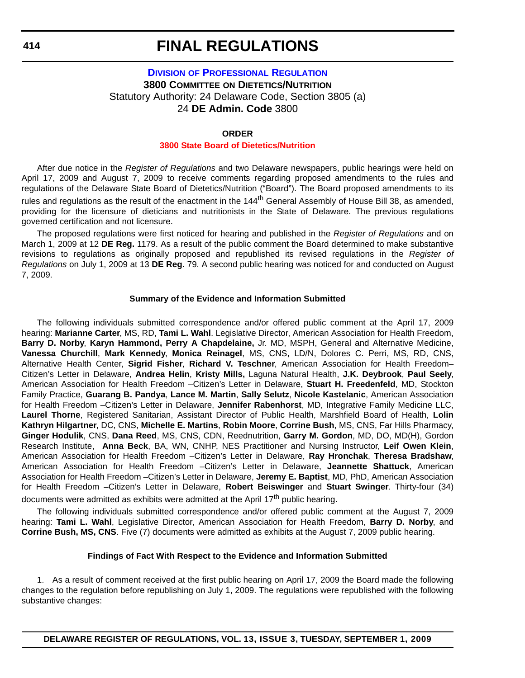## **DIVISION [OF PROFESSIONAL REGULATION](http://dpr.delaware.gov/default.shtml) 3800 COMMITTEE ON DIETETICS/NUTRITION** Statutory Authority: 24 Delaware Code, Section 3805 (a) 24 **DE Admin. Code** 3800

### **ORDER**

## **[3800 State Board of Dietetics/Nutrition](#page-4-0)**

After due notice in the *Register of Regulations* and two Delaware newspapers, public hearings were held on April 17, 2009 and August 7, 2009 to receive comments regarding proposed amendments to the rules and regulations of the Delaware State Board of Dietetics/Nutrition ("Board"). The Board proposed amendments to its rules and regulations as the result of the enactment in the 144<sup>th</sup> General Assembly of House Bill 38, as amended, providing for the licensure of dieticians and nutritionists in the State of Delaware. The previous regulations governed certification and not licensure.

The proposed regulations were first noticed for hearing and published in the *Register of Regulations* and on March 1, 2009 at 12 **DE Reg.** 1179. As a result of the public comment the Board determined to make substantive revisions to regulations as originally proposed and republished its revised regulations in the *Register of Regulations* on July 1, 2009 at 13 **DE Reg.** 79. A second public hearing was noticed for and conducted on August 7, 2009.

### **Summary of the Evidence and Information Submitted**

The following individuals submitted correspondence and/or offered public comment at the April 17, 2009 hearing: **Marianne Carter**, MS, RD, **Tami L. Wahl**. Legislative Director, American Association for Health Freedom, **Barry D. Norby**, **Karyn Hammond, Perry A Chapdelaine,** Jr. MD, MSPH, General and Alternative Medicine, **Vanessa Churchill**, **Mark Kennedy**, **Monica Reinagel**, MS, CNS, LD/N, Dolores C. Perri, MS, RD, CNS, Alternative Health Center, **Sigrid Fisher**, **Richard V. Teschner**, American Association for Health Freedom– Citizen's Letter in Delaware, **Andrea Helin**, **Kristy Mills,** Laguna Natural Health, **J.K. Deybrook**, **Paul Seely**, American Association for Health Freedom –Citizen's Letter in Delaware, **Stuart H. Freedenfeld**, MD, Stockton Family Practice, **Guarang B. Pandya**, **Lance M. Martin**, **Sally Selutz**, **Nicole Kastelanic**, American Association for Health Freedom –Citizen's Letter in Delaware, **Jennifer Rabenhorst**, MD, Integrative Family Medicine LLC, **Laurel Thorne**, Registered Sanitarian, Assistant Director of Public Health, Marshfield Board of Health, **Lolin Kathryn Hilgartner**, DC, CNS, **Michelle E. Martins**, **Robin Moore**, **Corrine Bush**, MS, CNS, Far Hills Pharmacy, **Ginger Hodulik**, CNS, **Dana Reed**, MS, CNS, CDN, Reednutrition, **Garry M. Gordon**, MD, DO, MD(H), Gordon Research Institute, **Anna Beck**, BA, WN, CNHP, NES Practitioner and Nursing Instructor, **Leif Owen Klein**, American Association for Health Freedom –Citizen's Letter in Delaware, **Ray Hronchak**, **Theresa Bradshaw**, American Association for Health Freedom –Citizen's Letter in Delaware, **Jeannette Shattuck**, American Association for Health Freedom –Citizen's Letter in Delaware, **Jeremy E. Baptist**, MD, PhD, American Association for Health Freedom –Citizen's Letter in Delaware, **Robert Beiswinger** and **Stuart Swinger**. Thirty-four (34)

documents were admitted as exhibits were admitted at the April 17<sup>th</sup> public hearing.

The following individuals submitted correspondence and/or offered public comment at the August 7, 2009 hearing: **Tami L. Wahl**, Legislative Director, American Association for Health Freedom, **Barry D. Norby**, and **Corrine Bush, MS, CNS**. Five (7) documents were admitted as exhibits at the August 7, 2009 public hearing.

### **Findings of Fact With Respect to the Evidence and Information Submitted**

1. As a result of comment received at the first public hearing on April 17, 2009 the Board made the following changes to the regulation before republishing on July 1, 2009. The regulations were republished with the following substantive changes: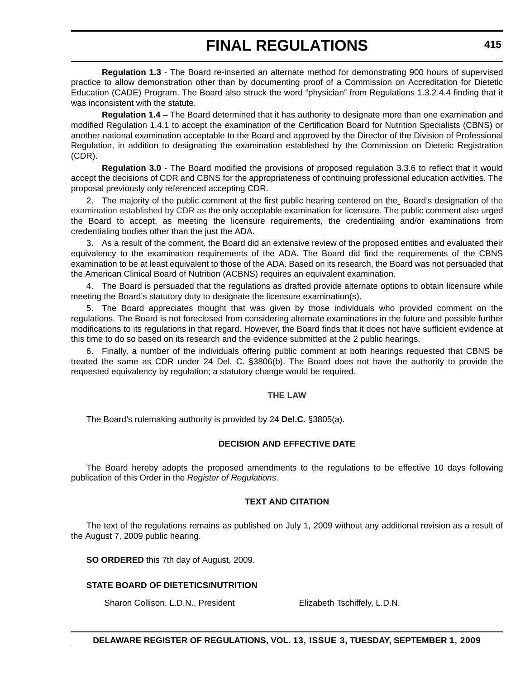**Regulation 1.3** - The Board re-inserted an alternate method for demonstrating 900 hours of supervised practice to allow demonstration other than by documenting proof of a Commission on Accreditation for Dietetic Education (CADE) Program. The Board also struck the word "physician" from Regulations 1.3.2.4.4 finding that it was inconsistent with the statute.

**Regulation 1.4** – The Board determined that it has authority to designate more than one examination and modified Regulation 1.4.1 to accept the examination of the Certification Board for Nutrition Specialists (CBNS) or another national examination acceptable to the Board and approved by the Director of the Division of Professional Regulation, in addition to designating the examination established by the Commission on Dietetic Registration (CDR).

**Regulation 3.0** - The Board modified the provisions of proposed regulation 3.3.6 to reflect that it would accept the decisions of CDR and CBNS for the appropriateness of continuing professional education activities. The proposal previously only referenced accepting CDR.

2. The majority of the public comment at the first public hearing centered on the Board's designation of the examination established by CDR as the only acceptable examination for licensure. The public comment also urged the Board to accept, as meeting the licensure requirements, the credentialing and/or examinations from credentialing bodies other than the just the ADA.

3. As a result of the comment, the Board did an extensive review of the proposed entities and evaluated their equivalency to the examination requirements of the ADA. The Board did find the requirements of the CBNS examination to be at least equivalent to those of the ADA. Based on its research, the Board was not persuaded that the American Clinical Board of Nutrition (ACBNS) requires an equivalent examination.

4. The Board is persuaded that the regulations as drafted provide alternate options to obtain licensure while meeting the Board's statutory duty to designate the licensure examination(s).

5. The Board appreciates thought that was given by those individuals who provided comment on the regulations. The Board is not foreclosed from considering alternate examinations in the future and possible further modifications to its regulations in that regard. However, the Board finds that it does not have sufficient evidence at this time to do so based on its research and the evidence submitted at the 2 public hearings.

6. Finally, a number of the individuals offering public comment at both hearings requested that CBNS be treated the same as CDR under 24 Del. C. §3806(b). The Board does not have the authority to provide the requested equivalency by regulation; a statutory change would be required.

### **THE LAW**

The Board's rulemaking authority is provided by 24 **Del.C.** §3805(a).

## **DECISION AND EFFECTIVE DATE**

The Board hereby adopts the proposed amendments to the regulations to be effective 10 days following publication of this Order in the *Register of Regulations*.

## **TEXT AND CITATION**

The text of the regulations remains as published on July 1, 2009 without any additional revision as a result of the August 7, 2009 public hearing.

**SO ORDERED** this 7th day of August, 2009.

## **STATE BOARD OF DIETETICS/NUTRITION**

Sharon Collison, L.D.N., President Elizabeth Tschiffely, L.D.N.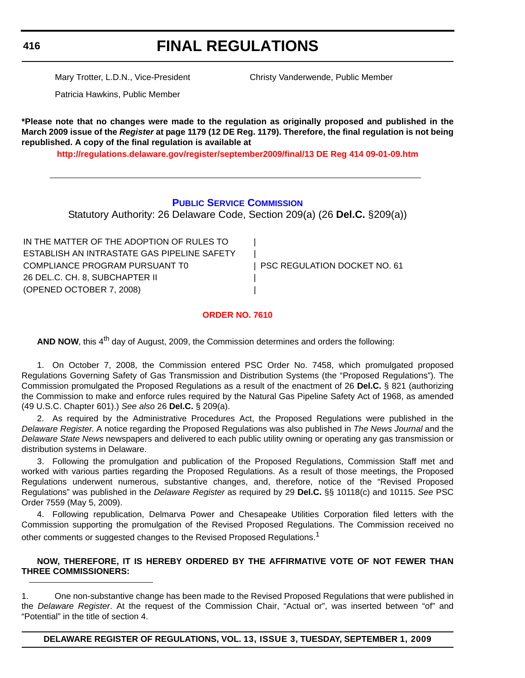**416**

## **FINAL REGULATIONS**

Mary Trotter, L.D.N., Vice-President Christy Vanderwende, Public Member

Patricia Hawkins, Public Member

**\*Please note that no changes were made to the regulation as originally proposed and published in the March 2009 issue of the** *Register* **at page 1179 (12 DE Reg. 1179). Therefore, the final regulation is not being republished. A copy of the final regulation is available at**

**http://regulations.delaware.gov/register/september2009/final/13 DE Reg 414 09-01-09.htm**

## **[PUBLIC SERVICE COMMISSION](http://depsc.delaware.gov/default.shtml)**

Statutory Authority: 26 Delaware Code, Section 209(a) (26 **Del.C.** §209(a))

IN THE MATTER OF THE ADOPTION OF RULES TO | ESTABLISH AN INTRASTATE GAS PIPELINE SAFETY | COMPLIANCE PROGRAM PURSUANT TO **INCLUST A PSC REGULATION DOCKET NO. 61** 26 DEL.C. CH. 8, SUBCHAPTER II | (OPENED OCTOBER 7, 2008) |

## **[ORDER NO. 7610](#page-4-0)**

**AND NOW**, this 4<sup>th</sup> day of August, 2009, the Commission determines and orders the following:

1. On October 7, 2008, the Commission entered PSC Order No. 7458, which promulgated proposed Regulations Governing Safety of Gas Transmission and Distribution Systems (the "Proposed Regulations"). The Commission promulgated the Proposed Regulations as a result of the enactment of 26 **Del.C.** § 821 (authorizing the Commission to make and enforce rules required by the Natural Gas Pipeline Safety Act of 1968, as amended (49 U.S.C. Chapter 601).) *See also* 26 **Del.C.** § 209(a).

2. As required by the Administrative Procedures Act, the Proposed Regulations were published in the *Delaware Register*. A notice regarding the Proposed Regulations was also published in *The News Journal* and the *Delaware State News* newspapers and delivered to each public utility owning or operating any gas transmission or distribution systems in Delaware.

3. Following the promulgation and publication of the Proposed Regulations, Commission Staff met and worked with various parties regarding the Proposed Regulations. As a result of those meetings, the Proposed Regulations underwent numerous, substantive changes, and, therefore, notice of the "Revised Proposed Regulations" was published in the *Delaware Register* as required by 29 **Del.C.** §§ 10118(c) and 10115. *See* PSC Order 7559 (May 5, 2009).

4. Following republication, Delmarva Power and Chesapeake Utilities Corporation filed letters with the Commission supporting the promulgation of the Revised Proposed Regulations. The Commission received no other comments or suggested changes to the Revised Proposed Regulations.<sup>1</sup>

## **NOW, THEREFORE, IT IS HEREBY ORDERED BY THE AFFIRMATIVE VOTE OF NOT FEWER THAN THREE COMMISSIONERS:**

1. One non-substantive change has been made to the Revised Proposed Regulations that were published in the *Delaware Register*. At the request of the Commission Chair, "Actual or", was inserted between "of" and "Potential" in the title of section 4.

**DELAWARE REGISTER OF REGULATIONS, VOL. 13, ISSUE 3, TUESDAY, SEPTEMBER 1, 2009**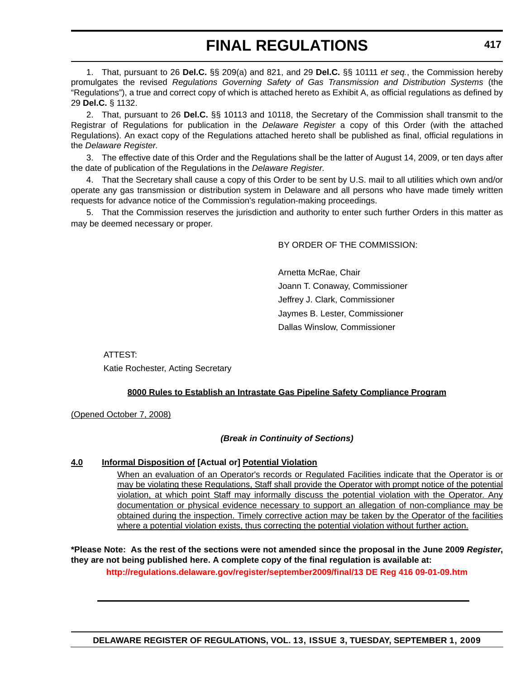1. That, pursuant to 26 **Del.C.** §§ 209(a) and 821, and 29 **Del.C.** §§ 10111 *et seq.*, the Commission hereby promulgates the revised *Regulations Governing Safety of Gas Transmission and Distribution Systems* (the "Regulations"), a true and correct copy of which is attached hereto as Exhibit A, as official regulations as defined by 29 **Del.C.** § 1132.

2. That, pursuant to 26 **Del.C.** §§ 10113 and 10118, the Secretary of the Commission shall transmit to the Registrar of Regulations for publication in the *Delaware Register* a copy of this Order (with the attached Regulations). An exact copy of the Regulations attached hereto shall be published as final, official regulations in the *Delaware Register*.

3. The effective date of this Order and the Regulations shall be the latter of August 14, 2009, or ten days after the date of publication of the Regulations in the *Delaware Register*.

4. That the Secretary shall cause a copy of this Order to be sent by U.S. mail to all utilities which own and/or operate any gas transmission or distribution system in Delaware and all persons who have made timely written requests for advance notice of the Commission's regulation-making proceedings.

5. That the Commission reserves the jurisdiction and authority to enter such further Orders in this matter as may be deemed necessary or proper.

BY ORDER OF THE COMMISSION:

Arnetta McRae, Chair Joann T. Conaway, Commissioner Jeffrey J. Clark, Commissioner Jaymes B. Lester, Commissioner Dallas Winslow, Commissioner

ATTEST: Katie Rochester, Acting Secretary

## **8000 Rules to Establish an Intrastate Gas Pipeline Safety Compliance Program**

(Opened October 7, 2008)

## *(Break in Continuity of Sections)*

### **4.0 Informal Disposition of [Actual or] Potential Violation**

When an evaluation of an Operator's records or Regulated Facilities indicate that the Operator is or may be violating these Regulations, Staff shall provide the Operator with prompt notice of the potential violation, at which point Staff may informally discuss the potential violation with the Operator. Any documentation or physical evidence necessary to support an allegation of non-compliance may be obtained during the inspection. Timely corrective action may be taken by the Operator of the facilities where a potential violation exists, thus correcting the potential violation without further action.

**\*Please Note: As the rest of the sections were not amended since the proposal in the June 2009** *Register***, they are not being published here. A complete copy of the final regulation is available at:**

**http://regulations.delaware.gov/register/september2009/final/13 DE Reg 416 09-01-09.htm**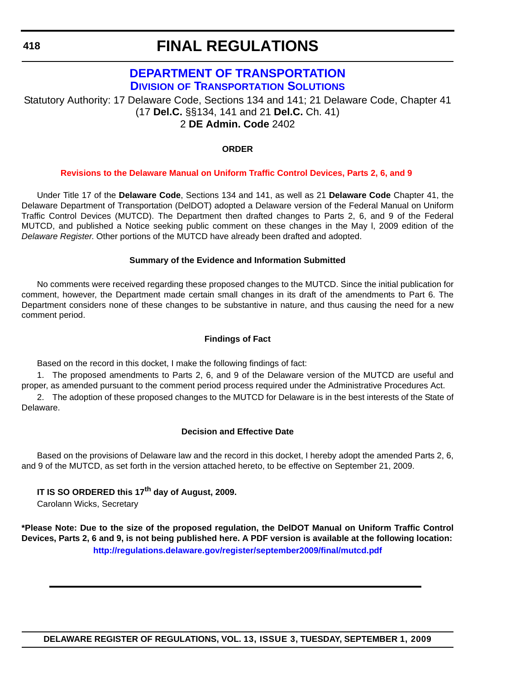## **[DEPARTMENT OF TRANSPORTATION](http://www.deldot.gov/home/divisions/) DIVISION OF TRANSPORTATION SOLUTIONS**

Statutory Authority: 17 Delaware Code, Sections 134 and 141; 21 Delaware Code, Chapter 41 (17 **Del.C.** §§134, 141 and 21 **Del.C.** Ch. 41) 2 **DE Admin. Code** 2402

## **ORDER**

### **[Revisions to the Delaware Manual on Uniform Traffic Control Devices, Parts 2, 6, and 9](#page-4-0)**

Under Title 17 of the **Delaware Code**, Sections 134 and 141, as well as 21 **Delaware Code** Chapter 41, the Delaware Department of Transportation (DelDOT) adopted a Delaware version of the Federal Manual on Uniform Traffic Control Devices (MUTCD). The Department then drafted changes to Parts 2, 6, and 9 of the Federal MUTCD, and published a Notice seeking public comment on these changes in the May l, 2009 edition of the *Delaware Register*. Other portions of the MUTCD have already been drafted and adopted.

### **Summary of the Evidence and Information Submitted**

No comments were received regarding these proposed changes to the MUTCD. Since the initial publication for comment, however, the Department made certain small changes in its draft of the amendments to Part 6. The Department considers none of these changes to be substantive in nature, and thus causing the need for a new comment period.

### **Findings of Fact**

Based on the record in this docket, I make the following findings of fact:

1. The proposed amendments to Parts 2, 6, and 9 of the Delaware version of the MUTCD are useful and proper, as amended pursuant to the comment period process required under the Administrative Procedures Act.

2. The adoption of these proposed changes to the MUTCD for Delaware is in the best interests of the State of Delaware.

### **Decision and Effective Date**

Based on the provisions of Delaware law and the record in this docket, I hereby adopt the amended Parts 2, 6, and 9 of the MUTCD, as set forth in the version attached hereto, to be effective on September 21, 2009.

## **IT IS SO ORDERED this 17th day of August, 2009.**

Carolann Wicks, Secretary

**\*Please Note: Due to the size of the proposed regulation, the DelDOT Manual on Uniform Traffic Control Devices, Parts 2, 6 and 9, is not being published here. A PDF version is available at the following location: http://regulations.delaware.gov/register/september2009/final/mutcd.pdf**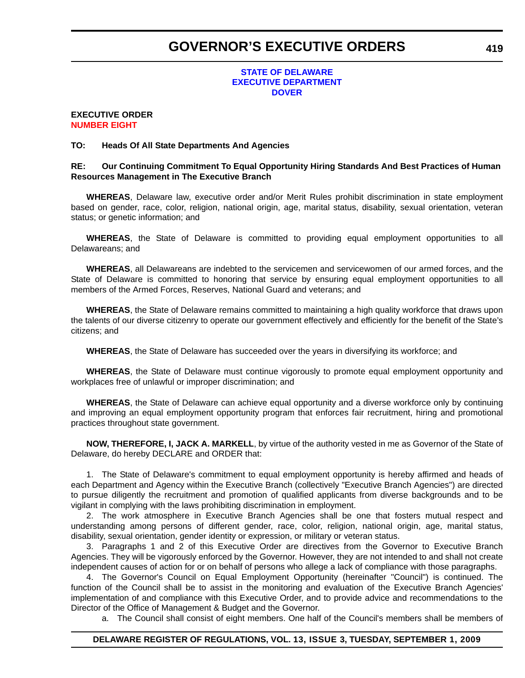### **STATE OF DELAWARE [EXECUTIVE DEPARTMENT](http://governor.delaware.gov/orders/index.shtml) DOVER**

#### **EXECUTIVE ORDER [NUMBER EIGHT](#page-5-0)**

### **TO: Heads Of All State Departments And Agencies**

### **RE: Our Continuing Commitment To Equal Opportunity Hiring Standards And Best Practices of Human Resources Management in The Executive Branch**

**WHEREAS**, Delaware law, executive order and/or Merit Rules prohibit discrimination in state employment based on gender, race, color, religion, national origin, age, marital status, disability, sexual orientation, veteran status; or genetic information; and

**WHEREAS**, the State of Delaware is committed to providing equal employment opportunities to all Delawareans; and

**WHEREAS**, all Delawareans are indebted to the servicemen and servicewomen of our armed forces, and the State of Delaware is committed to honoring that service by ensuring equal employment opportunities to all members of the Armed Forces, Reserves, National Guard and veterans; and

**WHEREAS**, the State of Delaware remains committed to maintaining a high quality workforce that draws upon the talents of our diverse citizenry to operate our government effectively and efficiently for the benefit of the State's citizens; and

**WHEREAS**, the State of Delaware has succeeded over the years in diversifying its workforce; and

**WHEREAS**, the State of Delaware must continue vigorously to promote equal employment opportunity and workplaces free of unlawful or improper discrimination; and

**WHEREAS**, the State of Delaware can achieve equal opportunity and a diverse workforce only by continuing and improving an equal employment opportunity program that enforces fair recruitment, hiring and promotional practices throughout state government.

**NOW, THEREFORE, I, JACK A. MARKELL**, by virtue of the authority vested in me as Governor of the State of Delaware, do hereby DECLARE and ORDER that:

1. The State of Delaware's commitment to equal employment opportunity is hereby affirmed and heads of each Department and Agency within the Executive Branch (collectively "Executive Branch Agencies") are directed to pursue diligently the recruitment and promotion of qualified applicants from diverse backgrounds and to be vigilant in complying with the laws prohibiting discrimination in employment.

2. The work atmosphere in Executive Branch Agencies shall be one that fosters mutual respect and understanding among persons of different gender, race, color, religion, national origin, age, marital status, disability, sexual orientation, gender identity or expression, or military or veteran status.

3. Paragraphs 1 and 2 of this Executive Order are directives from the Governor to Executive Branch Agencies. They will be vigorously enforced by the Governor. However, they are not intended to and shall not create independent causes of action for or on behalf of persons who allege a lack of compliance with those paragraphs.

4. The Governor's Council on Equal Employment Opportunity (hereinafter "Council") is continued. The function of the Council shall be to assist in the monitoring and evaluation of the Executive Branch Agencies' implementation of and compliance with this Executive Order, and to provide advice and recommendations to the Director of the Office of Management & Budget and the Governor.

a. The Council shall consist of eight members. One half of the Council's members shall be members of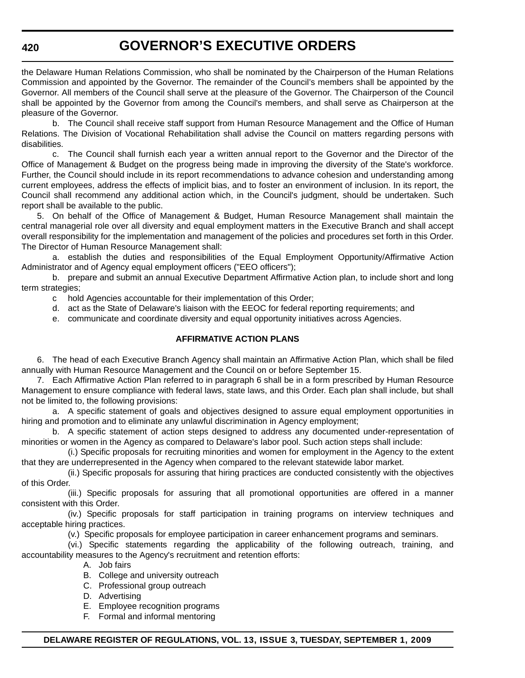the Delaware Human Relations Commission, who shall be nominated by the Chairperson of the Human Relations Commission and appointed by the Governor. The remainder of the Council's members shall be appointed by the Governor. All members of the Council shall serve at the pleasure of the Governor. The Chairperson of the Council shall be appointed by the Governor from among the Council's members, and shall serve as Chairperson at the pleasure of the Governor.

b. The Council shall receive staff support from Human Resource Management and the Office of Human Relations. The Division of Vocational Rehabilitation shall advise the Council on matters regarding persons with disabilities.

c. The Council shall furnish each year a written annual report to the Governor and the Director of the Office of Management & Budget on the progress being made in improving the diversity of the State's workforce. Further, the Council should include in its report recommendations to advance cohesion and understanding among current employees, address the effects of implicit bias, and to foster an environment of inclusion. In its report, the Council shall recommend any additional action which, in the Council's judgment, should be undertaken. Such report shall be available to the public.

5. On behalf of the Office of Management & Budget, Human Resource Management shall maintain the central managerial role over all diversity and equal employment matters in the Executive Branch and shall accept overall responsibility for the implementation and management of the policies and procedures set forth in this Order. The Director of Human Resource Management shall:

a. establish the duties and responsibilities of the Equal Employment Opportunity/Affirmative Action Administrator and of Agency equal employment officers ("EEO officers");

b. prepare and submit an annual Executive Department Affirmative Action plan, to include short and long term strategies;

- c hold Agencies accountable for their implementation of this Order;
- d. act as the State of Delaware's liaison with the EEOC for federal reporting requirements; and
- e. communicate and coordinate diversity and equal opportunity initiatives across Agencies.

## **AFFIRMATIVE ACTION PLANS**

6. The head of each Executive Branch Agency shall maintain an Affirmative Action Plan, which shall be filed annually with Human Resource Management and the Council on or before September 15.

7. Each Affirmative Action Plan referred to in paragraph 6 shall be in a form prescribed by Human Resource Management to ensure compliance with federal laws, state laws, and this Order. Each plan shall include, but shall not be limited to, the following provisions:

a. A specific statement of goals and objectives designed to assure equal employment opportunities in hiring and promotion and to eliminate any unlawful discrimination in Agency employment;

b. A specific statement of action steps designed to address any documented under-representation of minorities or women in the Agency as compared to Delaware's labor pool. Such action steps shall include:

(i.) Specific proposals for recruiting minorities and women for employment in the Agency to the extent that they are underrepresented in the Agency when compared to the relevant statewide labor market.

(ii.) Specific proposals for assuring that hiring practices are conducted consistently with the objectives of this Order.

(iii.) Specific proposals for assuring that all promotional opportunities are offered in a manner consistent with this Order.

(iv.) Specific proposals for staff participation in training programs on interview techniques and acceptable hiring practices.

(v.) Specific proposals for employee participation in career enhancement programs and seminars.

(vi.) Specific statements regarding the applicability of the following outreach, training, and accountability measures to the Agency's recruitment and retention efforts:

- A. Job fairs
- B. College and university outreach
- C. Professional group outreach
- D. Advertising
- E. Employee recognition programs
- F. Formal and informal mentoring

### **DELAWARE REGISTER OF REGULATIONS, VOL. 13, ISSUE 3, TUESDAY, SEPTEMBER 1, 2009**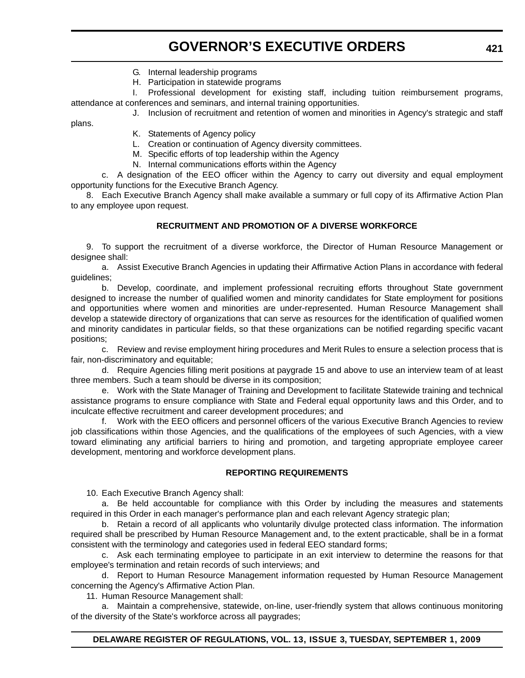- G. Internal leadership programs
- H. Participation in statewide programs

I. Professional development for existing staff, including tuition reimbursement programs, attendance at conferences and seminars, and internal training opportunities.

J. Inclusion of recruitment and retention of women and minorities in Agency's strategic and staff

plans.

K. Statements of Agency policy

L. Creation or continuation of Agency diversity committees.

- M. Specific efforts of top leadership within the Agency
- N. Internal communications efforts within the Agency

c. A designation of the EEO officer within the Agency to carry out diversity and equal employment opportunity functions for the Executive Branch Agency.

8. Each Executive Branch Agency shall make available a summary or full copy of its Affirmative Action Plan to any employee upon request.

## **RECRUITMENT AND PROMOTION OF A DIVERSE WORKFORCE**

9. To support the recruitment of a diverse workforce, the Director of Human Resource Management or designee shall:

a. Assist Executive Branch Agencies in updating their Affirmative Action Plans in accordance with federal guidelines;

b. Develop, coordinate, and implement professional recruiting efforts throughout State government designed to increase the number of qualified women and minority candidates for State employment for positions and opportunities where women and minorities are under-represented. Human Resource Management shall develop a statewide directory of organizations that can serve as resources for the identification of qualified women and minority candidates in particular fields, so that these organizations can be notified regarding specific vacant positions;

c. Review and revise employment hiring procedures and Merit Rules to ensure a selection process that is fair, non-discriminatory and equitable;

d. Require Agencies filling merit positions at paygrade 15 and above to use an interview team of at least three members. Such a team should be diverse in its composition;

e. Work with the State Manager of Training and Development to facilitate Statewide training and technical assistance programs to ensure compliance with State and Federal equal opportunity laws and this Order, and to inculcate effective recruitment and career development procedures; and

f. Work with the EEO officers and personnel officers of the various Executive Branch Agencies to review job classifications within those Agencies, and the qualifications of the employees of such Agencies, with a view toward eliminating any artificial barriers to hiring and promotion, and targeting appropriate employee career development, mentoring and workforce development plans.

### **REPORTING REQUIREMENTS**

10. Each Executive Branch Agency shall:

a. Be held accountable for compliance with this Order by including the measures and statements required in this Order in each manager's performance plan and each relevant Agency strategic plan;

b. Retain a record of all applicants who voluntarily divulge protected class information. The information required shall be prescribed by Human Resource Management and, to the extent practicable, shall be in a format consistent with the terminology and categories used in federal EEO standard forms;

c. Ask each terminating employee to participate in an exit interview to determine the reasons for that employee's termination and retain records of such interviews; and

d. Report to Human Resource Management information requested by Human Resource Management concerning the Agency's Affirmative Action Plan.

11. Human Resource Management shall:

a. Maintain a comprehensive, statewide, on-line, user-friendly system that allows continuous monitoring of the diversity of the State's workforce across all paygrades;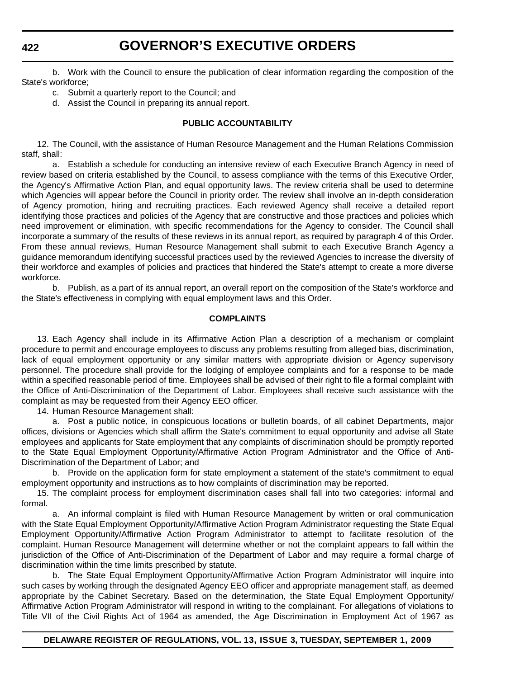b. Work with the Council to ensure the publication of clear information regarding the composition of the State's workforce;

- c. Submit a quarterly report to the Council; and
- d. Assist the Council in preparing its annual report.

### **PUBLIC ACCOUNTABILITY**

12. The Council, with the assistance of Human Resource Management and the Human Relations Commission staff, shall:

a. Establish a schedule for conducting an intensive review of each Executive Branch Agency in need of review based on criteria established by the Council, to assess compliance with the terms of this Executive Order, the Agency's Affirmative Action Plan, and equal opportunity laws. The review criteria shall be used to determine which Agencies will appear before the Council in priority order. The review shall involve an in-depth consideration of Agency promotion, hiring and recruiting practices. Each reviewed Agency shall receive a detailed report identifying those practices and policies of the Agency that are constructive and those practices and policies which need improvement or elimination, with specific recommendations for the Agency to consider. The Council shall incorporate a summary of the results of these reviews in its annual report, as required by paragraph 4 of this Order. From these annual reviews, Human Resource Management shall submit to each Executive Branch Agency a guidance memorandum identifying successful practices used by the reviewed Agencies to increase the diversity of their workforce and examples of policies and practices that hindered the State's attempt to create a more diverse workforce.

b. Publish, as a part of its annual report, an overall report on the composition of the State's workforce and the State's effectiveness in complying with equal employment laws and this Order.

### **COMPLAINTS**

13. Each Agency shall include in its Affirmative Action Plan a description of a mechanism or complaint procedure to permit and encourage employees to discuss any problems resulting from alleged bias, discrimination, lack of equal employment opportunity or any similar matters with appropriate division or Agency supervisory personnel. The procedure shall provide for the lodging of employee complaints and for a response to be made within a specified reasonable period of time. Employees shall be advised of their right to file a formal complaint with the Office of Anti-Discrimination of the Department of Labor. Employees shall receive such assistance with the complaint as may be requested from their Agency EEO officer.

14. Human Resource Management shall:

a. Post a public notice, in conspicuous locations or bulletin boards, of all cabinet Departments, major offices, divisions or Agencies which shall affirm the State's commitment to equal opportunity and advise all State employees and applicants for State employment that any complaints of discrimination should be promptly reported to the State Equal Employment Opportunity/Affirmative Action Program Administrator and the Office of Anti-Discrimination of the Department of Labor; and

b. Provide on the application form for state employment a statement of the state's commitment to equal employment opportunity and instructions as to how complaints of discrimination may be reported.

15. The complaint process for employment discrimination cases shall fall into two categories: informal and formal.

a. An informal complaint is filed with Human Resource Management by written or oral communication with the State Equal Employment Opportunity/Affirmative Action Program Administrator requesting the State Equal Employment Opportunity/Affirmative Action Program Administrator to attempt to facilitate resolution of the complaint. Human Resource Management will determine whether or not the complaint appears to fall within the jurisdiction of the Office of Anti-Discrimination of the Department of Labor and may require a formal charge of discrimination within the time limits prescribed by statute.

b. The State Equal Employment Opportunity/Affirmative Action Program Administrator will inquire into such cases by working through the designated Agency EEO officer and appropriate management staff, as deemed appropriate by the Cabinet Secretary. Based on the determination, the State Equal Employment Opportunity/ Affirmative Action Program Administrator will respond in writing to the complainant. For allegations of violations to Title VII of the Civil Rights Act of 1964 as amended, the Age Discrimination in Employment Act of 1967 as

### **DELAWARE REGISTER OF REGULATIONS, VOL. 13, ISSUE 3, TUESDAY, SEPTEMBER 1, 2009**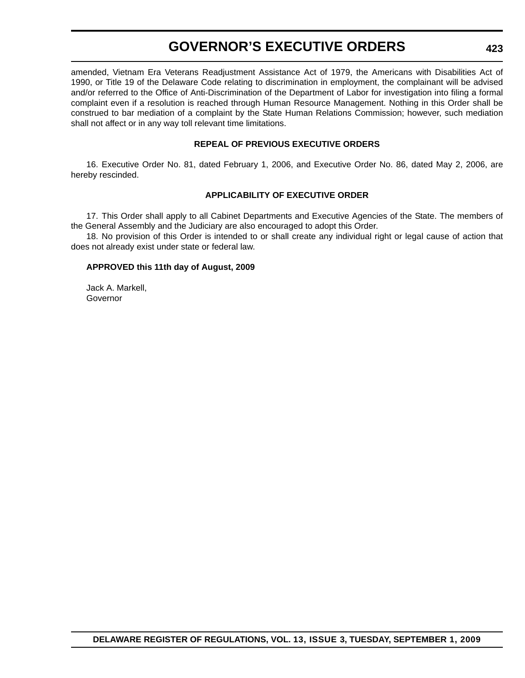amended, Vietnam Era Veterans Readjustment Assistance Act of 1979, the Americans with Disabilities Act of 1990, or Title 19 of the Delaware Code relating to discrimination in employment, the complainant will be advised and/or referred to the Office of Anti-Discrimination of the Department of Labor for investigation into filing a formal complaint even if a resolution is reached through Human Resource Management. Nothing in this Order shall be construed to bar mediation of a complaint by the State Human Relations Commission; however, such mediation shall not affect or in any way toll relevant time limitations.

## **REPEAL OF PREVIOUS EXECUTIVE ORDERS**

16. Executive Order No. 81, dated February 1, 2006, and Executive Order No. 86, dated May 2, 2006, are hereby rescinded.

## **APPLICABILITY OF EXECUTIVE ORDER**

17. This Order shall apply to all Cabinet Departments and Executive Agencies of the State. The members of the General Assembly and the Judiciary are also encouraged to adopt this Order.

18. No provision of this Order is intended to or shall create any individual right or legal cause of action that does not already exist under state or federal law.

## **APPROVED this 11th day of August, 2009**

Jack A. Markell, **Governor**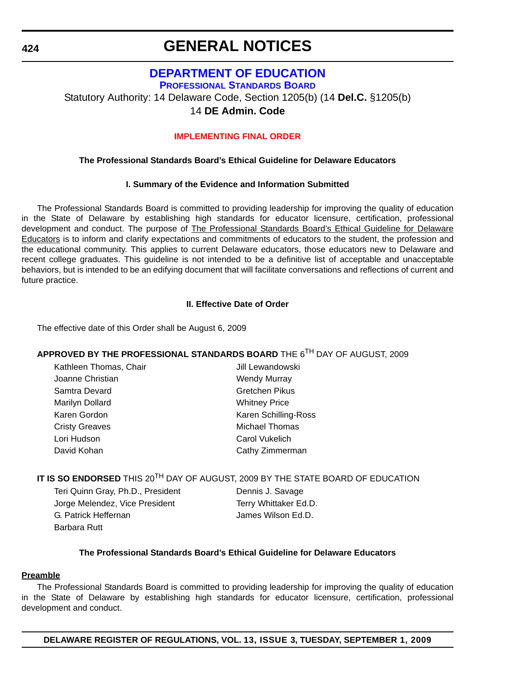### **424**

## **GENERAL NOTICES**

## **[DEPARTMENT OF EDUCATION](http://www.doe.k12.de.us/)**

**PROFESSIONAL STANDARDS BOARD**

Statutory Authority: 14 Delaware Code, Section 1205(b) (14 **Del.C.** §1205(b)

## 14 **DE Admin. Code**

## **[IMPLEMENTING FINAL ORDER](#page-5-0)**

## **The Professional Standards Board's Ethical Guideline for Delaware Educators**

## **I. Summary of the Evidence and Information Submitted**

The Professional Standards Board is committed to providing leadership for improving the quality of education in the State of Delaware by establishing high standards for educator licensure, certification, professional development and conduct. The purpose of The Professional Standards Board's Ethical Guideline for Delaware Educators is to inform and clarify expectations and commitments of educators to the student, the profession and the educational community. This applies to current Delaware educators, those educators new to Delaware and recent college graduates. This guideline is not intended to be a definitive list of acceptable and unacceptable behaviors, but is intended to be an edifying document that will facilitate conversations and reflections of current and future practice.

## **II. Effective Date of Order**

The effective date of this Order shall be August 6, 2009

## **APPROVED BY THE PROFESSIONAL STANDARDS BOARD** THE 6TH DAY OF AUGUST, 2009

| Kathleen Thomas, Chair | Jill Lewandowski     |
|------------------------|----------------------|
| Joanne Christian       | <b>Wendy Murray</b>  |
| Samtra Devard          | Gretchen Pikus       |
| Marilyn Dollard        | <b>Whitney Price</b> |
| Karen Gordon           | Karen Schilling-Ross |
| <b>Cristy Greaves</b>  | Michael Thomas       |
| Lori Hudson            | Carol Vukelich       |
| David Kohan            | Cathy Zimmerman      |

## **IT IS SO ENDORSED** THIS 20<sup>TH</sup> DAY OF AUGUST, 2009 BY THE STATE BOARD OF EDUCATION

Teri Quinn Gray, Ph.D., President **Dennis J. Savage** Jorge Melendez, Vice President Terry Whittaker Ed.D. G. Patrick Heffernan James Wilson Ed.D. Barbara Rutt

## **The Professional Standards Board's Ethical Guideline for Delaware Educators**

## **Preamble**

The Professional Standards Board is committed to providing leadership for improving the quality of education in the State of Delaware by establishing high standards for educator licensure, certification, professional development and conduct.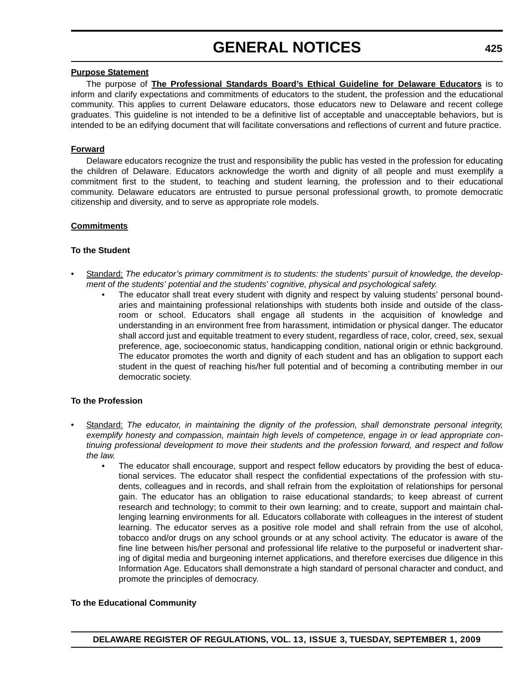# **GENERAL NOTICES**

### **Purpose Statement**

The purpose of **The Professional Standards Board's Ethical Guideline for Delaware Educators** is to inform and clarify expectations and commitments of educators to the student, the profession and the educational community. This applies to current Delaware educators, those educators new to Delaware and recent college graduates. This guideline is not intended to be a definitive list of acceptable and unacceptable behaviors, but is intended to be an edifying document that will facilitate conversations and reflections of current and future practice.

## **Forward**

Delaware educators recognize the trust and responsibility the public has vested in the profession for educating the children of Delaware. Educators acknowledge the worth and dignity of all people and must exemplify a commitment first to the student, to teaching and student learning, the profession and to their educational community. Delaware educators are entrusted to pursue personal professional growth, to promote democratic citizenship and diversity, and to serve as appropriate role models.

## **Commitments**

## **To the Student**

- Standard: The educator's primary commitment is to students: the students' pursuit of knowledge, the develop*ment of the students' potential and the students' cognitive, physical and psychological safety.*
	- The educator shall treat every student with dignity and respect by valuing students' personal boundaries and maintaining professional relationships with students both inside and outside of the classroom or school. Educators shall engage all students in the acquisition of knowledge and understanding in an environment free from harassment, intimidation or physical danger. The educator shall accord just and equitable treatment to every student, regardless of race, color, creed, sex, sexual preference, age, socioeconomic status, handicapping condition, national origin or ethnic background. The educator promotes the worth and dignity of each student and has an obligation to support each student in the quest of reaching his/her full potential and of becoming a contributing member in our democratic society.

## **To the Profession**

- Standard: *The educator, in maintaining the dignity of the profession, shall demonstrate personal integrity, exemplify honesty and compassion, maintain high levels of competence, engage in or lead appropriate continuing professional development to move their students and the profession forward, and respect and follow the law.*
	- The educator shall encourage, support and respect fellow educators by providing the best of educational services. The educator shall respect the confidential expectations of the profession with students, colleagues and in records, and shall refrain from the exploitation of relationships for personal gain. The educator has an obligation to raise educational standards; to keep abreast of current research and technology; to commit to their own learning; and to create, support and maintain challenging learning environments for all. Educators collaborate with colleagues in the interest of student learning. The educator serves as a positive role model and shall refrain from the use of alcohol, tobacco and/or drugs on any school grounds or at any school activity. The educator is aware of the fine line between his/her personal and professional life relative to the purposeful or inadvertent sharing of digital media and burgeoning internet applications, and therefore exercises due diligence in this Information Age. Educators shall demonstrate a high standard of personal character and conduct, and promote the principles of democracy.

## **To the Educational Community**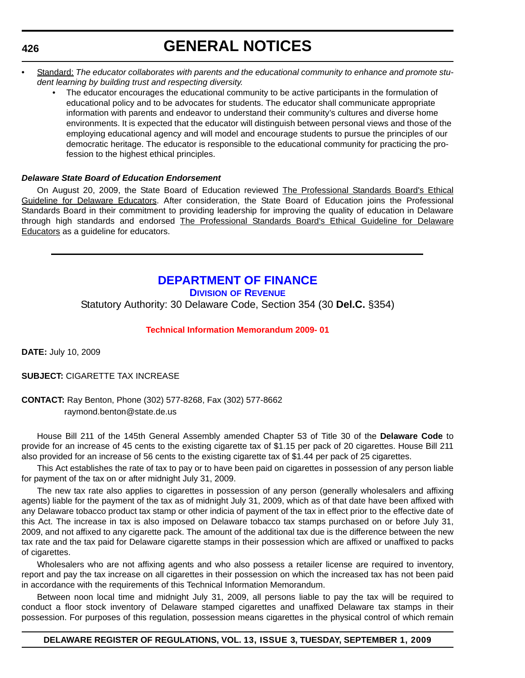**426**

# **GENERAL NOTICES**

- Standard: *The educator collaborates with parents and the educational community to enhance and promote student learning by building trust and respecting diversity.*
	- The educator encourages the educational community to be active participants in the formulation of educational policy and to be advocates for students. The educator shall communicate appropriate information with parents and endeavor to understand their community's cultures and diverse home environments. It is expected that the educator will distinguish between personal views and those of the employing educational agency and will model and encourage students to pursue the principles of our democratic heritage. The educator is responsible to the educational community for practicing the profession to the highest ethical principles.

#### *Delaware State Board of Education Endorsement*

On August 20, 2009, the State Board of Education reviewed The Professional Standards Board's Ethical Guideline for Delaware Educators. After consideration, the State Board of Education joins the Professional Standards Board in their commitment to providing leadership for improving the quality of education in Delaware through high standards and endorsed The Professional Standards Board's Ethical Guideline for Delaware Educators as a guideline for educators.

### **[DEPARTMENT OF FINANCE](http://revenue.delaware.gov/)**

**DIVISION OF REVENUE**

Statutory Authority: 30 Delaware Code, Section 354 (30 **Del.C.** §354)

#### **[Technical Information Memorandum 2009- 01](#page-5-0)**

**DATE:** July 10, 2009

**SUBJECT:** CIGARETTE TAX INCREASE

#### **CONTACT:** Ray Benton, Phone (302) 577-8268, Fax (302) 577-8662 raymond.benton@state.de.us

House Bill 211 of the 145th General Assembly amended Chapter 53 of Title 30 of the **Delaware Code** to provide for an increase of 45 cents to the existing cigarette tax of \$1.15 per pack of 20 cigarettes. House Bill 211 also provided for an increase of 56 cents to the existing cigarette tax of \$1.44 per pack of 25 cigarettes.

This Act establishes the rate of tax to pay or to have been paid on cigarettes in possession of any person liable for payment of the tax on or after midnight July 31, 2009.

The new tax rate also applies to cigarettes in possession of any person (generally wholesalers and affixing agents) liable for the payment of the tax as of midnight July 31, 2009, which as of that date have been affixed with any Delaware tobacco product tax stamp or other indicia of payment of the tax in effect prior to the effective date of this Act. The increase in tax is also imposed on Delaware tobacco tax stamps purchased on or before July 31, 2009, and not affixed to any cigarette pack. The amount of the additional tax due is the difference between the new tax rate and the tax paid for Delaware cigarette stamps in their possession which are affixed or unaffixed to packs of cigarettes.

Wholesalers who are not affixing agents and who also possess a retailer license are required to inventory, report and pay the tax increase on all cigarettes in their possession on which the increased tax has not been paid in accordance with the requirements of this Technical Information Memorandum.

Between noon local time and midnight July 31, 2009, all persons liable to pay the tax will be required to conduct a floor stock inventory of Delaware stamped cigarettes and unaffixed Delaware tax stamps in their possession. For purposes of this regulation, possession means cigarettes in the physical control of which remain

#### **DELAWARE REGISTER OF REGULATIONS, VOL. 13, ISSUE 3, TUESDAY, SEPTEMBER 1, 2009**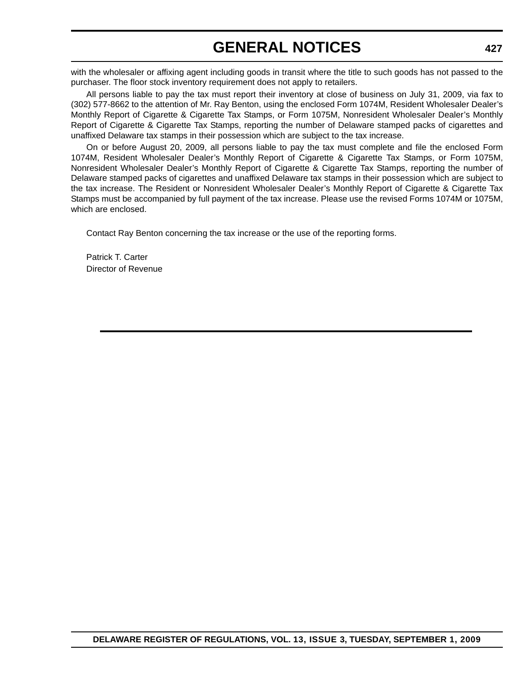# **GENERAL NOTICES**

with the wholesaler or affixing agent including goods in transit where the title to such goods has not passed to the purchaser. The floor stock inventory requirement does not apply to retailers.

All persons liable to pay the tax must report their inventory at close of business on July 31, 2009, via fax to (302) 577-8662 to the attention of Mr. Ray Benton, using the enclosed Form 1074M, Resident Wholesaler Dealer's Monthly Report of Cigarette & Cigarette Tax Stamps, or Form 1075M, Nonresident Wholesaler Dealer's Monthly Report of Cigarette & Cigarette Tax Stamps, reporting the number of Delaware stamped packs of cigarettes and unaffixed Delaware tax stamps in their possession which are subject to the tax increase.

On or before August 20, 2009, all persons liable to pay the tax must complete and file the enclosed Form 1074M, Resident Wholesaler Dealer's Monthly Report of Cigarette & Cigarette Tax Stamps, or Form 1075M, Nonresident Wholesaler Dealer's Monthly Report of Cigarette & Cigarette Tax Stamps, reporting the number of Delaware stamped packs of cigarettes and unaffixed Delaware tax stamps in their possession which are subject to the tax increase. The Resident or Nonresident Wholesaler Dealer's Monthly Report of Cigarette & Cigarette Tax Stamps must be accompanied by full payment of the tax increase. Please use the revised Forms 1074M or 1075M, which are enclosed.

Contact Ray Benton concerning the tax increase or the use of the reporting forms.

Patrick T. Carter Director of Revenue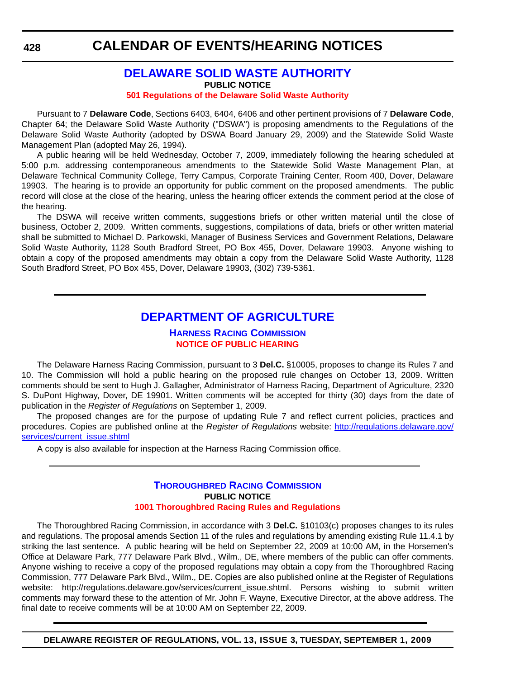#### **[DELAWARE SOLID WASTE AUTHORITY](http://www.dswa.com/) PUBLIC NOTICE [501 Regulations of the Delaware Solid Waste Authority](#page-5-0)**

Pursuant to 7 **Delaware Code**, Sections 6403, 6404, 6406 and other pertinent provisions of 7 **Delaware Code**, Chapter 64; the Delaware Solid Waste Authority ("DSWA") is proposing amendments to the Regulations of the Delaware Solid Waste Authority (adopted by DSWA Board January 29, 2009) and the Statewide Solid Waste Management Plan (adopted May 26, 1994).

A public hearing will be held Wednesday, October 7, 2009, immediately following the hearing scheduled at 5:00 p.m. addressing contemporaneous amendments to the Statewide Solid Waste Management Plan, at Delaware Technical Community College, Terry Campus, Corporate Training Center, Room 400, Dover, Delaware 19903. The hearing is to provide an opportunity for public comment on the proposed amendments. The public record will close at the close of the hearing, unless the hearing officer extends the comment period at the close of the hearing.

The DSWA will receive written comments, suggestions briefs or other written material until the close of business, October 2, 2009. Written comments, suggestions, compilations of data, briefs or other written material shall be submitted to Michael D. Parkowski, Manager of Business Services and Government Relations, Delaware Solid Waste Authority, 1128 South Bradford Street, PO Box 455, Dover, Delaware 19903. Anyone wishing to obtain a copy of the proposed amendments may obtain a copy from the Delaware Solid Waste Authority, 1128 South Bradford Street, PO Box 455, Dover, Delaware 19903, (302) 739-5361.

### **[DEPARTMENT OF AGRICULTURE](http://dda.delaware.gov/harness.index.shtml)**

#### **HARNESS RACING COMMISSION [NOTICE OF PUBLIC HEARING](#page-5-0)**

The Delaware Harness Racing Commission, pursuant to 3 **Del.C.** §10005, proposes to change its Rules 7 and 10. The Commission will hold a public hearing on the proposed rule changes on October 13, 2009. Written comments should be sent to Hugh J. Gallagher, Administrator of Harness Racing, Department of Agriculture, 2320 S. DuPont Highway, Dover, DE 19901. Written comments will be accepted for thirty (30) days from the date of publication in the *Register of Regulations* on September 1, 2009.

The proposed changes are for the purpose of updating Rule 7 and reflect current policies, practices and procedures. Copies are published online at the *Register of Regulations* website: [http://regulations.delaware.gov/](http://regulations.delaware.gov/services/current_issue.shtml) [services/current\\_issue.shtml](http://regulations.delaware.gov/services/current_issue.shtml)

A copy is also available for inspection at the Harness Racing Commission office.

#### **[THOROUGHBRED RACING COMMISSION](http://dda.delaware.gov/thoroughbred/index.shtml) PUBLIC NOTICE [1001 Thoroughbred Racing Rules and Regulations](#page-5-0)**

The Thoroughbred Racing Commission, in accordance with 3 **Del.C.** §10103(c) proposes changes to its rules and regulations. The proposal amends Section 11 of the rules and regulations by amending existing Rule 11.4.1 by striking the last sentence. A public hearing will be held on September 22, 2009 at 10:00 AM, in the Horsemen's Office at Delaware Park, 777 Delaware Park Blvd., Wilm., DE, where members of the public can offer comments. Anyone wishing to receive a copy of the proposed regulations may obtain a copy from the Thoroughbred Racing Commission, 777 Delaware Park Blvd., Wilm., DE. Copies are also published online at the Register of Regulations website: http://regulations.delaware.gov/services/current\_issue.shtml. Persons wishing to submit written comments may forward these to the attention of Mr. John F. Wayne, Executive Director, at the above address. The final date to receive comments will be at 10:00 AM on September 22, 2009.

**DELAWARE REGISTER OF REGULATIONS, VOL. 13, ISSUE 3, TUESDAY, SEPTEMBER 1, 2009**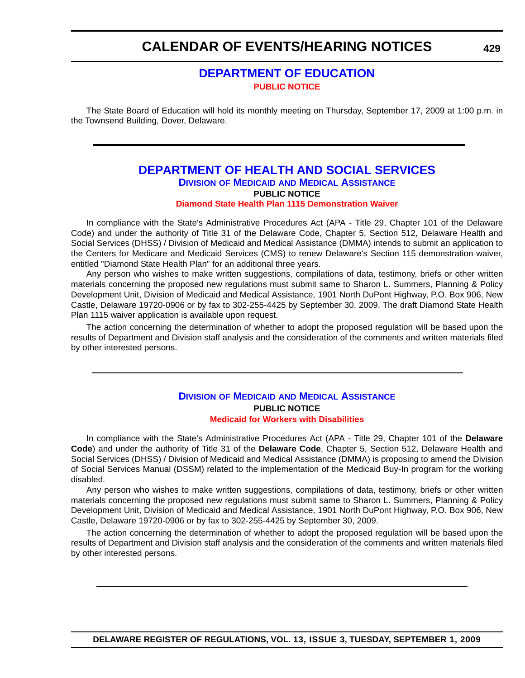### **[DEPARTMENT OF EDUCATION](http://www.doe.k12.de.us/) [PUBLIC NOTICE](#page-5-0)**

The State Board of Education will hold its monthly meeting on Thursday, September 17, 2009 at 1:00 p.m. in the Townsend Building, Dover, Delaware.

#### **[DEPARTMENT OF HEALTH AND SOCIAL SERVICES](http://www.dhss.delaware.gov/dhss/dmma/index.html) DIVISION OF MEDICAID AND MEDICAL ASSISTANCE PUBLIC NOTICE [Diamond State Health Plan 1115 Demonstration Waiver](#page-5-0)**

In compliance with the State's Administrative Procedures Act (APA - Title 29, Chapter 101 of the Delaware Code) and under the authority of Title 31 of the Delaware Code, Chapter 5, Section 512, Delaware Health and Social Services (DHSS) / Division of Medicaid and Medical Assistance (DMMA) intends to submit an application to the Centers for Medicare and Medicaid Services (CMS) to renew Delaware's Section 115 demonstration waiver, entitled "Diamond State Health Plan" for an additional three years.

Any person who wishes to make written suggestions, compilations of data, testimony, briefs or other written materials concerning the proposed new regulations must submit same to Sharon L. Summers, Planning & Policy Development Unit, Division of Medicaid and Medical Assistance, 1901 North DuPont Highway, P.O. Box 906, New Castle, Delaware 19720-0906 or by fax to 302-255-4425 by September 30, 2009. The draft Diamond State Health Plan 1115 waiver application is available upon request.

The action concerning the determination of whether to adopt the proposed regulation will be based upon the results of Department and Division staff analysis and the consideration of the comments and written materials filed by other interested persons.

#### **DIVISION OF MEDICAID [AND MEDICAL ASSISTANCE](http://www.dhss.delaware.gov/dhss/dmma/) PUBLIC NOTICE [Medicaid for Workers with Disabilities](#page-5-0)**

In compliance with the State's Administrative Procedures Act (APA - Title 29, Chapter 101 of the **Delaware Code**) and under the authority of Title 31 of the **Delaware Code**, Chapter 5, Section 512, Delaware Health and Social Services (DHSS) / Division of Medicaid and Medical Assistance (DMMA) is proposing to amend the Division of Social Services Manual (DSSM) related to the implementation of the Medicaid Buy-In program for the working disabled.

Any person who wishes to make written suggestions, compilations of data, testimony, briefs or other written materials concerning the proposed new regulations must submit same to Sharon L. Summers, Planning & Policy Development Unit, Division of Medicaid and Medical Assistance, 1901 North DuPont Highway, P.O. Box 906, New Castle, Delaware 19720-0906 or by fax to 302-255-4425 by September 30, 2009.

The action concerning the determination of whether to adopt the proposed regulation will be based upon the results of Department and Division staff analysis and the consideration of the comments and written materials filed by other interested persons.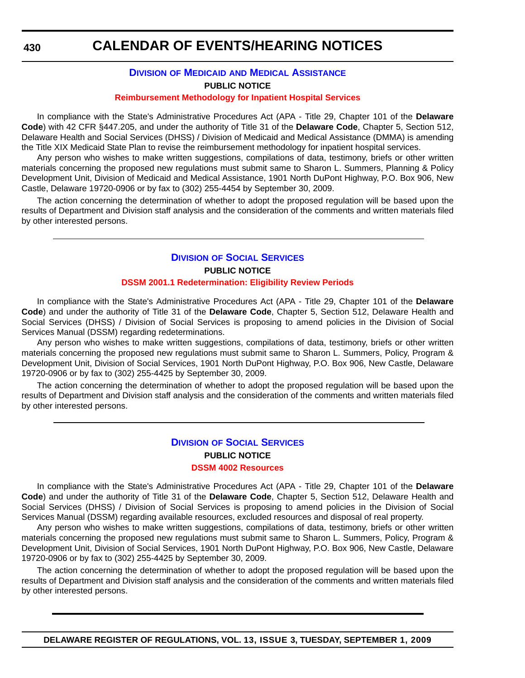### **DIVISION OF MEDICAID [AND MEDICAL ASSISTANCE](http://www.dhss.delaware.gov/dhss/dmma/) PUBLIC NOTICE**

#### **[Reimbursement Methodology for Inpatient Hospital Services](#page-5-0)**

In compliance with the State's Administrative Procedures Act (APA - Title 29, Chapter 101 of the **Delaware Code**) with 42 CFR §447.205, and under the authority of Title 31 of the **Delaware Code**, Chapter 5, Section 512, Delaware Health and Social Services (DHSS) / Division of Medicaid and Medical Assistance (DMMA) is amending the Title XIX Medicaid State Plan to revise the reimbursement methodology for inpatient hospital services.

Any person who wishes to make written suggestions, compilations of data, testimony, briefs or other written materials concerning the proposed new regulations must submit same to Sharon L. Summers, Planning & Policy Development Unit, Division of Medicaid and Medical Assistance, 1901 North DuPont Highway, P.O. Box 906, New Castle, Delaware 19720-0906 or by fax to (302) 255-4454 by September 30, 2009.

The action concerning the determination of whether to adopt the proposed regulation will be based upon the results of Department and Division staff analysis and the consideration of the comments and written materials filed by other interested persons.

#### **DIVISION [OF SOCIAL SERVICES](http://www.dhss.delaware.gov/dhss/dmma/) PUBLIC NOTICE [DSSM 2001.1 Redetermination: Eligibility Review Periods](#page-5-0)**

In compliance with the State's Administrative Procedures Act (APA - Title 29, Chapter 101 of the **Delaware Code**) and under the authority of Title 31 of the **Delaware Code**, Chapter 5, Section 512, Delaware Health and Social Services (DHSS) / Division of Social Services is proposing to amend policies in the Division of Social Services Manual (DSSM) regarding redeterminations.

Any person who wishes to make written suggestions, compilations of data, testimony, briefs or other written materials concerning the proposed new regulations must submit same to Sharon L. Summers, Policy, Program & Development Unit, Division of Social Services, 1901 North DuPont Highway, P.O. Box 906, New Castle, Delaware 19720-0906 or by fax to (302) 255-4425 by September 30, 2009.

The action concerning the determination of whether to adopt the proposed regulation will be based upon the results of Department and Division staff analysis and the consideration of the comments and written materials filed by other interested persons.

#### **DIVISION [OF SOCIAL SERVICES](http://www.dhss.delaware.gov/dhss/dss/index.html) PUBLIC NOTICE [DSSM 4002 Resources](#page-5-0)**

#### In compliance with the State's Administrative Procedures Act (APA - Title 29, Chapter 101 of the **Delaware Code**) and under the authority of Title 31 of the **Delaware Code**, Chapter 5, Section 512, Delaware Health and Social Services (DHSS) / Division of Social Services is proposing to amend policies in the Division of Social Services Manual (DSSM) regarding available resources, excluded resources and disposal of real property.

Any person who wishes to make written suggestions, compilations of data, testimony, briefs or other written materials concerning the proposed new regulations must submit same to Sharon L. Summers, Policy, Program & Development Unit, Division of Social Services, 1901 North DuPont Highway, P.O. Box 906, New Castle, Delaware 19720-0906 or by fax to (302) 255-4425 by September 30, 2009.

The action concerning the determination of whether to adopt the proposed regulation will be based upon the results of Department and Division staff analysis and the consideration of the comments and written materials filed by other interested persons.

**DELAWARE REGISTER OF REGULATIONS, VOL. 13, ISSUE 3, TUESDAY, SEPTEMBER 1, 2009**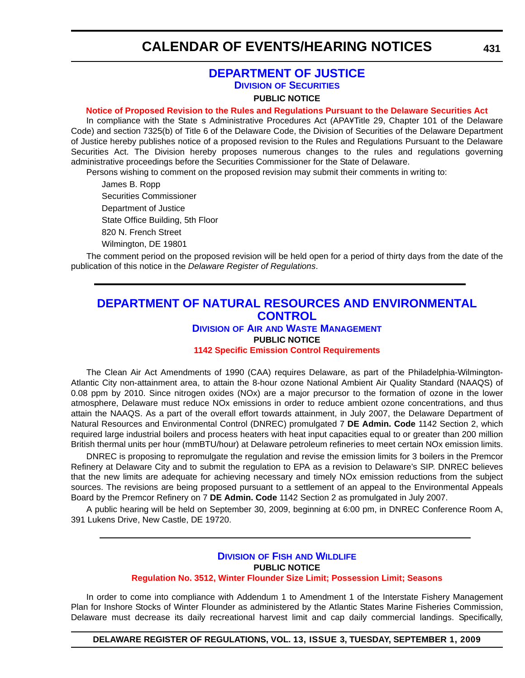#### **[DEPARTMENT OF JUSTICE](http://attorneygeneral.delaware.gov/) DIVISION OF SECURITIES**

#### **PUBLIC NOTICE**

#### **[Notice of Proposed Revision to the Rules and Regulations Pursuant to the Delaware Securities Act](#page-5-0)**

In compliance with the State s Administrative Procedures Act (APA¥Title 29, Chapter 101 of the Delaware Code) and section 7325(b) of Title 6 of the Delaware Code, the Division of Securities of the Delaware Department of Justice hereby publishes notice of a proposed revision to the Rules and Regulations Pursuant to the Delaware Securities Act. The Division hereby proposes numerous changes to the rules and regulations governing administrative proceedings before the Securities Commissioner for the State of Delaware.

Persons wishing to comment on the proposed revision may submit their comments in writing to:

James B. Ropp Securities Commissioner Department of Justice State Office Building, 5th Floor 820 N. French Street Wilmington, DE 19801

The comment period on the proposed revision will be held open for a period of thirty days from the date of the publication of this notice in the *Delaware Register of Regulations*.

#### **[DEPARTMENT OF NATURAL RESOURCES AND ENVIRONMENTAL](http://www.awm.delaware.gov/Pages/default.aspx)  CONTROL DIVISION OF AIR AND WASTE MANAGEMENT**

### **PUBLIC NOTICE [1142 Specific Emission Control Requirements](#page-5-0)**

The Clean Air Act Amendments of 1990 (CAA) requires Delaware, as part of the Philadelphia-Wilmington-Atlantic City non-attainment area, to attain the 8-hour ozone National Ambient Air Quality Standard (NAAQS) of 0.08 ppm by 2010. Since nitrogen oxides (NOx) are a major precursor to the formation of ozone in the lower atmosphere, Delaware must reduce NOx emissions in order to reduce ambient ozone concentrations, and thus attain the NAAQS. As a part of the overall effort towards attainment, in July 2007, the Delaware Department of Natural Resources and Environmental Control (DNREC) promulgated 7 **DE Admin. Code** 1142 Section 2, which required large industrial boilers and process heaters with heat input capacities equal to or greater than 200 million British thermal units per hour (mmBTU/hour) at Delaware petroleum refineries to meet certain NOx emission limits.

DNREC is proposing to repromulgate the regulation and revise the emission limits for 3 boilers in the Premcor Refinery at Delaware City and to submit the regulation to EPA as a revision to Delaware's SIP. DNREC believes that the new limits are adequate for achieving necessary and timely NOx emission reductions from the subject sources. The revisions are being proposed pursuant to a settlement of an appeal to the Environmental Appeals Board by the Premcor Refinery on 7 **DE Admin. Code** 1142 Section 2 as promulgated in July 2007.

A public hearing will be held on September 30, 2009, beginning at 6:00 pm, in DNREC Conference Room A, 391 Lukens Drive, New Castle, DE 19720.

#### **DIVISION OF FISH [AND WILDLIFE](http://www.fw.delaware.gov/Pages/FWPortal.aspx) PUBLIC NOTICE [Regulation No. 3512, Winter Flounder Size Limit; Possession Limit; Seasons](#page-5-0)**

In order to come into compliance with Addendum 1 to Amendment 1 of the Interstate Fishery Management Plan for Inshore Stocks of Winter Flounder as administered by the Atlantic States Marine Fisheries Commission, Delaware must decrease its daily recreational harvest limit and cap daily commercial landings. Specifically,

**DELAWARE REGISTER OF REGULATIONS, VOL. 13, ISSUE 3, TUESDAY, SEPTEMBER 1, 2009**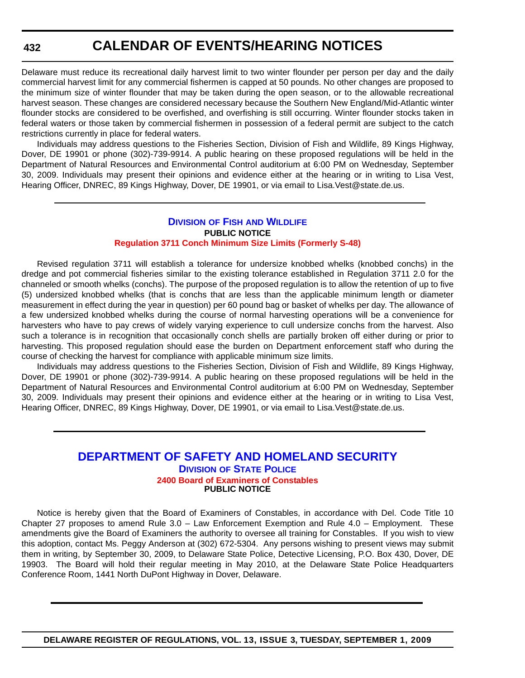Delaware must reduce its recreational daily harvest limit to two winter flounder per person per day and the daily commercial harvest limit for any commercial fishermen is capped at 50 pounds. No other changes are proposed to the minimum size of winter flounder that may be taken during the open season, or to the allowable recreational harvest season. These changes are considered necessary because the Southern New England/Mid-Atlantic winter flounder stocks are considered to be overfished, and overfishing is still occurring. Winter flounder stocks taken in federal waters or those taken by commercial fishermen in possession of a federal permit are subject to the catch restrictions currently in place for federal waters.

Individuals may address questions to the Fisheries Section, Division of Fish and Wildlife, 89 Kings Highway, Dover, DE 19901 or phone (302)-739-9914. A public hearing on these proposed regulations will be held in the Department of Natural Resources and Environmental Control auditorium at 6:00 PM on Wednesday, September 30, 2009. Individuals may present their opinions and evidence either at the hearing or in writing to Lisa Vest, Hearing Officer, DNREC, 89 Kings Highway, Dover, DE 19901, or via email to Lisa.Vest@state.de.us.

#### **DIVISION OF FISH [AND WILDLIFE](http://www.fw.delaware.gov/Pages/FWPortal.aspx) PUBLIC NOTICE [Regulation 3711 Conch Minimum Size Limits \(Formerly S-48\)](#page-5-0)**

Revised regulation 3711 will establish a tolerance for undersize knobbed whelks (knobbed conchs) in the dredge and pot commercial fisheries similar to the existing tolerance established in Regulation 3711 2.0 for the channeled or smooth whelks (conchs). The purpose of the proposed regulation is to allow the retention of up to five (5) undersized knobbed whelks (that is conchs that are less than the applicable minimum length or diameter measurement in effect during the year in question) per 60 pound bag or basket of whelks per day. The allowance of a few undersized knobbed whelks during the course of normal harvesting operations will be a convenience for harvesters who have to pay crews of widely varying experience to cull undersize conchs from the harvest. Also such a tolerance is in recognition that occasionally conch shells are partially broken off either during or prior to harvesting. This proposed regulation should ease the burden on Department enforcement staff who during the course of checking the harvest for compliance with applicable minimum size limits.

Individuals may address questions to the Fisheries Section, Division of Fish and Wildlife, 89 Kings Highway, Dover, DE 19901 or phone (302)-739-9914. A public hearing on these proposed regulations will be held in the Department of Natural Resources and Environmental Control auditorium at 6:00 PM on Wednesday, September 30, 2009. Individuals may present their opinions and evidence either at the hearing or in writing to Lisa Vest, Hearing Officer, DNREC, 89 Kings Highway, Dover, DE 19901, or via email to Lisa.Vest@state.de.us.

#### **[DEPARTMENT OF SAFETY AND HOMELAND SECURITY](http://dsp.delaware.gov/default.shtml) DIVISION OF STATE POLICE [2400 Board of Examiners of Constables](#page-5-0) PUBLIC NOTICE**

Notice is hereby given that the Board of Examiners of Constables, in accordance with Del. Code Title 10 Chapter 27 proposes to amend Rule 3.0 – Law Enforcement Exemption and Rule 4.0 – Employment. These amendments give the Board of Examiners the authority to oversee all training for Constables. If you wish to view this adoption, contact Ms. Peggy Anderson at (302) 672-5304. Any persons wishing to present views may submit them in writing, by September 30, 2009, to Delaware State Police, Detective Licensing, P.O. Box 430, Dover, DE 19903. The Board will hold their regular meeting in May 2010, at the Delaware State Police Headquarters Conference Room, 1441 North DuPont Highway in Dover, Delaware.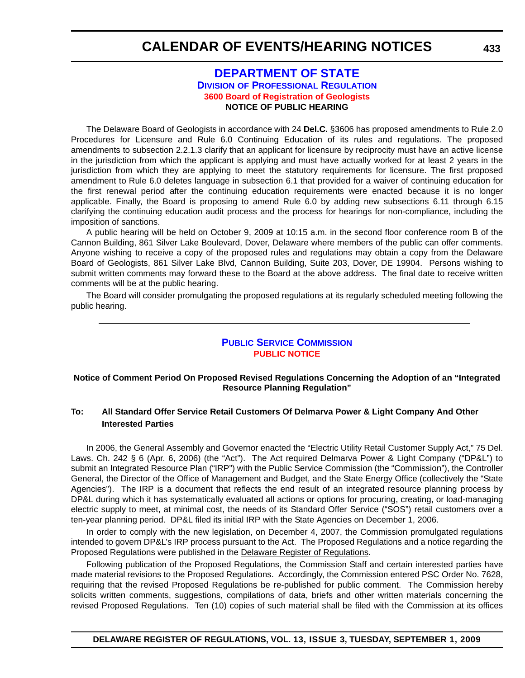#### **[DEPARTMENT OF STATE](http://dpr.delaware.gov/default.shtml) DIVISION OF PROFESSIONAL REGULATION [3600 Board of Registration of Geologists](#page-5-0) NOTICE OF PUBLIC HEARING**

The Delaware Board of Geologists in accordance with 24 **Del.C.** §3606 has proposed amendments to Rule 2.0 Procedures for Licensure and Rule 6.0 Continuing Education of its rules and regulations. The proposed amendments to subsection 2.2.1.3 clarify that an applicant for licensure by reciprocity must have an active license in the jurisdiction from which the applicant is applying and must have actually worked for at least 2 years in the jurisdiction from which they are applying to meet the statutory requirements for licensure. The first proposed amendment to Rule 6.0 deletes language in subsection 6.1 that provided for a waiver of continuing education for the first renewal period after the continuing education requirements were enacted because it is no longer applicable. Finally, the Board is proposing to amend Rule 6.0 by adding new subsections 6.11 through 6.15 clarifying the continuing education audit process and the process for hearings for non-compliance, including the imposition of sanctions.

A public hearing will be held on October 9, 2009 at 10:15 a.m. in the second floor conference room B of the Cannon Building, 861 Silver Lake Boulevard, Dover, Delaware where members of the public can offer comments. Anyone wishing to receive a copy of the proposed rules and regulations may obtain a copy from the Delaware Board of Geologists, 861 Silver Lake Blvd, Cannon Building, Suite 203, Dover, DE 19904. Persons wishing to submit written comments may forward these to the Board at the above address. The final date to receive written comments will be at the public hearing.

The Board will consider promulgating the proposed regulations at its regularly scheduled meeting following the public hearing.

#### **[PUBLIC SERVICE COMMISSION](http://depsc.delaware.gov/default.shtml) [PUBLIC NOTICE](#page-5-0)**

#### **Notice of Comment Period On Proposed Revised Regulations Concerning the Adoption of an "Integrated Resource Planning Regulation"**

#### **To: All Standard Offer Service Retail Customers Of Delmarva Power & Light Company And Other Interested Parties**

In 2006, the General Assembly and Governor enacted the "Electric Utility Retail Customer Supply Act," 75 Del. Laws. Ch. 242 § 6 (Apr. 6, 2006) (the "Act"). The Act required Delmarva Power & Light Company ("DP&L") to submit an Integrated Resource Plan ("IRP") with the Public Service Commission (the "Commission"), the Controller General, the Director of the Office of Management and Budget, and the State Energy Office (collectively the "State Agencies"). The IRP is a document that reflects the end result of an integrated resource planning process by DP&L during which it has systematically evaluated all actions or options for procuring, creating, or load-managing electric supply to meet, at minimal cost, the needs of its Standard Offer Service ("SOS") retail customers over a ten-year planning period. DP&L filed its initial IRP with the State Agencies on December 1, 2006.

In order to comply with the new legislation, on December 4, 2007, the Commission promulgated regulations intended to govern DP&L's IRP process pursuant to the Act. The Proposed Regulations and a notice regarding the Proposed Regulations were published in the Delaware Register of Regulations.

Following publication of the Proposed Regulations, the Commission Staff and certain interested parties have made material revisions to the Proposed Regulations. Accordingly, the Commission entered PSC Order No. 7628, requiring that the revised Proposed Regulations be re-published for public comment. The Commission hereby solicits written comments, suggestions, compilations of data, briefs and other written materials concerning the revised Proposed Regulations. Ten (10) copies of such material shall be filed with the Commission at its offices